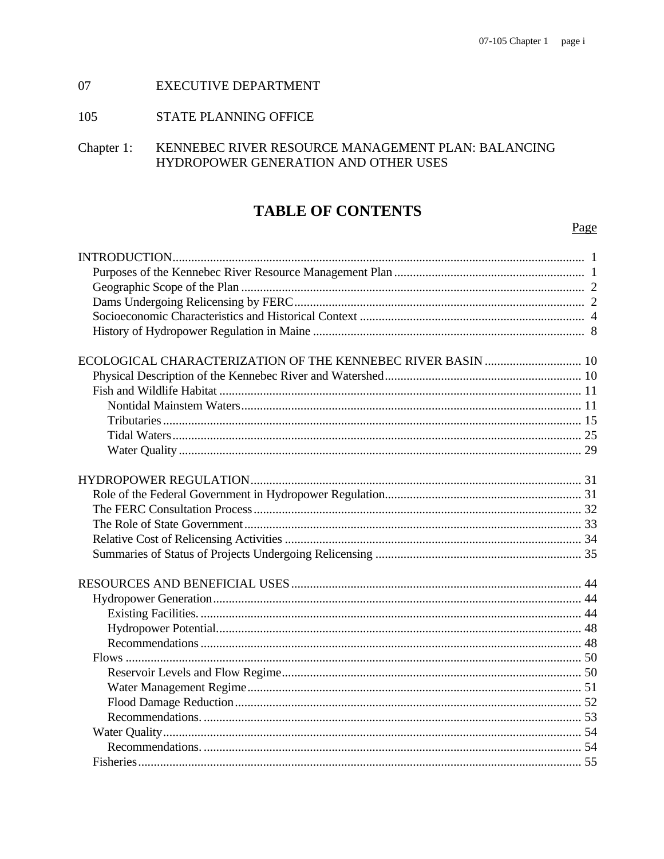#### 07 **EXECUTIVE DEPARTMENT**

#### 105 STATE PLANNING OFFICE

Chapter 1: KENNEBEC RIVER RESOURCE MANAGEMENT PLAN: BALANCING HYDROPOWER GENERATION AND OTHER USES

# **TABLE OF CONTENTS**

# Page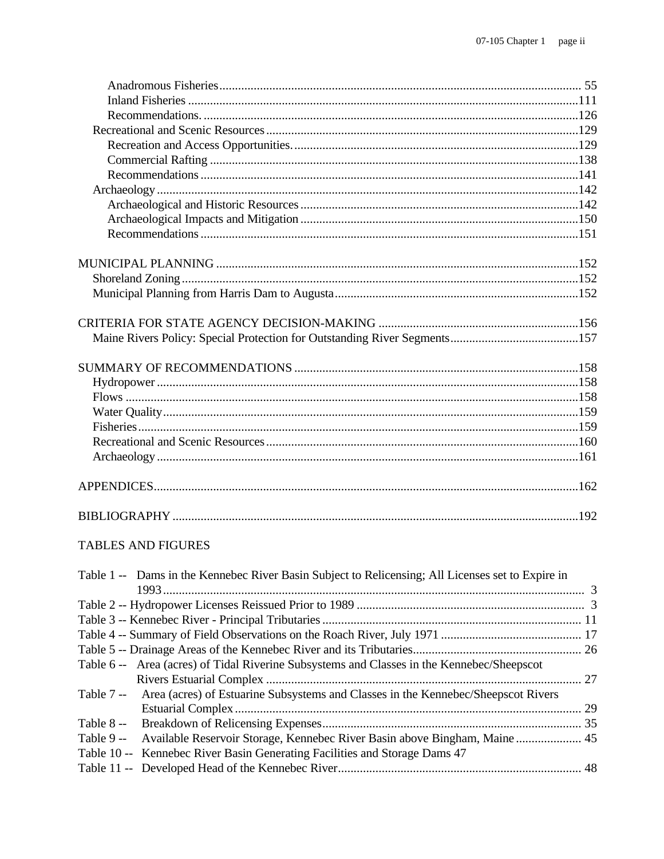| <b>TABLES AND FIGURES</b>                                                                         |  |
|---------------------------------------------------------------------------------------------------|--|
| Table 1 -- Dams in the Kennebec River Basin Subject to Relicensing; All Licenses set to Expire in |  |
|                                                                                                   |  |
|                                                                                                   |  |
|                                                                                                   |  |
|                                                                                                   |  |
| Area (acres) of Tidal Riverine Subsystems and Classes in the Kennebec/Sheepscot<br>Table 6 --     |  |
| Area (acres) of Estuarine Subsystems and Classes in the Kennebec/Sheepscot Rivers<br>Table 7 --   |  |
|                                                                                                   |  |
| Table 8 --                                                                                        |  |
|                                                                                                   |  |

| Table 9 -- Available Reservoir Storage, Kennebec River Basin above Bingham, Maine  45 |
|---------------------------------------------------------------------------------------|
| Table 10 -- Kennebec River Basin Generating Facilities and Storage Dams 47            |
|                                                                                       |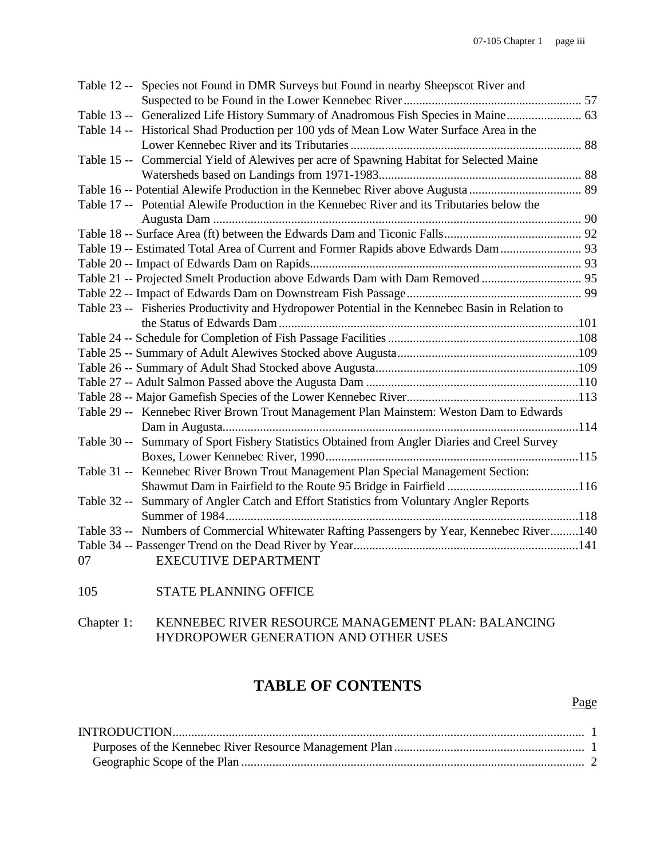| Table 12 -- Species not Found in DMR Surveys but Found in nearby Sheepscot River and             |  |
|--------------------------------------------------------------------------------------------------|--|
|                                                                                                  |  |
| Table 13 -- Generalized Life History Summary of Anadromous Fish Species in Maine 63              |  |
| Table 14 -- Historical Shad Production per 100 yds of Mean Low Water Surface Area in the         |  |
|                                                                                                  |  |
| Table 15 -- Commercial Yield of Alewives per acre of Spawning Habitat for Selected Maine         |  |
|                                                                                                  |  |
|                                                                                                  |  |
| Table 17 -- Potential Alewife Production in the Kennebec River and its Tributaries below the     |  |
|                                                                                                  |  |
|                                                                                                  |  |
| Table 19 -- Estimated Total Area of Current and Former Rapids above Edwards Dam 93               |  |
|                                                                                                  |  |
|                                                                                                  |  |
|                                                                                                  |  |
| Table 23 -- Fisheries Productivity and Hydropower Potential in the Kennebec Basin in Relation to |  |
|                                                                                                  |  |
|                                                                                                  |  |
|                                                                                                  |  |
|                                                                                                  |  |
|                                                                                                  |  |
|                                                                                                  |  |
| Table 29 -- Kennebec River Brown Trout Management Plan Mainstem: Weston Dam to Edwards           |  |
|                                                                                                  |  |
| Summary of Sport Fishery Statistics Obtained from Angler Diaries and Creel Survey<br>Table 30 -- |  |
|                                                                                                  |  |
| Table 31 -- Kennebec River Brown Trout Management Plan Special Management Section:               |  |
|                                                                                                  |  |
| Summary of Angler Catch and Effort Statistics from Voluntary Angler Reports<br>Table 32 --       |  |
|                                                                                                  |  |
| Table 33 -- Numbers of Commercial Whitewater Rafting Passengers by Year, Kennebec River140       |  |
|                                                                                                  |  |
| <b>EXECUTIVE DEPARTMENT</b><br>07                                                                |  |

105 STATE PLANNING OFFICE

Chapter 1: KENNEBEC RIVER RESOURCE MANAGEMENT PLAN: BALANCING HYDROPOWER GENERATION AND OTHER USES

# **TABLE OF CONTENTS**

## Page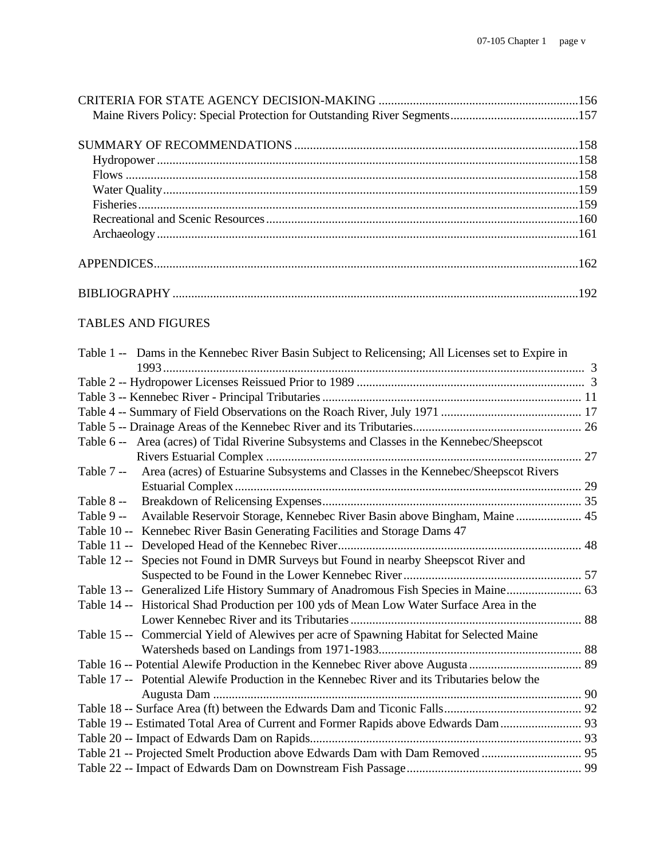# TABLES AND FIGURES

| Table 1 -- Dams in the Kennebec River Basin Subject to Relicensing; All Licenses set to Expire in |  |
|---------------------------------------------------------------------------------------------------|--|
|                                                                                                   |  |
|                                                                                                   |  |
|                                                                                                   |  |
|                                                                                                   |  |
|                                                                                                   |  |
| Table 6 -- Area (acres) of Tidal Riverine Subsystems and Classes in the Kennebec/Sheepscot        |  |
|                                                                                                   |  |
| Area (acres) of Estuarine Subsystems and Classes in the Kennebec/Sheepscot Rivers<br>Table 7 --   |  |
|                                                                                                   |  |
| Table 8 --                                                                                        |  |
| Available Reservoir Storage, Kennebec River Basin above Bingham, Maine  45<br>Table 9 --          |  |
| Table 10 -- Kennebec River Basin Generating Facilities and Storage Dams 47                        |  |
|                                                                                                   |  |
| Species not Found in DMR Surveys but Found in nearby Sheepscot River and<br>Table 12 --           |  |
|                                                                                                   |  |
| Table 13 -- Generalized Life History Summary of Anadromous Fish Species in Maine 63               |  |
| Table 14 -- Historical Shad Production per 100 yds of Mean Low Water Surface Area in the          |  |
|                                                                                                   |  |
| Table 15 -- Commercial Yield of Alewives per acre of Spawning Habitat for Selected Maine          |  |
|                                                                                                   |  |
|                                                                                                   |  |
| Table 17 -- Potential Alewife Production in the Kennebec River and its Tributaries below the      |  |
|                                                                                                   |  |
|                                                                                                   |  |
| Table 19 -- Estimated Total Area of Current and Former Rapids above Edwards Dam 93                |  |
|                                                                                                   |  |
|                                                                                                   |  |
|                                                                                                   |  |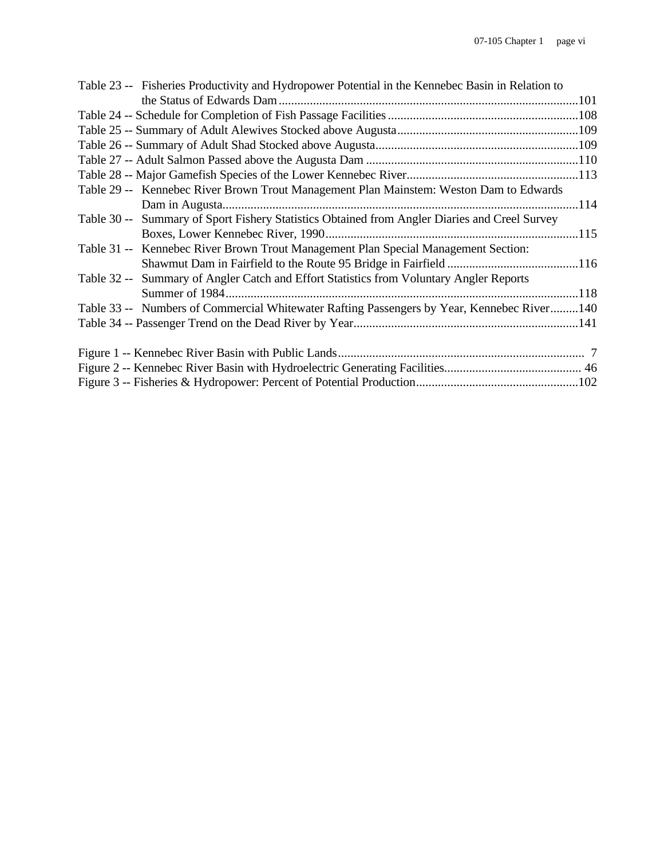| Table 23 -- Fisheries Productivity and Hydropower Potential in the Kennebec Basin in Relation to |  |
|--------------------------------------------------------------------------------------------------|--|
|                                                                                                  |  |
|                                                                                                  |  |
|                                                                                                  |  |
|                                                                                                  |  |
|                                                                                                  |  |
|                                                                                                  |  |
| Table 29 -- Kennebec River Brown Trout Management Plan Mainstem: Weston Dam to Edwards           |  |
|                                                                                                  |  |
| Table 30 -- Summary of Sport Fishery Statistics Obtained from Angler Diaries and Creel Survey    |  |
|                                                                                                  |  |
| Table 31 -- Kennebec River Brown Trout Management Plan Special Management Section:               |  |
|                                                                                                  |  |
| Table 32 -- Summary of Angler Catch and Effort Statistics from Voluntary Angler Reports          |  |
|                                                                                                  |  |
| Table 33 -- Numbers of Commercial Whitewater Rafting Passengers by Year, Kennebec River140       |  |
|                                                                                                  |  |
|                                                                                                  |  |
|                                                                                                  |  |
|                                                                                                  |  |
|                                                                                                  |  |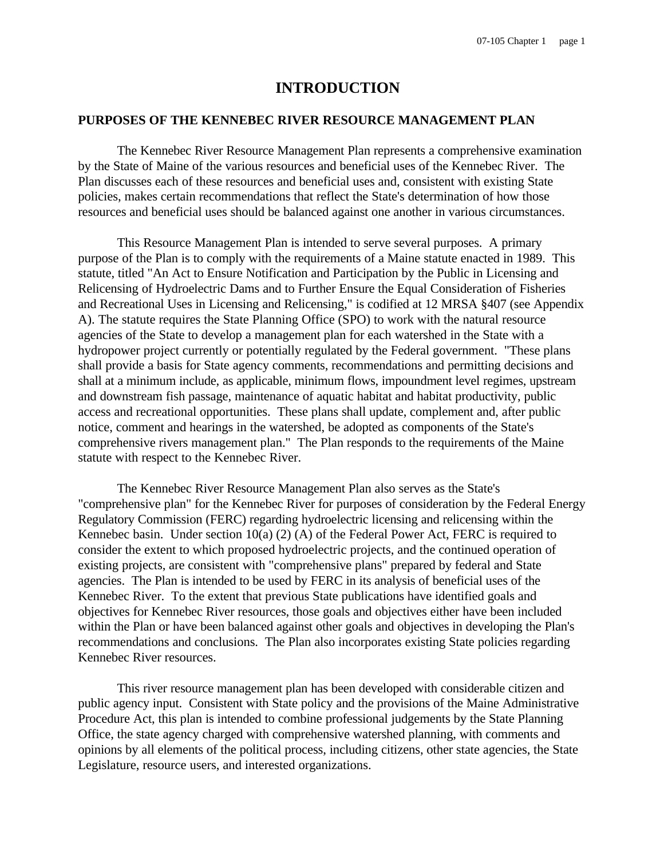# **INTRODUCTION**

### **PURPOSES OF THE KENNEBEC RIVER RESOURCE MANAGEMENT PLAN**

The Kennebec River Resource Management Plan represents a comprehensive examination by the State of Maine of the various resources and beneficial uses of the Kennebec River. The Plan discusses each of these resources and beneficial uses and, consistent with existing State policies, makes certain recommendations that reflect the State's determination of how those resources and beneficial uses should be balanced against one another in various circumstances.

This Resource Management Plan is intended to serve several purposes. A primary purpose of the Plan is to comply with the requirements of a Maine statute enacted in 1989. This statute, titled "An Act to Ensure Notification and Participation by the Public in Licensing and Relicensing of Hydroelectric Dams and to Further Ensure the Equal Consideration of Fisheries and Recreational Uses in Licensing and Relicensing," is codified at 12 MRSA §407 (see Appendix A). The statute requires the State Planning Office (SPO) to work with the natural resource agencies of the State to develop a management plan for each watershed in the State with a hydropower project currently or potentially regulated by the Federal government. "These plans shall provide a basis for State agency comments, recommendations and permitting decisions and shall at a minimum include, as applicable, minimum flows, impoundment level regimes, upstream and downstream fish passage, maintenance of aquatic habitat and habitat productivity, public access and recreational opportunities. These plans shall update, complement and, after public notice, comment and hearings in the watershed, be adopted as components of the State's comprehensive rivers management plan." The Plan responds to the requirements of the Maine statute with respect to the Kennebec River.

The Kennebec River Resource Management Plan also serves as the State's "comprehensive plan" for the Kennebec River for purposes of consideration by the Federal Energy Regulatory Commission (FERC) regarding hydroelectric licensing and relicensing within the Kennebec basin. Under section 10(a) (2) (A) of the Federal Power Act, FERC is required to consider the extent to which proposed hydroelectric projects, and the continued operation of existing projects, are consistent with "comprehensive plans" prepared by federal and State agencies. The Plan is intended to be used by FERC in its analysis of beneficial uses of the Kennebec River. To the extent that previous State publications have identified goals and objectives for Kennebec River resources, those goals and objectives either have been included within the Plan or have been balanced against other goals and objectives in developing the Plan's recommendations and conclusions. The Plan also incorporates existing State policies regarding Kennebec River resources.

This river resource management plan has been developed with considerable citizen and public agency input. Consistent with State policy and the provisions of the Maine Administrative Procedure Act, this plan is intended to combine professional judgements by the State Planning Office, the state agency charged with comprehensive watershed planning, with comments and opinions by all elements of the political process, including citizens, other state agencies, the State Legislature, resource users, and interested organizations.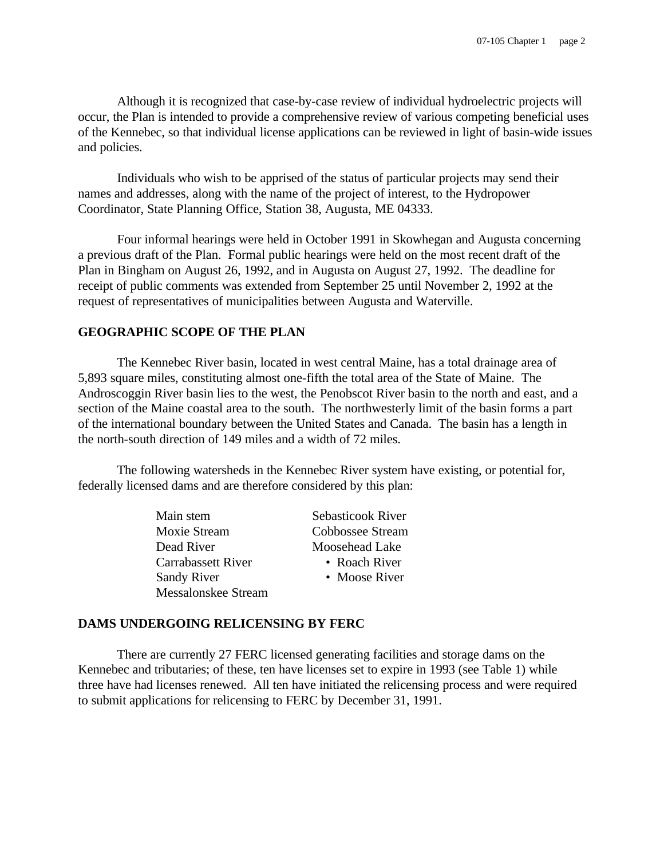Although it is recognized that case-by-case review of individual hydroelectric projects will occur, the Plan is intended to provide a comprehensive review of various competing beneficial uses of the Kennebec, so that individual license applications can be reviewed in light of basin-wide issues and policies.

Individuals who wish to be apprised of the status of particular projects may send their names and addresses, along with the name of the project of interest, to the Hydropower Coordinator, State Planning Office, Station 38, Augusta, ME 04333.

Four informal hearings were held in October 1991 in Skowhegan and Augusta concerning a previous draft of the Plan. Formal public hearings were held on the most recent draft of the Plan in Bingham on August 26, 1992, and in Augusta on August 27, 1992. The deadline for receipt of public comments was extended from September 25 until November 2, 1992 at the request of representatives of municipalities between Augusta and Waterville.

#### **GEOGRAPHIC SCOPE OF THE PLAN**

The Kennebec River basin, located in west central Maine, has a total drainage area of 5,893 square miles, constituting almost one-fifth the total area of the State of Maine. The Androscoggin River basin lies to the west, the Penobscot River basin to the north and east, and a section of the Maine coastal area to the south. The northwesterly limit of the basin forms a part of the international boundary between the United States and Canada. The basin has a length in the north-south direction of 149 miles and a width of 72 miles.

The following watersheds in the Kennebec River system have existing, or potential for, federally licensed dams and are therefore considered by this plan:

| Main stem           | Sebasticook River |
|---------------------|-------------------|
| <b>Moxie Stream</b> | Cobbossee Stream  |
| Dead River          | Moosehead Lake    |
| Carrabassett River  | • Roach River     |
| <b>Sandy River</b>  | • Moose River     |
| Messalonskee Stream |                   |

## **DAMS UNDERGOING RELICENSING BY FERC**

There are currently 27 FERC licensed generating facilities and storage dams on the Kennebec and tributaries; of these, ten have licenses set to expire in 1993 (see Table 1) while three have had licenses renewed. All ten have initiated the relicensing process and were required to submit applications for relicensing to FERC by December 31, 1991.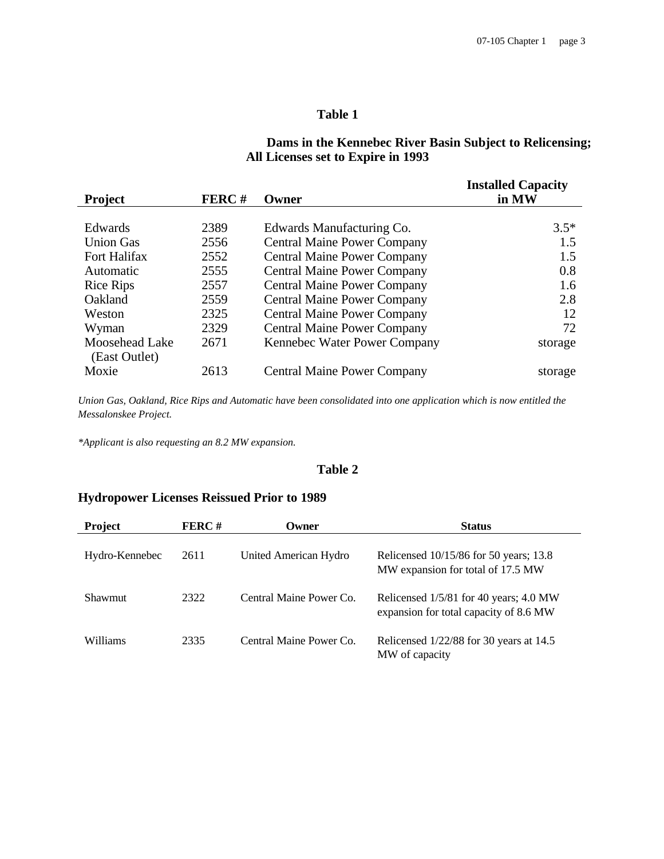# **Table 1**

## **Dams in the Kennebec River Basin Subject to Relicensing; All Licenses set to Expire in 1993**

| <b>Project</b>                  | FERC# | Owner                              | <b>Installed Capacity</b><br>in MW |
|---------------------------------|-------|------------------------------------|------------------------------------|
|                                 |       |                                    |                                    |
| Edwards                         | 2389  | Edwards Manufacturing Co.          | $3.5*$                             |
| <b>Union Gas</b>                | 2556  | <b>Central Maine Power Company</b> | 1.5                                |
| Fort Halifax                    | 2552  | <b>Central Maine Power Company</b> | 1.5                                |
| Automatic                       | 2555  | <b>Central Maine Power Company</b> | 0.8                                |
| <b>Rice Rips</b>                | 2557  | <b>Central Maine Power Company</b> | 1.6                                |
| Oakland                         | 2559  | <b>Central Maine Power Company</b> | 2.8                                |
| Weston                          | 2325  | <b>Central Maine Power Company</b> | 12                                 |
| Wyman                           | 2329  | <b>Central Maine Power Company</b> | 72                                 |
| Moosehead Lake<br>(East Outlet) | 2671  | Kennebec Water Power Company       | storage                            |
| Moxie                           | 2613  | <b>Central Maine Power Company</b> | storage                            |

*Union Gas, Oakland, Rice Rips and Automatic have been consolidated into one application which is now entitled the Messalonskee Project.*

*\*Applicant is also requesting an 8.2 MW expansion.*

#### **Table 2**

# **Hydropower Licenses Reissued Prior to 1989**

| Project        | <b>FERC#</b> | Owner                   | <b>Status</b>                                                                    |
|----------------|--------------|-------------------------|----------------------------------------------------------------------------------|
| Hydro-Kennebec | 2611         | United American Hydro   | Relicensed 10/15/86 for 50 years; 13.8<br>MW expansion for total of 17.5 MW      |
| <b>Shawmut</b> | 2322         | Central Maine Power Co. | Relicensed 1/5/81 for 40 years; 4.0 MW<br>expansion for total capacity of 8.6 MW |
| Williams       | 2335         | Central Maine Power Co. | Relicensed $1/22/88$ for 30 years at 14.5<br>MW of capacity                      |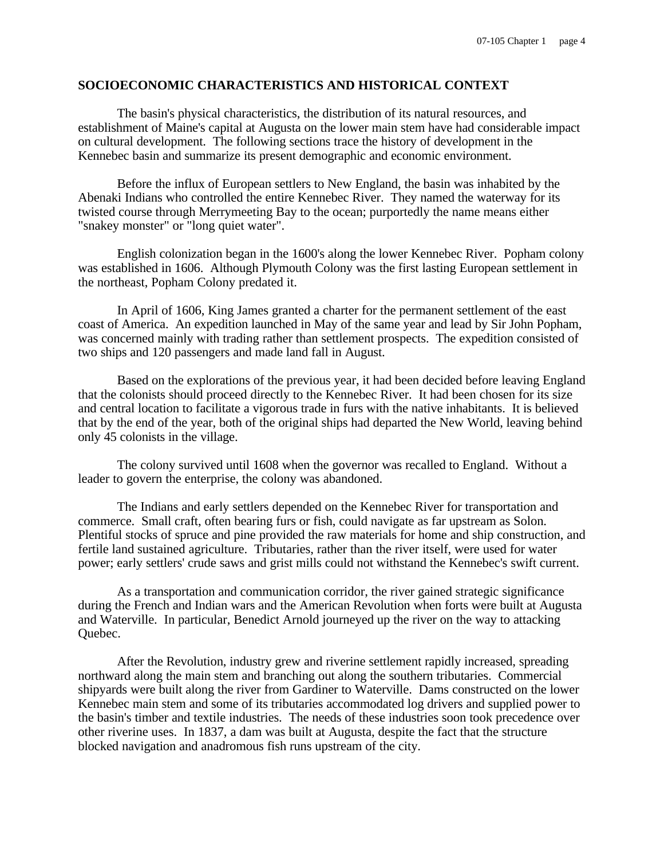### **SOCIOECONOMIC CHARACTERISTICS AND HISTORICAL CONTEXT**

The basin's physical characteristics, the distribution of its natural resources, and establishment of Maine's capital at Augusta on the lower main stem have had considerable impact on cultural development. The following sections trace the history of development in the Kennebec basin and summarize its present demographic and economic environment.

Before the influx of European settlers to New England, the basin was inhabited by the Abenaki Indians who controlled the entire Kennebec River. They named the waterway for its twisted course through Merrymeeting Bay to the ocean; purportedly the name means either "snakey monster" or "long quiet water".

English colonization began in the 1600's along the lower Kennebec River. Popham colony was established in 1606. Although Plymouth Colony was the first lasting European settlement in the northeast, Popham Colony predated it.

In April of 1606, King James granted a charter for the permanent settlement of the east coast of America. An expedition launched in May of the same year and lead by Sir John Popham, was concerned mainly with trading rather than settlement prospects. The expedition consisted of two ships and 120 passengers and made land fall in August.

Based on the explorations of the previous year, it had been decided before leaving England that the colonists should proceed directly to the Kennebec River. It had been chosen for its size and central location to facilitate a vigorous trade in furs with the native inhabitants. It is believed that by the end of the year, both of the original ships had departed the New World, leaving behind only 45 colonists in the village.

The colony survived until 1608 when the governor was recalled to England. Without a leader to govern the enterprise, the colony was abandoned.

The Indians and early settlers depended on the Kennebec River for transportation and commerce. Small craft, often bearing furs or fish, could navigate as far upstream as Solon. Plentiful stocks of spruce and pine provided the raw materials for home and ship construction, and fertile land sustained agriculture. Tributaries, rather than the river itself, were used for water power; early settlers' crude saws and grist mills could not withstand the Kennebec's swift current.

As a transportation and communication corridor, the river gained strategic significance during the French and Indian wars and the American Revolution when forts were built at Augusta and Waterville. In particular, Benedict Arnold journeyed up the river on the way to attacking Quebec.

After the Revolution, industry grew and riverine settlement rapidly increased, spreading northward along the main stem and branching out along the southern tributaries. Commercial shipyards were built along the river from Gardiner to Waterville. Dams constructed on the lower Kennebec main stem and some of its tributaries accommodated log drivers and supplied power to the basin's timber and textile industries. The needs of these industries soon took precedence over other riverine uses. In 1837, a dam was built at Augusta, despite the fact that the structure blocked navigation and anadromous fish runs upstream of the city.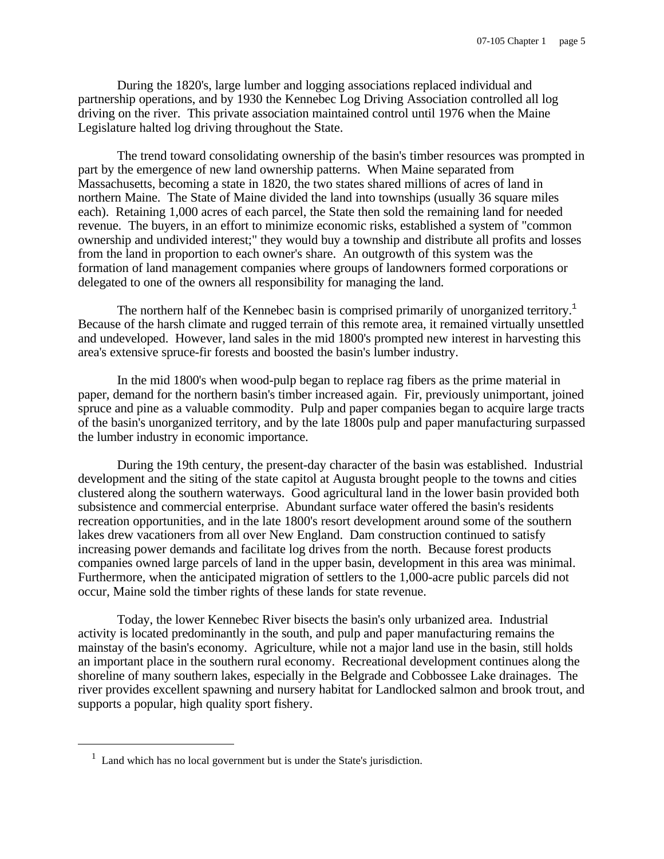During the 1820's, large lumber and logging associations replaced individual and partnership operations, and by 1930 the Kennebec Log Driving Association controlled all log driving on the river. This private association maintained control until 1976 when the Maine Legislature halted log driving throughout the State.

The trend toward consolidating ownership of the basin's timber resources was prompted in part by the emergence of new land ownership patterns. When Maine separated from Massachusetts, becoming a state in 1820, the two states shared millions of acres of land in northern Maine. The State of Maine divided the land into townships (usually 36 square miles each). Retaining 1,000 acres of each parcel, the State then sold the remaining land for needed revenue. The buyers, in an effort to minimize economic risks, established a system of "common ownership and undivided interest;" they would buy a township and distribute all profits and losses from the land in proportion to each owner's share. An outgrowth of this system was the formation of land management companies where groups of landowners formed corporations or delegated to one of the owners all responsibility for managing the land.

The northern half of the Kennebec basin is comprised primarily of unorganized territory.<sup>1</sup> Because of the harsh climate and rugged terrain of this remote area, it remained virtually unsettled and undeveloped. However, land sales in the mid 1800's prompted new interest in harvesting this area's extensive spruce-fir forests and boosted the basin's lumber industry.

In the mid 1800's when wood-pulp began to replace rag fibers as the prime material in paper, demand for the northern basin's timber increased again. Fir, previously unimportant, joined spruce and pine as a valuable commodity. Pulp and paper companies began to acquire large tracts of the basin's unorganized territory, and by the late 1800s pulp and paper manufacturing surpassed the lumber industry in economic importance.

During the 19th century, the present-day character of the basin was established. Industrial development and the siting of the state capitol at Augusta brought people to the towns and cities clustered along the southern waterways. Good agricultural land in the lower basin provided both subsistence and commercial enterprise. Abundant surface water offered the basin's residents recreation opportunities, and in the late 1800's resort development around some of the southern lakes drew vacationers from all over New England. Dam construction continued to satisfy increasing power demands and facilitate log drives from the north. Because forest products companies owned large parcels of land in the upper basin, development in this area was minimal. Furthermore, when the anticipated migration of settlers to the 1,000-acre public parcels did not occur, Maine sold the timber rights of these lands for state revenue.

Today, the lower Kennebec River bisects the basin's only urbanized area. Industrial activity is located predominantly in the south, and pulp and paper manufacturing remains the mainstay of the basin's economy. Agriculture, while not a major land use in the basin, still holds an important place in the southern rural economy. Recreational development continues along the shoreline of many southern lakes, especially in the Belgrade and Cobbossee Lake drainages. The river provides excellent spawning and nursery habitat for Landlocked salmon and brook trout, and supports a popular, high quality sport fishery.

e<br>S

 $<sup>1</sup>$  Land which has no local government but is under the State's jurisdiction.</sup>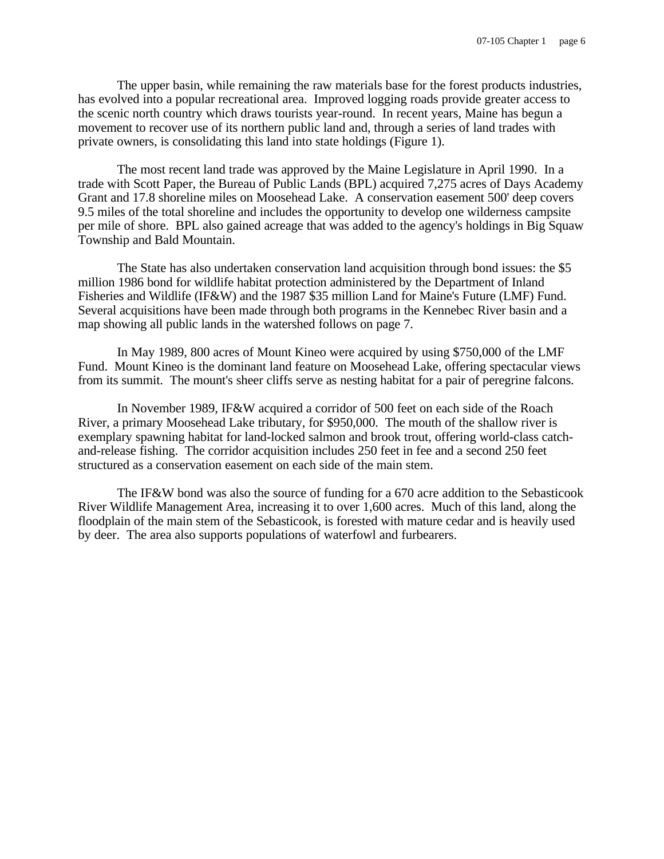The upper basin, while remaining the raw materials base for the forest products industries, has evolved into a popular recreational area. Improved logging roads provide greater access to the scenic north country which draws tourists year-round. In recent years, Maine has begun a movement to recover use of its northern public land and, through a series of land trades with private owners, is consolidating this land into state holdings (Figure 1).

The most recent land trade was approved by the Maine Legislature in April 1990. In a trade with Scott Paper, the Bureau of Public Lands (BPL) acquired 7,275 acres of Days Academy Grant and 17.8 shoreline miles on Moosehead Lake. A conservation easement 500' deep covers 9.5 miles of the total shoreline and includes the opportunity to develop one wilderness campsite per mile of shore. BPL also gained acreage that was added to the agency's holdings in Big Squaw Township and Bald Mountain.

The State has also undertaken conservation land acquisition through bond issues: the \$5 million 1986 bond for wildlife habitat protection administered by the Department of Inland Fisheries and Wildlife (IF&W) and the 1987 \$35 million Land for Maine's Future (LMF) Fund. Several acquisitions have been made through both programs in the Kennebec River basin and a map showing all public lands in the watershed follows on page 7.

In May 1989, 800 acres of Mount Kineo were acquired by using \$750,000 of the LMF Fund. Mount Kineo is the dominant land feature on Moosehead Lake, offering spectacular views from its summit. The mount's sheer cliffs serve as nesting habitat for a pair of peregrine falcons.

In November 1989, IF&W acquired a corridor of 500 feet on each side of the Roach River, a primary Moosehead Lake tributary, for \$950,000. The mouth of the shallow river is exemplary spawning habitat for land-locked salmon and brook trout, offering world-class catchand-release fishing. The corridor acquisition includes 250 feet in fee and a second 250 feet structured as a conservation easement on each side of the main stem.

The IF&W bond was also the source of funding for a 670 acre addition to the Sebasticook River Wildlife Management Area, increasing it to over 1,600 acres. Much of this land, along the floodplain of the main stem of the Sebasticook, is forested with mature cedar and is heavily used by deer. The area also supports populations of waterfowl and furbearers.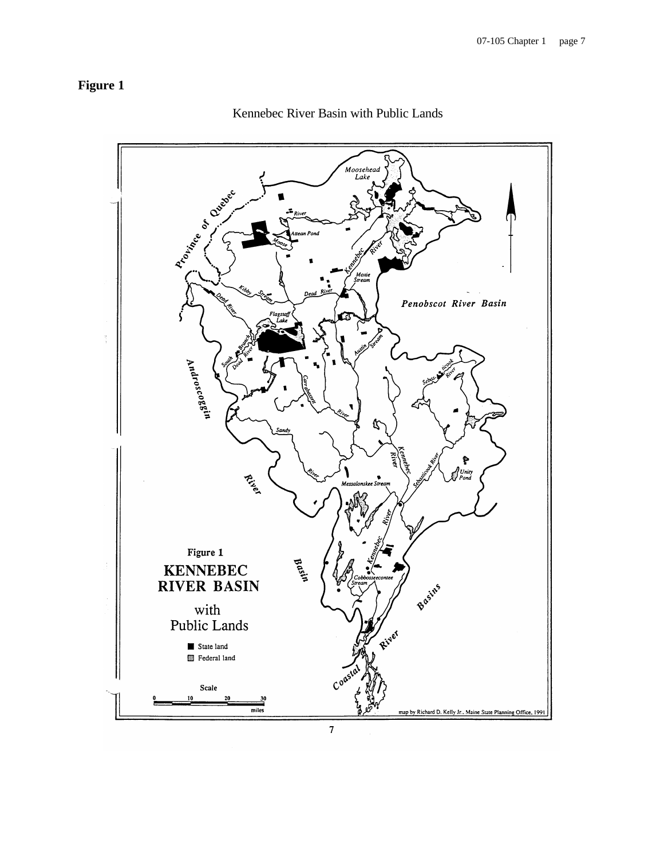# **Figure 1**



Kennebec River Basin with Public Lands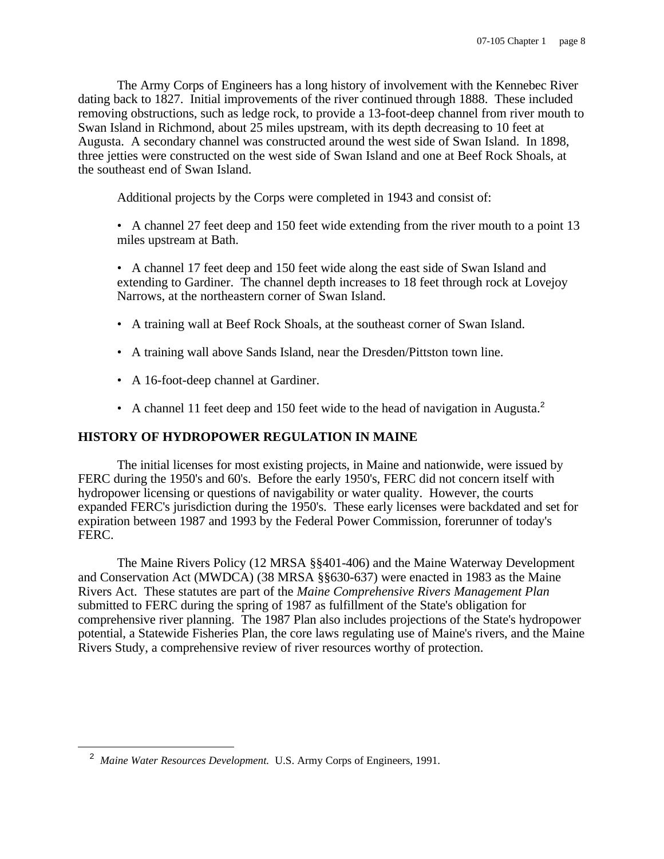The Army Corps of Engineers has a long history of involvement with the Kennebec River dating back to 1827. Initial improvements of the river continued through 1888. These included removing obstructions, such as ledge rock, to provide a 13-foot-deep channel from river mouth to Swan Island in Richmond, about 25 miles upstream, with its depth decreasing to 10 feet at Augusta. A secondary channel was constructed around the west side of Swan Island. In 1898, three jetties were constructed on the west side of Swan Island and one at Beef Rock Shoals, at the southeast end of Swan Island.

Additional projects by the Corps were completed in 1943 and consist of:

- A channel 27 feet deep and 150 feet wide extending from the river mouth to a point 13 miles upstream at Bath.
- A channel 17 feet deep and 150 feet wide along the east side of Swan Island and extending to Gardiner. The channel depth increases to 18 feet through rock at Lovejoy Narrows, at the northeastern corner of Swan Island.
- A training wall at Beef Rock Shoals, at the southeast corner of Swan Island.
- A training wall above Sands Island, near the Dresden/Pittston town line.
- A 16-foot-deep channel at Gardiner.
- A channel 11 feet deep and 150 feet wide to the head of navigation in Augusta.<sup>2</sup>

### **HISTORY OF HYDROPOWER REGULATION IN MAINE**

The initial licenses for most existing projects, in Maine and nationwide, were issued by FERC during the 1950's and 60's. Before the early 1950's, FERC did not concern itself with hydropower licensing or questions of navigability or water quality. However, the courts expanded FERC's jurisdiction during the 1950's. These early licenses were backdated and set for expiration between 1987 and 1993 by the Federal Power Commission, forerunner of today's FERC.

The Maine Rivers Policy (12 MRSA §§401-406) and the Maine Waterway Development and Conservation Act (MWDCA) (38 MRSA §§630-637) were enacted in 1983 as the Maine Rivers Act. These statutes are part of the *Maine Comprehensive Rivers Management Plan* submitted to FERC during the spring of 1987 as fulfillment of the State's obligation for comprehensive river planning. The 1987 Plan also includes projections of the State's hydropower potential, a Statewide Fisheries Plan, the core laws regulating use of Maine's rivers, and the Maine Rivers Study, a comprehensive review of river resources worthy of protection.

<sup>&</sup>lt;sup>2</sup> Maine Water Resources Development. U.S. Army Corps of Engineers, 1991.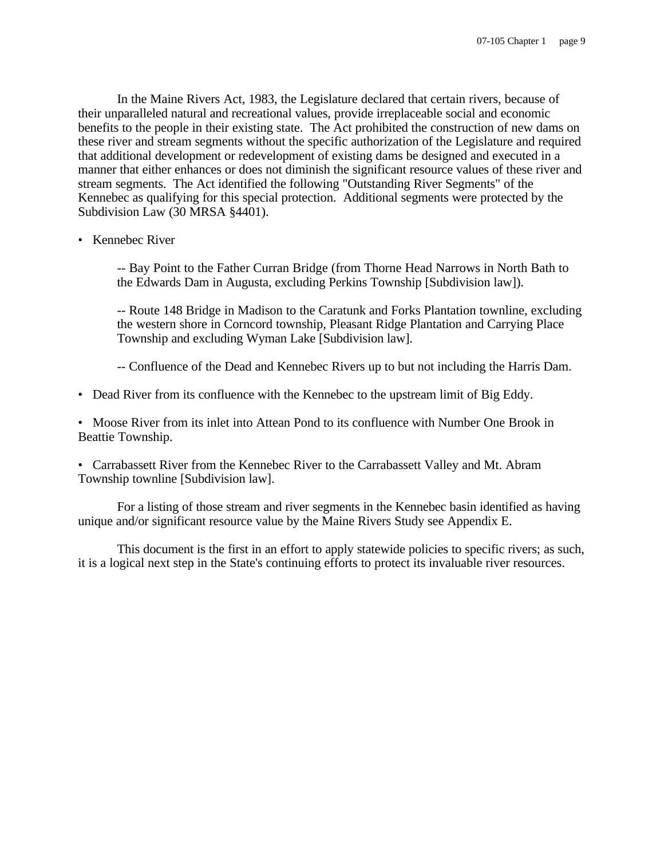In the Maine Rivers Act, 1983, the Legislature declared that certain rivers, because of their unparalleled natural and recreational values, provide irreplaceable social and economic benefits to the people in their existing state. The Act prohibited the construction of new dams on these river and stream segments without the specific authorization of the Legislature and required that additional development or redevelopment of existing dams be designed and executed in a manner that either enhances or does not diminish the significant resource values of these river and stream segments. The Act identified the following "Outstanding River Segments" of the Kennebec as qualifying for this special protection. Additional segments were protected by the Subdivision Law (30 MRSA §4401).

• Kennebec River

-- Bay Point to the Father Curran Bridge (from Thorne Head Narrows in North Bath to the Edwards Dam in Augusta, excluding Perkins Township [Subdivision law]).

-- Route 148 Bridge in Madison to the Caratunk and Forks Plantation townline, excluding the western shore in Corncord township, Pleasant Ridge Plantation and Carrying Place Township and excluding Wyman Lake [Subdivision law].

-- Confluence of the Dead and Kennebec Rivers up to but not including the Harris Dam.

• Dead River from its confluence with the Kennebec to the upstream limit of Big Eddy.

• Moose River from its inlet into Attean Pond to its confluence with Number One Brook in Beattie Township.

• Carrabassett River from the Kennebec River to the Carrabassett Valley and Mt. Abram Township townline [Subdivision law].

For a listing of those stream and river segments in the Kennebec basin identified as having unique and/or significant resource value by the Maine Rivers Study see Appendix E.

This document is the first in an effort to apply statewide policies to specific rivers; as such, it is a logical next step in the State's continuing efforts to protect its invaluable river resources.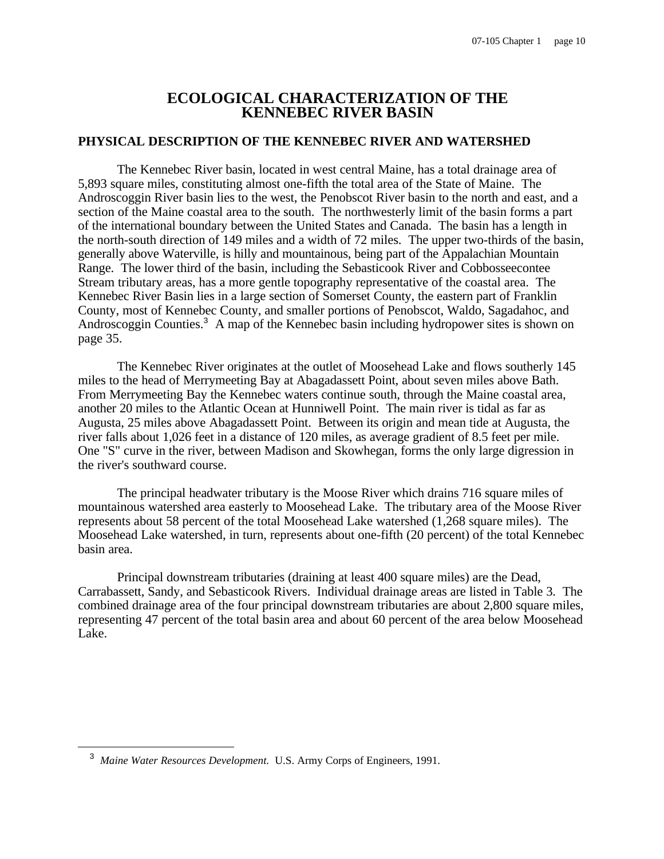# **ECOLOGICAL CHARACTERIZATION OF THE KENNEBEC RIVER BASIN**

#### **PHYSICAL DESCRIPTION OF THE KENNEBEC RIVER AND WATERSHED**

The Kennebec River basin, located in west central Maine, has a total drainage area of 5,893 square miles, constituting almost one-fifth the total area of the State of Maine. The Androscoggin River basin lies to the west, the Penobscot River basin to the north and east, and a section of the Maine coastal area to the south. The northwesterly limit of the basin forms a part of the international boundary between the United States and Canada. The basin has a length in the north-south direction of 149 miles and a width of 72 miles. The upper two-thirds of the basin, generally above Waterville, is hilly and mountainous, being part of the Appalachian Mountain Range. The lower third of the basin, including the Sebasticook River and Cobbosseecontee Stream tributary areas, has a more gentle topography representative of the coastal area. The Kennebec River Basin lies in a large section of Somerset County, the eastern part of Franklin County, most of Kennebec County, and smaller portions of Penobscot, Waldo, Sagadahoc, and Androscoggin Counties.<sup>3</sup> A map of the Kennebec basin including hydropower sites is shown on page 35.

The Kennebec River originates at the outlet of Moosehead Lake and flows southerly 145 miles to the head of Merrymeeting Bay at Abagadassett Point, about seven miles above Bath. From Merrymeeting Bay the Kennebec waters continue south, through the Maine coastal area, another 20 miles to the Atlantic Ocean at Hunniwell Point. The main river is tidal as far as Augusta, 25 miles above Abagadassett Point. Between its origin and mean tide at Augusta, the river falls about 1,026 feet in a distance of 120 miles, as average gradient of 8.5 feet per mile. One "S" curve in the river, between Madison and Skowhegan, forms the only large digression in the river's southward course.

The principal headwater tributary is the Moose River which drains 716 square miles of mountainous watershed area easterly to Moosehead Lake. The tributary area of the Moose River represents about 58 percent of the total Moosehead Lake watershed (1,268 square miles). The Moosehead Lake watershed, in turn, represents about one-fifth (20 percent) of the total Kennebec basin area.

Principal downstream tributaries (draining at least 400 square miles) are the Dead, Carrabassett, Sandy, and Sebasticook Rivers. Individual drainage areas are listed in Table 3. The combined drainage area of the four principal downstream tributaries are about 2,800 square miles, representing 47 percent of the total basin area and about 60 percent of the area below Moosehead Lake.

<sup>&</sup>lt;sup>3</sup> Maine Water Resources Development. U.S. Army Corps of Engineers, 1991.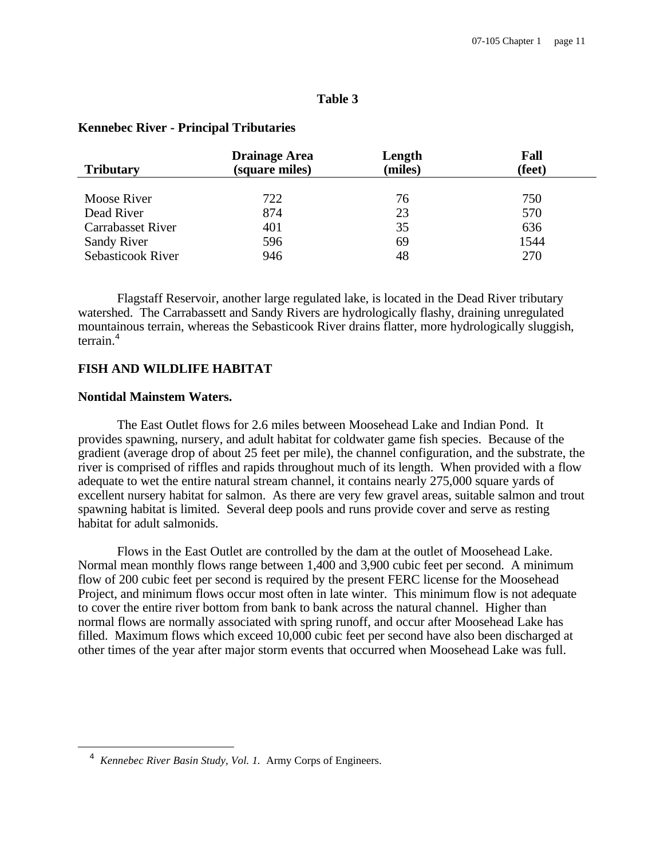#### **Table 3**

| <b>Tributary</b>         | <b>Drainage Area</b><br>(square miles) | Length<br>(miles) | Fall<br>(feet) |
|--------------------------|----------------------------------------|-------------------|----------------|
|                          |                                        |                   |                |
| Moose River              | 722                                    | 76                | 750            |
| Dead River               | 874                                    | 23                | 570            |
| <b>Carrabasset River</b> | 401                                    | 35                | 636            |
| <b>Sandy River</b>       | 596                                    | 69                | 1544           |
| Sebasticook River        | 946                                    | 48                | 270            |

#### **Kennebec River - Principal Tributaries**

Flagstaff Reservoir, another large regulated lake, is located in the Dead River tributary watershed. The Carrabassett and Sandy Rivers are hydrologically flashy, draining unregulated mountainous terrain, whereas the Sebasticook River drains flatter, more hydrologically sluggish, terrain.<sup>4</sup>

#### **FISH AND WILDLIFE HABITAT**

#### **Nontidal Mainstem Waters.**

i

The East Outlet flows for 2.6 miles between Moosehead Lake and Indian Pond. It provides spawning, nursery, and adult habitat for coldwater game fish species. Because of the gradient (average drop of about 25 feet per mile), the channel configuration, and the substrate, the river is comprised of riffles and rapids throughout much of its length. When provided with a flow adequate to wet the entire natural stream channel, it contains nearly 275,000 square yards of excellent nursery habitat for salmon. As there are very few gravel areas, suitable salmon and trout spawning habitat is limited. Several deep pools and runs provide cover and serve as resting habitat for adult salmonids.

Flows in the East Outlet are controlled by the dam at the outlet of Moosehead Lake. Normal mean monthly flows range between 1,400 and 3,900 cubic feet per second. A minimum flow of 200 cubic feet per second is required by the present FERC license for the Moosehead Project, and minimum flows occur most often in late winter. This minimum flow is not adequate to cover the entire river bottom from bank to bank across the natural channel. Higher than normal flows are normally associated with spring runoff, and occur after Moosehead Lake has filled. Maximum flows which exceed 10,000 cubic feet per second have also been discharged at other times of the year after major storm events that occurred when Moosehead Lake was full.

<sup>4</sup> *Kennebec River Basin Study, Vol. 1.* Army Corps of Engineers.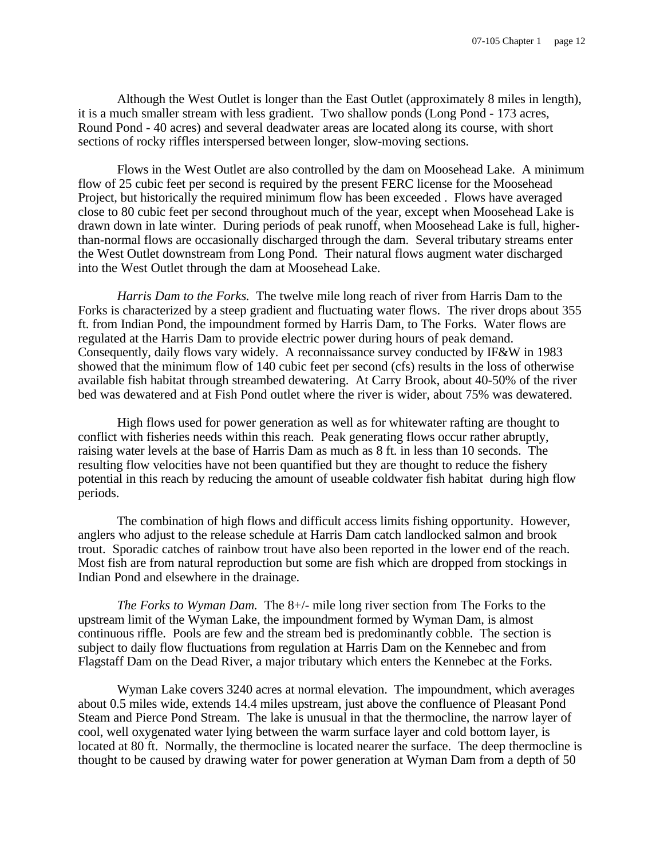Although the West Outlet is longer than the East Outlet (approximately 8 miles in length), it is a much smaller stream with less gradient. Two shallow ponds (Long Pond - 173 acres, Round Pond - 40 acres) and several deadwater areas are located along its course, with short sections of rocky riffles interspersed between longer, slow-moving sections.

Flows in the West Outlet are also controlled by the dam on Moosehead Lake. A minimum flow of 25 cubic feet per second is required by the present FERC license for the Moosehead Project, but historically the required minimum flow has been exceeded . Flows have averaged close to 80 cubic feet per second throughout much of the year, except when Moosehead Lake is drawn down in late winter. During periods of peak runoff, when Moosehead Lake is full, higherthan-normal flows are occasionally discharged through the dam. Several tributary streams enter the West Outlet downstream from Long Pond. Their natural flows augment water discharged into the West Outlet through the dam at Moosehead Lake.

*Harris Dam to the Forks.* The twelve mile long reach of river from Harris Dam to the Forks is characterized by a steep gradient and fluctuating water flows. The river drops about 355 ft. from Indian Pond, the impoundment formed by Harris Dam, to The Forks. Water flows are regulated at the Harris Dam to provide electric power during hours of peak demand. Consequently, daily flows vary widely. A reconnaissance survey conducted by IF&W in 1983 showed that the minimum flow of 140 cubic feet per second (cfs) results in the loss of otherwise available fish habitat through streambed dewatering. At Carry Brook, about 40-50% of the river bed was dewatered and at Fish Pond outlet where the river is wider, about 75% was dewatered.

High flows used for power generation as well as for whitewater rafting are thought to conflict with fisheries needs within this reach. Peak generating flows occur rather abruptly, raising water levels at the base of Harris Dam as much as 8 ft. in less than 10 seconds. The resulting flow velocities have not been quantified but they are thought to reduce the fishery potential in this reach by reducing the amount of useable coldwater fish habitat during high flow periods.

The combination of high flows and difficult access limits fishing opportunity. However, anglers who adjust to the release schedule at Harris Dam catch landlocked salmon and brook trout. Sporadic catches of rainbow trout have also been reported in the lower end of the reach. Most fish are from natural reproduction but some are fish which are dropped from stockings in Indian Pond and elsewhere in the drainage.

*The Forks to Wyman Dam.* The 8+/- mile long river section from The Forks to the upstream limit of the Wyman Lake, the impoundment formed by Wyman Dam, is almost continuous riffle. Pools are few and the stream bed is predominantly cobble. The section is subject to daily flow fluctuations from regulation at Harris Dam on the Kennebec and from Flagstaff Dam on the Dead River, a major tributary which enters the Kennebec at the Forks.

Wyman Lake covers 3240 acres at normal elevation. The impoundment, which averages about 0.5 miles wide, extends 14.4 miles upstream, just above the confluence of Pleasant Pond Steam and Pierce Pond Stream. The lake is unusual in that the thermocline, the narrow layer of cool, well oxygenated water lying between the warm surface layer and cold bottom layer, is located at 80 ft. Normally, the thermocline is located nearer the surface. The deep thermocline is thought to be caused by drawing water for power generation at Wyman Dam from a depth of 50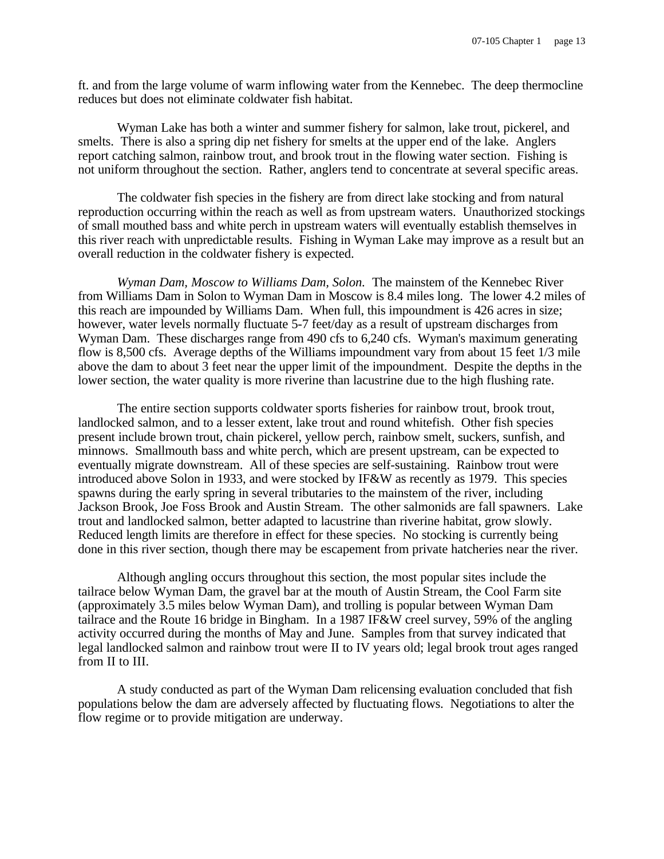ft. and from the large volume of warm inflowing water from the Kennebec. The deep thermocline reduces but does not eliminate coldwater fish habitat.

Wyman Lake has both a winter and summer fishery for salmon, lake trout, pickerel, and smelts. There is also a spring dip net fishery for smelts at the upper end of the lake. Anglers report catching salmon, rainbow trout, and brook trout in the flowing water section. Fishing is not uniform throughout the section. Rather, anglers tend to concentrate at several specific areas.

The coldwater fish species in the fishery are from direct lake stocking and from natural reproduction occurring within the reach as well as from upstream waters. Unauthorized stockings of small mouthed bass and white perch in upstream waters will eventually establish themselves in this river reach with unpredictable results. Fishing in Wyman Lake may improve as a result but an overall reduction in the coldwater fishery is expected.

*Wyman Dam, Moscow to Williams Dam, Solon.* The mainstem of the Kennebec River from Williams Dam in Solon to Wyman Dam in Moscow is 8.4 miles long. The lower 4.2 miles of this reach are impounded by Williams Dam. When full, this impoundment is 426 acres in size; however, water levels normally fluctuate 5-7 feet/day as a result of upstream discharges from Wyman Dam. These discharges range from 490 cfs to 6,240 cfs. Wyman's maximum generating flow is 8,500 cfs. Average depths of the Williams impoundment vary from about 15 feet 1/3 mile above the dam to about 3 feet near the upper limit of the impoundment. Despite the depths in the lower section, the water quality is more riverine than lacustrine due to the high flushing rate.

The entire section supports coldwater sports fisheries for rainbow trout, brook trout, landlocked salmon, and to a lesser extent, lake trout and round whitefish. Other fish species present include brown trout, chain pickerel, yellow perch, rainbow smelt, suckers, sunfish, and minnows. Smallmouth bass and white perch, which are present upstream, can be expected to eventually migrate downstream. All of these species are self-sustaining. Rainbow trout were introduced above Solon in 1933, and were stocked by IF&W as recently as 1979. This species spawns during the early spring in several tributaries to the mainstem of the river, including Jackson Brook, Joe Foss Brook and Austin Stream. The other salmonids are fall spawners. Lake trout and landlocked salmon, better adapted to lacustrine than riverine habitat, grow slowly. Reduced length limits are therefore in effect for these species. No stocking is currently being done in this river section, though there may be escapement from private hatcheries near the river.

Although angling occurs throughout this section, the most popular sites include the tailrace below Wyman Dam, the gravel bar at the mouth of Austin Stream, the Cool Farm site (approximately 3.5 miles below Wyman Dam), and trolling is popular between Wyman Dam tailrace and the Route 16 bridge in Bingham. In a 1987 IF&W creel survey, 59% of the angling activity occurred during the months of May and June. Samples from that survey indicated that legal landlocked salmon and rainbow trout were II to IV years old; legal brook trout ages ranged from II to III.

A study conducted as part of the Wyman Dam relicensing evaluation concluded that fish populations below the dam are adversely affected by fluctuating flows. Negotiations to alter the flow regime or to provide mitigation are underway.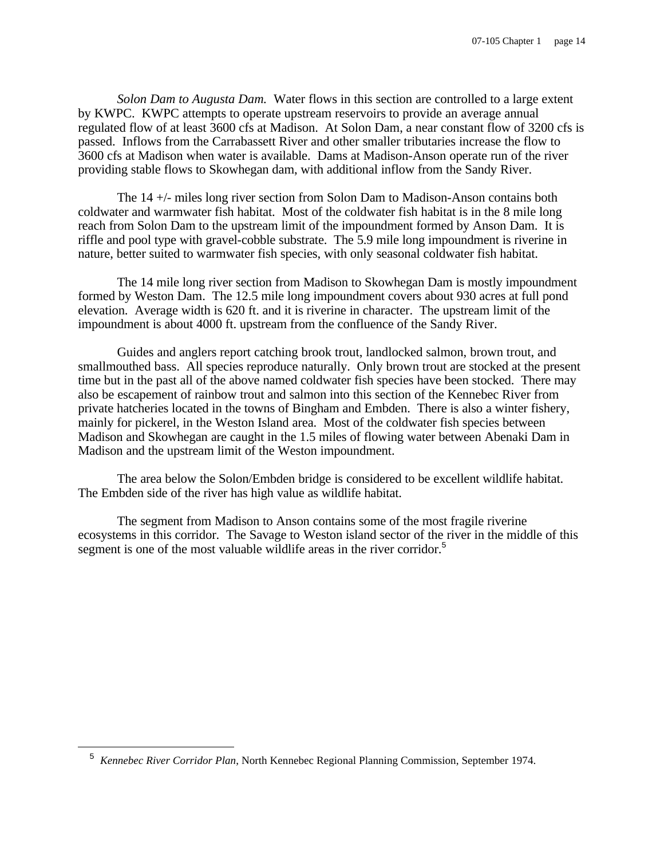*Solon Dam to Augusta Dam.* Water flows in this section are controlled to a large extent by KWPC. KWPC attempts to operate upstream reservoirs to provide an average annual regulated flow of at least 3600 cfs at Madison. At Solon Dam, a near constant flow of 3200 cfs is passed. Inflows from the Carrabassett River and other smaller tributaries increase the flow to 3600 cfs at Madison when water is available. Dams at Madison-Anson operate run of the river providing stable flows to Skowhegan dam, with additional inflow from the Sandy River.

The 14 +/- miles long river section from Solon Dam to Madison-Anson contains both coldwater and warmwater fish habitat. Most of the coldwater fish habitat is in the 8 mile long reach from Solon Dam to the upstream limit of the impoundment formed by Anson Dam. It is riffle and pool type with gravel-cobble substrate. The 5.9 mile long impoundment is riverine in nature, better suited to warmwater fish species, with only seasonal coldwater fish habitat.

The 14 mile long river section from Madison to Skowhegan Dam is mostly impoundment formed by Weston Dam. The 12.5 mile long impoundment covers about 930 acres at full pond elevation. Average width is 620 ft. and it is riverine in character. The upstream limit of the impoundment is about 4000 ft. upstream from the confluence of the Sandy River.

Guides and anglers report catching brook trout, landlocked salmon, brown trout, and smallmouthed bass. All species reproduce naturally. Only brown trout are stocked at the present time but in the past all of the above named coldwater fish species have been stocked. There may also be escapement of rainbow trout and salmon into this section of the Kennebec River from private hatcheries located in the towns of Bingham and Embden. There is also a winter fishery, mainly for pickerel, in the Weston Island area. Most of the coldwater fish species between Madison and Skowhegan are caught in the 1.5 miles of flowing water between Abenaki Dam in Madison and the upstream limit of the Weston impoundment.

The area below the Solon/Embden bridge is considered to be excellent wildlife habitat. The Embden side of the river has high value as wildlife habitat.

The segment from Madison to Anson contains some of the most fragile riverine ecosystems in this corridor. The Savage to Weston island sector of the river in the middle of this segment is one of the most valuable wildlife areas in the river corridor.<sup>5</sup>

<sup>5</sup> *Kennebec River Corridor Plan*, North Kennebec Regional Planning Commission, September 1974.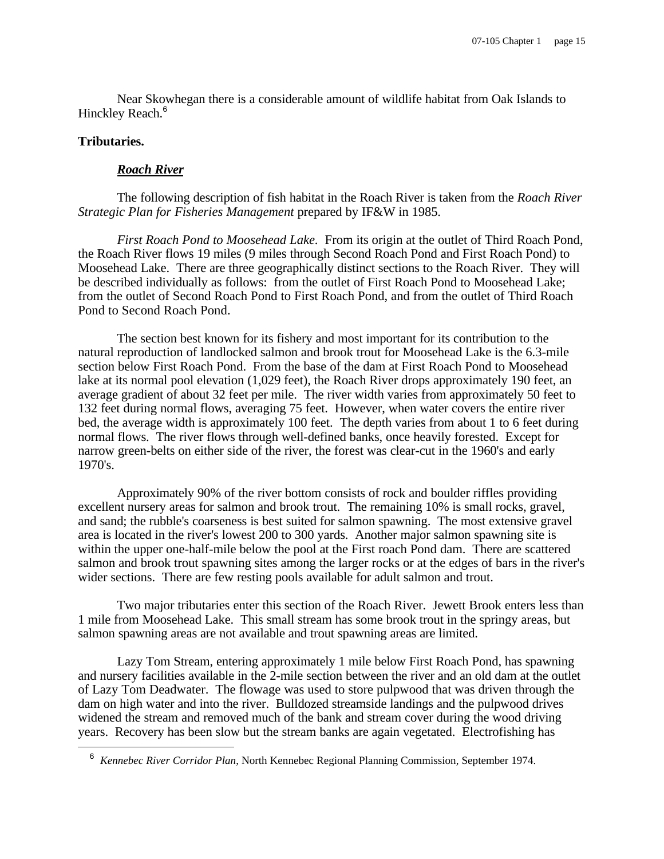Near Skowhegan there is a considerable amount of wildlife habitat from Oak Islands to Hinckley Reach.<sup>6</sup>

#### **Tributaries.**

i

#### *Roach River*

The following description of fish habitat in the Roach River is taken from the *Roach River Strategic Plan for Fisheries Management* prepared by IF&W in 1985.

*First Roach Pond to Moosehead Lake.* From its origin at the outlet of Third Roach Pond, the Roach River flows 19 miles (9 miles through Second Roach Pond and First Roach Pond) to Moosehead Lake. There are three geographically distinct sections to the Roach River. They will be described individually as follows: from the outlet of First Roach Pond to Moosehead Lake; from the outlet of Second Roach Pond to First Roach Pond, and from the outlet of Third Roach Pond to Second Roach Pond.

The section best known for its fishery and most important for its contribution to the natural reproduction of landlocked salmon and brook trout for Moosehead Lake is the 6.3-mile section below First Roach Pond. From the base of the dam at First Roach Pond to Moosehead lake at its normal pool elevation (1,029 feet), the Roach River drops approximately 190 feet, an average gradient of about 32 feet per mile. The river width varies from approximately 50 feet to 132 feet during normal flows, averaging 75 feet. However, when water covers the entire river bed, the average width is approximately 100 feet. The depth varies from about 1 to 6 feet during normal flows. The river flows through well-defined banks, once heavily forested. Except for narrow green-belts on either side of the river, the forest was clear-cut in the 1960's and early 1970's.

Approximately 90% of the river bottom consists of rock and boulder riffles providing excellent nursery areas for salmon and brook trout. The remaining 10% is small rocks, gravel, and sand; the rubble's coarseness is best suited for salmon spawning. The most extensive gravel area is located in the river's lowest 200 to 300 yards. Another major salmon spawning site is within the upper one-half-mile below the pool at the First roach Pond dam. There are scattered salmon and brook trout spawning sites among the larger rocks or at the edges of bars in the river's wider sections. There are few resting pools available for adult salmon and trout.

Two major tributaries enter this section of the Roach River. Jewett Brook enters less than 1 mile from Moosehead Lake. This small stream has some brook trout in the springy areas, but salmon spawning areas are not available and trout spawning areas are limited.

Lazy Tom Stream, entering approximately 1 mile below First Roach Pond, has spawning and nursery facilities available in the 2-mile section between the river and an old dam at the outlet of Lazy Tom Deadwater. The flowage was used to store pulpwood that was driven through the dam on high water and into the river. Bulldozed streamside landings and the pulpwood drives widened the stream and removed much of the bank and stream cover during the wood driving years. Recovery has been slow but the stream banks are again vegetated. Electrofishing has

<sup>6</sup> *Kennebec River Corridor Plan*, North Kennebec Regional Planning Commission, September 1974.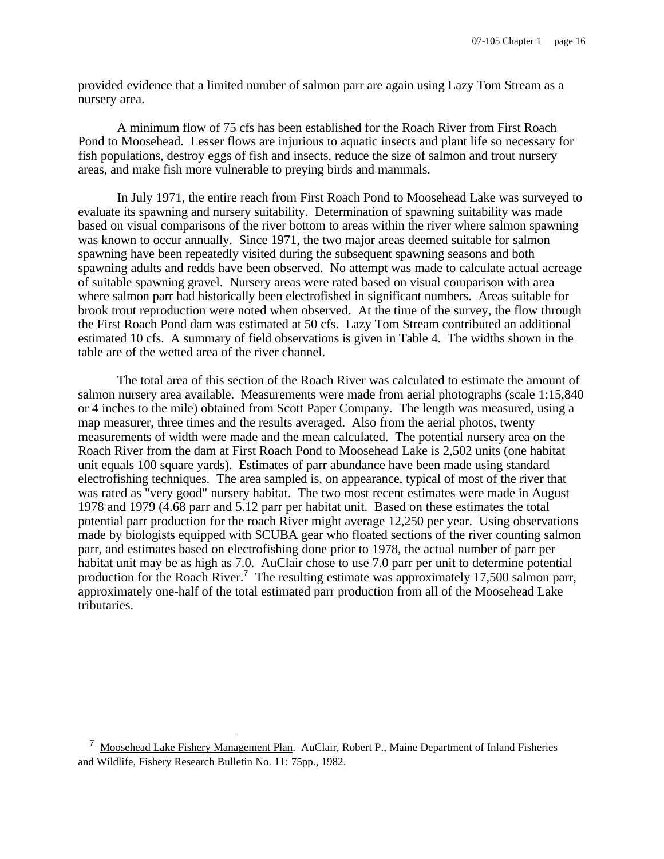provided evidence that a limited number of salmon parr are again using Lazy Tom Stream as a nursery area.

A minimum flow of 75 cfs has been established for the Roach River from First Roach Pond to Moosehead. Lesser flows are injurious to aquatic insects and plant life so necessary for fish populations, destroy eggs of fish and insects, reduce the size of salmon and trout nursery areas, and make fish more vulnerable to preying birds and mammals.

In July 1971, the entire reach from First Roach Pond to Moosehead Lake was surveyed to evaluate its spawning and nursery suitability. Determination of spawning suitability was made based on visual comparisons of the river bottom to areas within the river where salmon spawning was known to occur annually. Since 1971, the two major areas deemed suitable for salmon spawning have been repeatedly visited during the subsequent spawning seasons and both spawning adults and redds have been observed. No attempt was made to calculate actual acreage of suitable spawning gravel. Nursery areas were rated based on visual comparison with area where salmon parr had historically been electrofished in significant numbers. Areas suitable for brook trout reproduction were noted when observed. At the time of the survey, the flow through the First Roach Pond dam was estimated at 50 cfs. Lazy Tom Stream contributed an additional estimated 10 cfs. A summary of field observations is given in Table 4. The widths shown in the table are of the wetted area of the river channel.

The total area of this section of the Roach River was calculated to estimate the amount of salmon nursery area available. Measurements were made from aerial photographs (scale 1:15,840 or 4 inches to the mile) obtained from Scott Paper Company. The length was measured, using a map measurer, three times and the results averaged. Also from the aerial photos, twenty measurements of width were made and the mean calculated. The potential nursery area on the Roach River from the dam at First Roach Pond to Moosehead Lake is 2,502 units (one habitat unit equals 100 square yards). Estimates of parr abundance have been made using standard electrofishing techniques. The area sampled is, on appearance, typical of most of the river that was rated as "very good" nursery habitat. The two most recent estimates were made in August 1978 and 1979 (4.68 parr and 5.12 parr per habitat unit. Based on these estimates the total potential parr production for the roach River might average 12,250 per year. Using observations made by biologists equipped with SCUBA gear who floated sections of the river counting salmon parr, and estimates based on electrofishing done prior to 1978, the actual number of parr per habitat unit may be as high as 7.0. AuClair chose to use 7.0 parr per unit to determine potential production for the Roach River.<sup>7</sup> The resulting estimate was approximately 17,500 salmon parr, approximately one-half of the total estimated parr production from all of the Moosehead Lake tributaries.

<sup>&</sup>lt;sup>7</sup> Moosehead Lake Fishery Management Plan. AuClair, Robert P., Maine Department of Inland Fisheries and Wildlife, Fishery Research Bulletin No. 11: 75pp., 1982.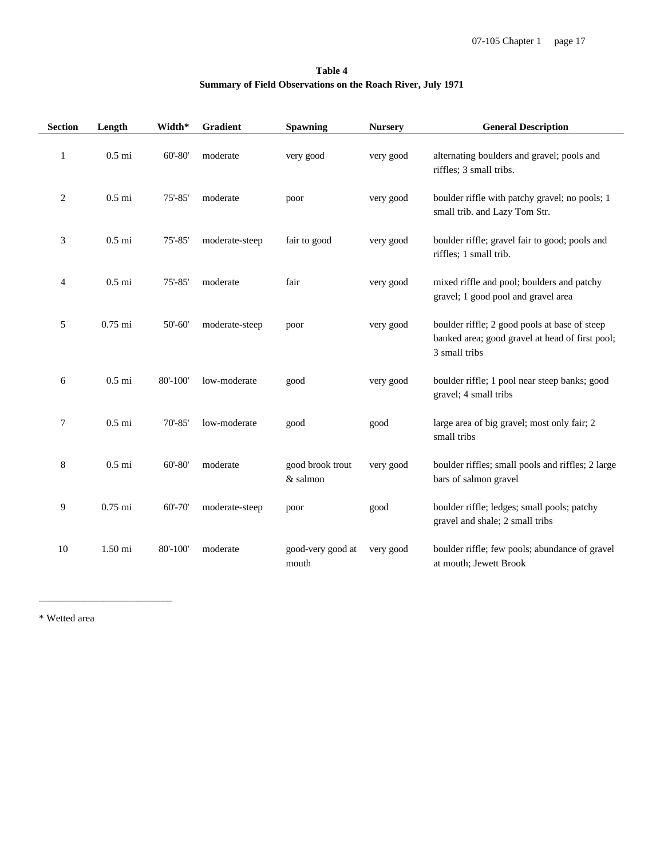#### **Table 4 Summary of Field Observations on the Roach River, July 1971**

| <b>Section</b> | Length    | Width*      | Gradient       | Spawning                     | <b>Nursery</b> | <b>General Description</b>                                                                                        |
|----------------|-----------|-------------|----------------|------------------------------|----------------|-------------------------------------------------------------------------------------------------------------------|
| $\mathbf{1}$   | $0.5$ mi  | $60' - 80'$ | moderate       | very good                    | very good      | alternating boulders and gravel; pools and<br>riffles; 3 small tribs.                                             |
| $\overline{c}$ | $0.5$ mi  | $75' - 85'$ | moderate       | poor                         | very good      | boulder riffle with patchy gravel; no pools; 1<br>small trib. and Lazy Tom Str.                                   |
| 3              | $0.5$ mi  | $75' - 85'$ | moderate-steep | fair to good                 | very good      | boulder riffle; gravel fair to good; pools and<br>riffles; 1 small trib.                                          |
| 4              | $0.5$ mi  | $75' - 85'$ | moderate       | fair                         | very good      | mixed riffle and pool; boulders and patchy<br>gravel; 1 good pool and gravel area                                 |
| 5              | $0.75$ mi | $50' - 60'$ | moderate-steep | poor                         | very good      | boulder riffle; 2 good pools at base of steep<br>banked area; good gravel at head of first pool;<br>3 small tribs |
| 6              | $0.5$ mi  | 80'-100'    | low-moderate   | good                         | very good      | boulder riffle; 1 pool near steep banks; good<br>gravel; 4 small tribs                                            |
| 7              | $0.5$ mi  | $70' - 85'$ | low-moderate   | good                         | good           | large area of big gravel; most only fair; 2<br>small tribs                                                        |
| 8              | $0.5$ mi  | $60' - 80'$ | moderate       | good brook trout<br>& salmon | very good      | boulder riffles; small pools and riffles; 2 large<br>bars of salmon gravel                                        |
| 9              | $0.75$ mi | $60' - 70'$ | moderate-steep | poor                         | good           | boulder riffle; ledges; small pools; patchy<br>gravel and shale; 2 small tribs                                    |
| 10             | 1.50 mi   | 80'-100'    | moderate       | good-very good at<br>mouth   | very good      | boulder riffle; few pools; abundance of gravel<br>at mouth; Jewett Brook                                          |

\* Wetted area

\_\_\_\_\_\_\_\_\_\_\_\_\_\_\_\_\_\_\_\_\_\_\_\_\_\_\_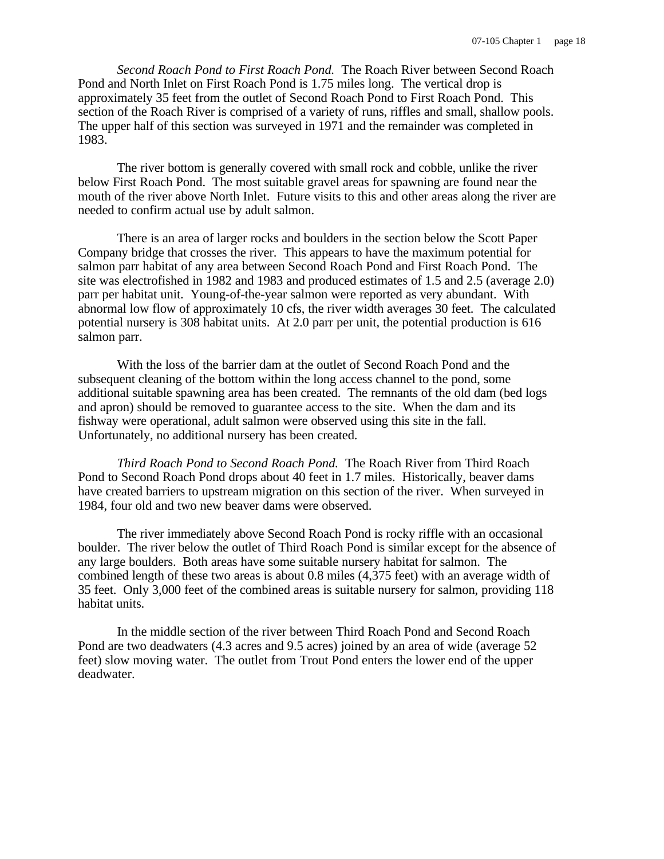*Second Roach Pond to First Roach Pond.* The Roach River between Second Roach Pond and North Inlet on First Roach Pond is 1.75 miles long. The vertical drop is approximately 35 feet from the outlet of Second Roach Pond to First Roach Pond. This section of the Roach River is comprised of a variety of runs, riffles and small, shallow pools. The upper half of this section was surveyed in 1971 and the remainder was completed in 1983.

The river bottom is generally covered with small rock and cobble, unlike the river below First Roach Pond. The most suitable gravel areas for spawning are found near the mouth of the river above North Inlet. Future visits to this and other areas along the river are needed to confirm actual use by adult salmon.

There is an area of larger rocks and boulders in the section below the Scott Paper Company bridge that crosses the river. This appears to have the maximum potential for salmon parr habitat of any area between Second Roach Pond and First Roach Pond. The site was electrofished in 1982 and 1983 and produced estimates of 1.5 and 2.5 (average 2.0) parr per habitat unit. Young-of-the-year salmon were reported as very abundant. With abnormal low flow of approximately 10 cfs, the river width averages 30 feet. The calculated potential nursery is 308 habitat units. At 2.0 parr per unit, the potential production is 616 salmon parr.

With the loss of the barrier dam at the outlet of Second Roach Pond and the subsequent cleaning of the bottom within the long access channel to the pond, some additional suitable spawning area has been created. The remnants of the old dam (bed logs and apron) should be removed to guarantee access to the site. When the dam and its fishway were operational, adult salmon were observed using this site in the fall. Unfortunately, no additional nursery has been created.

*Third Roach Pond to Second Roach Pond.* The Roach River from Third Roach Pond to Second Roach Pond drops about 40 feet in 1.7 miles. Historically, beaver dams have created barriers to upstream migration on this section of the river. When surveyed in 1984, four old and two new beaver dams were observed.

The river immediately above Second Roach Pond is rocky riffle with an occasional boulder. The river below the outlet of Third Roach Pond is similar except for the absence of any large boulders. Both areas have some suitable nursery habitat for salmon. The combined length of these two areas is about 0.8 miles (4,375 feet) with an average width of 35 feet. Only 3,000 feet of the combined areas is suitable nursery for salmon, providing 118 habitat units.

In the middle section of the river between Third Roach Pond and Second Roach Pond are two deadwaters (4.3 acres and 9.5 acres) joined by an area of wide (average 52 feet) slow moving water. The outlet from Trout Pond enters the lower end of the upper deadwater.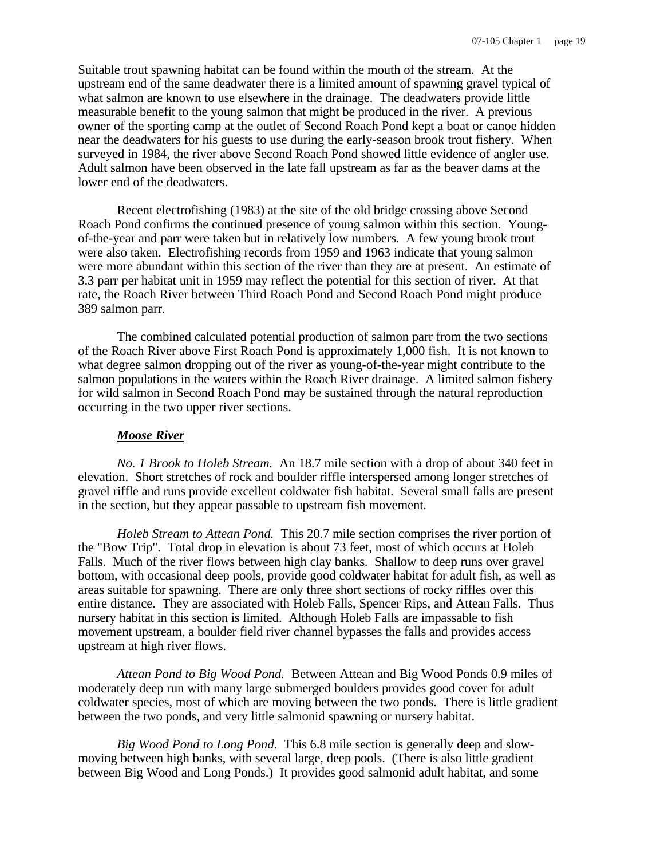Suitable trout spawning habitat can be found within the mouth of the stream. At the upstream end of the same deadwater there is a limited amount of spawning gravel typical of what salmon are known to use elsewhere in the drainage. The deadwaters provide little measurable benefit to the young salmon that might be produced in the river. A previous owner of the sporting camp at the outlet of Second Roach Pond kept a boat or canoe hidden near the deadwaters for his guests to use during the early-season brook trout fishery. When surveyed in 1984, the river above Second Roach Pond showed little evidence of angler use. Adult salmon have been observed in the late fall upstream as far as the beaver dams at the lower end of the deadwaters.

Recent electrofishing (1983) at the site of the old bridge crossing above Second Roach Pond confirms the continued presence of young salmon within this section. Youngof-the-year and parr were taken but in relatively low numbers. A few young brook trout were also taken. Electrofishing records from 1959 and 1963 indicate that young salmon were more abundant within this section of the river than they are at present. An estimate of 3.3 parr per habitat unit in 1959 may reflect the potential for this section of river. At that rate, the Roach River between Third Roach Pond and Second Roach Pond might produce 389 salmon parr.

The combined calculated potential production of salmon parr from the two sections of the Roach River above First Roach Pond is approximately 1,000 fish. It is not known to what degree salmon dropping out of the river as young-of-the-year might contribute to the salmon populations in the waters within the Roach River drainage. A limited salmon fishery for wild salmon in Second Roach Pond may be sustained through the natural reproduction occurring in the two upper river sections.

#### *Moose River*

*No. 1 Brook to Holeb Stream.* An 18.7 mile section with a drop of about 340 feet in elevation. Short stretches of rock and boulder riffle interspersed among longer stretches of gravel riffle and runs provide excellent coldwater fish habitat. Several small falls are present in the section, but they appear passable to upstream fish movement.

*Holeb Stream to Attean Pond.* This 20.7 mile section comprises the river portion of the "Bow Trip". Total drop in elevation is about 73 feet, most of which occurs at Holeb Falls. Much of the river flows between high clay banks. Shallow to deep runs over gravel bottom, with occasional deep pools, provide good coldwater habitat for adult fish, as well as areas suitable for spawning. There are only three short sections of rocky riffles over this entire distance. They are associated with Holeb Falls, Spencer Rips, and Attean Falls. Thus nursery habitat in this section is limited. Although Holeb Falls are impassable to fish movement upstream, a boulder field river channel bypasses the falls and provides access upstream at high river flows.

*Attean Pond to Big Wood Pond.* Between Attean and Big Wood Ponds 0.9 miles of moderately deep run with many large submerged boulders provides good cover for adult coldwater species, most of which are moving between the two ponds. There is little gradient between the two ponds, and very little salmonid spawning or nursery habitat.

*Big Wood Pond to Long Pond.* This 6.8 mile section is generally deep and slowmoving between high banks, with several large, deep pools. (There is also little gradient between Big Wood and Long Ponds.) It provides good salmonid adult habitat, and some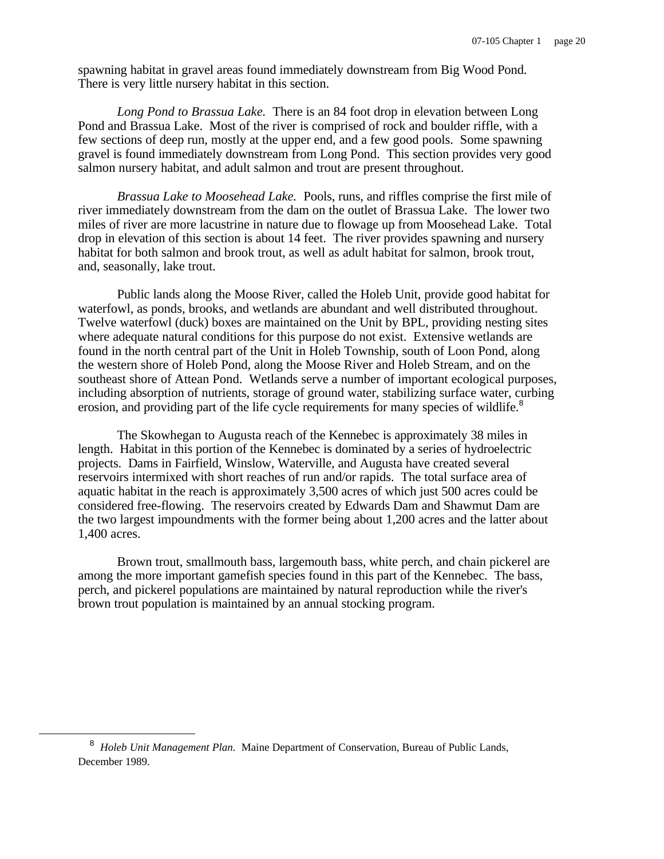spawning habitat in gravel areas found immediately downstream from Big Wood Pond. There is very little nursery habitat in this section.

*Long Pond to Brassua Lake.* There is an 84 foot drop in elevation between Long Pond and Brassua Lake. Most of the river is comprised of rock and boulder riffle, with a few sections of deep run, mostly at the upper end, and a few good pools. Some spawning gravel is found immediately downstream from Long Pond. This section provides very good salmon nursery habitat, and adult salmon and trout are present throughout.

*Brassua Lake to Moosehead Lake.* Pools, runs, and riffles comprise the first mile of river immediately downstream from the dam on the outlet of Brassua Lake. The lower two miles of river are more lacustrine in nature due to flowage up from Moosehead Lake. Total drop in elevation of this section is about 14 feet. The river provides spawning and nursery habitat for both salmon and brook trout, as well as adult habitat for salmon, brook trout, and, seasonally, lake trout.

Public lands along the Moose River, called the Holeb Unit, provide good habitat for waterfowl, as ponds, brooks, and wetlands are abundant and well distributed throughout. Twelve waterfowl (duck) boxes are maintained on the Unit by BPL, providing nesting sites where adequate natural conditions for this purpose do not exist. Extensive wetlands are found in the north central part of the Unit in Holeb Township, south of Loon Pond, along the western shore of Holeb Pond, along the Moose River and Holeb Stream, and on the southeast shore of Attean Pond. Wetlands serve a number of important ecological purposes, including absorption of nutrients, storage of ground water, stabilizing surface water, curbing erosion, and providing part of the life cycle requirements for many species of wildlife.<sup>8</sup>

The Skowhegan to Augusta reach of the Kennebec is approximately 38 miles in length. Habitat in this portion of the Kennebec is dominated by a series of hydroelectric projects. Dams in Fairfield, Winslow, Waterville, and Augusta have created several reservoirs intermixed with short reaches of run and/or rapids. The total surface area of aquatic habitat in the reach is approximately 3,500 acres of which just 500 acres could be considered free-flowing. The reservoirs created by Edwards Dam and Shawmut Dam are the two largest impoundments with the former being about 1,200 acres and the latter about 1,400 acres.

Brown trout, smallmouth bass, largemouth bass, white perch, and chain pickerel are among the more important gamefish species found in this part of the Kennebec. The bass, perch, and pickerel populations are maintained by natural reproduction while the river's brown trout population is maintained by an annual stocking program.

<sup>&</sup>lt;sup>8</sup> Holeb Unit Management Plan. Maine Department of Conservation, Bureau of Public Lands, December 1989.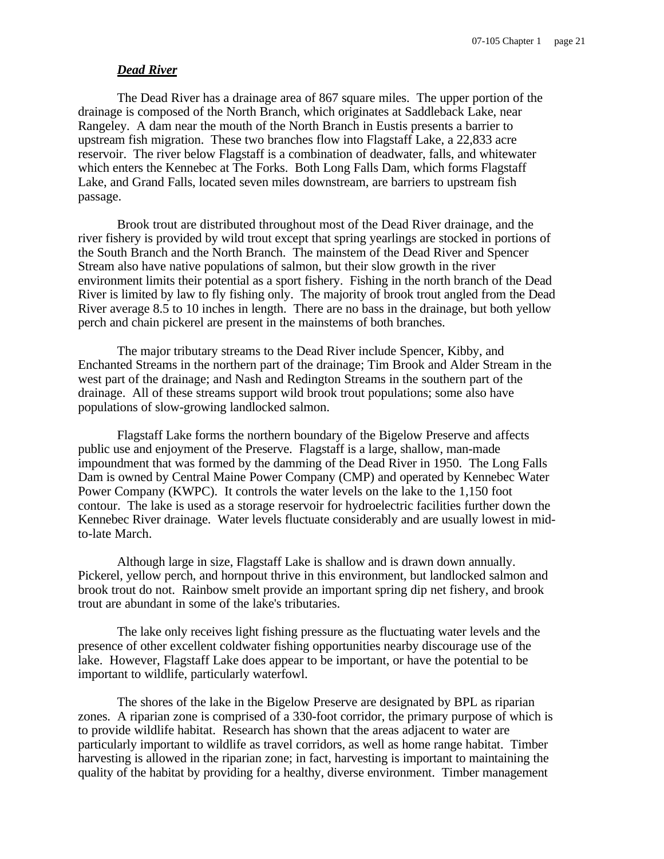#### *Dead River*

The Dead River has a drainage area of 867 square miles. The upper portion of the drainage is composed of the North Branch, which originates at Saddleback Lake, near Rangeley. A dam near the mouth of the North Branch in Eustis presents a barrier to upstream fish migration. These two branches flow into Flagstaff Lake, a 22,833 acre reservoir. The river below Flagstaff is a combination of deadwater, falls, and whitewater which enters the Kennebec at The Forks. Both Long Falls Dam, which forms Flagstaff Lake, and Grand Falls, located seven miles downstream, are barriers to upstream fish passage.

Brook trout are distributed throughout most of the Dead River drainage, and the river fishery is provided by wild trout except that spring yearlings are stocked in portions of the South Branch and the North Branch. The mainstem of the Dead River and Spencer Stream also have native populations of salmon, but their slow growth in the river environment limits their potential as a sport fishery. Fishing in the north branch of the Dead River is limited by law to fly fishing only. The majority of brook trout angled from the Dead River average 8.5 to 10 inches in length. There are no bass in the drainage, but both yellow perch and chain pickerel are present in the mainstems of both branches.

The major tributary streams to the Dead River include Spencer, Kibby, and Enchanted Streams in the northern part of the drainage; Tim Brook and Alder Stream in the west part of the drainage; and Nash and Redington Streams in the southern part of the drainage. All of these streams support wild brook trout populations; some also have populations of slow-growing landlocked salmon.

Flagstaff Lake forms the northern boundary of the Bigelow Preserve and affects public use and enjoyment of the Preserve. Flagstaff is a large, shallow, man-made impoundment that was formed by the damming of the Dead River in 1950. The Long Falls Dam is owned by Central Maine Power Company (CMP) and operated by Kennebec Water Power Company (KWPC). It controls the water levels on the lake to the 1,150 foot contour. The lake is used as a storage reservoir for hydroelectric facilities further down the Kennebec River drainage. Water levels fluctuate considerably and are usually lowest in midto-late March.

Although large in size, Flagstaff Lake is shallow and is drawn down annually. Pickerel, yellow perch, and hornpout thrive in this environment, but landlocked salmon and brook trout do not. Rainbow smelt provide an important spring dip net fishery, and brook trout are abundant in some of the lake's tributaries.

The lake only receives light fishing pressure as the fluctuating water levels and the presence of other excellent coldwater fishing opportunities nearby discourage use of the lake. However, Flagstaff Lake does appear to be important, or have the potential to be important to wildlife, particularly waterfowl.

The shores of the lake in the Bigelow Preserve are designated by BPL as riparian zones. A riparian zone is comprised of a 330-foot corridor, the primary purpose of which is to provide wildlife habitat. Research has shown that the areas adjacent to water are particularly important to wildlife as travel corridors, as well as home range habitat. Timber harvesting is allowed in the riparian zone; in fact, harvesting is important to maintaining the quality of the habitat by providing for a healthy, diverse environment. Timber management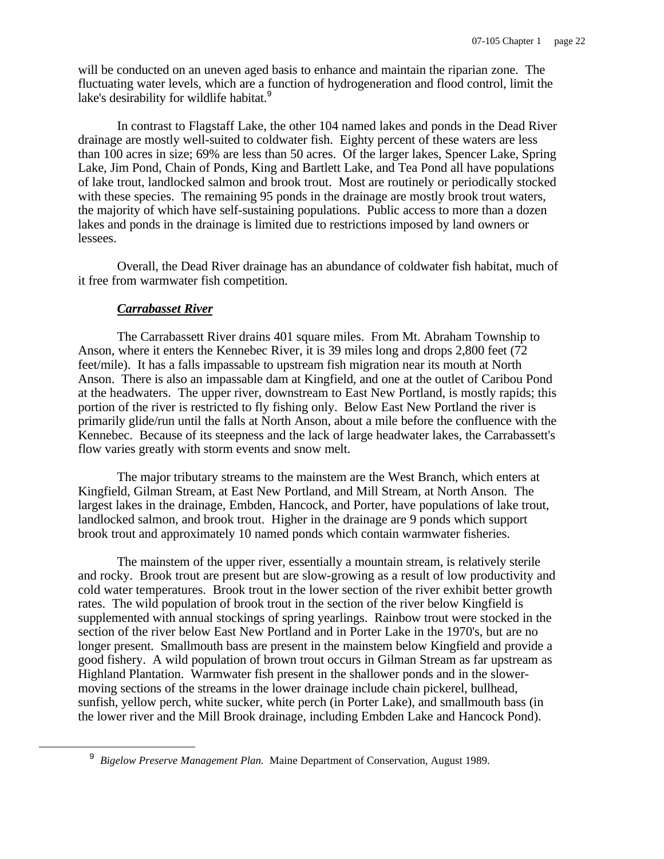will be conducted on an uneven aged basis to enhance and maintain the riparian zone. The fluctuating water levels, which are a function of hydrogeneration and flood control, limit the lake's desirability for wildlife habitat.<sup>9</sup>

In contrast to Flagstaff Lake, the other 104 named lakes and ponds in the Dead River drainage are mostly well-suited to coldwater fish. Eighty percent of these waters are less than 100 acres in size; 69% are less than 50 acres. Of the larger lakes, Spencer Lake, Spring Lake, Jim Pond, Chain of Ponds, King and Bartlett Lake, and Tea Pond all have populations of lake trout, landlocked salmon and brook trout. Most are routinely or periodically stocked with these species. The remaining 95 ponds in the drainage are mostly brook trout waters, the majority of which have self-sustaining populations. Public access to more than a dozen lakes and ponds in the drainage is limited due to restrictions imposed by land owners or lessees.

Overall, the Dead River drainage has an abundance of coldwater fish habitat, much of it free from warmwater fish competition.

#### *Carrabasset River*

i

The Carrabassett River drains 401 square miles. From Mt. Abraham Township to Anson, where it enters the Kennebec River, it is 39 miles long and drops 2,800 feet (72 feet/mile). It has a falls impassable to upstream fish migration near its mouth at North Anson. There is also an impassable dam at Kingfield, and one at the outlet of Caribou Pond at the headwaters. The upper river, downstream to East New Portland, is mostly rapids; this portion of the river is restricted to fly fishing only. Below East New Portland the river is primarily glide/run until the falls at North Anson, about a mile before the confluence with the Kennebec. Because of its steepness and the lack of large headwater lakes, the Carrabassett's flow varies greatly with storm events and snow melt.

The major tributary streams to the mainstem are the West Branch, which enters at Kingfield, Gilman Stream, at East New Portland, and Mill Stream, at North Anson. The largest lakes in the drainage, Embden, Hancock, and Porter, have populations of lake trout, landlocked salmon, and brook trout. Higher in the drainage are 9 ponds which support brook trout and approximately 10 named ponds which contain warmwater fisheries.

The mainstem of the upper river, essentially a mountain stream, is relatively sterile and rocky. Brook trout are present but are slow-growing as a result of low productivity and cold water temperatures. Brook trout in the lower section of the river exhibit better growth rates. The wild population of brook trout in the section of the river below Kingfield is supplemented with annual stockings of spring yearlings. Rainbow trout were stocked in the section of the river below East New Portland and in Porter Lake in the 1970's, but are no longer present. Smallmouth bass are present in the mainstem below Kingfield and provide a good fishery. A wild population of brown trout occurs in Gilman Stream as far upstream as Highland Plantation. Warmwater fish present in the shallower ponds and in the slowermoving sections of the streams in the lower drainage include chain pickerel, bullhead, sunfish, yellow perch, white sucker, white perch (in Porter Lake), and smallmouth bass (in the lower river and the Mill Brook drainage, including Embden Lake and Hancock Pond).

<sup>&</sup>lt;sup>9</sup> Bigelow Preserve Management Plan. Maine Department of Conservation, August 1989.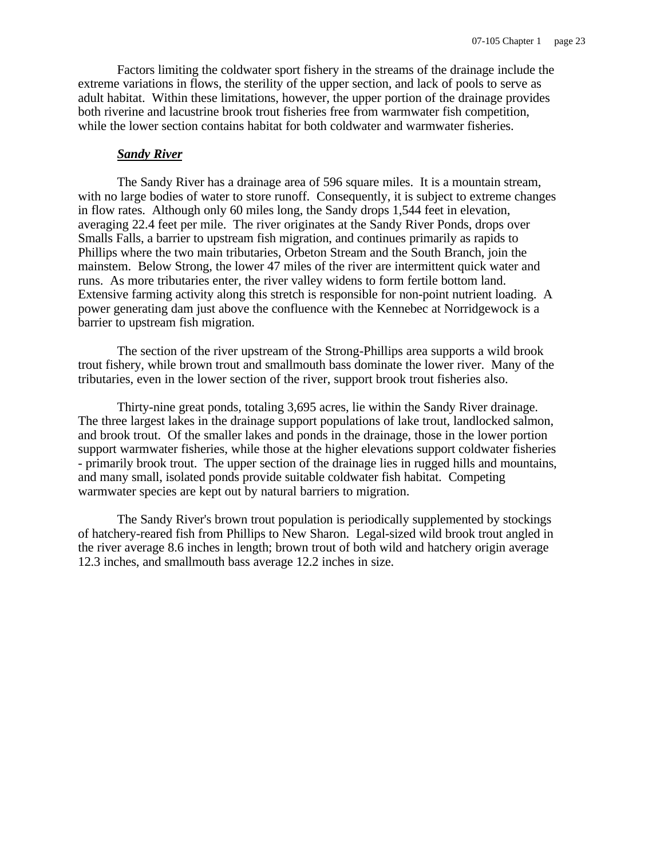Factors limiting the coldwater sport fishery in the streams of the drainage include the extreme variations in flows, the sterility of the upper section, and lack of pools to serve as adult habitat. Within these limitations, however, the upper portion of the drainage provides both riverine and lacustrine brook trout fisheries free from warmwater fish competition, while the lower section contains habitat for both coldwater and warmwater fisheries.

#### *Sandy River*

The Sandy River has a drainage area of 596 square miles. It is a mountain stream, with no large bodies of water to store runoff. Consequently, it is subject to extreme changes in flow rates. Although only 60 miles long, the Sandy drops 1,544 feet in elevation, averaging 22.4 feet per mile. The river originates at the Sandy River Ponds, drops over Smalls Falls, a barrier to upstream fish migration, and continues primarily as rapids to Phillips where the two main tributaries, Orbeton Stream and the South Branch, join the mainstem. Below Strong, the lower 47 miles of the river are intermittent quick water and runs. As more tributaries enter, the river valley widens to form fertile bottom land. Extensive farming activity along this stretch is responsible for non-point nutrient loading. A power generating dam just above the confluence with the Kennebec at Norridgewock is a barrier to upstream fish migration.

The section of the river upstream of the Strong-Phillips area supports a wild brook trout fishery, while brown trout and smallmouth bass dominate the lower river. Many of the tributaries, even in the lower section of the river, support brook trout fisheries also.

Thirty-nine great ponds, totaling 3,695 acres, lie within the Sandy River drainage. The three largest lakes in the drainage support populations of lake trout, landlocked salmon, and brook trout. Of the smaller lakes and ponds in the drainage, those in the lower portion support warmwater fisheries, while those at the higher elevations support coldwater fisheries - primarily brook trout. The upper section of the drainage lies in rugged hills and mountains, and many small, isolated ponds provide suitable coldwater fish habitat. Competing warmwater species are kept out by natural barriers to migration.

The Sandy River's brown trout population is periodically supplemented by stockings of hatchery-reared fish from Phillips to New Sharon. Legal-sized wild brook trout angled in the river average 8.6 inches in length; brown trout of both wild and hatchery origin average 12.3 inches, and smallmouth bass average 12.2 inches in size.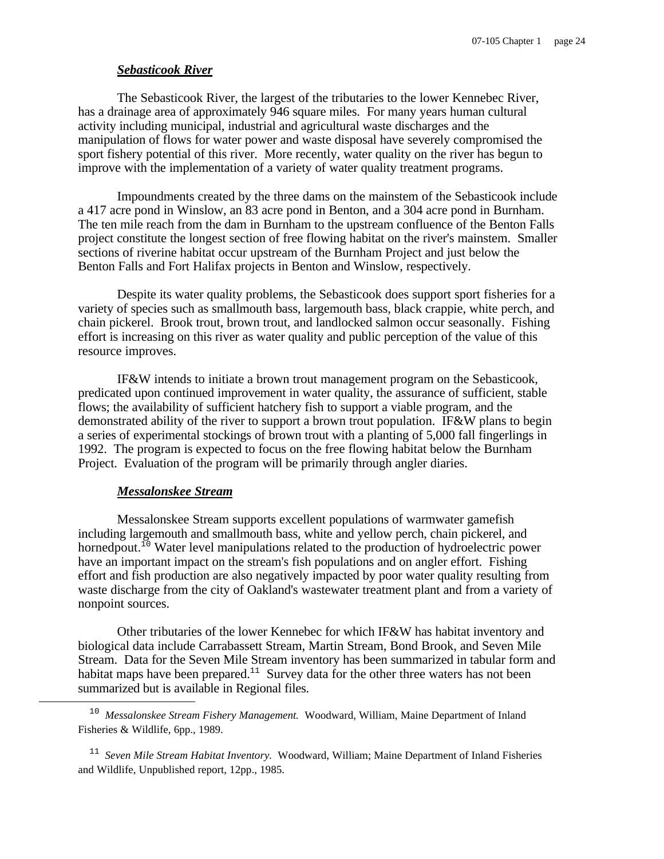#### *Sebasticook River*

The Sebasticook River, the largest of the tributaries to the lower Kennebec River, has a drainage area of approximately 946 square miles. For many years human cultural activity including municipal, industrial and agricultural waste discharges and the manipulation of flows for water power and waste disposal have severely compromised the sport fishery potential of this river. More recently, water quality on the river has begun to improve with the implementation of a variety of water quality treatment programs.

Impoundments created by the three dams on the mainstem of the Sebasticook include a 417 acre pond in Winslow, an 83 acre pond in Benton, and a 304 acre pond in Burnham. The ten mile reach from the dam in Burnham to the upstream confluence of the Benton Falls project constitute the longest section of free flowing habitat on the river's mainstem. Smaller sections of riverine habitat occur upstream of the Burnham Project and just below the Benton Falls and Fort Halifax projects in Benton and Winslow, respectively.

Despite its water quality problems, the Sebasticook does support sport fisheries for a variety of species such as smallmouth bass, largemouth bass, black crappie, white perch, and chain pickerel. Brook trout, brown trout, and landlocked salmon occur seasonally. Fishing effort is increasing on this river as water quality and public perception of the value of this resource improves.

IF&W intends to initiate a brown trout management program on the Sebasticook, predicated upon continued improvement in water quality, the assurance of sufficient, stable flows; the availability of sufficient hatchery fish to support a viable program, and the demonstrated ability of the river to support a brown trout population. IF&W plans to begin a series of experimental stockings of brown trout with a planting of 5,000 fall fingerlings in 1992. The program is expected to focus on the free flowing habitat below the Burnham Project. Evaluation of the program will be primarily through angler diaries.

#### *Messalonskee Stream*

 $\overline{\phantom{0}}$ 

Messalonskee Stream supports excellent populations of warmwater gamefish including largemouth and smallmouth bass, white and yellow perch, chain pickerel, and hornedpout.<sup>10</sup> Water level manipulations related to the production of hydroelectric power have an important impact on the stream's fish populations and on angler effort. Fishing effort and fish production are also negatively impacted by poor water quality resulting from waste discharge from the city of Oakland's wastewater treatment plant and from a variety of nonpoint sources.

Other tributaries of the lower Kennebec for which IF&W has habitat inventory and biological data include Carrabassett Stream, Martin Stream, Bond Brook, and Seven Mile Stream. Data for the Seven Mile Stream inventory has been summarized in tabular form and habitat maps have been prepared.<sup>11</sup> Survey data for the other three waters has not been summarized but is available in Regional files.

<sup>&</sup>lt;sup>10</sup> Messalonskee Stream Fishery Management. Woodward, William, Maine Department of Inland Fisheries & Wildlife, 6pp., 1989.

<sup>&</sup>lt;sup>11</sup> Seven Mile Stream Habitat Inventory. Woodward, William; Maine Department of Inland Fisheries and Wildlife, Unpublished report, 12pp., 1985.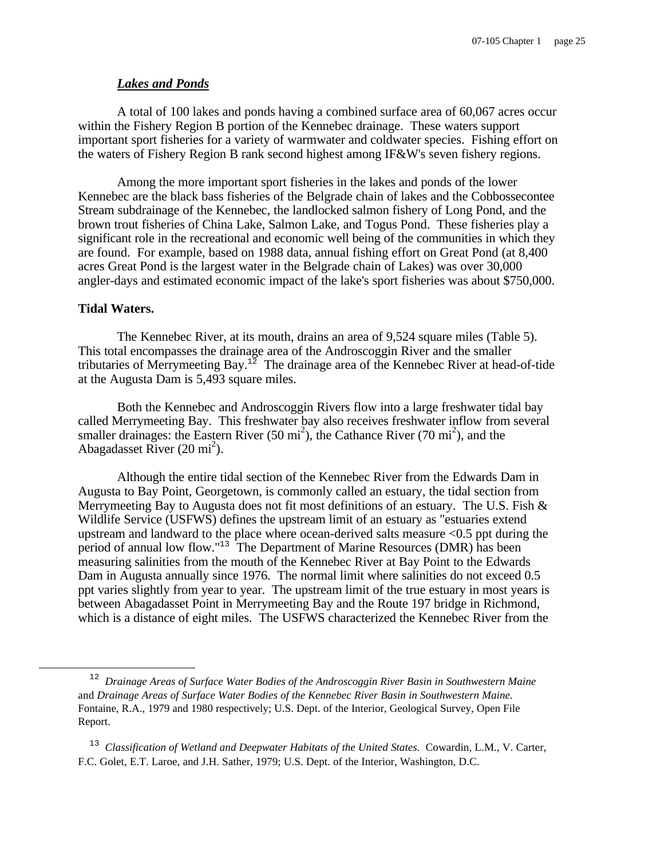#### *Lakes and Ponds*

A total of 100 lakes and ponds having a combined surface area of 60,067 acres occur within the Fishery Region B portion of the Kennebec drainage. These waters support important sport fisheries for a variety of warmwater and coldwater species. Fishing effort on the waters of Fishery Region B rank second highest among IF&W's seven fishery regions.

Among the more important sport fisheries in the lakes and ponds of the lower Kennebec are the black bass fisheries of the Belgrade chain of lakes and the Cobbossecontee Stream subdrainage of the Kennebec, the landlocked salmon fishery of Long Pond, and the brown trout fisheries of China Lake, Salmon Lake, and Togus Pond. These fisheries play a significant role in the recreational and economic well being of the communities in which they are found. For example, based on 1988 data, annual fishing effort on Great Pond (at 8,400 acres Great Pond is the largest water in the Belgrade chain of Lakes) was over 30,000 angler-days and estimated economic impact of the lake's sport fisheries was about \$750,000.

#### **Tidal Waters.**

 $\overline{\phantom{0}}$ 

The Kennebec River, at its mouth, drains an area of 9,524 square miles (Table 5). This total encompasses the drainage area of the Androscoggin River and the smaller tributaries of Merrymeeting Bay.<sup>12</sup> The drainage area of the Kennebec River at head-of-tide at the Augusta Dam is 5,493 square miles.

Both the Kennebec and Androscoggin Rivers flow into a large freshwater tidal bay called Merrymeeting Bay. This freshwater bay also receives freshwater inflow from several smaller drainages: the Eastern River (50 mi<sup>2</sup>), the Cathance River (70 mi<sup>2</sup>), and the Abagadasset River  $(20 \text{ mi}^2)$ .

Although the entire tidal section of the Kennebec River from the Edwards Dam in Augusta to Bay Point, Georgetown, is commonly called an estuary, the tidal section from Merrymeeting Bay to Augusta does not fit most definitions of an estuary. The U.S. Fish  $\&$ Wildlife Service (USFWS) defines the upstream limit of an estuary as "estuaries extend upstream and landward to the place where ocean-derived salts measure <0.5 ppt during the period of annual low flow."<sup>13</sup> The Department of Marine Resources (DMR) has been measuring salinities from the mouth of the Kennebec River at Bay Point to the Edwards Dam in Augusta annually since 1976. The normal limit where salinities do not exceed 0.5 ppt varies slightly from year to year. The upstream limit of the true estuary in most years is between Abagadasset Point in Merrymeeting Bay and the Route 197 bridge in Richmond, which is a distance of eight miles. The USFWS characterized the Kennebec River from the

<sup>12</sup> *Drainage Areas of Surface Water Bodies of the Androscoggin River Basin in Southwestern Maine* and *Drainage Areas of Surface Water Bodies of the Kennebec River Basin in Southwestern Maine.* Fontaine, R.A., 1979 and 1980 respectively; U.S. Dept. of the Interior, Geological Survey, Open File Report.

<sup>&</sup>lt;sup>13</sup> Classification of Wetland and Deepwater Habitats of the United States. Cowardin, L.M., V. Carter, F.C. Golet, E.T. Laroe, and J.H. Sather, 1979; U.S. Dept. of the Interior, Washington, D.C.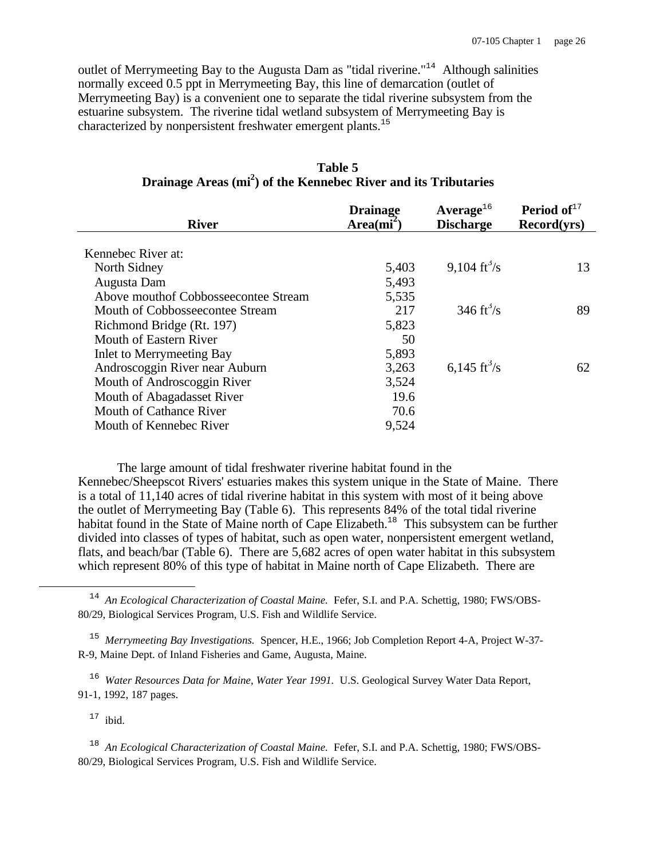outlet of Merrymeeting Bay to the Augusta Dam as "tidal riverine."<sup>14</sup> Although salinities normally exceed 0.5 ppt in Merrymeeting Bay, this line of demarcation (outlet of Merrymeeting Bay) is a convenient one to separate the tidal riverine subsystem from the estuarine subsystem. The riverine tidal wetland subsystem of Merrymeeting Bay is characterized by nonpersistent freshwater emergent plants.<sup>15</sup>

| <b>River</b>                         | <b>Drainage</b> | Average <sup>16</sup>          | <b>Period of</b> $17$ |
|--------------------------------------|-----------------|--------------------------------|-----------------------|
|                                      | $Area(mi^2)$    | <b>Discharge</b>               | Record(yrs)           |
| Kennebec River at:                   |                 |                                |                       |
| North Sidney                         | 5,403           | 9,104 $\text{ft}^3\text{/s}$   | 13                    |
| Augusta Dam                          | 5,493           |                                |                       |
| Above mouthof Cobbosseecontee Stream | 5,535           |                                |                       |
| Mouth of Cobbosseecontee Stream      | 217             | 346 $\mathrm{ft}^3/\mathrm{s}$ | 89                    |
| Richmond Bridge (Rt. 197)            | 5,823           |                                |                       |
| Mouth of Eastern River               | 50              |                                |                       |
| <b>Inlet to Merrymeeting Bay</b>     | 5,893           |                                |                       |
| Androscoggin River near Auburn       | 3,263           | 6,145 ft $\frac{3}{s}$         | 62                    |
| Mouth of Androscoggin River          | 3,524           |                                |                       |
| Mouth of Abagadasset River           | 19.6            |                                |                       |
| Mouth of Cathance River              | 70.6            |                                |                       |
| Mouth of Kennebec River              | 9,524           |                                |                       |
|                                      |                 |                                |                       |

**Table 5 Drainage Areas (mi<sup>2</sup> ) of the Kennebec River and its Tributaries**

The large amount of tidal freshwater riverine habitat found in the Kennebec/Sheepscot Rivers' estuaries makes this system unique in the State of Maine. There is a total of 11,140 acres of tidal riverine habitat in this system with most of it being above the outlet of Merrymeeting Bay (Table 6). This represents 84% of the total tidal riverine habitat found in the State of Maine north of Cape Elizabeth.<sup>18</sup> This subsystem can be further divided into classes of types of habitat, such as open water, nonpersistent emergent wetland, flats, and beach/bar (Table 6). There are 5,682 acres of open water habitat in this subsystem which represent 80% of this type of habitat in Maine north of Cape Elizabeth. There are

<sup>16</sup> Water Resources Data for Maine, Water Year 1991. U.S. Geological Survey Water Data Report, 91-1, 1992, 187 pages.

 $17$  ibid.

e<br>S

<sup>18</sup> An Ecological Characterization of Coastal Maine. Fefer, S.I. and P.A. Schettig, 1980; FWS/OBS-80/29, Biological Services Program, U.S. Fish and Wildlife Service.

<sup>&</sup>lt;sup>14</sup> An Ecological Characterization of Coastal Maine. Fefer, S.I. and P.A. Schettig, 1980; FWS/OBS-80/29, Biological Services Program, U.S. Fish and Wildlife Service.

<sup>&</sup>lt;sup>15</sup> Merrymeeting Bay Investigations. Spencer, H.E., 1966; Job Completion Report 4-A, Project W-37-R-9, Maine Dept. of Inland Fisheries and Game, Augusta, Maine.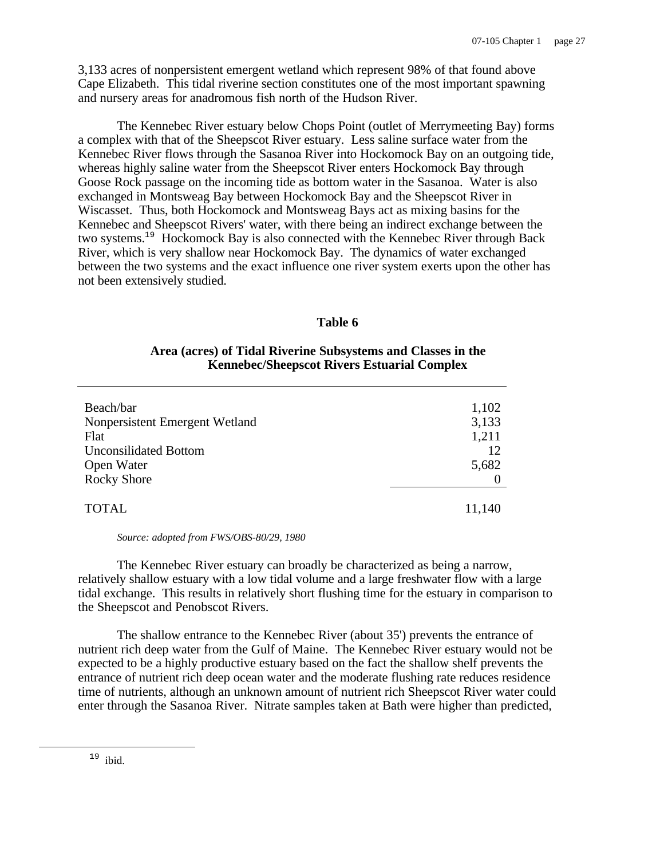3,133 acres of nonpersistent emergent wetland which represent 98% of that found above Cape Elizabeth. This tidal riverine section constitutes one of the most important spawning and nursery areas for anadromous fish north of the Hudson River.

The Kennebec River estuary below Chops Point (outlet of Merrymeeting Bay) forms a complex with that of the Sheepscot River estuary. Less saline surface water from the Kennebec River flows through the Sasanoa River into Hockomock Bay on an outgoing tide, whereas highly saline water from the Sheepscot River enters Hockomock Bay through Goose Rock passage on the incoming tide as bottom water in the Sasanoa. Water is also exchanged in Montsweag Bay between Hockomock Bay and the Sheepscot River in Wiscasset. Thus, both Hockomock and Montsweag Bays act as mixing basins for the Kennebec and Sheepscot Rivers' water, with there being an indirect exchange between the two systems.<sup>19</sup> Hockomock Bay is also connected with the Kennebec River through Back River, which is very shallow near Hockomock Bay. The dynamics of water exchanged between the two systems and the exact influence one river system exerts upon the other has not been extensively studied.

### **Table 6**

### **Area (acres) of Tidal Riverine Subsystems and Classes in the Kennebec/Sheepscot Rivers Estuarial Complex**

| 1,102  |
|--------|
| 3,133  |
|        |
| 1,211  |
| 12     |
| 5,682  |
|        |
|        |
| 11,140 |
|        |

#### *Source: adopted from FWS/OBS-80/29, 1980*

The Kennebec River estuary can broadly be characterized as being a narrow, relatively shallow estuary with a low tidal volume and a large freshwater flow with a large tidal exchange. This results in relatively short flushing time for the estuary in comparison to the Sheepscot and Penobscot Rivers.

The shallow entrance to the Kennebec River (about 35') prevents the entrance of nutrient rich deep water from the Gulf of Maine. The Kennebec River estuary would not be expected to be a highly productive estuary based on the fact the shallow shelf prevents the entrance of nutrient rich deep ocean water and the moderate flushing rate reduces residence time of nutrients, although an unknown amount of nutrient rich Sheepscot River water could enter through the Sasanoa River. Nitrate samples taken at Bath were higher than predicted,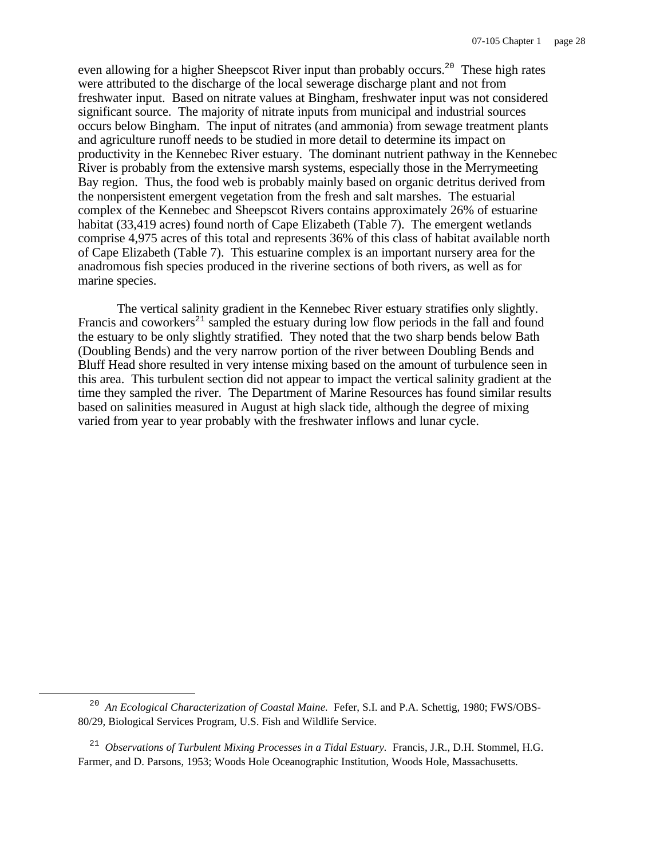even allowing for a higher Sheepscot River input than probably occurs.<sup>20</sup> These high rates were attributed to the discharge of the local sewerage discharge plant and not from freshwater input. Based on nitrate values at Bingham, freshwater input was not considered significant source. The majority of nitrate inputs from municipal and industrial sources occurs below Bingham. The input of nitrates (and ammonia) from sewage treatment plants and agriculture runoff needs to be studied in more detail to determine its impact on productivity in the Kennebec River estuary. The dominant nutrient pathway in the Kennebec River is probably from the extensive marsh systems, especially those in the Merrymeeting Bay region. Thus, the food web is probably mainly based on organic detritus derived from the nonpersistent emergent vegetation from the fresh and salt marshes. The estuarial complex of the Kennebec and Sheepscot Rivers contains approximately 26% of estuarine habitat (33,419 acres) found north of Cape Elizabeth (Table 7). The emergent wetlands comprise 4,975 acres of this total and represents 36% of this class of habitat available north of Cape Elizabeth (Table 7). This estuarine complex is an important nursery area for the anadromous fish species produced in the riverine sections of both rivers, as well as for marine species.

The vertical salinity gradient in the Kennebec River estuary stratifies only slightly. Francis and coworkers<sup> $21$ </sup> sampled the estuary during low flow periods in the fall and found the estuary to be only slightly stratified. They noted that the two sharp bends below Bath (Doubling Bends) and the very narrow portion of the river between Doubling Bends and Bluff Head shore resulted in very intense mixing based on the amount of turbulence seen in this area. This turbulent section did not appear to impact the vertical salinity gradient at the time they sampled the river. The Department of Marine Resources has found similar results based on salinities measured in August at high slack tide, although the degree of mixing varied from year to year probably with the freshwater inflows and lunar cycle.

<sup>&</sup>lt;sup>20</sup> An Ecological Characterization of Coastal Maine. Fefer, S.I. and P.A. Schettig, 1980; FWS/OBS-80/29, Biological Services Program, U.S. Fish and Wildlife Service.

<sup>&</sup>lt;sup>21</sup> Observations of Turbulent Mixing Processes in a Tidal Estuary. Francis, J.R., D.H. Stommel, H.G. Farmer, and D. Parsons, 1953; Woods Hole Oceanographic Institution, Woods Hole, Massachusetts.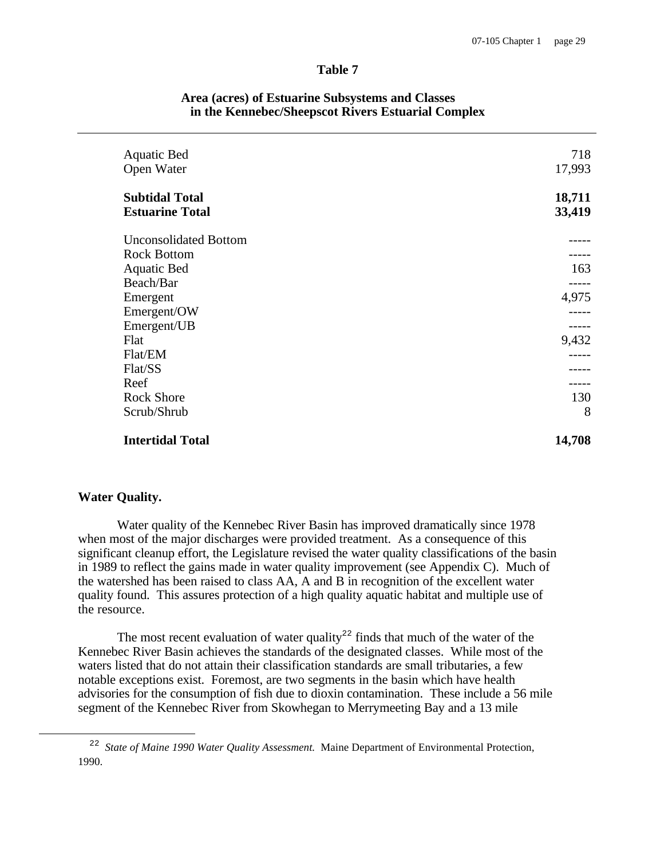#### **Table 7**

| <b>Aquatic Bed</b><br>Open Water                | 718<br>17,993    |
|-------------------------------------------------|------------------|
| <b>Subtidal Total</b><br><b>Estuarine Total</b> | 18,711<br>33,419 |
| <b>Unconsolidated Bottom</b>                    |                  |
| <b>Rock Bottom</b>                              |                  |
| <b>Aquatic Bed</b>                              | 163              |
| Beach/Bar                                       |                  |
| Emergent                                        | 4,975            |
| Emergent/OW                                     |                  |
| Emergent/UB                                     |                  |
| Flat                                            | 9,432            |
| Flat/EM                                         |                  |
| Flat/SS                                         |                  |
| Reef                                            |                  |
| <b>Rock Shore</b>                               | 130              |
| Scrub/Shrub                                     | 8                |
| <b>Intertidal Total</b>                         | 14,708           |

#### **Area (acres) of Estuarine Subsystems and Classes in the Kennebec/Sheepscot Rivers Estuarial Complex**

#### **Water Quality.**

i

Water quality of the Kennebec River Basin has improved dramatically since 1978 when most of the major discharges were provided treatment. As a consequence of this significant cleanup effort, the Legislature revised the water quality classifications of the basin in 1989 to reflect the gains made in water quality improvement (see Appendix C). Much of the watershed has been raised to class AA, A and B in recognition of the excellent water quality found. This assures protection of a high quality aquatic habitat and multiple use of the resource.

The most recent evaluation of water quality<sup>22</sup> finds that much of the water of the Kennebec River Basin achieves the standards of the designated classes. While most of the waters listed that do not attain their classification standards are small tributaries, a few notable exceptions exist. Foremost, are two segments in the basin which have health advisories for the consumption of fish due to dioxin contamination. These include a 56 mile segment of the Kennebec River from Skowhegan to Merrymeeting Bay and a 13 mile

<sup>&</sup>lt;sup>22</sup> State of Maine 1990 Water Quality Assessment. Maine Department of Environmental Protection, 1990.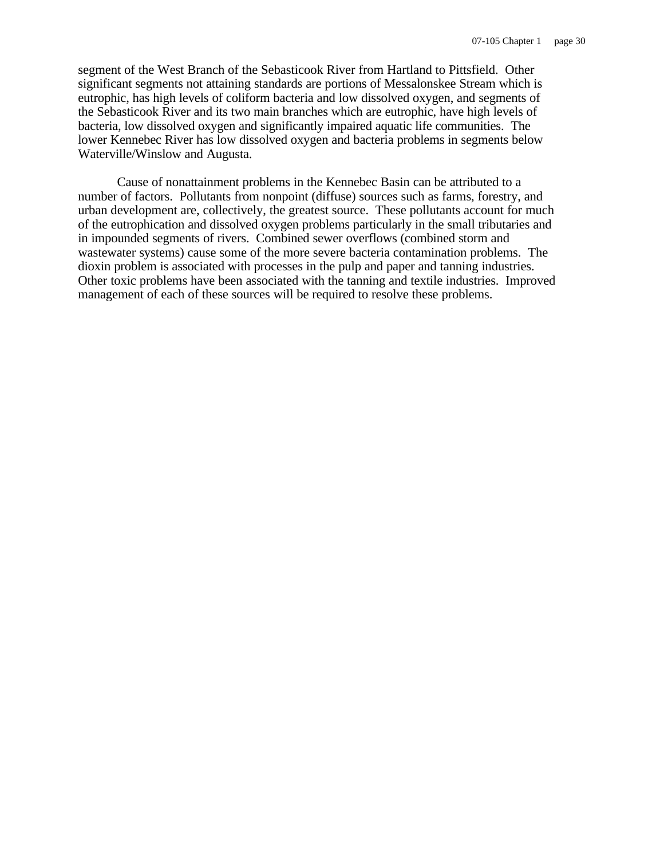segment of the West Branch of the Sebasticook River from Hartland to Pittsfield. Other significant segments not attaining standards are portions of Messalonskee Stream which is eutrophic, has high levels of coliform bacteria and low dissolved oxygen, and segments of the Sebasticook River and its two main branches which are eutrophic, have high levels of bacteria, low dissolved oxygen and significantly impaired aquatic life communities. The lower Kennebec River has low dissolved oxygen and bacteria problems in segments below Waterville/Winslow and Augusta.

Cause of nonattainment problems in the Kennebec Basin can be attributed to a number of factors. Pollutants from nonpoint (diffuse) sources such as farms, forestry, and urban development are, collectively, the greatest source. These pollutants account for much of the eutrophication and dissolved oxygen problems particularly in the small tributaries and in impounded segments of rivers. Combined sewer overflows (combined storm and wastewater systems) cause some of the more severe bacteria contamination problems. The dioxin problem is associated with processes in the pulp and paper and tanning industries. Other toxic problems have been associated with the tanning and textile industries. Improved management of each of these sources will be required to resolve these problems.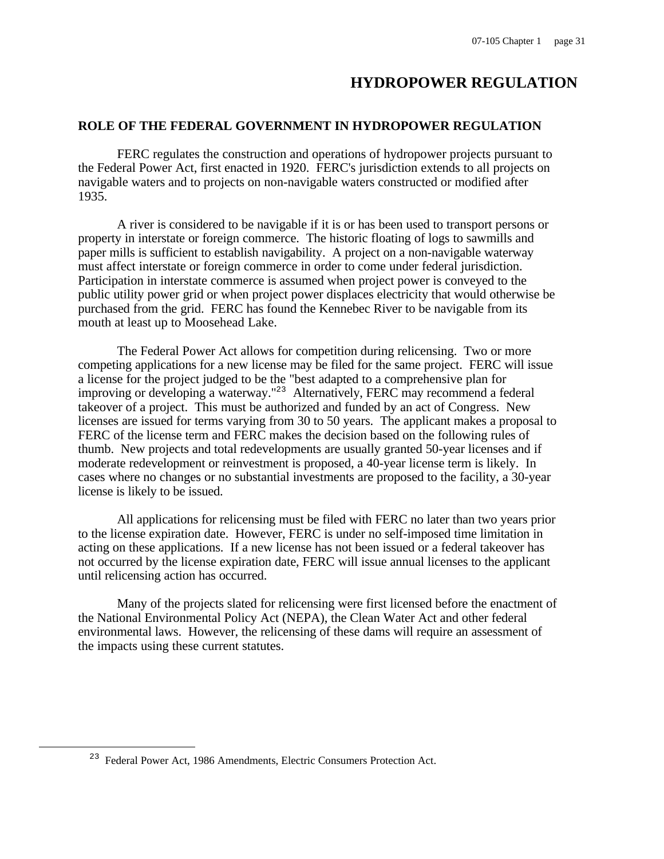# **HYDROPOWER REGULATION**

## **ROLE OF THE FEDERAL GOVERNMENT IN HYDROPOWER REGULATION**

FERC regulates the construction and operations of hydropower projects pursuant to the Federal Power Act, first enacted in 1920. FERC's jurisdiction extends to all projects on navigable waters and to projects on non-navigable waters constructed or modified after 1935.

A river is considered to be navigable if it is or has been used to transport persons or property in interstate or foreign commerce. The historic floating of logs to sawmills and paper mills is sufficient to establish navigability. A project on a non-navigable waterway must affect interstate or foreign commerce in order to come under federal jurisdiction. Participation in interstate commerce is assumed when project power is conveyed to the public utility power grid or when project power displaces electricity that would otherwise be purchased from the grid. FERC has found the Kennebec River to be navigable from its mouth at least up to Moosehead Lake.

The Federal Power Act allows for competition during relicensing. Two or more competing applications for a new license may be filed for the same project. FERC will issue a license for the project judged to be the "best adapted to a comprehensive plan for improving or developing a waterway."<sup>23</sup> Alternatively, FERC may recommend a federal takeover of a project. This must be authorized and funded by an act of Congress. New licenses are issued for terms varying from 30 to 50 years. The applicant makes a proposal to FERC of the license term and FERC makes the decision based on the following rules of thumb. New projects and total redevelopments are usually granted 50-year licenses and if moderate redevelopment or reinvestment is proposed, a 40-year license term is likely. In cases where no changes or no substantial investments are proposed to the facility, a 30-year license is likely to be issued.

All applications for relicensing must be filed with FERC no later than two years prior to the license expiration date. However, FERC is under no self-imposed time limitation in acting on these applications. If a new license has not been issued or a federal takeover has not occurred by the license expiration date, FERC will issue annual licenses to the applicant until relicensing action has occurred.

Many of the projects slated for relicensing were first licensed before the enactment of the National Environmental Policy Act (NEPA), the Clean Water Act and other federal environmental laws. However, the relicensing of these dams will require an assessment of the impacts using these current statutes.

i

<sup>23</sup> Federal Power Act, 1986 Amendments, Electric Consumers Protection Act.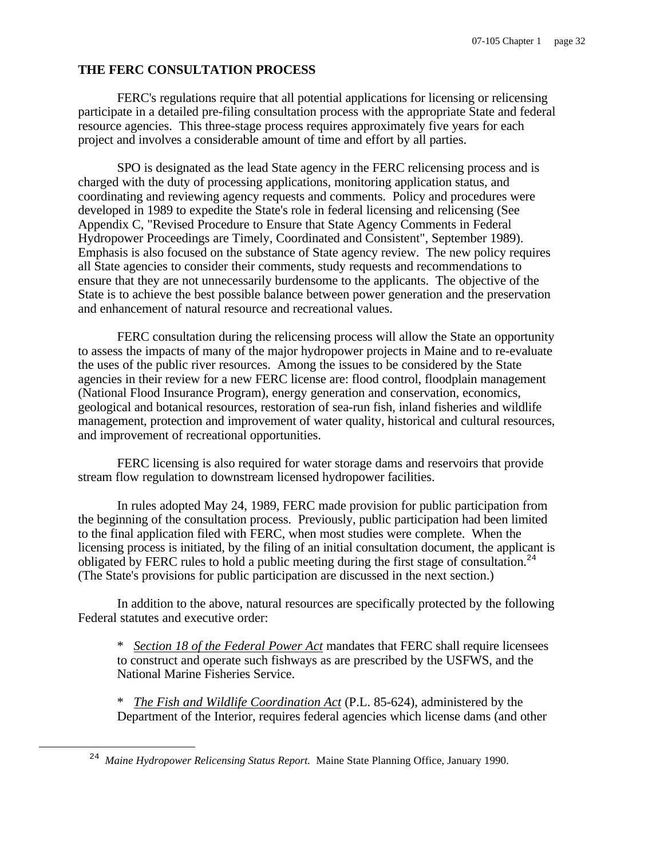# **THE FERC CONSULTATION PROCESS**

FERC's regulations require that all potential applications for licensing or relicensing participate in a detailed pre-filing consultation process with the appropriate State and federal resource agencies. This three-stage process requires approximately five years for each project and involves a considerable amount of time and effort by all parties.

SPO is designated as the lead State agency in the FERC relicensing process and is charged with the duty of processing applications, monitoring application status, and coordinating and reviewing agency requests and comments. Policy and procedures were developed in 1989 to expedite the State's role in federal licensing and relicensing (See Appendix C, "Revised Procedure to Ensure that State Agency Comments in Federal Hydropower Proceedings are Timely, Coordinated and Consistent", September 1989). Emphasis is also focused on the substance of State agency review. The new policy requires all State agencies to consider their comments, study requests and recommendations to ensure that they are not unnecessarily burdensome to the applicants. The objective of the State is to achieve the best possible balance between power generation and the preservation and enhancement of natural resource and recreational values.

FERC consultation during the relicensing process will allow the State an opportunity to assess the impacts of many of the major hydropower projects in Maine and to re-evaluate the uses of the public river resources. Among the issues to be considered by the State agencies in their review for a new FERC license are: flood control, floodplain management (National Flood Insurance Program), energy generation and conservation, economics, geological and botanical resources, restoration of sea-run fish, inland fisheries and wildlife management, protection and improvement of water quality, historical and cultural resources, and improvement of recreational opportunities.

FERC licensing is also required for water storage dams and reservoirs that provide stream flow regulation to downstream licensed hydropower facilities.

In rules adopted May 24, 1989, FERC made provision for public participation from the beginning of the consultation process. Previously, public participation had been limited to the final application filed with FERC, when most studies were complete. When the licensing process is initiated, by the filing of an initial consultation document, the applicant is obligated by FERC rules to hold a public meeting during the first stage of consultation.<sup>24</sup> (The State's provisions for public participation are discussed in the next section.)

In addition to the above, natural resources are specifically protected by the following Federal statutes and executive order:

\* *Section 18 of the Federal Power Act* mandates that FERC shall require licensees to construct and operate such fishways as are prescribed by the USFWS, and the National Marine Fisheries Service.

\* *The Fish and Wildlife Coordination Act* (P.L. 85-624), administered by the Department of the Interior, requires federal agencies which license dams (and other

i

<sup>&</sup>lt;sup>24</sup> Maine Hydropower Relicensing Status Report. Maine State Planning Office, January 1990.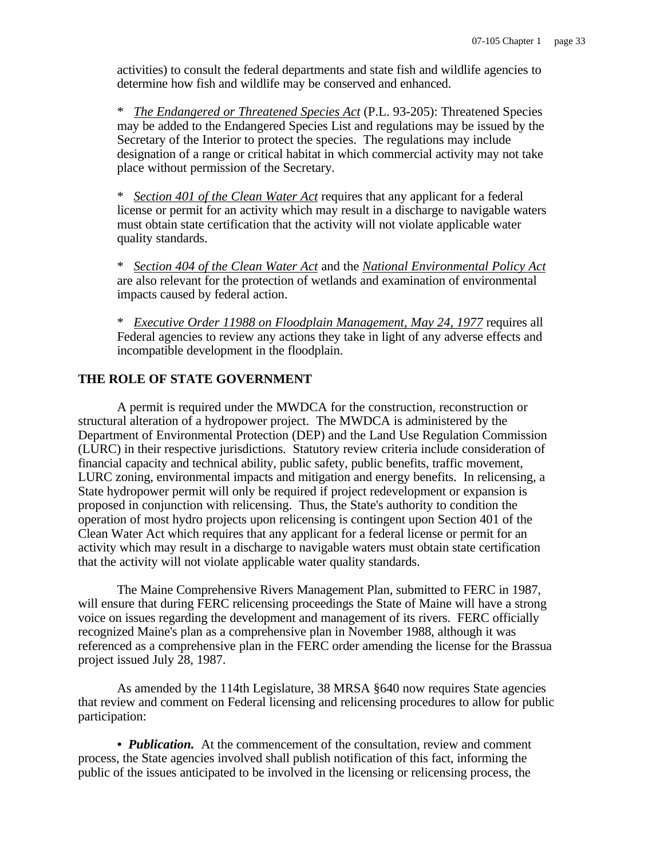activities) to consult the federal departments and state fish and wildlife agencies to determine how fish and wildlife may be conserved and enhanced.

\* *The Endangered or Threatened Species Act* (P.L. 93-205): Threatened Species may be added to the Endangered Species List and regulations may be issued by the Secretary of the Interior to protect the species. The regulations may include designation of a range or critical habitat in which commercial activity may not take place without permission of the Secretary.

\* *Section 401 of the Clean Water Act* requires that any applicant for a federal license or permit for an activity which may result in a discharge to navigable waters must obtain state certification that the activity will not violate applicable water quality standards.

\* *Section 404 of the Clean Water Act* and the *National Environmental Policy Act* are also relevant for the protection of wetlands and examination of environmental impacts caused by federal action.

\* *Executive Order 11988 on Floodplain Management, May 24, 1977* requires all Federal agencies to review any actions they take in light of any adverse effects and incompatible development in the floodplain.

## **THE ROLE OF STATE GOVERNMENT**

A permit is required under the MWDCA for the construction, reconstruction or structural alteration of a hydropower project. The MWDCA is administered by the Department of Environmental Protection (DEP) and the Land Use Regulation Commission (LURC) in their respective jurisdictions. Statutory review criteria include consideration of financial capacity and technical ability, public safety, public benefits, traffic movement, LURC zoning, environmental impacts and mitigation and energy benefits. In relicensing, a State hydropower permit will only be required if project redevelopment or expansion is proposed in conjunction with relicensing. Thus, the State's authority to condition the operation of most hydro projects upon relicensing is contingent upon Section 401 of the Clean Water Act which requires that any applicant for a federal license or permit for an activity which may result in a discharge to navigable waters must obtain state certification that the activity will not violate applicable water quality standards.

The Maine Comprehensive Rivers Management Plan, submitted to FERC in 1987, will ensure that during FERC relicensing proceedings the State of Maine will have a strong voice on issues regarding the development and management of its rivers. FERC officially recognized Maine's plan as a comprehensive plan in November 1988, although it was referenced as a comprehensive plan in the FERC order amending the license for the Brassua project issued July 28, 1987.

As amended by the 114th Legislature, 38 MRSA §640 now requires State agencies that review and comment on Federal licensing and relicensing procedures to allow for public participation:

• *Publication.* At the commencement of the consultation, review and comment process, the State agencies involved shall publish notification of this fact, informing the public of the issues anticipated to be involved in the licensing or relicensing process, the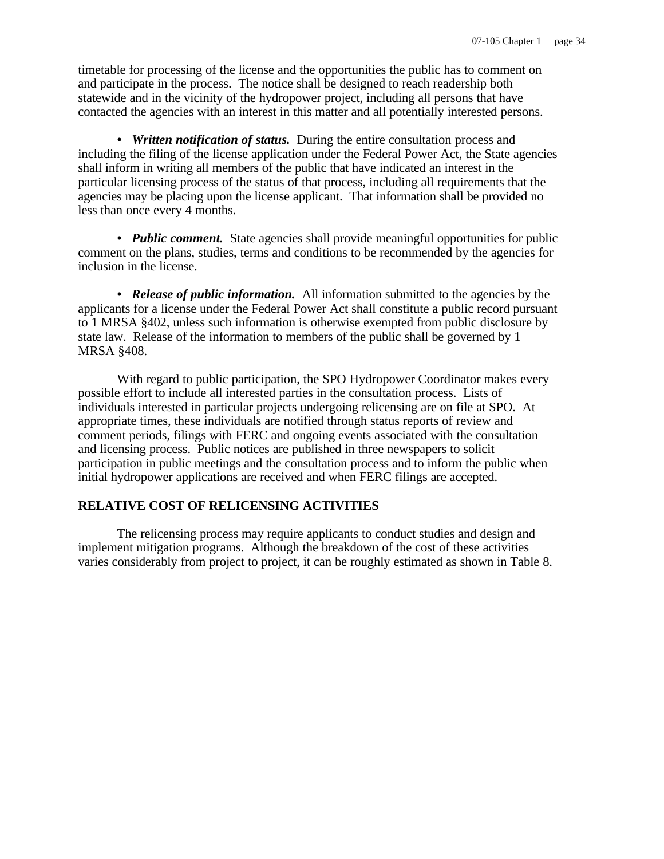timetable for processing of the license and the opportunities the public has to comment on and participate in the process. The notice shall be designed to reach readership both statewide and in the vicinity of the hydropower project, including all persons that have contacted the agencies with an interest in this matter and all potentially interested persons.

*• Written notification of status.* During the entire consultation process and including the filing of the license application under the Federal Power Act, the State agencies shall inform in writing all members of the public that have indicated an interest in the particular licensing process of the status of that process, including all requirements that the agencies may be placing upon the license applicant. That information shall be provided no less than once every 4 months.

• *Public comment.* State agencies shall provide meaningful opportunities for public comment on the plans, studies, terms and conditions to be recommended by the agencies for inclusion in the license.

*• Release of public information.* All information submitted to the agencies by the applicants for a license under the Federal Power Act shall constitute a public record pursuant to 1 MRSA §402, unless such information is otherwise exempted from public disclosure by state law. Release of the information to members of the public shall be governed by 1 MRSA §408.

With regard to public participation, the SPO Hydropower Coordinator makes every possible effort to include all interested parties in the consultation process. Lists of individuals interested in particular projects undergoing relicensing are on file at SPO. At appropriate times, these individuals are notified through status reports of review and comment periods, filings with FERC and ongoing events associated with the consultation and licensing process. Public notices are published in three newspapers to solicit participation in public meetings and the consultation process and to inform the public when initial hydropower applications are received and when FERC filings are accepted.

# **RELATIVE COST OF RELICENSING ACTIVITIES**

The relicensing process may require applicants to conduct studies and design and implement mitigation programs. Although the breakdown of the cost of these activities varies considerably from project to project, it can be roughly estimated as shown in Table 8.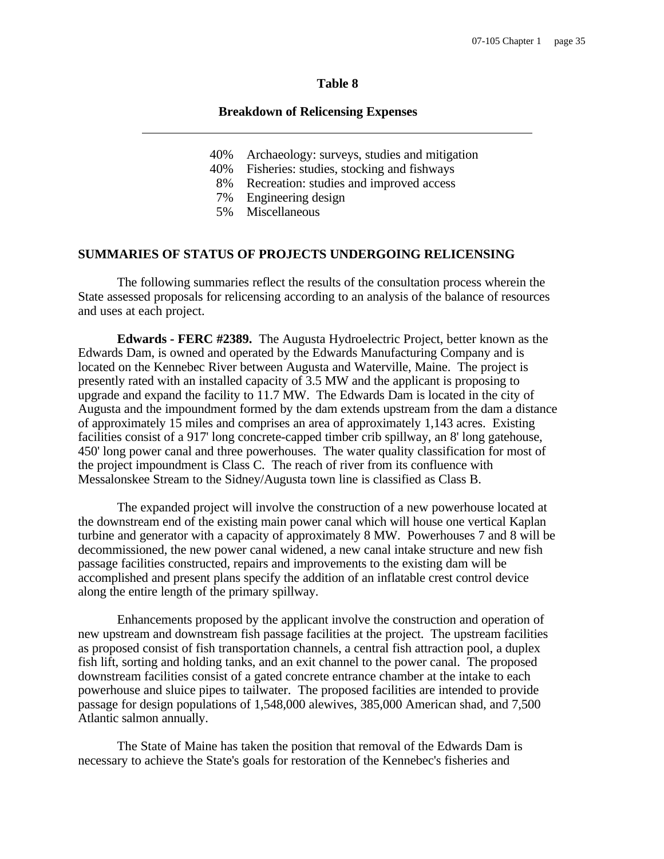## **Table 8**

#### **Breakdown of Relicensing Expenses**

- 40% Archaeology: surveys, studies and mitigation
- 40% Fisheries: studies, stocking and fishways
- 8% Recreation: studies and improved access<br>7% Engineering design
- Engineering design
- 5% Miscellaneous

#### **SUMMARIES OF STATUS OF PROJECTS UNDERGOING RELICENSING**

The following summaries reflect the results of the consultation process wherein the State assessed proposals for relicensing according to an analysis of the balance of resources and uses at each project.

**Edwards - FERC #2389.** The Augusta Hydroelectric Project, better known as the Edwards Dam, is owned and operated by the Edwards Manufacturing Company and is located on the Kennebec River between Augusta and Waterville, Maine. The project is presently rated with an installed capacity of 3.5 MW and the applicant is proposing to upgrade and expand the facility to 11.7 MW. The Edwards Dam is located in the city of Augusta and the impoundment formed by the dam extends upstream from the dam a distance of approximately 15 miles and comprises an area of approximately 1,143 acres. Existing facilities consist of a 917' long concrete-capped timber crib spillway, an 8' long gatehouse, 450' long power canal and three powerhouses. The water quality classification for most of the project impoundment is Class C. The reach of river from its confluence with Messalonskee Stream to the Sidney/Augusta town line is classified as Class B.

The expanded project will involve the construction of a new powerhouse located at the downstream end of the existing main power canal which will house one vertical Kaplan turbine and generator with a capacity of approximately 8 MW. Powerhouses 7 and 8 will be decommissioned, the new power canal widened, a new canal intake structure and new fish passage facilities constructed, repairs and improvements to the existing dam will be accomplished and present plans specify the addition of an inflatable crest control device along the entire length of the primary spillway.

Enhancements proposed by the applicant involve the construction and operation of new upstream and downstream fish passage facilities at the project. The upstream facilities as proposed consist of fish transportation channels, a central fish attraction pool, a duplex fish lift, sorting and holding tanks, and an exit channel to the power canal. The proposed downstream facilities consist of a gated concrete entrance chamber at the intake to each powerhouse and sluice pipes to tailwater. The proposed facilities are intended to provide passage for design populations of 1,548,000 alewives, 385,000 American shad, and 7,500 Atlantic salmon annually.

The State of Maine has taken the position that removal of the Edwards Dam is necessary to achieve the State's goals for restoration of the Kennebec's fisheries and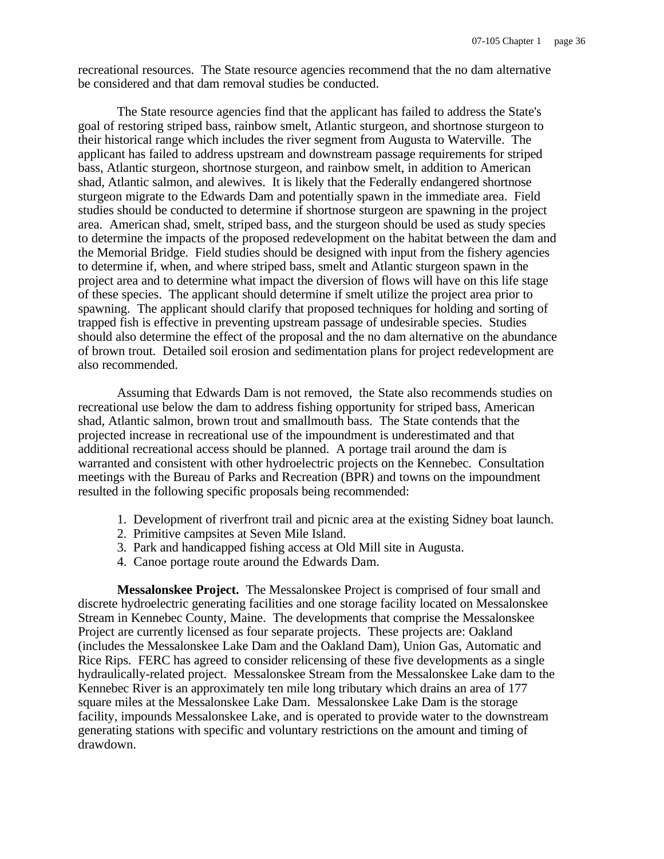recreational resources. The State resource agencies recommend that the no dam alternative be considered and that dam removal studies be conducted.

The State resource agencies find that the applicant has failed to address the State's goal of restoring striped bass, rainbow smelt, Atlantic sturgeon, and shortnose sturgeon to their historical range which includes the river segment from Augusta to Waterville. The applicant has failed to address upstream and downstream passage requirements for striped bass, Atlantic sturgeon, shortnose sturgeon, and rainbow smelt, in addition to American shad, Atlantic salmon, and alewives. It is likely that the Federally endangered shortnose sturgeon migrate to the Edwards Dam and potentially spawn in the immediate area. Field studies should be conducted to determine if shortnose sturgeon are spawning in the project area. American shad, smelt, striped bass, and the sturgeon should be used as study species to determine the impacts of the proposed redevelopment on the habitat between the dam and the Memorial Bridge. Field studies should be designed with input from the fishery agencies to determine if, when, and where striped bass, smelt and Atlantic sturgeon spawn in the project area and to determine what impact the diversion of flows will have on this life stage of these species. The applicant should determine if smelt utilize the project area prior to spawning. The applicant should clarify that proposed techniques for holding and sorting of trapped fish is effective in preventing upstream passage of undesirable species. Studies should also determine the effect of the proposal and the no dam alternative on the abundance of brown trout. Detailed soil erosion and sedimentation plans for project redevelopment are also recommended.

Assuming that Edwards Dam is not removed, the State also recommends studies on recreational use below the dam to address fishing opportunity for striped bass, American shad, Atlantic salmon, brown trout and smallmouth bass. The State contends that the projected increase in recreational use of the impoundment is underestimated and that additional recreational access should be planned. A portage trail around the dam is warranted and consistent with other hydroelectric projects on the Kennebec. Consultation meetings with the Bureau of Parks and Recreation (BPR) and towns on the impoundment resulted in the following specific proposals being recommended:

- 1. Development of riverfront trail and picnic area at the existing Sidney boat launch.
- 2. Primitive campsites at Seven Mile Island.
- 3. Park and handicapped fishing access at Old Mill site in Augusta.
- 4. Canoe portage route around the Edwards Dam.

**Messalonskee Project.** The Messalonskee Project is comprised of four small and discrete hydroelectric generating facilities and one storage facility located on Messalonskee Stream in Kennebec County, Maine. The developments that comprise the Messalonskee Project are currently licensed as four separate projects. These projects are: Oakland (includes the Messalonskee Lake Dam and the Oakland Dam), Union Gas, Automatic and Rice Rips. FERC has agreed to consider relicensing of these five developments as a single hydraulically-related project. Messalonskee Stream from the Messalonskee Lake dam to the Kennebec River is an approximately ten mile long tributary which drains an area of 177 square miles at the Messalonskee Lake Dam. Messalonskee Lake Dam is the storage facility, impounds Messalonskee Lake, and is operated to provide water to the downstream generating stations with specific and voluntary restrictions on the amount and timing of drawdown.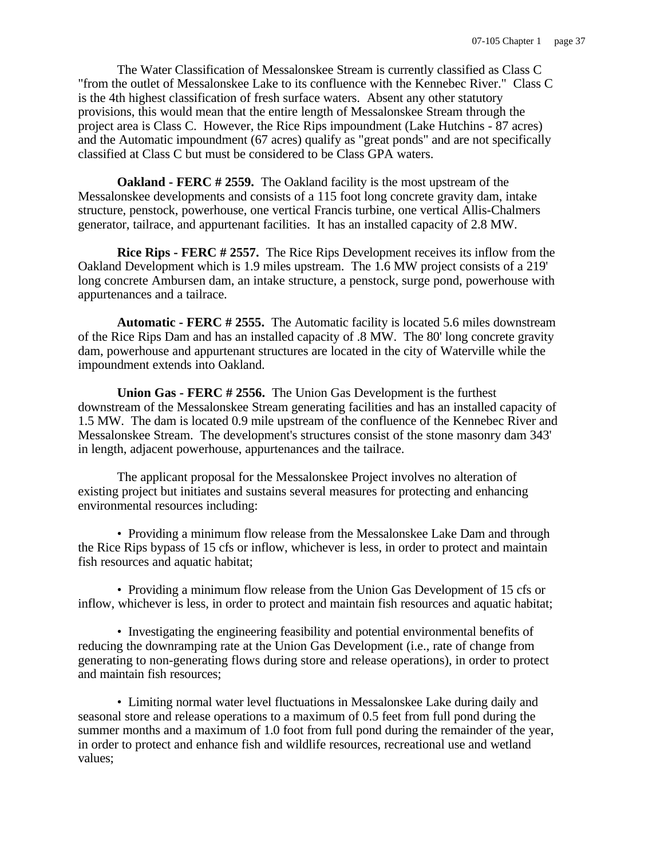The Water Classification of Messalonskee Stream is currently classified as Class C "from the outlet of Messalonskee Lake to its confluence with the Kennebec River." Class C is the 4th highest classification of fresh surface waters. Absent any other statutory provisions, this would mean that the entire length of Messalonskee Stream through the project area is Class C. However, the Rice Rips impoundment (Lake Hutchins - 87 acres) and the Automatic impoundment (67 acres) qualify as "great ponds" and are not specifically classified at Class C but must be considered to be Class GPA waters.

**Oakland - FERC # 2559.** The Oakland facility is the most upstream of the Messalonskee developments and consists of a 115 foot long concrete gravity dam, intake structure, penstock, powerhouse, one vertical Francis turbine, one vertical Allis-Chalmers generator, tailrace, and appurtenant facilities. It has an installed capacity of 2.8 MW.

**Rice Rips - FERC # 2557.** The Rice Rips Development receives its inflow from the Oakland Development which is 1.9 miles upstream. The 1.6 MW project consists of a 219' long concrete Ambursen dam, an intake structure, a penstock, surge pond, powerhouse with appurtenances and a tailrace.

**Automatic - FERC # 2555.** The Automatic facility is located 5.6 miles downstream of the Rice Rips Dam and has an installed capacity of .8 MW. The 80' long concrete gravity dam, powerhouse and appurtenant structures are located in the city of Waterville while the impoundment extends into Oakland.

**Union Gas - FERC # 2556.** The Union Gas Development is the furthest downstream of the Messalonskee Stream generating facilities and has an installed capacity of 1.5 MW. The dam is located 0.9 mile upstream of the confluence of the Kennebec River and Messalonskee Stream. The development's structures consist of the stone masonry dam 343' in length, adjacent powerhouse, appurtenances and the tailrace.

The applicant proposal for the Messalonskee Project involves no alteration of existing project but initiates and sustains several measures for protecting and enhancing environmental resources including:

• Providing a minimum flow release from the Messalonskee Lake Dam and through the Rice Rips bypass of 15 cfs or inflow, whichever is less, in order to protect and maintain fish resources and aquatic habitat;

• Providing a minimum flow release from the Union Gas Development of 15 cfs or inflow, whichever is less, in order to protect and maintain fish resources and aquatic habitat;

• Investigating the engineering feasibility and potential environmental benefits of reducing the downramping rate at the Union Gas Development (i.e., rate of change from generating to non-generating flows during store and release operations), in order to protect and maintain fish resources;

• Limiting normal water level fluctuations in Messalonskee Lake during daily and seasonal store and release operations to a maximum of 0.5 feet from full pond during the summer months and a maximum of 1.0 foot from full pond during the remainder of the year, in order to protect and enhance fish and wildlife resources, recreational use and wetland values;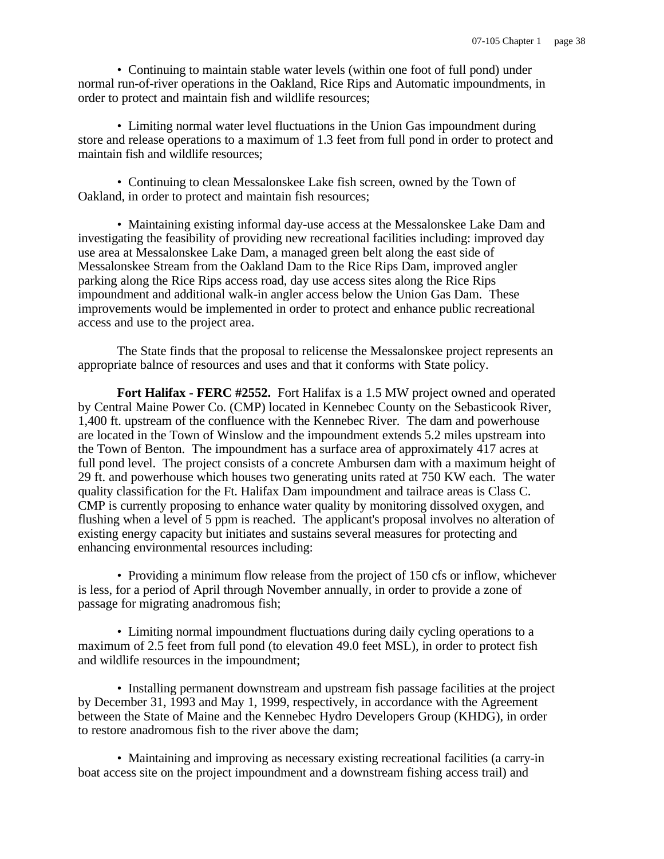• Continuing to maintain stable water levels (within one foot of full pond) under normal run-of-river operations in the Oakland, Rice Rips and Automatic impoundments, in order to protect and maintain fish and wildlife resources;

• Limiting normal water level fluctuations in the Union Gas impoundment during store and release operations to a maximum of 1.3 feet from full pond in order to protect and maintain fish and wildlife resources;

• Continuing to clean Messalonskee Lake fish screen, owned by the Town of Oakland, in order to protect and maintain fish resources;

• Maintaining existing informal day-use access at the Messalonskee Lake Dam and investigating the feasibility of providing new recreational facilities including: improved day use area at Messalonskee Lake Dam, a managed green belt along the east side of Messalonskee Stream from the Oakland Dam to the Rice Rips Dam, improved angler parking along the Rice Rips access road, day use access sites along the Rice Rips impoundment and additional walk-in angler access below the Union Gas Dam. These improvements would be implemented in order to protect and enhance public recreational access and use to the project area.

The State finds that the proposal to relicense the Messalonskee project represents an appropriate balnce of resources and uses and that it conforms with State policy.

**Fort Halifax - FERC #2552.** Fort Halifax is a 1.5 MW project owned and operated by Central Maine Power Co. (CMP) located in Kennebec County on the Sebasticook River, 1,400 ft. upstream of the confluence with the Kennebec River. The dam and powerhouse are located in the Town of Winslow and the impoundment extends 5.2 miles upstream into the Town of Benton. The impoundment has a surface area of approximately 417 acres at full pond level. The project consists of a concrete Ambursen dam with a maximum height of 29 ft. and powerhouse which houses two generating units rated at 750 KW each. The water quality classification for the Ft. Halifax Dam impoundment and tailrace areas is Class C. CMP is currently proposing to enhance water quality by monitoring dissolved oxygen, and flushing when a level of 5 ppm is reached. The applicant's proposal involves no alteration of existing energy capacity but initiates and sustains several measures for protecting and enhancing environmental resources including:

• Providing a minimum flow release from the project of 150 cfs or inflow, whichever is less, for a period of April through November annually, in order to provide a zone of passage for migrating anadromous fish;

• Limiting normal impoundment fluctuations during daily cycling operations to a maximum of 2.5 feet from full pond (to elevation 49.0 feet MSL), in order to protect fish and wildlife resources in the impoundment;

• Installing permanent downstream and upstream fish passage facilities at the project by December 31, 1993 and May 1, 1999, respectively, in accordance with the Agreement between the State of Maine and the Kennebec Hydro Developers Group (KHDG), in order to restore anadromous fish to the river above the dam;

• Maintaining and improving as necessary existing recreational facilities (a carry-in boat access site on the project impoundment and a downstream fishing access trail) and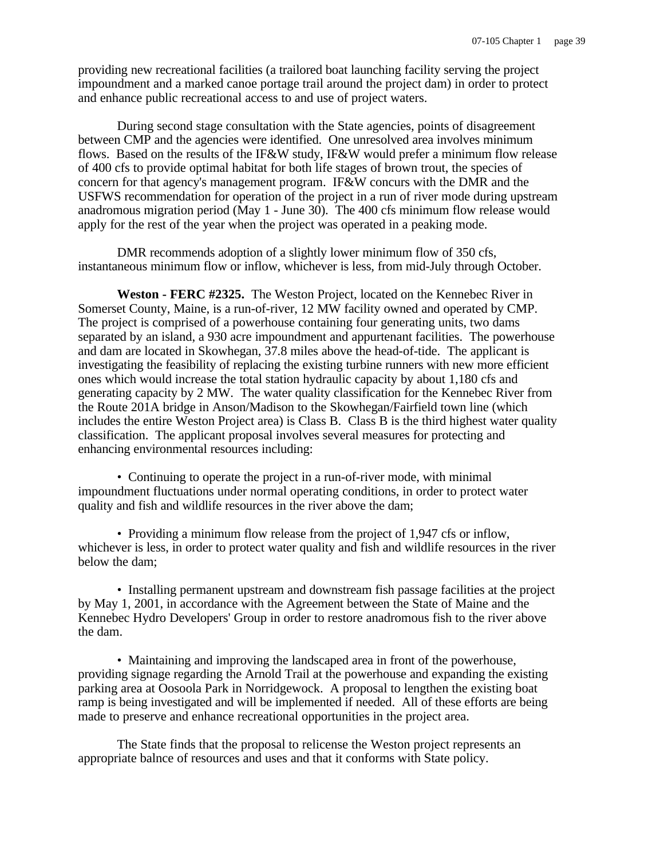providing new recreational facilities (a trailored boat launching facility serving the project impoundment and a marked canoe portage trail around the project dam) in order to protect and enhance public recreational access to and use of project waters.

During second stage consultation with the State agencies, points of disagreement between CMP and the agencies were identified. One unresolved area involves minimum flows. Based on the results of the IF&W study, IF&W would prefer a minimum flow release of 400 cfs to provide optimal habitat for both life stages of brown trout, the species of concern for that agency's management program. IF&W concurs with the DMR and the USFWS recommendation for operation of the project in a run of river mode during upstream anadromous migration period (May 1 - June 30). The 400 cfs minimum flow release would apply for the rest of the year when the project was operated in a peaking mode.

DMR recommends adoption of a slightly lower minimum flow of 350 cfs, instantaneous minimum flow or inflow, whichever is less, from mid-July through October.

**Weston - FERC #2325.** The Weston Project, located on the Kennebec River in Somerset County, Maine, is a run-of-river, 12 MW facility owned and operated by CMP. The project is comprised of a powerhouse containing four generating units, two dams separated by an island, a 930 acre impoundment and appurtenant facilities. The powerhouse and dam are located in Skowhegan, 37.8 miles above the head-of-tide. The applicant is investigating the feasibility of replacing the existing turbine runners with new more efficient ones which would increase the total station hydraulic capacity by about 1,180 cfs and generating capacity by 2 MW. The water quality classification for the Kennebec River from the Route 201A bridge in Anson/Madison to the Skowhegan/Fairfield town line (which includes the entire Weston Project area) is Class B. Class B is the third highest water quality classification. The applicant proposal involves several measures for protecting and enhancing environmental resources including:

• Continuing to operate the project in a run-of-river mode, with minimal impoundment fluctuations under normal operating conditions, in order to protect water quality and fish and wildlife resources in the river above the dam;

• Providing a minimum flow release from the project of 1,947 cfs or inflow, whichever is less, in order to protect water quality and fish and wildlife resources in the river below the dam;

• Installing permanent upstream and downstream fish passage facilities at the project by May 1, 2001, in accordance with the Agreement between the State of Maine and the Kennebec Hydro Developers' Group in order to restore anadromous fish to the river above the dam.

• Maintaining and improving the landscaped area in front of the powerhouse, providing signage regarding the Arnold Trail at the powerhouse and expanding the existing parking area at Oosoola Park in Norridgewock. A proposal to lengthen the existing boat ramp is being investigated and will be implemented if needed. All of these efforts are being made to preserve and enhance recreational opportunities in the project area.

The State finds that the proposal to relicense the Weston project represents an appropriate balnce of resources and uses and that it conforms with State policy.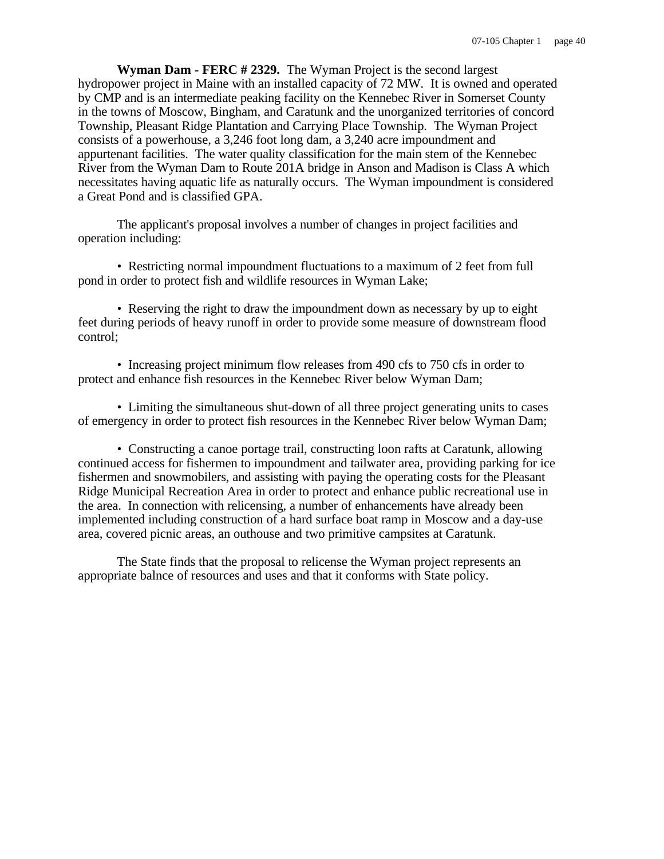**Wyman Dam - FERC # 2329.** The Wyman Project is the second largest hydropower project in Maine with an installed capacity of 72 MW. It is owned and operated by CMP and is an intermediate peaking facility on the Kennebec River in Somerset County in the towns of Moscow, Bingham, and Caratunk and the unorganized territories of concord Township, Pleasant Ridge Plantation and Carrying Place Township. The Wyman Project consists of a powerhouse, a 3,246 foot long dam, a 3,240 acre impoundment and appurtenant facilities. The water quality classification for the main stem of the Kennebec River from the Wyman Dam to Route 201A bridge in Anson and Madison is Class A which necessitates having aquatic life as naturally occurs. The Wyman impoundment is considered a Great Pond and is classified GPA.

The applicant's proposal involves a number of changes in project facilities and operation including:

• Restricting normal impoundment fluctuations to a maximum of 2 feet from full pond in order to protect fish and wildlife resources in Wyman Lake;

• Reserving the right to draw the impoundment down as necessary by up to eight feet during periods of heavy runoff in order to provide some measure of downstream flood control;

• Increasing project minimum flow releases from 490 cfs to 750 cfs in order to protect and enhance fish resources in the Kennebec River below Wyman Dam;

• Limiting the simultaneous shut-down of all three project generating units to cases of emergency in order to protect fish resources in the Kennebec River below Wyman Dam;

• Constructing a canoe portage trail, constructing loon rafts at Caratunk, allowing continued access for fishermen to impoundment and tailwater area, providing parking for ice fishermen and snowmobilers, and assisting with paying the operating costs for the Pleasant Ridge Municipal Recreation Area in order to protect and enhance public recreational use in the area. In connection with relicensing, a number of enhancements have already been implemented including construction of a hard surface boat ramp in Moscow and a day-use area, covered picnic areas, an outhouse and two primitive campsites at Caratunk.

The State finds that the proposal to relicense the Wyman project represents an appropriate balnce of resources and uses and that it conforms with State policy.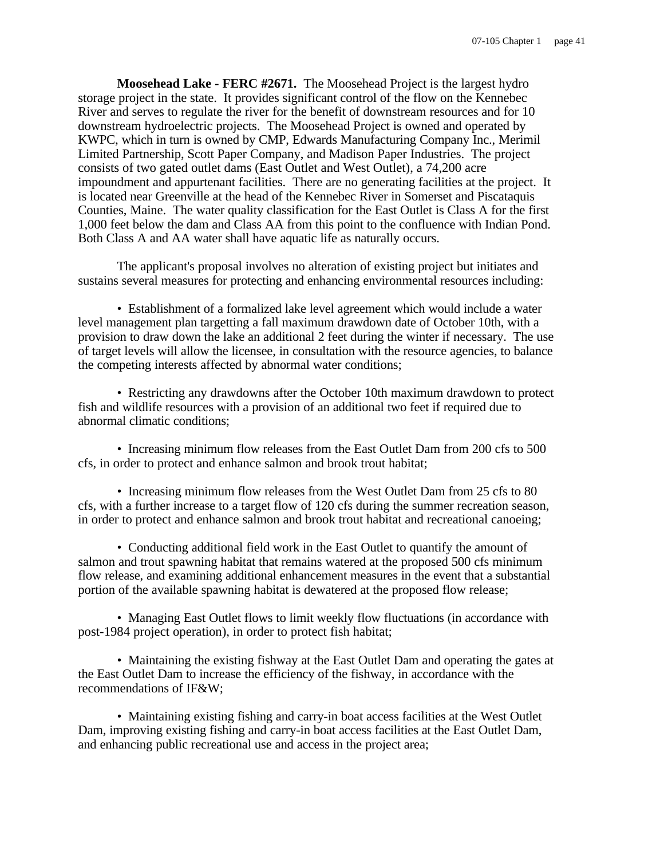**Moosehead Lake - FERC #2671.** The Moosehead Project is the largest hydro storage project in the state. It provides significant control of the flow on the Kennebec River and serves to regulate the river for the benefit of downstream resources and for 10 downstream hydroelectric projects. The Moosehead Project is owned and operated by KWPC, which in turn is owned by CMP, Edwards Manufacturing Company Inc., Merimil Limited Partnership, Scott Paper Company, and Madison Paper Industries. The project consists of two gated outlet dams (East Outlet and West Outlet), a 74,200 acre impoundment and appurtenant facilities. There are no generating facilities at the project. It is located near Greenville at the head of the Kennebec River in Somerset and Piscataquis Counties, Maine. The water quality classification for the East Outlet is Class A for the first 1,000 feet below the dam and Class AA from this point to the confluence with Indian Pond. Both Class A and AA water shall have aquatic life as naturally occurs.

The applicant's proposal involves no alteration of existing project but initiates and sustains several measures for protecting and enhancing environmental resources including:

• Establishment of a formalized lake level agreement which would include a water level management plan targetting a fall maximum drawdown date of October 10th, with a provision to draw down the lake an additional 2 feet during the winter if necessary. The use of target levels will allow the licensee, in consultation with the resource agencies, to balance the competing interests affected by abnormal water conditions;

• Restricting any drawdowns after the October 10th maximum drawdown to protect fish and wildlife resources with a provision of an additional two feet if required due to abnormal climatic conditions;

• Increasing minimum flow releases from the East Outlet Dam from 200 cfs to 500 cfs, in order to protect and enhance salmon and brook trout habitat;

• Increasing minimum flow releases from the West Outlet Dam from 25 cfs to 80 cfs, with a further increase to a target flow of 120 cfs during the summer recreation season, in order to protect and enhance salmon and brook trout habitat and recreational canoeing;

• Conducting additional field work in the East Outlet to quantify the amount of salmon and trout spawning habitat that remains watered at the proposed 500 cfs minimum flow release, and examining additional enhancement measures in the event that a substantial portion of the available spawning habitat is dewatered at the proposed flow release;

• Managing East Outlet flows to limit weekly flow fluctuations (in accordance with post-1984 project operation), in order to protect fish habitat;

• Maintaining the existing fishway at the East Outlet Dam and operating the gates at the East Outlet Dam to increase the efficiency of the fishway, in accordance with the recommendations of IF&W;

• Maintaining existing fishing and carry-in boat access facilities at the West Outlet Dam, improving existing fishing and carry-in boat access facilities at the East Outlet Dam, and enhancing public recreational use and access in the project area;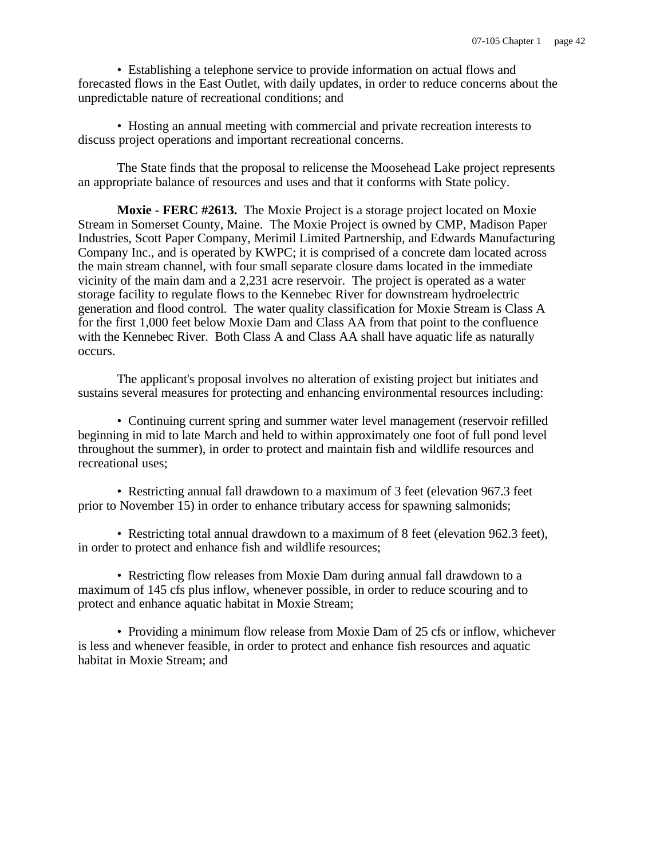• Establishing a telephone service to provide information on actual flows and forecasted flows in the East Outlet, with daily updates, in order to reduce concerns about the unpredictable nature of recreational conditions; and

• Hosting an annual meeting with commercial and private recreation interests to discuss project operations and important recreational concerns.

The State finds that the proposal to relicense the Moosehead Lake project represents an appropriate balance of resources and uses and that it conforms with State policy.

**Moxie - FERC #2613.** The Moxie Project is a storage project located on Moxie Stream in Somerset County, Maine. The Moxie Project is owned by CMP, Madison Paper Industries, Scott Paper Company, Merimil Limited Partnership, and Edwards Manufacturing Company Inc., and is operated by KWPC; it is comprised of a concrete dam located across the main stream channel, with four small separate closure dams located in the immediate vicinity of the main dam and a 2,231 acre reservoir. The project is operated as a water storage facility to regulate flows to the Kennebec River for downstream hydroelectric generation and flood control. The water quality classification for Moxie Stream is Class A for the first 1,000 feet below Moxie Dam and Class AA from that point to the confluence with the Kennebec River. Both Class A and Class AA shall have aquatic life as naturally occurs.

The applicant's proposal involves no alteration of existing project but initiates and sustains several measures for protecting and enhancing environmental resources including:

• Continuing current spring and summer water level management (reservoir refilled beginning in mid to late March and held to within approximately one foot of full pond level throughout the summer), in order to protect and maintain fish and wildlife resources and recreational uses;

• Restricting annual fall drawdown to a maximum of 3 feet (elevation 967.3 feet prior to November 15) in order to enhance tributary access for spawning salmonids;

• Restricting total annual drawdown to a maximum of 8 feet (elevation 962.3 feet), in order to protect and enhance fish and wildlife resources;

• Restricting flow releases from Moxie Dam during annual fall drawdown to a maximum of 145 cfs plus inflow, whenever possible, in order to reduce scouring and to protect and enhance aquatic habitat in Moxie Stream;

• Providing a minimum flow release from Moxie Dam of 25 cfs or inflow, whichever is less and whenever feasible, in order to protect and enhance fish resources and aquatic habitat in Moxie Stream; and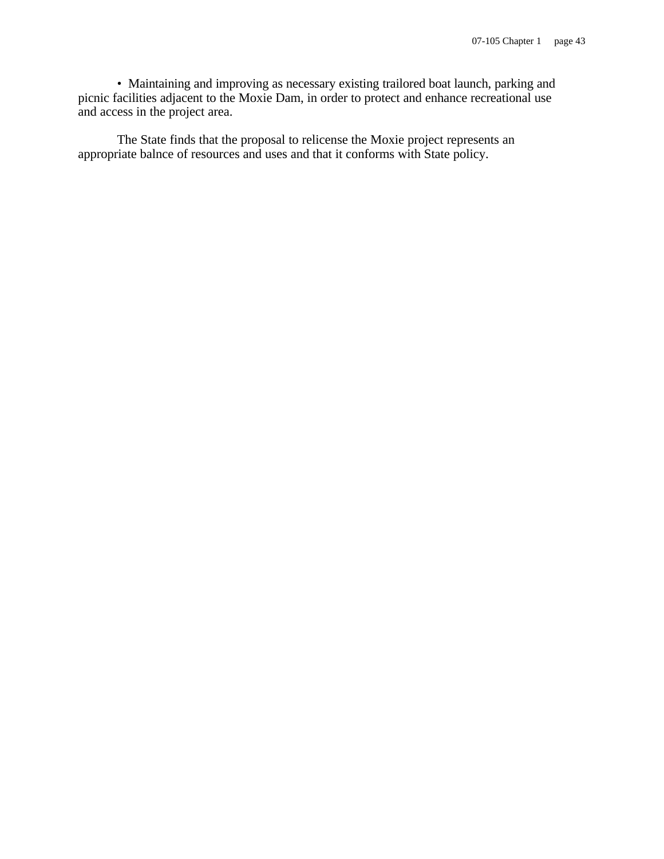• Maintaining and improving as necessary existing trailored boat launch, parking and picnic facilities adjacent to the Moxie Dam, in order to protect and enhance recreational use and access in the project area.

The State finds that the proposal to relicense the Moxie project represents an appropriate balnce of resources and uses and that it conforms with State policy.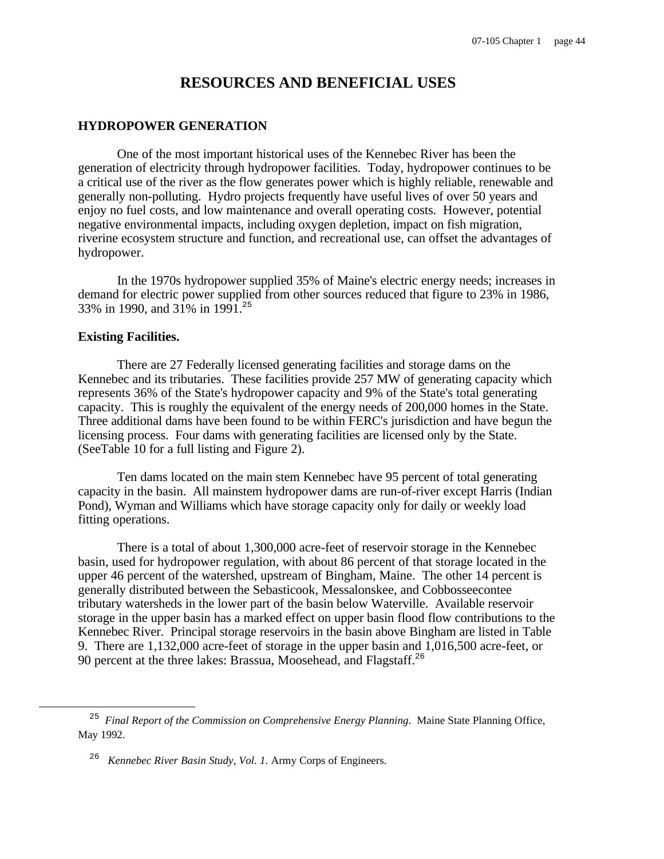# **RESOURCES AND BENEFICIAL USES**

## **HYDROPOWER GENERATION**

One of the most important historical uses of the Kennebec River has been the generation of electricity through hydropower facilities. Today, hydropower continues to be a critical use of the river as the flow generates power which is highly reliable, renewable and generally non-polluting. Hydro projects frequently have useful lives of over 50 years and enjoy no fuel costs, and low maintenance and overall operating costs. However, potential negative environmental impacts, including oxygen depletion, impact on fish migration, riverine ecosystem structure and function, and recreational use, can offset the advantages of hydropower.

In the 1970s hydropower supplied 35% of Maine's electric energy needs; increases in demand for electric power supplied from other sources reduced that figure to 23% in 1986, 33% in 1990, and 31% in 1991.<sup>25</sup>

## **Existing Facilities.**

i

There are 27 Federally licensed generating facilities and storage dams on the Kennebec and its tributaries. These facilities provide 257 MW of generating capacity which represents 36% of the State's hydropower capacity and 9% of the State's total generating capacity. This is roughly the equivalent of the energy needs of 200,000 homes in the State. Three additional dams have been found to be within FERC's jurisdiction and have begun the licensing process. Four dams with generating facilities are licensed only by the State. (SeeTable 10 for a full listing and Figure 2).

Ten dams located on the main stem Kennebec have 95 percent of total generating capacity in the basin. All mainstem hydropower dams are run-of-river except Harris (Indian Pond), Wyman and Williams which have storage capacity only for daily or weekly load fitting operations.

There is a total of about 1,300,000 acre-feet of reservoir storage in the Kennebec basin, used for hydropower regulation, with about 86 percent of that storage located in the upper 46 percent of the watershed, upstream of Bingham, Maine. The other 14 percent is generally distributed between the Sebasticook, Messalonskee, and Cobbosseecontee tributary watersheds in the lower part of the basin below Waterville. Available reservoir storage in the upper basin has a marked effect on upper basin flood flow contributions to the Kennebec River. Principal storage reservoirs in the basin above Bingham are listed in Table 9. There are 1,132,000 acre-feet of storage in the upper basin and 1,016,500 acre-feet, or 90 percent at the three lakes: Brassua, Moosehead, and Flagstaff.<sup>26</sup>

<sup>&</sup>lt;sup>25</sup> Final Report of the Commission on Comprehensive Energy Planning. Maine State Planning Office, May 1992.

<sup>26</sup> *Kennebec River Basin Study, Vol. 1.* Army Corps of Engineers.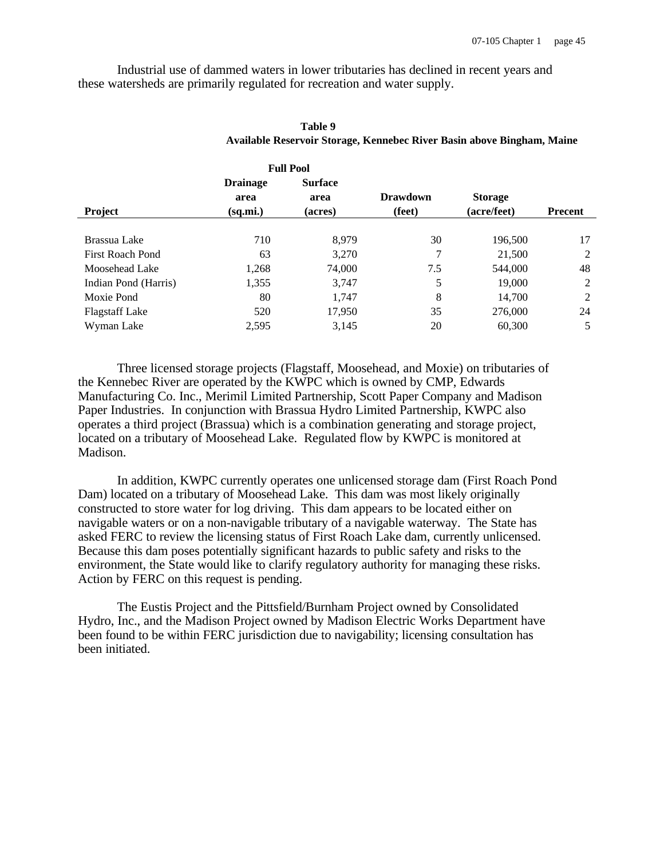Industrial use of dammed waters in lower tributaries has declined in recent years and these watersheds are primarily regulated for recreation and water supply.

**Full Pool**

|                       |                 | Full Pool      |                 |                |                |
|-----------------------|-----------------|----------------|-----------------|----------------|----------------|
|                       | <b>Drainage</b> | <b>Surface</b> |                 |                |                |
|                       | area            | area           | <b>Drawdown</b> | <b>Storage</b> |                |
| Project               | (sq.mi.)        | (acres)        | (feet)          | (acre/feet)    | <b>Precent</b> |
|                       |                 |                |                 |                |                |
| Brassua Lake          | 710             | 8,979          | 30              | 196,500        | 17             |
| First Roach Pond      | 63              | 3,270          | 7               | 21,500         | 2              |
| Moosehead Lake        | 1,268           | 74,000         | 7.5             | 544,000        | 48             |
| Indian Pond (Harris)  | 1,355           | 3,747          | 5               | 19,000         | 2              |
| Moxie Pond            | 80              | 1,747          | 8               | 14,700         | 2              |
| <b>Flagstaff Lake</b> | 520             | 17,950         | 35              | 276,000        | 24             |
| Wyman Lake            | 2,595           | 3,145          | 20              | 60,300         | 5              |

## **Table 9 Available Reservoir Storage, Kennebec River Basin above Bingham, Maine**

Three licensed storage projects (Flagstaff, Moosehead, and Moxie) on tributaries of the Kennebec River are operated by the KWPC which is owned by CMP, Edwards Manufacturing Co. Inc., Merimil Limited Partnership, Scott Paper Company and Madison Paper Industries. In conjunction with Brassua Hydro Limited Partnership, KWPC also operates a third project (Brassua) which is a combination generating and storage project, located on a tributary of Moosehead Lake. Regulated flow by KWPC is monitored at Madison.

In addition, KWPC currently operates one unlicensed storage dam (First Roach Pond Dam) located on a tributary of Moosehead Lake. This dam was most likely originally constructed to store water for log driving. This dam appears to be located either on navigable waters or on a non-navigable tributary of a navigable waterway. The State has asked FERC to review the licensing status of First Roach Lake dam, currently unlicensed. Because this dam poses potentially significant hazards to public safety and risks to the environment, the State would like to clarify regulatory authority for managing these risks. Action by FERC on this request is pending.

The Eustis Project and the Pittsfield/Burnham Project owned by Consolidated Hydro, Inc., and the Madison Project owned by Madison Electric Works Department have been found to be within FERC jurisdiction due to navigability; licensing consultation has been initiated.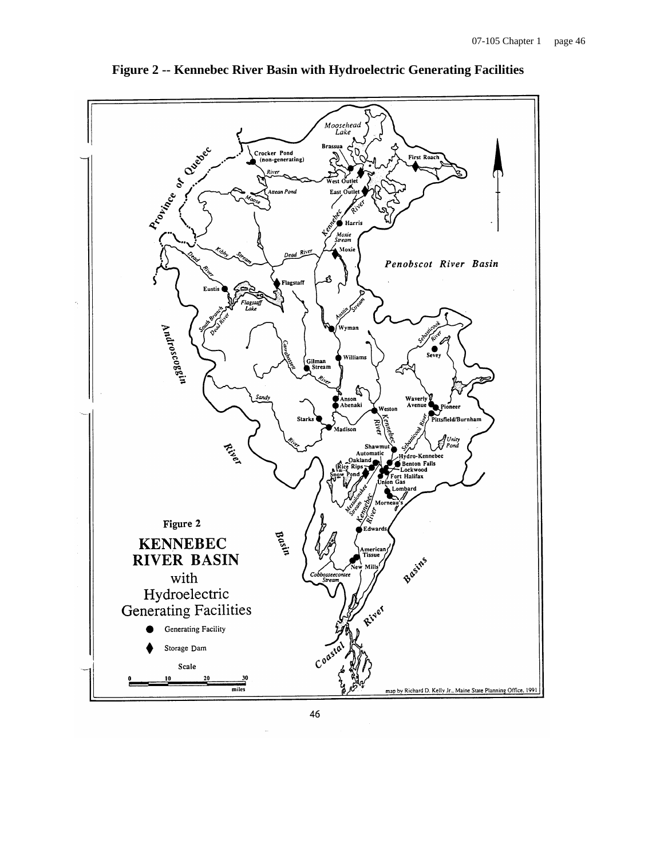

**Figure 2 -- Kennebec River Basin with Hydroelectric Generating Facilities**

46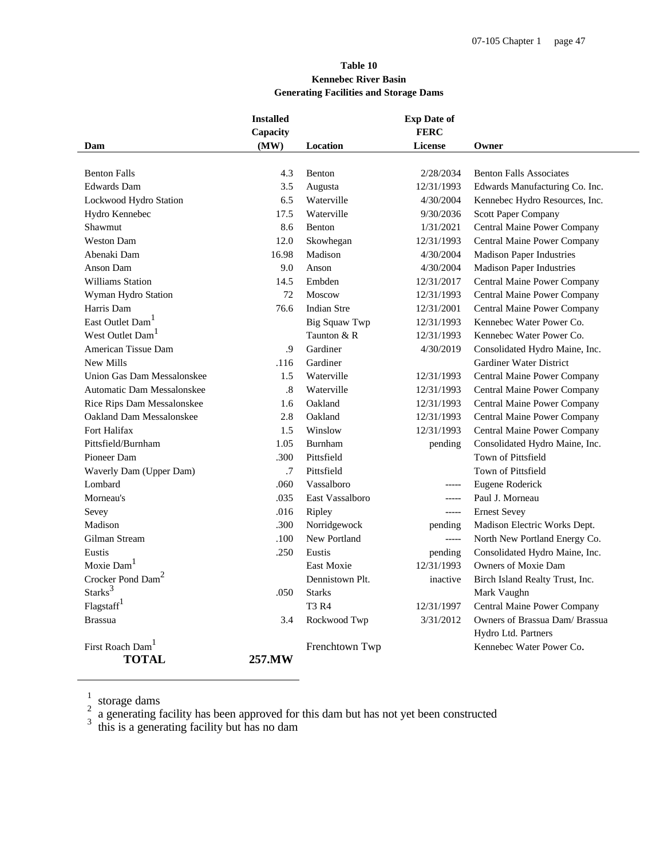## **Table 10 Kennebec River Basin Generating Facilities and Storage Dams**

|                                   | <b>Installed</b><br>Capacity |                    | <b>Exp Date of</b><br><b>FERC</b> |                                 |
|-----------------------------------|------------------------------|--------------------|-----------------------------------|---------------------------------|
| Dam                               | (MW)                         | Location           | License                           | Owner                           |
|                                   |                              |                    |                                   |                                 |
| <b>Benton Falls</b>               | 4.3                          | Benton             | 2/28/2034                         | <b>Benton Falls Associates</b>  |
| <b>Edwards</b> Dam                | 3.5                          | Augusta            | 12/31/1993                        | Edwards Manufacturing Co. Inc.  |
| Lockwood Hydro Station            | 6.5                          | Waterville         | 4/30/2004                         | Kennebec Hydro Resources, Inc.  |
| Hydro Kennebec                    | 17.5                         | Waterville         | 9/30/2036                         | Scott Paper Company             |
| Shawmut                           | 8.6                          | Benton             | 1/31/2021                         | Central Maine Power Company     |
| <b>Weston Dam</b>                 | 12.0                         | Skowhegan          | 12/31/1993                        | Central Maine Power Company     |
| Abenaki Dam                       | 16.98                        | Madison            | 4/30/2004                         | <b>Madison Paper Industries</b> |
| Anson Dam                         | 9.0                          | Anson              | 4/30/2004                         | <b>Madison Paper Industries</b> |
| <b>Williams Station</b>           | 14.5                         | Embden             | 12/31/2017                        | Central Maine Power Company     |
| Wyman Hydro Station               | 72                           | Moscow             | 12/31/1993                        | Central Maine Power Company     |
| Harris Dam                        | 76.6                         | <b>Indian Stre</b> | 12/31/2001                        | Central Maine Power Company     |
| East Outlet Dam <sup>1</sup>      |                              | Big Squaw Twp      | 12/31/1993                        | Kennebec Water Power Co.        |
| West Outlet Dam <sup>1</sup>      |                              | Taunton & R        | 12/31/1993                        | Kennebec Water Power Co.        |
| American Tissue Dam               | .9                           | Gardiner           | 4/30/2019                         | Consolidated Hydro Maine, Inc.  |
| New Mills                         | .116                         | Gardiner           |                                   | Gardiner Water District         |
| Union Gas Dam Messalonskee        | 1.5                          | Waterville         | 12/31/1993                        | Central Maine Power Company     |
| <b>Automatic Dam Messalonskee</b> | .8                           | Waterville         | 12/31/1993                        | Central Maine Power Company     |
| Rice Rips Dam Messalonskee        | 1.6                          | Oakland            | 12/31/1993                        | Central Maine Power Company     |
| Oakland Dam Messalonskee          | 2.8                          | Oakland            | 12/31/1993                        | Central Maine Power Company     |
| Fort Halifax                      | 1.5                          | Winslow            | 12/31/1993                        | Central Maine Power Company     |
| Pittsfield/Burnham                | 1.05                         | Burnham            | pending                           | Consolidated Hydro Maine, Inc.  |
| Pioneer Dam                       | .300                         | Pittsfield         |                                   | Town of Pittsfield              |
| Waverly Dam (Upper Dam)           | .7                           | Pittsfield         |                                   | Town of Pittsfield              |
| Lombard                           | .060                         | Vassalboro         | -----                             | Eugene Roderick                 |
| Morneau's                         | .035                         | East Vassalboro    |                                   | Paul J. Morneau                 |
| Sevey                             | .016                         | Ripley             | $-----$                           | <b>Ernest Sevey</b>             |
| Madison                           | .300                         | Norridgewock       | pending                           | Madison Electric Works Dept.    |
| Gilman Stream                     | .100                         | New Portland       | $-----$                           | North New Portland Energy Co.   |
| Eustis                            | .250                         | Eustis             | pending                           | Consolidated Hydro Maine, Inc.  |
| Moxie Dam <sup>1</sup>            |                              | <b>East Moxie</b>  | 12/31/1993                        | Owners of Moxie Dam             |
| Crocker Pond Dam <sup>2</sup>     |                              | Dennistown Plt.    | inactive                          | Birch Island Realty Trust, Inc. |
| Starks <sup>3</sup>               | .050                         | <b>Starks</b>      |                                   | Mark Vaughn                     |
| Flagstaff <sup>1</sup>            |                              | <b>T3 R4</b>       | 12/31/1997                        | Central Maine Power Company     |
| <b>Brassua</b>                    | 3.4                          | Rockwood Twp       | 3/31/2012                         | Owners of Brassua Dam/ Brassua  |
|                                   |                              |                    |                                   | Hydro Ltd. Partners             |
| First Roach Dam <sup>1</sup>      |                              | Frenchtown Twp     |                                   | Kennebec Water Power Co.        |
| TOTAL                             | 257.MW                       |                    |                                   |                                 |

<sup>1</sup> storage dams<br>
<sup>2</sup> a generating facility has been approved for this dam but has not yet been constructed<br>
<sup>3</sup> this is a generating facility but has no dam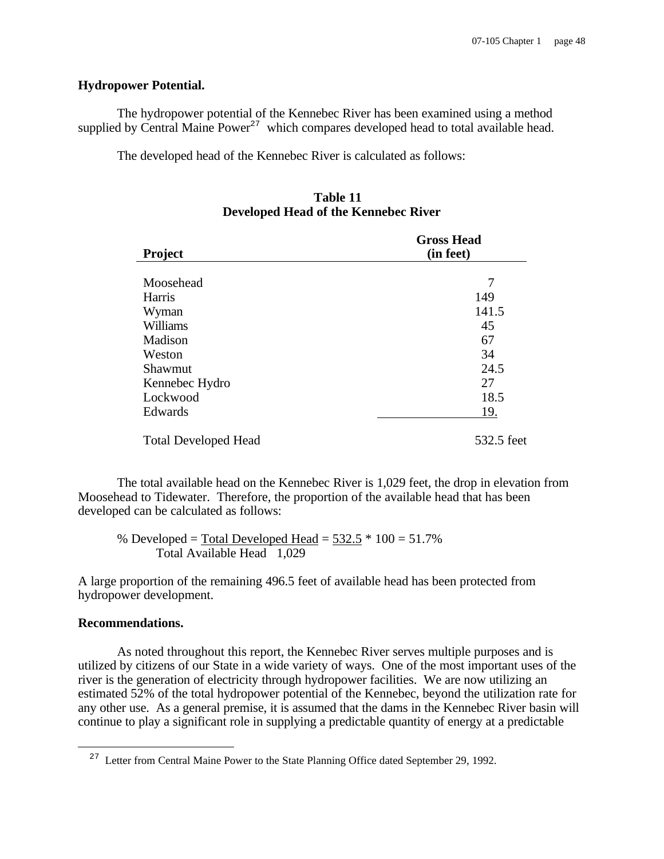## **Hydropower Potential.**

The hydropower potential of the Kennebec River has been examined using a method supplied by Central Maine  $Power^{27}$  which compares developed head to total available head.

The developed head of the Kennebec River is calculated as follows:

# **Table 11 Developed Head of the Kennebec River**

| <b>Project</b>              | <b>Gross Head</b><br>(in feet) |  |  |  |
|-----------------------------|--------------------------------|--|--|--|
|                             |                                |  |  |  |
| Moosehead                   | 7                              |  |  |  |
| Harris                      | 149                            |  |  |  |
| Wyman                       | 141.5                          |  |  |  |
| Williams                    | 45                             |  |  |  |
| Madison                     | 67                             |  |  |  |
| Weston                      | 34                             |  |  |  |
| Shawmut                     | 24.5                           |  |  |  |
| Kennebec Hydro              | 27                             |  |  |  |
| Lockwood                    | 18.5                           |  |  |  |
| Edwards                     | 19.                            |  |  |  |
| <b>Total Developed Head</b> | 532.5 feet                     |  |  |  |

The total available head on the Kennebec River is 1,029 feet, the drop in elevation from Moosehead to Tidewater. Therefore, the proportion of the available head that has been developed can be calculated as follows:

% Developed = Total Developed Head =  $532.5 * 100 = 51.7%$ Total Available Head 1,029

A large proportion of the remaining 496.5 feet of available head has been protected from hydropower development.

#### **Recommendations.**

i

As noted throughout this report, the Kennebec River serves multiple purposes and is utilized by citizens of our State in a wide variety of ways. One of the most important uses of the river is the generation of electricity through hydropower facilities. We are now utilizing an estimated 52% of the total hydropower potential of the Kennebec, beyond the utilization rate for any other use. As a general premise, it is assumed that the dams in the Kennebec River basin will continue to play a significant role in supplying a predictable quantity of energy at a predictable

<sup>&</sup>lt;sup>27</sup> Letter from Central Maine Power to the State Planning Office dated September 29, 1992.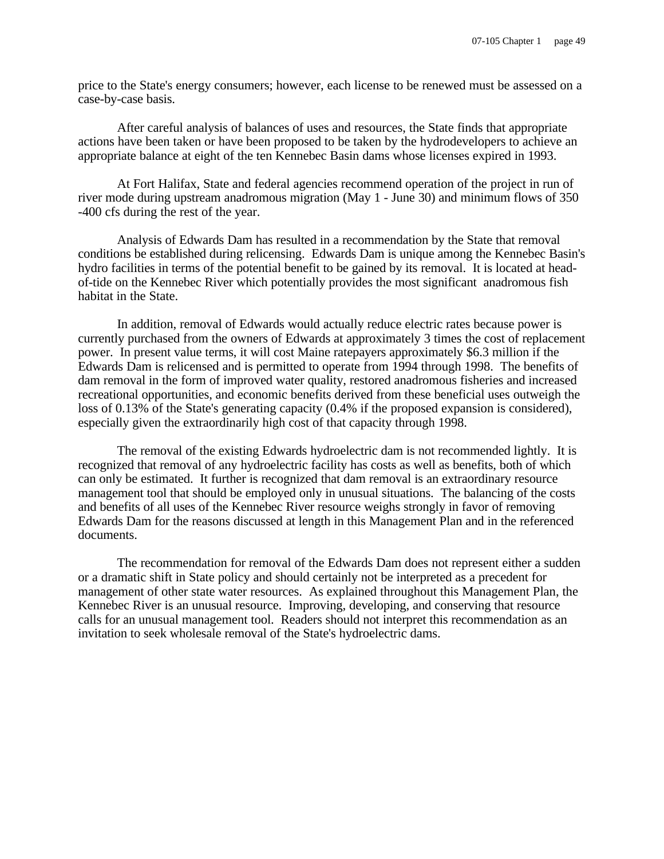price to the State's energy consumers; however, each license to be renewed must be assessed on a case-by-case basis.

After careful analysis of balances of uses and resources, the State finds that appropriate actions have been taken or have been proposed to be taken by the hydrodevelopers to achieve an appropriate balance at eight of the ten Kennebec Basin dams whose licenses expired in 1993.

At Fort Halifax, State and federal agencies recommend operation of the project in run of river mode during upstream anadromous migration (May 1 - June 30) and minimum flows of 350 -400 cfs during the rest of the year.

Analysis of Edwards Dam has resulted in a recommendation by the State that removal conditions be established during relicensing. Edwards Dam is unique among the Kennebec Basin's hydro facilities in terms of the potential benefit to be gained by its removal. It is located at headof-tide on the Kennebec River which potentially provides the most significant anadromous fish habitat in the State.

In addition, removal of Edwards would actually reduce electric rates because power is currently purchased from the owners of Edwards at approximately 3 times the cost of replacement power. In present value terms, it will cost Maine ratepayers approximately \$6.3 million if the Edwards Dam is relicensed and is permitted to operate from 1994 through 1998. The benefits of dam removal in the form of improved water quality, restored anadromous fisheries and increased recreational opportunities, and economic benefits derived from these beneficial uses outweigh the loss of 0.13% of the State's generating capacity (0.4% if the proposed expansion is considered), especially given the extraordinarily high cost of that capacity through 1998.

The removal of the existing Edwards hydroelectric dam is not recommended lightly. It is recognized that removal of any hydroelectric facility has costs as well as benefits, both of which can only be estimated. It further is recognized that dam removal is an extraordinary resource management tool that should be employed only in unusual situations. The balancing of the costs and benefits of all uses of the Kennebec River resource weighs strongly in favor of removing Edwards Dam for the reasons discussed at length in this Management Plan and in the referenced documents.

The recommendation for removal of the Edwards Dam does not represent either a sudden or a dramatic shift in State policy and should certainly not be interpreted as a precedent for management of other state water resources. As explained throughout this Management Plan, the Kennebec River is an unusual resource. Improving, developing, and conserving that resource calls for an unusual management tool. Readers should not interpret this recommendation as an invitation to seek wholesale removal of the State's hydroelectric dams.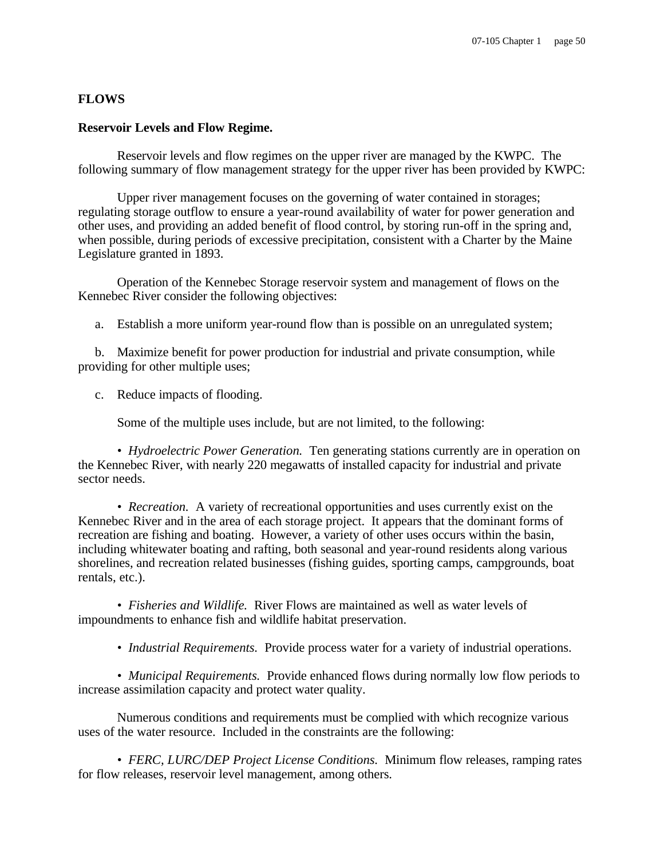## **FLOWS**

#### **Reservoir Levels and Flow Regime.**

Reservoir levels and flow regimes on the upper river are managed by the KWPC. The following summary of flow management strategy for the upper river has been provided by KWPC:

Upper river management focuses on the governing of water contained in storages; regulating storage outflow to ensure a year-round availability of water for power generation and other uses, and providing an added benefit of flood control, by storing run-off in the spring and, when possible, during periods of excessive precipitation, consistent with a Charter by the Maine Legislature granted in 1893.

Operation of the Kennebec Storage reservoir system and management of flows on the Kennebec River consider the following objectives:

a. Establish a more uniform year-round flow than is possible on an unregulated system;

 b. Maximize benefit for power production for industrial and private consumption, while providing for other multiple uses;

c. Reduce impacts of flooding.

Some of the multiple uses include, but are not limited, to the following:

*• Hydroelectric Power Generation.* Ten generating stations currently are in operation on the Kennebec River, with nearly 220 megawatts of installed capacity for industrial and private sector needs.

*• Recreation.* A variety of recreational opportunities and uses currently exist on the Kennebec River and in the area of each storage project. It appears that the dominant forms of recreation are fishing and boating. However, a variety of other uses occurs within the basin, including whitewater boating and rafting, both seasonal and year-round residents along various shorelines, and recreation related businesses (fishing guides, sporting camps, campgrounds, boat rentals, etc.).

*• Fisheries and Wildlife.* River Flows are maintained as well as water levels of impoundments to enhance fish and wildlife habitat preservation.

*• Industrial Requirements.* Provide process water for a variety of industrial operations.

• *Municipal Requirements.* Provide enhanced flows during normally low flow periods to increase assimilation capacity and protect water quality.

Numerous conditions and requirements must be complied with which recognize various uses of the water resource. Included in the constraints are the following:

*• FERC, LURC/DEP Project License Conditions.* Minimum flow releases, ramping rates for flow releases, reservoir level management, among others.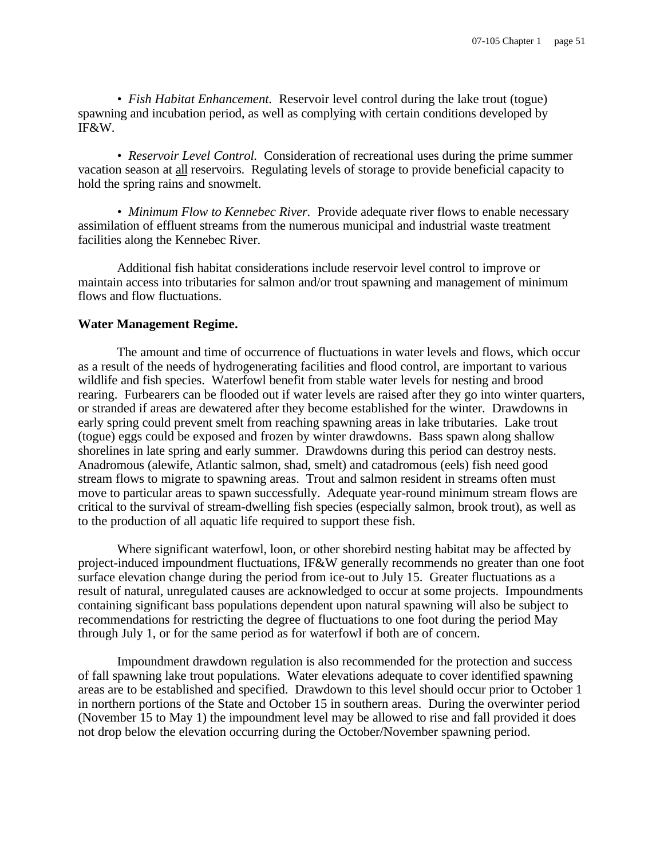*• Fish Habitat Enhancement.* Reservoir level control during the lake trout (togue) spawning and incubation period, as well as complying with certain conditions developed by IF&W.

• *Reservoir Level Control.* Consideration of recreational uses during the prime summer vacation season at all reservoirs. Regulating levels of storage to provide beneficial capacity to hold the spring rains and snowmelt.

*• Minimum Flow to Kennebec River.* Provide adequate river flows to enable necessary assimilation of effluent streams from the numerous municipal and industrial waste treatment facilities along the Kennebec River.

Additional fish habitat considerations include reservoir level control to improve or maintain access into tributaries for salmon and/or trout spawning and management of minimum flows and flow fluctuations.

## **Water Management Regime.**

The amount and time of occurrence of fluctuations in water levels and flows, which occur as a result of the needs of hydrogenerating facilities and flood control, are important to various wildlife and fish species. Waterfowl benefit from stable water levels for nesting and brood rearing. Furbearers can be flooded out if water levels are raised after they go into winter quarters, or stranded if areas are dewatered after they become established for the winter. Drawdowns in early spring could prevent smelt from reaching spawning areas in lake tributaries. Lake trout (togue) eggs could be exposed and frozen by winter drawdowns. Bass spawn along shallow shorelines in late spring and early summer. Drawdowns during this period can destroy nests. Anadromous (alewife, Atlantic salmon, shad, smelt) and catadromous (eels) fish need good stream flows to migrate to spawning areas. Trout and salmon resident in streams often must move to particular areas to spawn successfully. Adequate year-round minimum stream flows are critical to the survival of stream-dwelling fish species (especially salmon, brook trout), as well as to the production of all aquatic life required to support these fish.

Where significant waterfowl, loon, or other shorebird nesting habitat may be affected by project-induced impoundment fluctuations, IF&W generally recommends no greater than one foot surface elevation change during the period from ice-out to July 15. Greater fluctuations as a result of natural, unregulated causes are acknowledged to occur at some projects. Impoundments containing significant bass populations dependent upon natural spawning will also be subject to recommendations for restricting the degree of fluctuations to one foot during the period May through July 1, or for the same period as for waterfowl if both are of concern.

Impoundment drawdown regulation is also recommended for the protection and success of fall spawning lake trout populations. Water elevations adequate to cover identified spawning areas are to be established and specified. Drawdown to this level should occur prior to October 1 in northern portions of the State and October 15 in southern areas. During the overwinter period (November 15 to May 1) the impoundment level may be allowed to rise and fall provided it does not drop below the elevation occurring during the October/November spawning period.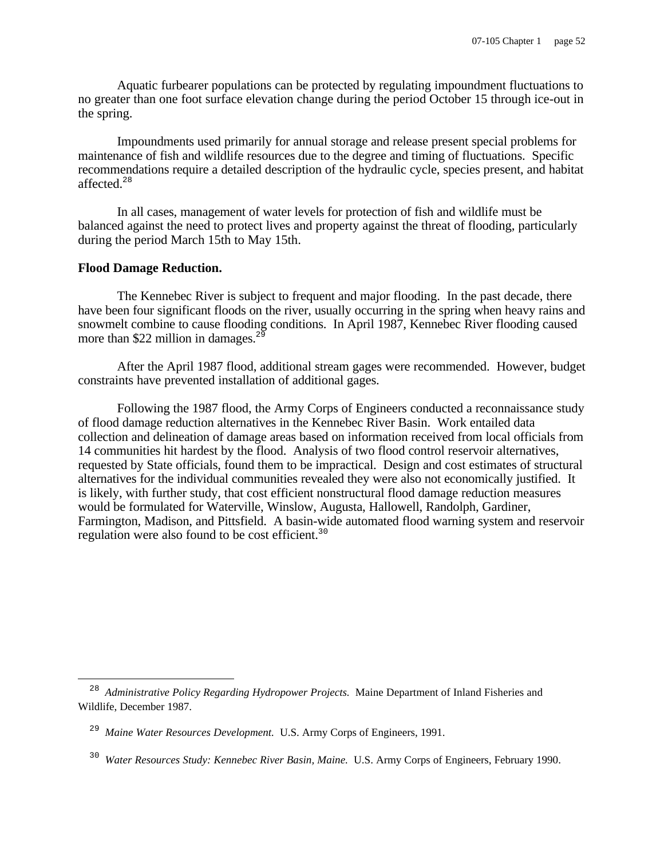Aquatic furbearer populations can be protected by regulating impoundment fluctuations to no greater than one foot surface elevation change during the period October 15 through ice-out in the spring.

Impoundments used primarily for annual storage and release present special problems for maintenance of fish and wildlife resources due to the degree and timing of fluctuations. Specific recommendations require a detailed description of the hydraulic cycle, species present, and habitat affected.<sup>28</sup>

In all cases, management of water levels for protection of fish and wildlife must be balanced against the need to protect lives and property against the threat of flooding, particularly during the period March 15th to May 15th.

## **Flood Damage Reduction.**

The Kennebec River is subject to frequent and major flooding. In the past decade, there have been four significant floods on the river, usually occurring in the spring when heavy rains and snowmelt combine to cause flooding conditions. In April 1987, Kennebec River flooding caused more than \$22 million in damages. $^{25}$ 

After the April 1987 flood, additional stream gages were recommended. However, budget constraints have prevented installation of additional gages.

Following the 1987 flood, the Army Corps of Engineers conducted a reconnaissance study of flood damage reduction alternatives in the Kennebec River Basin. Work entailed data collection and delineation of damage areas based on information received from local officials from 14 communities hit hardest by the flood. Analysis of two flood control reservoir alternatives, requested by State officials, found them to be impractical. Design and cost estimates of structural alternatives for the individual communities revealed they were also not economically justified. It is likely, with further study, that cost efficient nonstructural flood damage reduction measures would be formulated for Waterville, Winslow, Augusta, Hallowell, Randolph, Gardiner, Farmington, Madison, and Pittsfield. A basin-wide automated flood warning system and reservoir regulation were also found to be cost efficient.<sup>30</sup>

<sup>&</sup>lt;sup>28</sup> Administrative Policy Regarding Hydropower Projects. Maine Department of Inland Fisheries and Wildlife, December 1987.

<sup>&</sup>lt;sup>29</sup> Maine Water Resources Development. U.S. Army Corps of Engineers, 1991.

<sup>30</sup> *Water Resources Study: Kennebec River Basin, Maine.* U.S. Army Corps of Engineers, February 1990.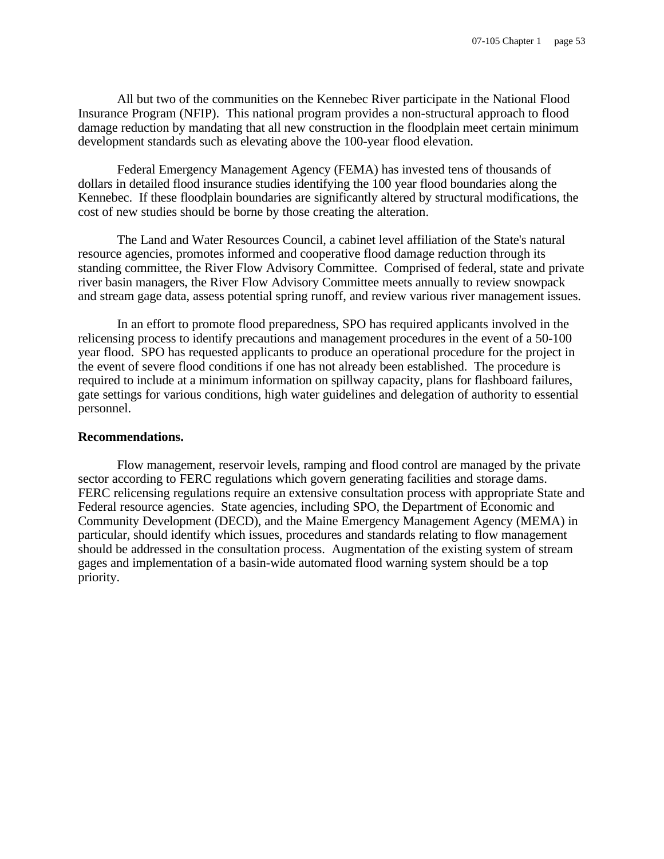All but two of the communities on the Kennebec River participate in the National Flood Insurance Program (NFIP). This national program provides a non-structural approach to flood damage reduction by mandating that all new construction in the floodplain meet certain minimum development standards such as elevating above the 100-year flood elevation.

Federal Emergency Management Agency (FEMA) has invested tens of thousands of dollars in detailed flood insurance studies identifying the 100 year flood boundaries along the Kennebec. If these floodplain boundaries are significantly altered by structural modifications, the cost of new studies should be borne by those creating the alteration.

The Land and Water Resources Council, a cabinet level affiliation of the State's natural resource agencies, promotes informed and cooperative flood damage reduction through its standing committee, the River Flow Advisory Committee. Comprised of federal, state and private river basin managers, the River Flow Advisory Committee meets annually to review snowpack and stream gage data, assess potential spring runoff, and review various river management issues.

In an effort to promote flood preparedness, SPO has required applicants involved in the relicensing process to identify precautions and management procedures in the event of a 50-100 year flood. SPO has requested applicants to produce an operational procedure for the project in the event of severe flood conditions if one has not already been established. The procedure is required to include at a minimum information on spillway capacity, plans for flashboard failures, gate settings for various conditions, high water guidelines and delegation of authority to essential personnel.

#### **Recommendations.**

Flow management, reservoir levels, ramping and flood control are managed by the private sector according to FERC regulations which govern generating facilities and storage dams. FERC relicensing regulations require an extensive consultation process with appropriate State and Federal resource agencies. State agencies, including SPO, the Department of Economic and Community Development (DECD), and the Maine Emergency Management Agency (MEMA) in particular, should identify which issues, procedures and standards relating to flow management should be addressed in the consultation process. Augmentation of the existing system of stream gages and implementation of a basin-wide automated flood warning system should be a top priority.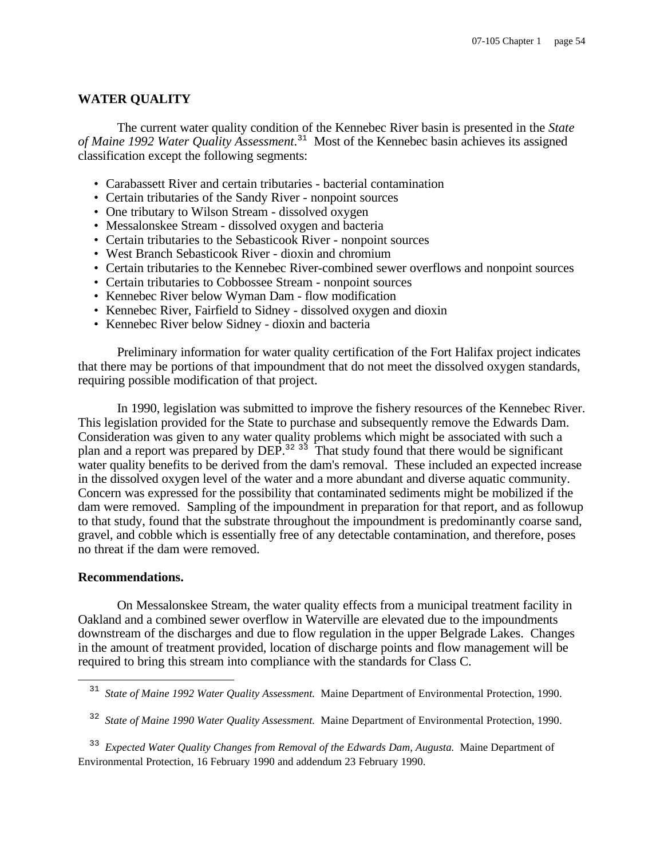## **WATER QUALITY**

The current water quality condition of the Kennebec River basin is presented in the *State of Maine 1992 Water Quality Assessment*. <sup>31</sup> Most of the Kennebec basin achieves its assigned classification except the following segments:

- Carabassett River and certain tributaries bacterial contamination
- Certain tributaries of the Sandy River nonpoint sources
- One tributary to Wilson Stream dissolved oxygen
- Messalonskee Stream dissolved oxygen and bacteria
- Certain tributaries to the Sebasticook River nonpoint sources
- West Branch Sebasticook River dioxin and chromium
- Certain tributaries to the Kennebec River-combined sewer overflows and nonpoint sources
- Certain tributaries to Cobbossee Stream nonpoint sources
- Kennebec River below Wyman Dam flow modification
- Kennebec River, Fairfield to Sidney dissolved oxygen and dioxin
- Kennebec River below Sidney dioxin and bacteria

Preliminary information for water quality certification of the Fort Halifax project indicates that there may be portions of that impoundment that do not meet the dissolved oxygen standards, requiring possible modification of that project.

In 1990, legislation was submitted to improve the fishery resources of the Kennebec River. This legislation provided for the State to purchase and subsequently remove the Edwards Dam. Consideration was given to any water quality problems which might be associated with such a plan and a report was prepared by DEP.<sup>32 33</sup> That study found that there would be significant water quality benefits to be derived from the dam's removal. These included an expected increase in the dissolved oxygen level of the water and a more abundant and diverse aquatic community. Concern was expressed for the possibility that contaminated sediments might be mobilized if the dam were removed. Sampling of the impoundment in preparation for that report, and as followup to that study, found that the substrate throughout the impoundment is predominantly coarse sand, gravel, and cobble which is essentially free of any detectable contamination, and therefore, poses no threat if the dam were removed.

#### **Recommendations.**

On Messalonskee Stream, the water quality effects from a municipal treatment facility in Oakland and a combined sewer overflow in Waterville are elevated due to the impoundments downstream of the discharges and due to flow regulation in the upper Belgrade Lakes. Changes in the amount of treatment provided, location of discharge points and flow management will be required to bring this stream into compliance with the standards for Class C.

<sup>&</sup>lt;sup>31</sup> State of Maine 1992 Water Quality Assessment. Maine Department of Environmental Protection, 1990.

<sup>32</sup> *State of Maine 1990 Water Quality Assessment.* Maine Department of Environmental Protection, 1990.

<sup>33</sup> *Expected Water Quality Changes from Removal of the Edwards Dam, Augusta.* Maine Department of Environmental Protection, 16 February 1990 and addendum 23 February 1990.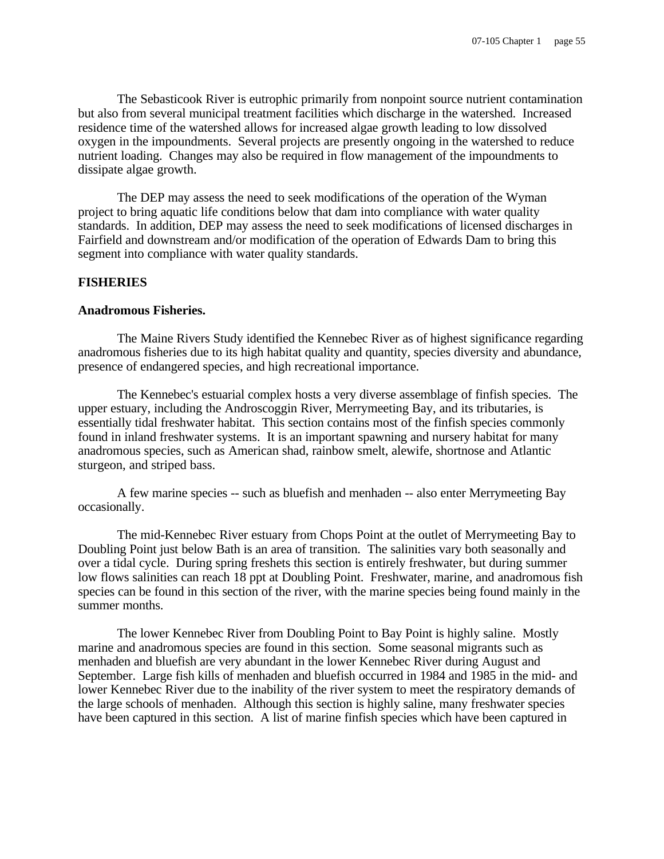The Sebasticook River is eutrophic primarily from nonpoint source nutrient contamination but also from several municipal treatment facilities which discharge in the watershed. Increased residence time of the watershed allows for increased algae growth leading to low dissolved oxygen in the impoundments. Several projects are presently ongoing in the watershed to reduce nutrient loading. Changes may also be required in flow management of the impoundments to dissipate algae growth.

The DEP may assess the need to seek modifications of the operation of the Wyman project to bring aquatic life conditions below that dam into compliance with water quality standards. In addition, DEP may assess the need to seek modifications of licensed discharges in Fairfield and downstream and/or modification of the operation of Edwards Dam to bring this segment into compliance with water quality standards.

#### **FISHERIES**

## **Anadromous Fisheries.**

The Maine Rivers Study identified the Kennebec River as of highest significance regarding anadromous fisheries due to its high habitat quality and quantity, species diversity and abundance, presence of endangered species, and high recreational importance.

The Kennebec's estuarial complex hosts a very diverse assemblage of finfish species. The upper estuary, including the Androscoggin River, Merrymeeting Bay, and its tributaries, is essentially tidal freshwater habitat. This section contains most of the finfish species commonly found in inland freshwater systems. It is an important spawning and nursery habitat for many anadromous species, such as American shad, rainbow smelt, alewife, shortnose and Atlantic sturgeon, and striped bass.

A few marine species -- such as bluefish and menhaden -- also enter Merrymeeting Bay occasionally.

The mid-Kennebec River estuary from Chops Point at the outlet of Merrymeeting Bay to Doubling Point just below Bath is an area of transition. The salinities vary both seasonally and over a tidal cycle. During spring freshets this section is entirely freshwater, but during summer low flows salinities can reach 18 ppt at Doubling Point. Freshwater, marine, and anadromous fish species can be found in this section of the river, with the marine species being found mainly in the summer months.

The lower Kennebec River from Doubling Point to Bay Point is highly saline. Mostly marine and anadromous species are found in this section. Some seasonal migrants such as menhaden and bluefish are very abundant in the lower Kennebec River during August and September. Large fish kills of menhaden and bluefish occurred in 1984 and 1985 in the mid- and lower Kennebec River due to the inability of the river system to meet the respiratory demands of the large schools of menhaden. Although this section is highly saline, many freshwater species have been captured in this section. A list of marine finfish species which have been captured in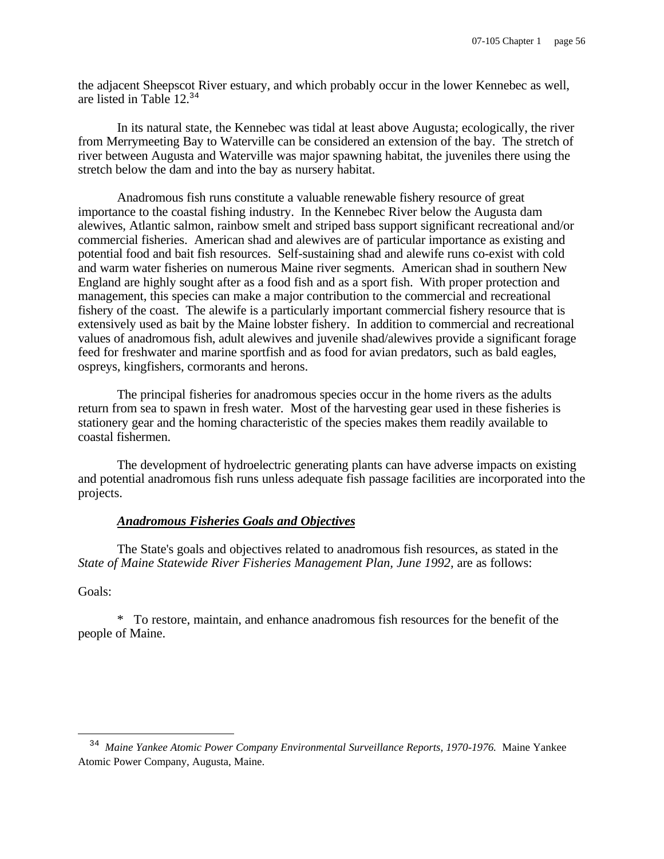the adjacent Sheepscot River estuary, and which probably occur in the lower Kennebec as well, are listed in Table 12.<sup>34</sup>

In its natural state, the Kennebec was tidal at least above Augusta; ecologically, the river from Merrymeeting Bay to Waterville can be considered an extension of the bay. The stretch of river between Augusta and Waterville was major spawning habitat, the juveniles there using the stretch below the dam and into the bay as nursery habitat.

Anadromous fish runs constitute a valuable renewable fishery resource of great importance to the coastal fishing industry. In the Kennebec River below the Augusta dam alewives, Atlantic salmon, rainbow smelt and striped bass support significant recreational and/or commercial fisheries. American shad and alewives are of particular importance as existing and potential food and bait fish resources. Self-sustaining shad and alewife runs co-exist with cold and warm water fisheries on numerous Maine river segments. American shad in southern New England are highly sought after as a food fish and as a sport fish. With proper protection and management, this species can make a major contribution to the commercial and recreational fishery of the coast. The alewife is a particularly important commercial fishery resource that is extensively used as bait by the Maine lobster fishery. In addition to commercial and recreational values of anadromous fish, adult alewives and juvenile shad/alewives provide a significant forage feed for freshwater and marine sportfish and as food for avian predators, such as bald eagles, ospreys, kingfishers, cormorants and herons.

The principal fisheries for anadromous species occur in the home rivers as the adults return from sea to spawn in fresh water. Most of the harvesting gear used in these fisheries is stationery gear and the homing characteristic of the species makes them readily available to coastal fishermen.

The development of hydroelectric generating plants can have adverse impacts on existing and potential anadromous fish runs unless adequate fish passage facilities are incorporated into the projects.

# *Anadromous Fisheries Goals and Objectives*

The State's goals and objectives related to anadromous fish resources, as stated in the *State of Maine Statewide River Fisheries Management Plan, June 1992,* are as follows:

Goals:

i

\* To restore, maintain, and enhance anadromous fish resources for the benefit of the people of Maine.

<sup>34</sup> *Maine Yankee Atomic Power Company Environmental Surveillance Reports, 1970-1976.* Maine Yankee Atomic Power Company, Augusta, Maine.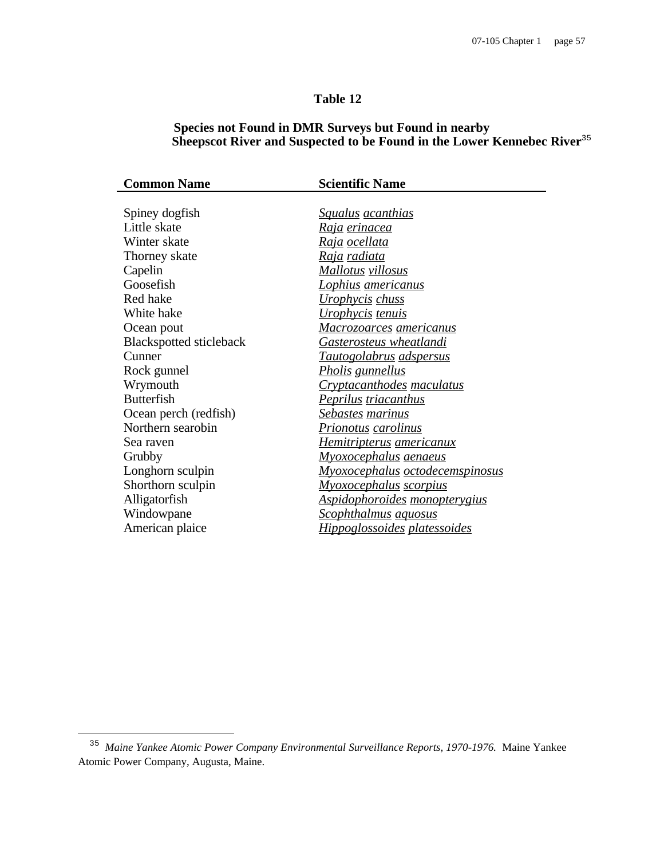# **Table 12**

# **Species not Found in DMR Surveys but Found in nearby Sheepscot River and Suspected to be Found in the Lower Kennebec River**<sup>35</sup>

| <b>Common Name</b>             | <b>Scientific Name</b>                 |  |  |  |  |
|--------------------------------|----------------------------------------|--|--|--|--|
|                                |                                        |  |  |  |  |
| Spiney dogfish                 | <u>Squalus acanthias</u>               |  |  |  |  |
| Little skate                   | <u>Raja erinacea</u>                   |  |  |  |  |
| Winter skate                   | <u>Raja ocellata</u>                   |  |  |  |  |
| Thorney skate                  | <u>Raja radiata</u>                    |  |  |  |  |
| Capelin                        | <u>Mallotus villosus</u>               |  |  |  |  |
| Goosefish                      | <u>Lophius americanus</u>              |  |  |  |  |
| Red hake                       | <u>Urophycis chuss</u>                 |  |  |  |  |
| White hake                     | Urophycis tenuis                       |  |  |  |  |
| Ocean pout                     | <u>Macrozoarces americanus</u>         |  |  |  |  |
| <b>Blackspotted sticleback</b> | <u>Gasterosteus wheatlandi</u>         |  |  |  |  |
| Cunner                         | <u>Tautogolabrus adspersus</u>         |  |  |  |  |
| Rock gunnel                    | <u>Pholis gunnellus</u>                |  |  |  |  |
| Wrymouth                       | <b>Cryptacanthodes maculatus</b>       |  |  |  |  |
| <b>Butterfish</b>              | <u>Peprilus triacanthus</u>            |  |  |  |  |
| Ocean perch (redfish)          | <u>Sebastes marinus</u>                |  |  |  |  |
| Northern searobin              | <u>Prionotus carolinus</u>             |  |  |  |  |
| Sea raven                      | <u>Hemitripterus americanux</u>        |  |  |  |  |
| Grubby                         | <u>Myoxocephalus aenaeus</u>           |  |  |  |  |
| Longhorn sculpin               | <u>Myoxocephalus octodecemspinosus</u> |  |  |  |  |
| Shorthorn sculpin              | <u>Myoxocephalus scorpius</u>          |  |  |  |  |
| Alligatorfish                  | <u>Aspidophoroides monopterygius</u>   |  |  |  |  |
| Windowpane                     | <b>Scophthalmus</b> aquosus            |  |  |  |  |
| American plaice                | <u>Hippoglossoides platessoides</u>    |  |  |  |  |
|                                |                                        |  |  |  |  |

i

ł,

<sup>35</sup> *Maine Yankee Atomic Power Company Environmental Surveillance Reports, 1970-1976.* Maine Yankee Atomic Power Company, Augusta, Maine.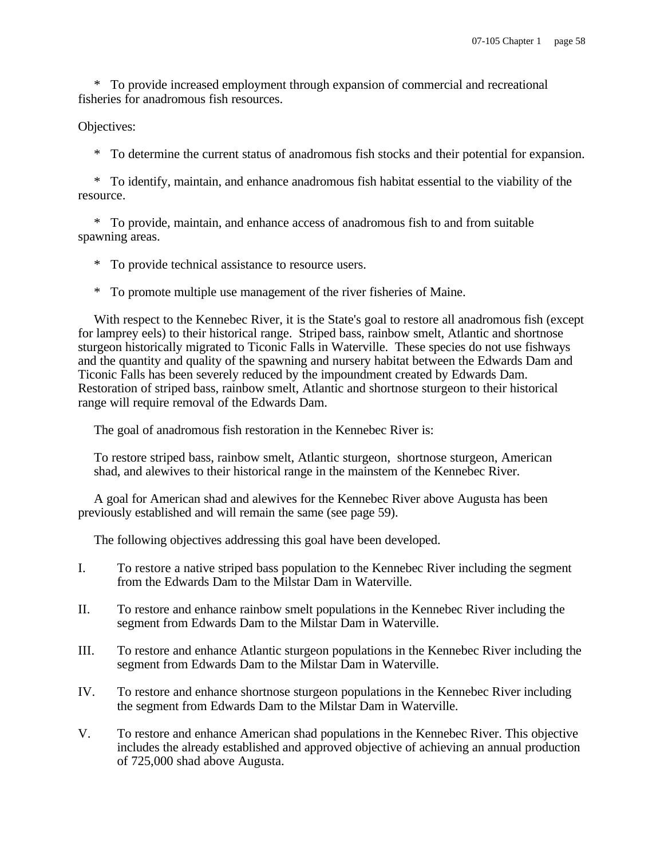\* To provide increased employment through expansion of commercial and recreational fisheries for anadromous fish resources.

#### Objectives:

\* To determine the current status of anadromous fish stocks and their potential for expansion.

\* To identify, maintain, and enhance anadromous fish habitat essential to the viability of the resource.

\* To provide, maintain, and enhance access of anadromous fish to and from suitable spawning areas.

\* To provide technical assistance to resource users.

\* To promote multiple use management of the river fisheries of Maine.

With respect to the Kennebec River, it is the State's goal to restore all anadromous fish (except for lamprey eels) to their historical range. Striped bass, rainbow smelt, Atlantic and shortnose sturgeon historically migrated to Ticonic Falls in Waterville. These species do not use fishways and the quantity and quality of the spawning and nursery habitat between the Edwards Dam and Ticonic Falls has been severely reduced by the impoundment created by Edwards Dam. Restoration of striped bass, rainbow smelt, Atlantic and shortnose sturgeon to their historical range will require removal of the Edwards Dam.

The goal of anadromous fish restoration in the Kennebec River is:

To restore striped bass, rainbow smelt, Atlantic sturgeon, shortnose sturgeon, American shad, and alewives to their historical range in the mainstem of the Kennebec River.

A goal for American shad and alewives for the Kennebec River above Augusta has been previously established and will remain the same (see page 59).

The following objectives addressing this goal have been developed.

- I. To restore a native striped bass population to the Kennebec River including the segment from the Edwards Dam to the Milstar Dam in Waterville.
- II. To restore and enhance rainbow smelt populations in the Kennebec River including the segment from Edwards Dam to the Milstar Dam in Waterville.
- III. To restore and enhance Atlantic sturgeon populations in the Kennebec River including the segment from Edwards Dam to the Milstar Dam in Waterville.
- IV. To restore and enhance shortnose sturgeon populations in the Kennebec River including the segment from Edwards Dam to the Milstar Dam in Waterville.
- V. To restore and enhance American shad populations in the Kennebec River. This objective includes the already established and approved objective of achieving an annual production of 725,000 shad above Augusta.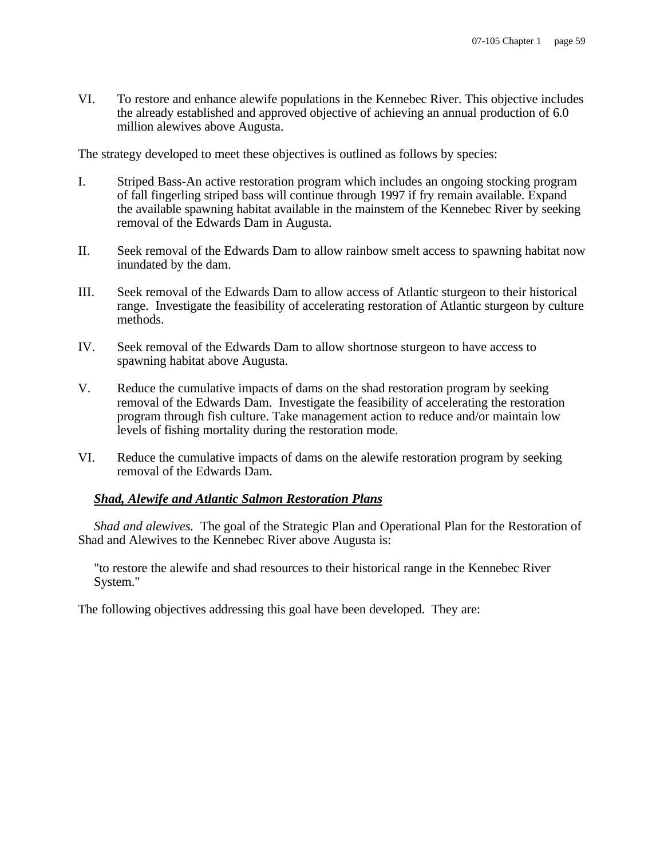VI. To restore and enhance alewife populations in the Kennebec River. This objective includes the already established and approved objective of achieving an annual production of 6.0 million alewives above Augusta.

The strategy developed to meet these objectives is outlined as follows by species:

- I. Striped Bass-An active restoration program which includes an ongoing stocking program of fall fingerling striped bass will continue through 1997 if fry remain available. Expand the available spawning habitat available in the mainstem of the Kennebec River by seeking removal of the Edwards Dam in Augusta.
- II. Seek removal of the Edwards Dam to allow rainbow smelt access to spawning habitat now inundated by the dam.
- III. Seek removal of the Edwards Dam to allow access of Atlantic sturgeon to their historical range. Investigate the feasibility of accelerating restoration of Atlantic sturgeon by culture methods.
- IV. Seek removal of the Edwards Dam to allow shortnose sturgeon to have access to spawning habitat above Augusta.
- V. Reduce the cumulative impacts of dams on the shad restoration program by seeking removal of the Edwards Dam. Investigate the feasibility of accelerating the restoration program through fish culture. Take management action to reduce and/or maintain low levels of fishing mortality during the restoration mode.
- VI. Reduce the cumulative impacts of dams on the alewife restoration program by seeking removal of the Edwards Dam.

# *Shad, Alewife and Atlantic Salmon Restoration Plans*

*Shad and alewives.* The goal of the Strategic Plan and Operational Plan for the Restoration of Shad and Alewives to the Kennebec River above Augusta is:

"to restore the alewife and shad resources to their historical range in the Kennebec River System."

The following objectives addressing this goal have been developed. They are: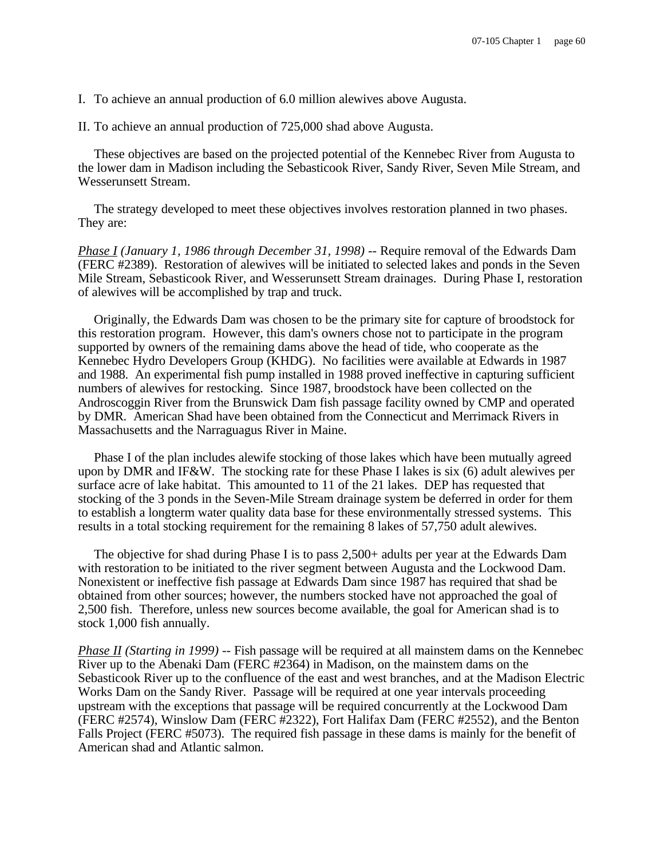I. To achieve an annual production of 6.0 million alewives above Augusta.

II. To achieve an annual production of 725,000 shad above Augusta.

These objectives are based on the projected potential of the Kennebec River from Augusta to the lower dam in Madison including the Sebasticook River, Sandy River, Seven Mile Stream, and Wesserunsett Stream.

The strategy developed to meet these objectives involves restoration planned in two phases. They are:

*Phase I (January 1, 1986 through December 31, 1998) --* Require removal of the Edwards Dam (FERC #2389). Restoration of alewives will be initiated to selected lakes and ponds in the Seven Mile Stream, Sebasticook River, and Wesserunsett Stream drainages. During Phase I, restoration of alewives will be accomplished by trap and truck.

Originally, the Edwards Dam was chosen to be the primary site for capture of broodstock for this restoration program. However, this dam's owners chose not to participate in the program supported by owners of the remaining dams above the head of tide, who cooperate as the Kennebec Hydro Developers Group (KHDG). No facilities were available at Edwards in 1987 and 1988. An experimental fish pump installed in 1988 proved ineffective in capturing sufficient numbers of alewives for restocking. Since 1987, broodstock have been collected on the Androscoggin River from the Brunswick Dam fish passage facility owned by CMP and operated by DMR. American Shad have been obtained from the Connecticut and Merrimack Rivers in Massachusetts and the Narraguagus River in Maine.

Phase I of the plan includes alewife stocking of those lakes which have been mutually agreed upon by DMR and IF&W. The stocking rate for these Phase I lakes is six (6) adult alewives per surface acre of lake habitat. This amounted to 11 of the 21 lakes. DEP has requested that stocking of the 3 ponds in the Seven-Mile Stream drainage system be deferred in order for them to establish a longterm water quality data base for these environmentally stressed systems. This results in a total stocking requirement for the remaining 8 lakes of 57,750 adult alewives.

The objective for shad during Phase I is to pass 2,500+ adults per year at the Edwards Dam with restoration to be initiated to the river segment between Augusta and the Lockwood Dam. Nonexistent or ineffective fish passage at Edwards Dam since 1987 has required that shad be obtained from other sources; however, the numbers stocked have not approached the goal of 2,500 fish. Therefore, unless new sources become available, the goal for American shad is to stock 1,000 fish annually.

*Phase II (Starting in 1999) --* Fish passage will be required at all mainstem dams on the Kennebec River up to the Abenaki Dam (FERC #2364) in Madison, on the mainstem dams on the Sebasticook River up to the confluence of the east and west branches, and at the Madison Electric Works Dam on the Sandy River. Passage will be required at one year intervals proceeding upstream with the exceptions that passage will be required concurrently at the Lockwood Dam (FERC #2574), Winslow Dam (FERC #2322), Fort Halifax Dam (FERC #2552), and the Benton Falls Project (FERC #5073). The required fish passage in these dams is mainly for the benefit of American shad and Atlantic salmon.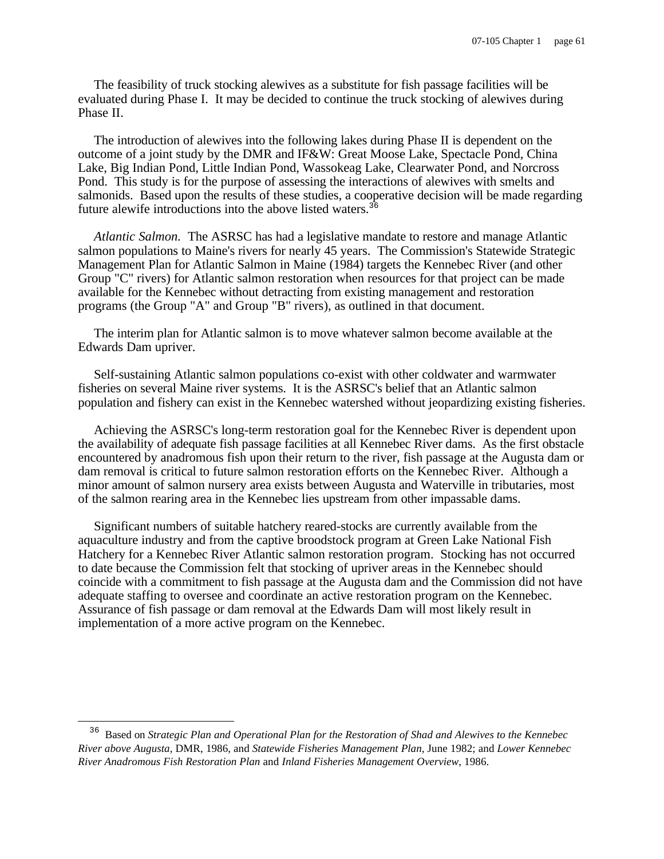The feasibility of truck stocking alewives as a substitute for fish passage facilities will be evaluated during Phase I. It may be decided to continue the truck stocking of alewives during Phase II.

The introduction of alewives into the following lakes during Phase II is dependent on the outcome of a joint study by the DMR and IF&W: Great Moose Lake, Spectacle Pond, China Lake, Big Indian Pond, Little Indian Pond, Wassokeag Lake, Clearwater Pond, and Norcross Pond. This study is for the purpose of assessing the interactions of alewives with smelts and salmonids. Based upon the results of these studies, a cooperative decision will be made regarding future alewife introductions into the above listed waters.<sup>36</sup>

*Atlantic Salmon.* The ASRSC has had a legislative mandate to restore and manage Atlantic salmon populations to Maine's rivers for nearly 45 years. The Commission's Statewide Strategic Management Plan for Atlantic Salmon in Maine (1984) targets the Kennebec River (and other Group "C" rivers) for Atlantic salmon restoration when resources for that project can be made available for the Kennebec without detracting from existing management and restoration programs (the Group "A" and Group "B" rivers), as outlined in that document.

The interim plan for Atlantic salmon is to move whatever salmon become available at the Edwards Dam upriver.

Self-sustaining Atlantic salmon populations co-exist with other coldwater and warmwater fisheries on several Maine river systems. It is the ASRSC's belief that an Atlantic salmon population and fishery can exist in the Kennebec watershed without jeopardizing existing fisheries.

Achieving the ASRSC's long-term restoration goal for the Kennebec River is dependent upon the availability of adequate fish passage facilities at all Kennebec River dams. As the first obstacle encountered by anadromous fish upon their return to the river, fish passage at the Augusta dam or dam removal is critical to future salmon restoration efforts on the Kennebec River. Although a minor amount of salmon nursery area exists between Augusta and Waterville in tributaries, most of the salmon rearing area in the Kennebec lies upstream from other impassable dams.

Significant numbers of suitable hatchery reared-stocks are currently available from the aquaculture industry and from the captive broodstock program at Green Lake National Fish Hatchery for a Kennebec River Atlantic salmon restoration program. Stocking has not occurred to date because the Commission felt that stocking of upriver areas in the Kennebec should coincide with a commitment to fish passage at the Augusta dam and the Commission did not have adequate staffing to oversee and coordinate an active restoration program on the Kennebec. Assurance of fish passage or dam removal at the Edwards Dam will most likely result in implementation of a more active program on the Kennebec.

 $\overline{\phantom{0}}$ 

<sup>36</sup> Based on *Strategic Plan and Operational Plan for the Restoration of Shad and Alewives to the Kennebec River above Augusta*, DMR, 1986, and *Statewide Fisheries Management Plan*, June 1982; and *Lower Kennebec River Anadromous Fish Restoration Plan* and *Inland Fisheries Management Overview*, 1986.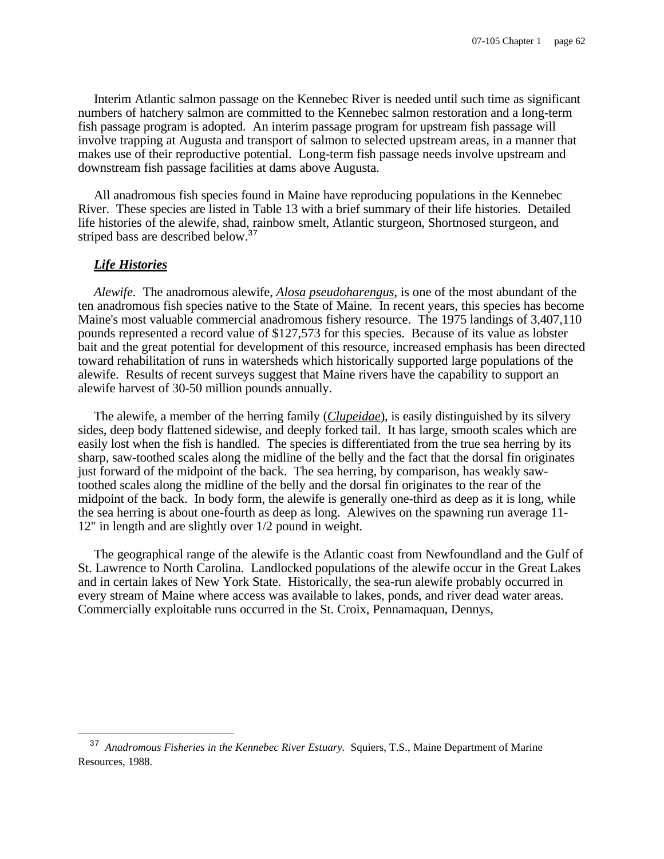Interim Atlantic salmon passage on the Kennebec River is needed until such time as significant numbers of hatchery salmon are committed to the Kennebec salmon restoration and a long-term fish passage program is adopted. An interim passage program for upstream fish passage will involve trapping at Augusta and transport of salmon to selected upstream areas, in a manner that makes use of their reproductive potential. Long-term fish passage needs involve upstream and downstream fish passage facilities at dams above Augusta.

All anadromous fish species found in Maine have reproducing populations in the Kennebec River. These species are listed in Table 13 with a brief summary of their life histories. Detailed life histories of the alewife, shad, rainbow smelt, Atlantic sturgeon, Shortnosed sturgeon, and striped bass are described below.<sup>37</sup>

#### *Life Histories*

i

*Alewife.* The anadromous alewife, *Alosa pseudoharengus*, is one of the most abundant of the ten anadromous fish species native to the State of Maine. In recent years, this species has become Maine's most valuable commercial anadromous fishery resource. The 1975 landings of 3,407,110 pounds represented a record value of \$127,573 for this species. Because of its value as lobster bait and the great potential for development of this resource, increased emphasis has been directed toward rehabilitation of runs in watersheds which historically supported large populations of the alewife. Results of recent surveys suggest that Maine rivers have the capability to support an alewife harvest of 30-50 million pounds annually.

The alewife, a member of the herring family (*Clupeidae*), is easily distinguished by its silvery sides, deep body flattened sidewise, and deeply forked tail. It has large, smooth scales which are easily lost when the fish is handled. The species is differentiated from the true sea herring by its sharp, saw-toothed scales along the midline of the belly and the fact that the dorsal fin originates just forward of the midpoint of the back. The sea herring, by comparison, has weakly sawtoothed scales along the midline of the belly and the dorsal fin originates to the rear of the midpoint of the back. In body form, the alewife is generally one-third as deep as it is long, while the sea herring is about one-fourth as deep as long. Alewives on the spawning run average 11- 12" in length and are slightly over 1/2 pound in weight.

The geographical range of the alewife is the Atlantic coast from Newfoundland and the Gulf of St. Lawrence to North Carolina. Landlocked populations of the alewife occur in the Great Lakes and in certain lakes of New York State. Historically, the sea-run alewife probably occurred in every stream of Maine where access was available to lakes, ponds, and river dead water areas. Commercially exploitable runs occurred in the St. Croix, Pennamaquan, Dennys,

<sup>&</sup>lt;sup>37</sup> Anadromous Fisheries in the Kennebec River Estuary. Squiers, T.S., Maine Department of Marine Resources, 1988.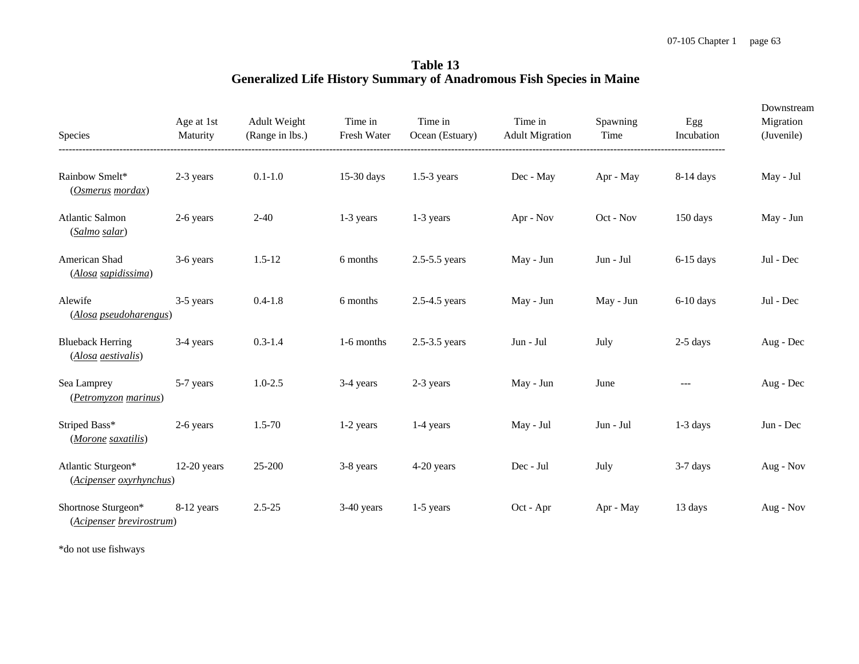**Table 13 Generalized Life History Summary of Anadromous Fish Species in Maine**

| Species                                         | Age at 1st<br>Maturity | Adult Weight<br>(Range in lbs.) | Time in<br>Fresh Water | Time in<br>Ocean (Estuary) | Time in<br><b>Adult Migration</b> | Spawning<br>Time | Egg<br>Incubation | Downstream<br>Migration<br>(Juvenile) |
|-------------------------------------------------|------------------------|---------------------------------|------------------------|----------------------------|-----------------------------------|------------------|-------------------|---------------------------------------|
| Rainbow Smelt*<br>(Osmerus mordax)              | 2-3 years              | $0.1 - 1.0$                     | 15-30 days             | $1.5-3$ years              | Dec - May                         | Apr - May        | $8-14$ days       | May - Jul                             |
| <b>Atlantic Salmon</b><br>(Salmo salar)         | 2-6 years              | $2 - 40$                        | 1-3 years              | 1-3 years                  | Apr - Nov                         | Oct - Nov        | 150 days          | May - Jun                             |
| American Shad<br>(Alosa sapidissima)            | 3-6 years              | $1.5 - 12$                      | 6 months               | $2.5 - 5.5$ years          | May - Jun                         | Jun - Jul        | $6-15$ days       | Jul - Dec                             |
| Alewife<br>(Alosa pseudoharengus)               | 3-5 years              | $0.4 - 1.8$                     | 6 months               | $2.5 - 4.5$ years          | May - Jun                         | May - Jun        | $6-10$ days       | Jul - Dec                             |
| <b>Blueback Herring</b><br>(Alosa aestivalis)   | 3-4 years              | $0.3 - 1.4$                     | 1-6 months             | $2.5 - 3.5$ years          | Jun - Jul                         | July             | $2-5$ days        | Aug - Dec                             |
| Sea Lamprey<br>(Petromyzon marinus)             | 5-7 years              | $1.0 - 2.5$                     | 3-4 years              | 2-3 years                  | May - Jun                         | June             | $---$             | Aug - Dec                             |
| Striped Bass*<br>(Morone saxatilis)             | 2-6 years              | $1.5 - 70$                      | 1-2 years              | 1-4 years                  | May - Jul                         | Jun - Jul        | $1-3$ days        | Jun - Dec                             |
| Atlantic Sturgeon*<br>(Acipenser oxyrhynchus)   | $12-20$ years          | 25-200                          | 3-8 years              | 4-20 years                 | Dec - Jul                         | July             | $3-7$ days        | Aug - Nov                             |
| Shortnose Sturgeon*<br>(Acipenser brevirostrum) | 8-12 years             | $2.5 - 25$                      | 3-40 years             | 1-5 years                  | Oct - Apr                         | Apr - May        | 13 days           | Aug - Nov                             |

\*do not use fishways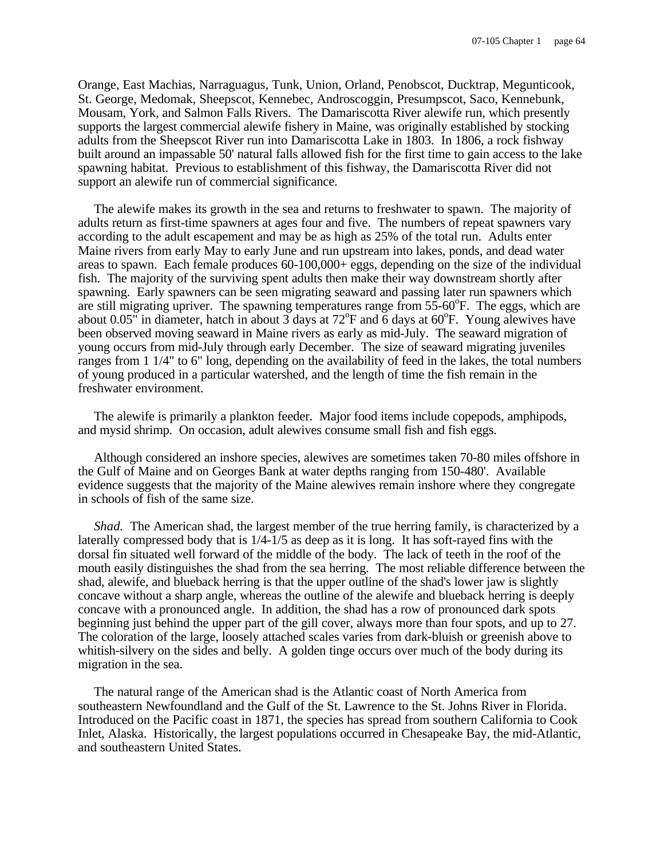Orange, East Machias, Narraguagus, Tunk, Union, Orland, Penobscot, Ducktrap, Megunticook, St. George, Medomak, Sheepscot, Kennebec, Androscoggin, Presumpscot, Saco, Kennebunk, Mousam, York, and Salmon Falls Rivers. The Damariscotta River alewife run, which presently supports the largest commercial alewife fishery in Maine, was originally established by stocking adults from the Sheepscot River run into Damariscotta Lake in 1803. In 1806, a rock fishway built around an impassable 50' natural falls allowed fish for the first time to gain access to the lake spawning habitat. Previous to establishment of this fishway, the Damariscotta River did not support an alewife run of commercial significance.

The alewife makes its growth in the sea and returns to freshwater to spawn. The majority of adults return as first-time spawners at ages four and five. The numbers of repeat spawners vary according to the adult escapement and may be as high as 25% of the total run. Adults enter Maine rivers from early May to early June and run upstream into lakes, ponds, and dead water areas to spawn. Each female produces 60-100,000+ eggs, depending on the size of the individual fish. The majority of the surviving spent adults then make their way downstream shortly after spawning. Early spawners can be seen migrating seaward and passing later run spawners which are still migrating upriver. The spawning temperatures range from  $55-60^{\circ}$ F. The eggs, which are about 0.05" in diameter, hatch in about  $\overline{3}$  days at  $72^{\circ}$ F and  $\overline{6}$  days at 60°F. Young alewives have been observed moving seaward in Maine rivers as early as mid-July. The seaward migration of young occurs from mid-July through early December. The size of seaward migrating juveniles ranges from 1 1/4" to 6" long, depending on the availability of feed in the lakes, the total numbers of young produced in a particular watershed, and the length of time the fish remain in the freshwater environment.

The alewife is primarily a plankton feeder. Major food items include copepods, amphipods, and mysid shrimp. On occasion, adult alewives consume small fish and fish eggs.

Although considered an inshore species, alewives are sometimes taken 70-80 miles offshore in the Gulf of Maine and on Georges Bank at water depths ranging from 150-480'. Available evidence suggests that the majority of the Maine alewives remain inshore where they congregate in schools of fish of the same size.

*Shad.* The American shad, the largest member of the true herring family, is characterized by a laterally compressed body that is 1/4-1/5 as deep as it is long. It has soft-rayed fins with the dorsal fin situated well forward of the middle of the body. The lack of teeth in the roof of the mouth easily distinguishes the shad from the sea herring. The most reliable difference between the shad, alewife, and blueback herring is that the upper outline of the shad's lower jaw is slightly concave without a sharp angle, whereas the outline of the alewife and blueback herring is deeply concave with a pronounced angle. In addition, the shad has a row of pronounced dark spots beginning just behind the upper part of the gill cover, always more than four spots, and up to 27. The coloration of the large, loosely attached scales varies from dark-bluish or greenish above to whitish-silvery on the sides and belly. A golden tinge occurs over much of the body during its migration in the sea.

The natural range of the American shad is the Atlantic coast of North America from southeastern Newfoundland and the Gulf of the St. Lawrence to the St. Johns River in Florida. Introduced on the Pacific coast in 1871, the species has spread from southern California to Cook Inlet, Alaska. Historically, the largest populations occurred in Chesapeake Bay, the mid-Atlantic, and southeastern United States.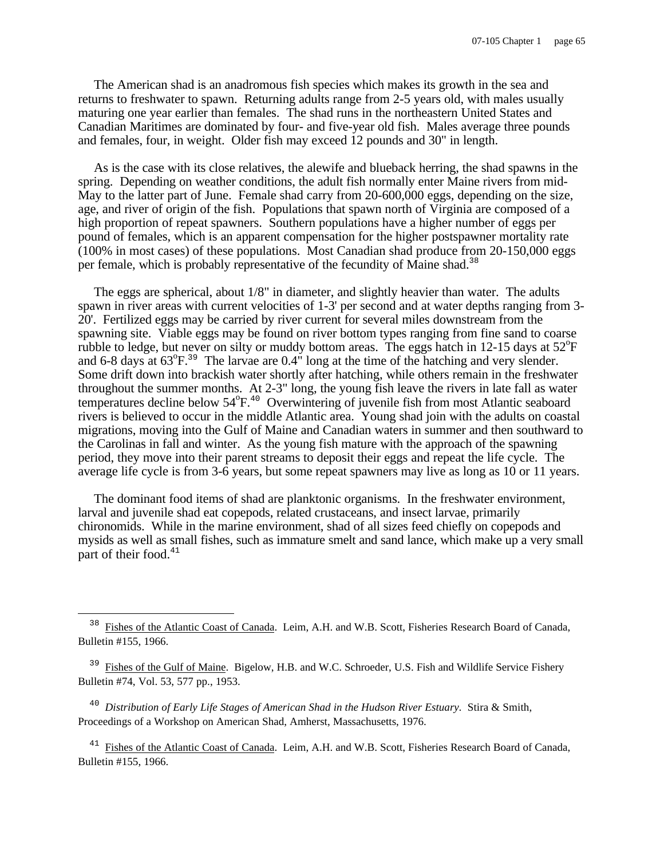The American shad is an anadromous fish species which makes its growth in the sea and returns to freshwater to spawn. Returning adults range from 2-5 years old, with males usually maturing one year earlier than females. The shad runs in the northeastern United States and Canadian Maritimes are dominated by four- and five-year old fish. Males average three pounds and females, four, in weight. Older fish may exceed 12 pounds and 30" in length.

As is the case with its close relatives, the alewife and blueback herring, the shad spawns in the spring. Depending on weather conditions, the adult fish normally enter Maine rivers from mid-May to the latter part of June. Female shad carry from 20-600,000 eggs, depending on the size, age, and river of origin of the fish. Populations that spawn north of Virginia are composed of a high proportion of repeat spawners. Southern populations have a higher number of eggs per pound of females, which is an apparent compensation for the higher postspawner mortality rate (100% in most cases) of these populations. Most Canadian shad produce from 20-150,000 eggs per female, which is probably representative of the fecundity of Maine shad.<sup>38</sup>

The eggs are spherical, about 1/8" in diameter, and slightly heavier than water. The adults spawn in river areas with current velocities of 1-3' per second and at water depths ranging from 3- 20'. Fertilized eggs may be carried by river current for several miles downstream from the spawning site. Viable eggs may be found on river bottom types ranging from fine sand to coarse rubble to ledge, but never on silty or muddy bottom areas. The eggs hatch in 12-15 days at  $52^{\circ}F$ and 6-8 days at  $63^{\circ}F.^{39}$  The larvae are 0.4" long at the time of the hatching and very slender. Some drift down into brackish water shortly after hatching, while others remain in the freshwater throughout the summer months. At 2-3" long, the young fish leave the rivers in late fall as water temperatures decline below  $54^{\circ}F$ .<sup>40</sup> Overwintering of juvenile fish from most Atlantic seaboard rivers is believed to occur in the middle Atlantic area. Young shad join with the adults on coastal migrations, moving into the Gulf of Maine and Canadian waters in summer and then southward to the Carolinas in fall and winter. As the young fish mature with the approach of the spawning period, they move into their parent streams to deposit their eggs and repeat the life cycle. The average life cycle is from 3-6 years, but some repeat spawners may live as long as 10 or 11 years.

The dominant food items of shad are planktonic organisms. In the freshwater environment, larval and juvenile shad eat copepods, related crustaceans, and insect larvae, primarily chironomids. While in the marine environment, shad of all sizes feed chiefly on copepods and mysids as well as small fishes, such as immature smelt and sand lance, which make up a very small part of their food. $41$ 

<sup>40</sup> Distribution of Early Life Stages of American Shad in the Hudson River Estuary. Stira & Smith, Proceedings of a Workshop on American Shad, Amherst, Massachusetts, 1976.

 $\overline{\phantom{0}}$ 

<sup>41</sup> Fishes of the Atlantic Coast of Canada. Leim, A.H. and W.B. Scott, Fisheries Research Board of Canada, Bulletin #155, 1966.

<sup>38</sup> Fishes of the Atlantic Coast of Canada. Leim, A.H. and W.B. Scott, Fisheries Research Board of Canada, Bulletin #155, 1966.

<sup>&</sup>lt;sup>39</sup> Fishes of the Gulf of Maine. Bigelow, H.B. and W.C. Schroeder, U.S. Fish and Wildlife Service Fishery Bulletin #74, Vol. 53, 577 pp., 1953.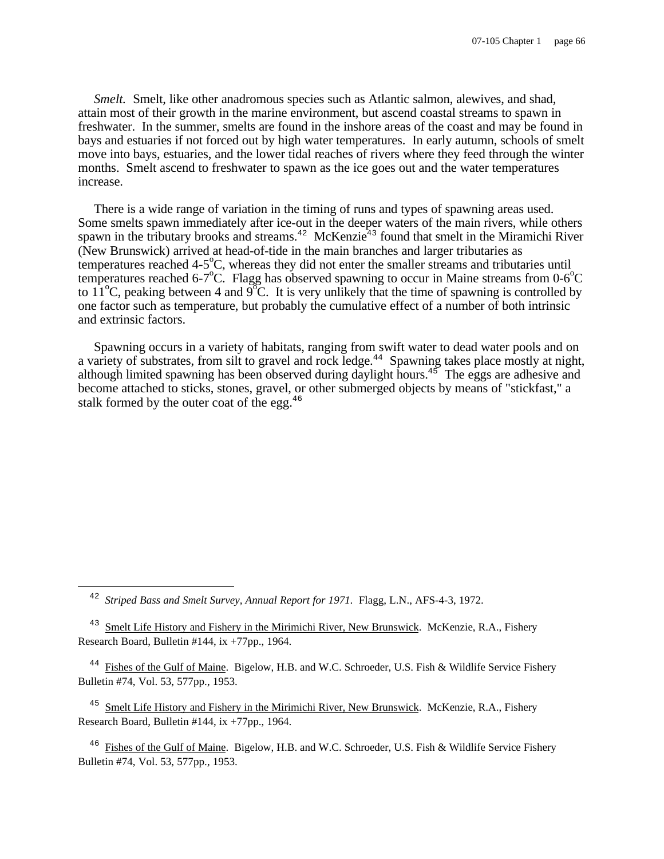*Smelt.* Smelt, like other anadromous species such as Atlantic salmon, alewives, and shad, attain most of their growth in the marine environment, but ascend coastal streams to spawn in freshwater. In the summer, smelts are found in the inshore areas of the coast and may be found in bays and estuaries if not forced out by high water temperatures. In early autumn, schools of smelt move into bays, estuaries, and the lower tidal reaches of rivers where they feed through the winter months. Smelt ascend to freshwater to spawn as the ice goes out and the water temperatures increase.

There is a wide range of variation in the timing of runs and types of spawning areas used. Some smelts spawn immediately after ice-out in the deeper waters of the main rivers, while others spawn in the tributary brooks and streams.<sup>42</sup> McKenzie<sup>43</sup> found that smelt in the Miramichi River (New Brunswick) arrived at head-of-tide in the main branches and larger tributaries as temperatures reached  $4-5^{\circ}$ C, whereas they did not enter the smaller streams and tributaries until temperatures reached 6-7<sup>o</sup>C. Flagg has observed spawning to occur in Maine streams from  $0.6^{\circ}$ C to 11<sup>o</sup>C, peaking between 4 and  $9^{\circ}$ C. It is very unlikely that the time of spawning is controlled by one factor such as temperature, but probably the cumulative effect of a number of both intrinsic and extrinsic factors.

Spawning occurs in a variety of habitats, ranging from swift water to dead water pools and on a variety of substrates, from silt to gravel and rock ledge.<sup>44</sup> Spawning takes place mostly at night, although limited spawning has been observed during daylight hours.<sup>45</sup> The eggs are adhesive and become attached to sticks, stones, gravel, or other submerged objects by means of "stickfast," a stalk formed by the outer coat of the egg. $46$ 

÷,

<sup>45</sup> Smelt Life History and Fishery in the Mirimichi River, New Brunswick. McKenzie, R.A., Fishery Research Board, Bulletin #144, ix +77pp., 1964.

<sup>46</sup> Fishes of the Gulf of Maine. Bigelow, H.B. and W.C. Schroeder, U.S. Fish & Wildlife Service Fishery Bulletin #74, Vol. 53, 577pp., 1953.

<sup>42</sup> *Striped Bass and Smelt Survey, Annual Report for 1971.* Flagg, L.N., AFS-4-3, 1972.

<sup>&</sup>lt;sup>43</sup> Smelt Life History and Fishery in the Mirimichi River, New Brunswick. McKenzie, R.A., Fishery Research Board, Bulletin #144, ix +77pp., 1964.

<sup>&</sup>lt;sup>44</sup> Fishes of the Gulf of Maine. Bigelow, H.B. and W.C. Schroeder, U.S. Fish & Wildlife Service Fishery Bulletin #74, Vol. 53, 577pp., 1953.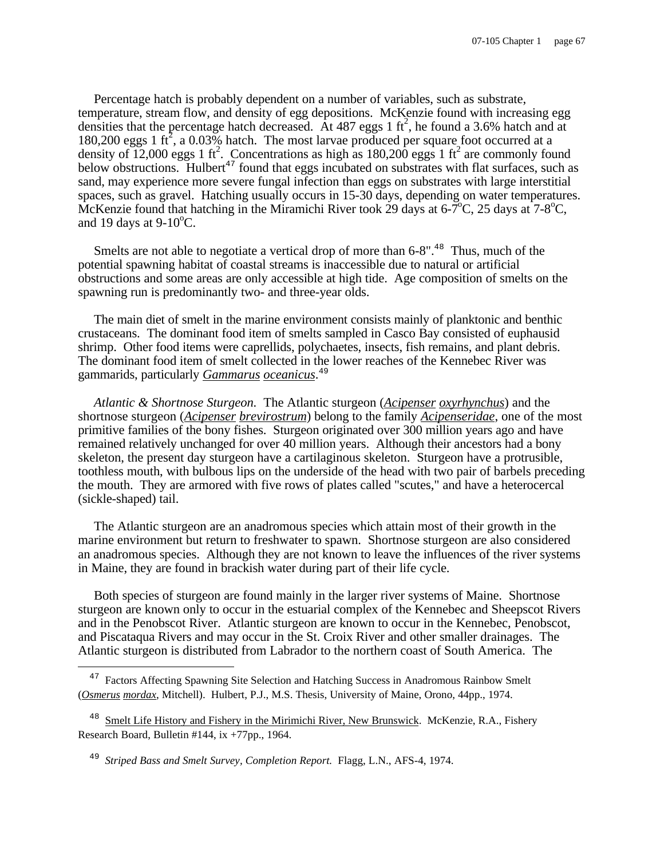Percentage hatch is probably dependent on a number of variables, such as substrate, temperature, stream flow, and density of egg depositions. McKenzie found with increasing egg densities that the percentage hatch decreased. At 487 eggs 1  $\text{ft}^2$ , he found a 3.6% hatch and at 180,200 eggs 1 ft<sup>2</sup>, a 0.03% hatch. The most larvae produced per square foot occurred at a density of 12,000 eggs 1 ft<sup>2</sup>. Concentrations as high as 180,200 eggs 1 ft<sup>2</sup> are commonly found below obstructions. Hulbert<sup>47</sup> found that eggs incubated on substrates with flat surfaces, such as sand, may experience more severe fungal infection than eggs on substrates with large interstitial spaces, such as gravel. Hatching usually occurs in 15-30 days, depending on water temperatures. McKenzie found that hatching in the Miramichi River took 29 days at  $6\text{-}7\text{°C}$ , 25 days at  $7\text{-}8\text{°C}$ , and 19 days at  $9-10^{\circ}$ C.

Smelts are not able to negotiate a vertical drop of more than  $6-8"$ .<sup>48</sup> Thus, much of the potential spawning habitat of coastal streams is inaccessible due to natural or artificial obstructions and some areas are only accessible at high tide. Age composition of smelts on the spawning run is predominantly two- and three-year olds.

The main diet of smelt in the marine environment consists mainly of planktonic and benthic crustaceans. The dominant food item of smelts sampled in Casco Bay consisted of euphausid shrimp. Other food items were caprellids, polychaetes, insects, fish remains, and plant debris. The dominant food item of smelt collected in the lower reaches of the Kennebec River was gammarids, particularly *Gammarus oceanicus*. 49

*Atlantic & Shortnose Sturgeon.* The Atlantic sturgeon (*Acipenser oxyrhynchus*) and the shortnose sturgeon (*Acipenser brevirostrum*) belong to the family *Acipenseridae*, one of the most primitive families of the bony fishes. Sturgeon originated over 300 million years ago and have remained relatively unchanged for over 40 million years. Although their ancestors had a bony skeleton, the present day sturgeon have a cartilaginous skeleton. Sturgeon have a protrusible, toothless mouth, with bulbous lips on the underside of the head with two pair of barbels preceding the mouth. They are armored with five rows of plates called "scutes," and have a heterocercal (sickle-shaped) tail.

The Atlantic sturgeon are an anadromous species which attain most of their growth in the marine environment but return to freshwater to spawn. Shortnose sturgeon are also considered an anadromous species. Although they are not known to leave the influences of the river systems in Maine, they are found in brackish water during part of their life cycle.

Both species of sturgeon are found mainly in the larger river systems of Maine. Shortnose sturgeon are known only to occur in the estuarial complex of the Kennebec and Sheepscot Rivers and in the Penobscot River. Atlantic sturgeon are known to occur in the Kennebec, Penobscot, and Piscataqua Rivers and may occur in the St. Croix River and other smaller drainages. The Atlantic sturgeon is distributed from Labrador to the northern coast of South America. The

<sup>&</sup>lt;sup>47</sup> Factors Affecting Spawning Site Selection and Hatching Success in Anadromous Rainbow Smelt (*Osmerus mordax*, Mitchell). Hulbert, P.J., M.S. Thesis, University of Maine, Orono, 44pp., 1974.

<sup>&</sup>lt;sup>48</sup> Smelt Life History and Fishery in the Mirimichi River, New Brunswick. McKenzie, R.A., Fishery Research Board, Bulletin #144, ix +77pp., 1964.

<sup>49</sup> *Striped Bass and Smelt Survey, Completion Report.* Flagg, L.N., AFS-4, 1974.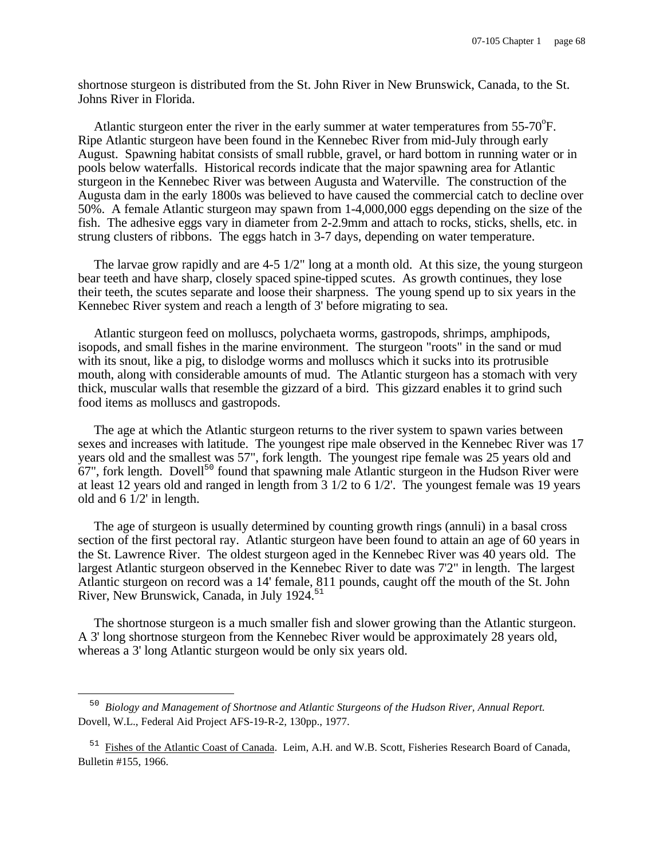shortnose sturgeon is distributed from the St. John River in New Brunswick, Canada, to the St. Johns River in Florida.

Atlantic sturgeon enter the river in the early summer at water temperatures from  $55\text{-}70^{\circ}$ F. Ripe Atlantic sturgeon have been found in the Kennebec River from mid-July through early August. Spawning habitat consists of small rubble, gravel, or hard bottom in running water or in pools below waterfalls. Historical records indicate that the major spawning area for Atlantic sturgeon in the Kennebec River was between Augusta and Waterville. The construction of the Augusta dam in the early 1800s was believed to have caused the commercial catch to decline over 50%. A female Atlantic sturgeon may spawn from 1-4,000,000 eggs depending on the size of the fish. The adhesive eggs vary in diameter from 2-2.9mm and attach to rocks, sticks, shells, etc. in strung clusters of ribbons. The eggs hatch in 3-7 days, depending on water temperature.

The larvae grow rapidly and are 4-5 1/2" long at a month old. At this size, the young sturgeon bear teeth and have sharp, closely spaced spine-tipped scutes. As growth continues, they lose their teeth, the scutes separate and loose their sharpness. The young spend up to six years in the Kennebec River system and reach a length of 3' before migrating to sea.

Atlantic sturgeon feed on molluscs, polychaeta worms, gastropods, shrimps, amphipods, isopods, and small fishes in the marine environment. The sturgeon "roots" in the sand or mud with its snout, like a pig, to dislodge worms and molluscs which it sucks into its protrusible mouth, along with considerable amounts of mud. The Atlantic sturgeon has a stomach with very thick, muscular walls that resemble the gizzard of a bird. This gizzard enables it to grind such food items as molluscs and gastropods.

The age at which the Atlantic sturgeon returns to the river system to spawn varies between sexes and increases with latitude. The youngest ripe male observed in the Kennebec River was 17 years old and the smallest was 57", fork length. The youngest ripe female was 25 years old and  $67$ ", fork length. Dovell<sup>50</sup> found that spawning male Atlantic sturgeon in the Hudson River were at least 12 years old and ranged in length from 3 1/2 to 6 1/2'. The youngest female was 19 years old and 6 1/2' in length.

The age of sturgeon is usually determined by counting growth rings (annuli) in a basal cross section of the first pectoral ray. Atlantic sturgeon have been found to attain an age of 60 years in the St. Lawrence River. The oldest sturgeon aged in the Kennebec River was 40 years old. The largest Atlantic sturgeon observed in the Kennebec River to date was 7'2" in length. The largest Atlantic sturgeon on record was a 14' female, 811 pounds, caught off the mouth of the St. John River, New Brunswick, Canada, in July 1924.<sup>51</sup>

The shortnose sturgeon is a much smaller fish and slower growing than the Atlantic sturgeon. A 3' long shortnose sturgeon from the Kennebec River would be approximately 28 years old, whereas a 3' long Atlantic sturgeon would be only six years old.

<sup>50</sup> *Biology and Management of Shortnose and Atlantic Sturgeons of the Hudson River, Annual Report.* Dovell, W.L., Federal Aid Project AFS-19-R-2, 130pp., 1977.

<sup>&</sup>lt;sup>51</sup> Fishes of the Atlantic Coast of Canada. Leim, A.H. and W.B. Scott, Fisheries Research Board of Canada, Bulletin #155, 1966.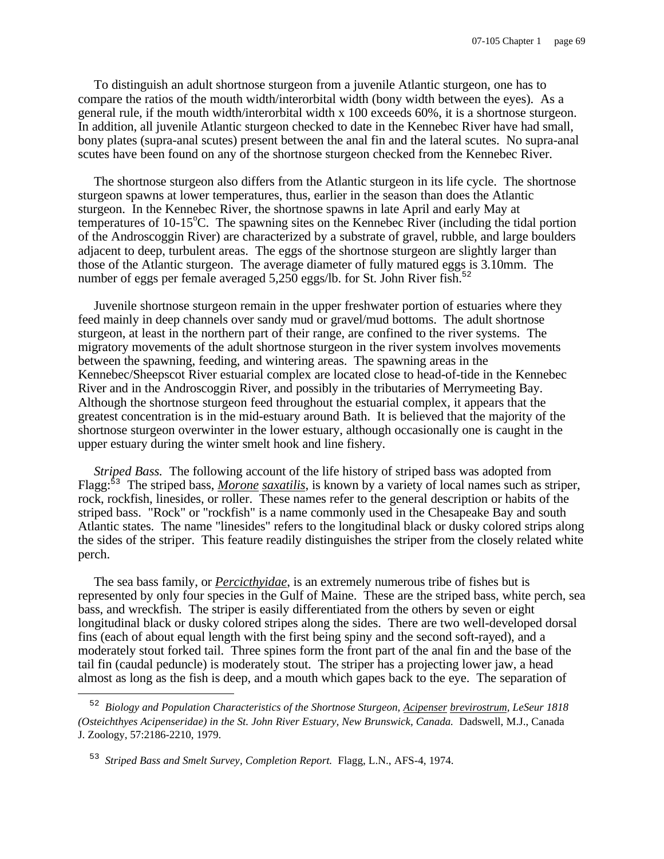To distinguish an adult shortnose sturgeon from a juvenile Atlantic sturgeon, one has to compare the ratios of the mouth width/interorbital width (bony width between the eyes). As a general rule, if the mouth width/interorbital width x 100 exceeds 60%, it is a shortnose sturgeon. In addition, all juvenile Atlantic sturgeon checked to date in the Kennebec River have had small, bony plates (supra-anal scutes) present between the anal fin and the lateral scutes. No supra-anal scutes have been found on any of the shortnose sturgeon checked from the Kennebec River.

The shortnose sturgeon also differs from the Atlantic sturgeon in its life cycle. The shortnose sturgeon spawns at lower temperatures, thus, earlier in the season than does the Atlantic sturgeon. In the Kennebec River, the shortnose spawns in late April and early May at temperatures of  $10{\text -}15^{\circ}\text{C}$ . The spawning sites on the Kennebec River (including the tidal portion of the Androscoggin River) are characterized by a substrate of gravel, rubble, and large boulders adjacent to deep, turbulent areas. The eggs of the shortnose sturgeon are slightly larger than those of the Atlantic sturgeon. The average diameter of fully matured eggs is 3.10mm. The number of eggs per female averaged  $5,250$  eggs/lb. for St. John River fish.<sup>52</sup>

Juvenile shortnose sturgeon remain in the upper freshwater portion of estuaries where they feed mainly in deep channels over sandy mud or gravel/mud bottoms. The adult shortnose sturgeon, at least in the northern part of their range, are confined to the river systems. The migratory movements of the adult shortnose sturgeon in the river system involves movements between the spawning, feeding, and wintering areas. The spawning areas in the Kennebec/Sheepscot River estuarial complex are located close to head-of-tide in the Kennebec River and in the Androscoggin River, and possibly in the tributaries of Merrymeeting Bay. Although the shortnose sturgeon feed throughout the estuarial complex, it appears that the greatest concentration is in the mid-estuary around Bath. It is believed that the majority of the shortnose sturgeon overwinter in the lower estuary, although occasionally one is caught in the upper estuary during the winter smelt hook and line fishery.

*Striped Bass.* The following account of the life history of striped bass was adopted from Flagg:<sup>53</sup> The striped bass, *Morone saxatilis*, is known by a variety of local names such as striper, rock, rockfish, linesides, or roller. These names refer to the general description or habits of the striped bass. "Rock" or "rockfish" is a name commonly used in the Chesapeake Bay and south Atlantic states. The name "linesides" refers to the longitudinal black or dusky colored strips along the sides of the striper. This feature readily distinguishes the striper from the closely related white perch.

The sea bass family, or *Percicthyidae*, is an extremely numerous tribe of fishes but is represented by only four species in the Gulf of Maine. These are the striped bass, white perch, sea bass, and wreckfish. The striper is easily differentiated from the others by seven or eight longitudinal black or dusky colored stripes along the sides. There are two well-developed dorsal fins (each of about equal length with the first being spiny and the second soft-rayed), and a moderately stout forked tail. Three spines form the front part of the anal fin and the base of the tail fin (caudal peduncle) is moderately stout. The striper has a projecting lower jaw, a head almost as long as the fish is deep, and a mouth which gapes back to the eye. The separation of

<sup>52</sup> *Biology and Population Characteristics of the Shortnose Sturgeon, Acipenser brevirostrum, LeSeur 1818 (Osteichthyes Acipenseridae) in the St. John River Estuary, New Brunswick, Canada.* Dadswell, M.J., Canada J. Zoology, 57:2186-2210, 1979.

<sup>53</sup> *Striped Bass and Smelt Survey, Completion Report.* Flagg, L.N., AFS-4, 1974.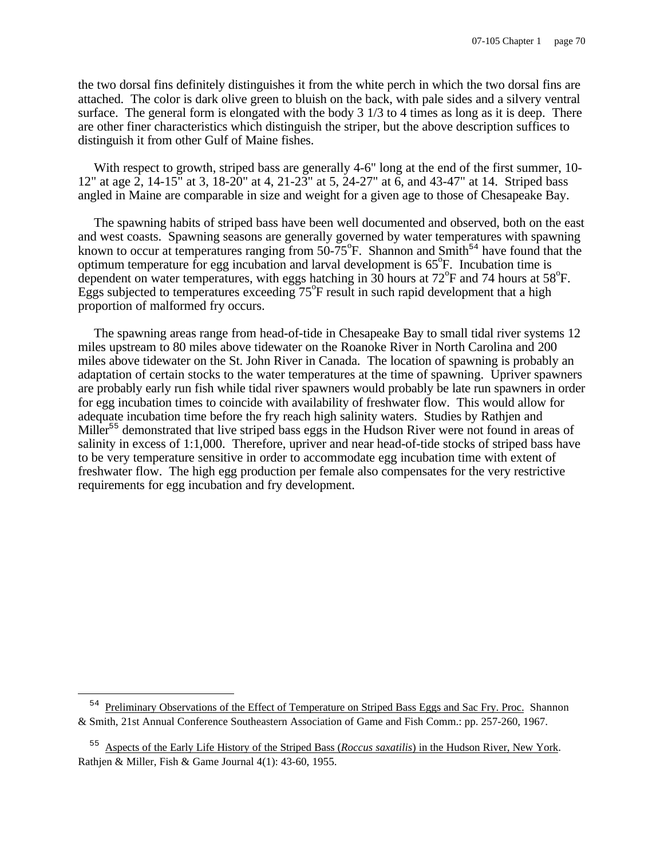the two dorsal fins definitely distinguishes it from the white perch in which the two dorsal fins are attached. The color is dark olive green to bluish on the back, with pale sides and a silvery ventral surface. The general form is elongated with the body 3 1/3 to 4 times as long as it is deep. There are other finer characteristics which distinguish the striper, but the above description suffices to distinguish it from other Gulf of Maine fishes.

With respect to growth, striped bass are generally 4-6" long at the end of the first summer, 10-12" at age 2, 14-15" at 3, 18-20" at 4, 21-23" at 5, 24-27" at 6, and 43-47" at 14. Striped bass angled in Maine are comparable in size and weight for a given age to those of Chesapeake Bay.

The spawning habits of striped bass have been well documented and observed, both on the east and west coasts. Spawning seasons are generally governed by water temperatures with spawning known to occur at temperatures ranging from  $50-75^{\circ}$ F. Shannon and Smith<sup>54</sup> have found that the optimum temperature for egg incubation and larval development is  $65^{\circ}$ F. Incubation time is dependent on water temperatures, with eggs hatching in  $30$  hours at  $72^{\circ}$ F and 74 hours at  $58^{\circ}$ F. Eggs subjected to temperatures exceeding  $75^{\circ}$ F result in such rapid development that a high proportion of malformed fry occurs.

The spawning areas range from head-of-tide in Chesapeake Bay to small tidal river systems 12 miles upstream to 80 miles above tidewater on the Roanoke River in North Carolina and 200 miles above tidewater on the St. John River in Canada. The location of spawning is probably an adaptation of certain stocks to the water temperatures at the time of spawning. Upriver spawners are probably early run fish while tidal river spawners would probably be late run spawners in order for egg incubation times to coincide with availability of freshwater flow. This would allow for adequate incubation time before the fry reach high salinity waters. Studies by Rathjen and Miller<sup>55</sup> demonstrated that live striped bass eggs in the Hudson River were not found in areas of salinity in excess of 1:1,000. Therefore, upriver and near head-of-tide stocks of striped bass have to be very temperature sensitive in order to accommodate egg incubation time with extent of freshwater flow. The high egg production per female also compensates for the very restrictive requirements for egg incubation and fry development.

<sup>&</sup>lt;sup>54</sup> Preliminary Observations of the Effect of Temperature on Striped Bass Eggs and Sac Fry. Proc. Shannon & Smith, 21st Annual Conference Southeastern Association of Game and Fish Comm.: pp. 257-260, 1967.

<sup>55</sup> Aspects of the Early Life History of the Striped Bass (*Roccus saxatilis*) in the Hudson River, New York. Rathjen & Miller, Fish & Game Journal 4(1): 43-60, 1955.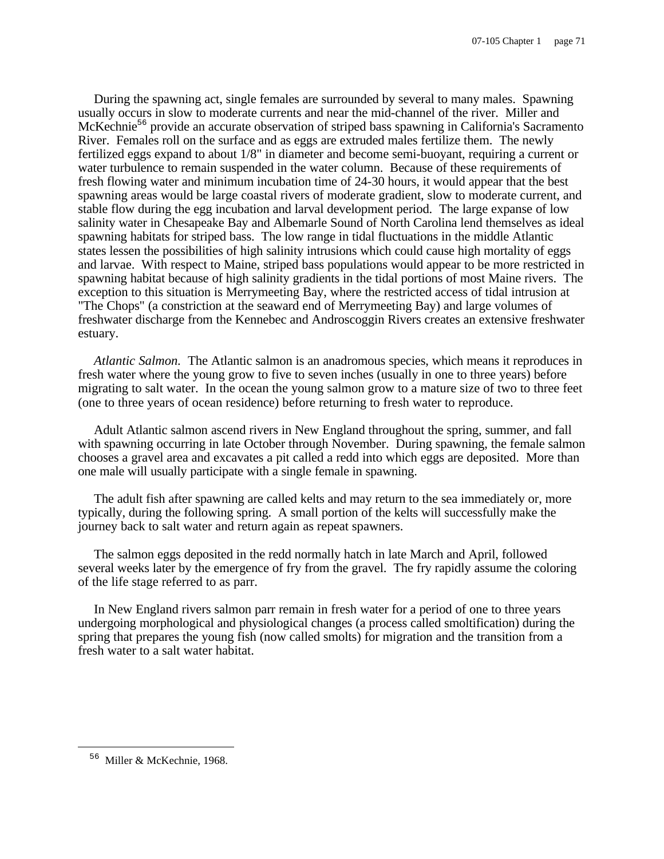During the spawning act, single females are surrounded by several to many males. Spawning usually occurs in slow to moderate currents and near the mid-channel of the river. Miller and McKechnie<sup>56</sup> provide an accurate observation of striped bass spawning in California's Sacramento River. Females roll on the surface and as eggs are extruded males fertilize them. The newly fertilized eggs expand to about 1/8" in diameter and become semi-buoyant, requiring a current or water turbulence to remain suspended in the water column. Because of these requirements of fresh flowing water and minimum incubation time of 24-30 hours, it would appear that the best spawning areas would be large coastal rivers of moderate gradient, slow to moderate current, and stable flow during the egg incubation and larval development period. The large expanse of low salinity water in Chesapeake Bay and Albemarle Sound of North Carolina lend themselves as ideal spawning habitats for striped bass. The low range in tidal fluctuations in the middle Atlantic states lessen the possibilities of high salinity intrusions which could cause high mortality of eggs and larvae. With respect to Maine, striped bass populations would appear to be more restricted in spawning habitat because of high salinity gradients in the tidal portions of most Maine rivers. The exception to this situation is Merrymeeting Bay, where the restricted access of tidal intrusion at "The Chops" (a constriction at the seaward end of Merrymeeting Bay) and large volumes of freshwater discharge from the Kennebec and Androscoggin Rivers creates an extensive freshwater estuary.

*Atlantic Salmon.* The Atlantic salmon is an anadromous species, which means it reproduces in fresh water where the young grow to five to seven inches (usually in one to three years) before migrating to salt water. In the ocean the young salmon grow to a mature size of two to three feet (one to three years of ocean residence) before returning to fresh water to reproduce.

Adult Atlantic salmon ascend rivers in New England throughout the spring, summer, and fall with spawning occurring in late October through November. During spawning, the female salmon chooses a gravel area and excavates a pit called a redd into which eggs are deposited. More than one male will usually participate with a single female in spawning.

The adult fish after spawning are called kelts and may return to the sea immediately or, more typically, during the following spring. A small portion of the kelts will successfully make the journey back to salt water and return again as repeat spawners.

The salmon eggs deposited in the redd normally hatch in late March and April, followed several weeks later by the emergence of fry from the gravel. The fry rapidly assume the coloring of the life stage referred to as parr.

In New England rivers salmon parr remain in fresh water for a period of one to three years undergoing morphological and physiological changes (a process called smoltification) during the spring that prepares the young fish (now called smolts) for migration and the transition from a fresh water to a salt water habitat.

 $\overline{\phantom{0}}$ 

<sup>56</sup> Miller & McKechnie, 1968.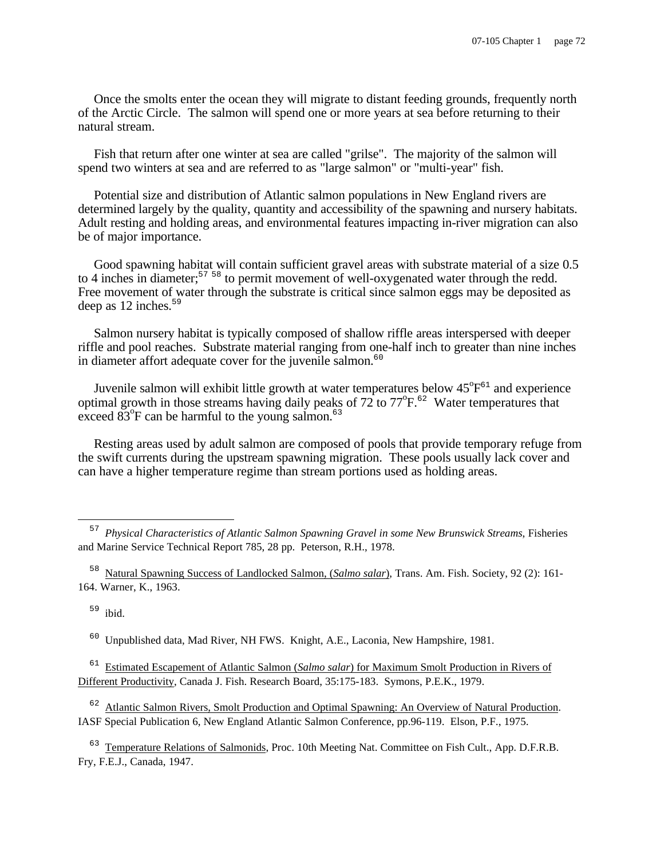Once the smolts enter the ocean they will migrate to distant feeding grounds, frequently north of the Arctic Circle. The salmon will spend one or more years at sea before returning to their natural stream.

Fish that return after one winter at sea are called "grilse". The majority of the salmon will spend two winters at sea and are referred to as "large salmon" or "multi-year" fish.

Potential size and distribution of Atlantic salmon populations in New England rivers are determined largely by the quality, quantity and accessibility of the spawning and nursery habitats. Adult resting and holding areas, and environmental features impacting in-river migration can also be of major importance.

Good spawning habitat will contain sufficient gravel areas with substrate material of a size 0.5 to 4 inches in diameter;<sup>57 58</sup> to permit movement of well-oxygenated water through the redd. Free movement of water through the substrate is critical since salmon eggs may be deposited as deep as  $12$  inches.<sup>59</sup>

Salmon nursery habitat is typically composed of shallow riffle areas interspersed with deeper riffle and pool reaches. Substrate material ranging from one-half inch to greater than nine inches in diameter affort adequate cover for the juvenile salmon. $60$ 

Juvenile salmon will exhibit little growth at water temperatures below  $45^{\circ}F^{61}$  and experience optimal growth in those streams having daily peaks of  $72$  to  $77^{\circ}F^{62}$  Water temperatures that exceed  $83^{\circ}$ F can be harmful to the young salmon.<sup>63</sup>

Resting areas used by adult salmon are composed of pools that provide temporary refuge from the swift currents during the upstream spawning migration. These pools usually lack cover and can have a higher temperature regime than stream portions used as holding areas.

<sup>58</sup> Natural Spawning Success of Landlocked Salmon, (*Salmo salar*), Trans. Am. Fish. Society, 92 (2): 161-164. Warner, K., 1963.

 $59$  ibid.

i

<sup>60</sup> Unpublished data, Mad River, NH FWS. Knight, A.E., Laconia, New Hampshire, 1981.

<sup>61</sup> Estimated Escapement of Atlantic Salmon (*Salmo salar*) for Maximum Smolt Production in Rivers of Different Productivity, Canada J. Fish. Research Board, 35:175-183. Symons, P.E.K., 1979.

<sup>62</sup> Atlantic Salmon Rivers, Smolt Production and Optimal Spawning: An Overview of Natural Production. IASF Special Publication 6, New England Atlantic Salmon Conference, pp.96-119. Elson, P.F., 1975.

<sup>63</sup> Temperature Relations of Salmonids, Proc. 10th Meeting Nat. Committee on Fish Cult., App. D.F.R.B. Fry, F.E.J., Canada, 1947.

<sup>57</sup> *Physical Characteristics of Atlantic Salmon Spawning Gravel in some New Brunswick Streams*, Fisheries and Marine Service Technical Report 785, 28 pp. Peterson, R.H., 1978.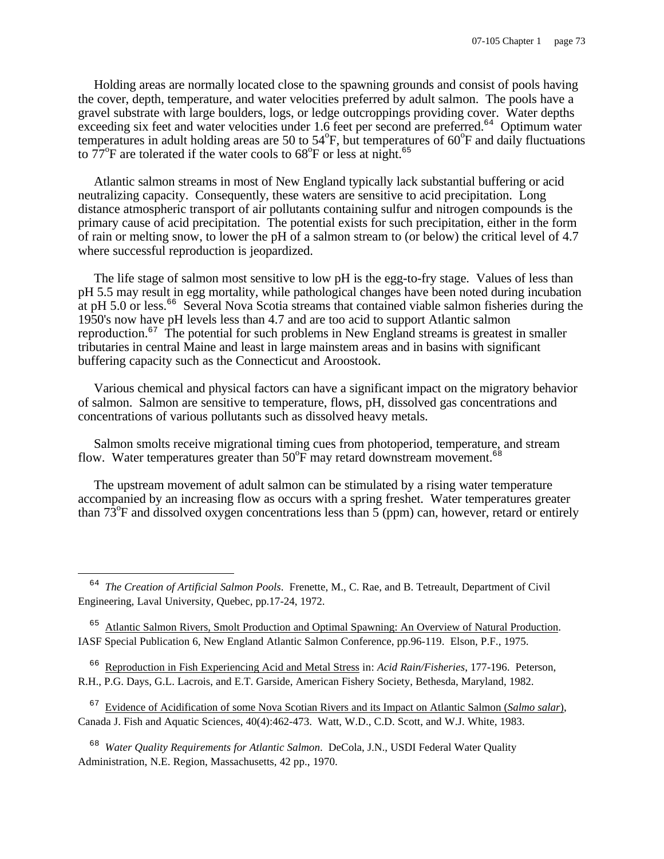Holding areas are normally located close to the spawning grounds and consist of pools having the cover, depth, temperature, and water velocities preferred by adult salmon. The pools have a gravel substrate with large boulders, logs, or ledge outcroppings providing cover. Water depths exceeding six feet and water velocities under  $1.6$  feet per second are preferred.<sup>64</sup> Optimum water temperatures in adult holding areas are 50 to 54 $\degree$ F, but temperatures of 60 $\degree$ F and daily fluctuations to  $77^{\circ}$ F are tolerated if the water cools to  $68^{\circ}$ F or less at night.<sup>65</sup>

Atlantic salmon streams in most of New England typically lack substantial buffering or acid neutralizing capacity. Consequently, these waters are sensitive to acid precipitation. Long distance atmospheric transport of air pollutants containing sulfur and nitrogen compounds is the primary cause of acid precipitation. The potential exists for such precipitation, either in the form of rain or melting snow, to lower the pH of a salmon stream to (or below) the critical level of 4.7 where successful reproduction is jeopardized.

The life stage of salmon most sensitive to low pH is the egg-to-fry stage. Values of less than pH 5.5 may result in egg mortality, while pathological changes have been noted during incubation at pH 5.0 or less.<sup>66</sup> Several Nova Scotia streams that contained viable salmon fisheries during the 1950's now have pH levels less than 4.7 and are too acid to support Atlantic salmon reproduction.<sup>67</sup> The potential for such problems in New England streams is greatest in smaller tributaries in central Maine and least in large mainstem areas and in basins with significant buffering capacity such as the Connecticut and Aroostook.

Various chemical and physical factors can have a significant impact on the migratory behavior of salmon. Salmon are sensitive to temperature, flows, pH, dissolved gas concentrations and concentrations of various pollutants such as dissolved heavy metals.

Salmon smolts receive migrational timing cues from photoperiod, temperature, and stream flow. Water temperatures greater than  $50^{\circ}$ F may retard downstream movement.<sup>68</sup>

The upstream movement of adult salmon can be stimulated by a rising water temperature accompanied by an increasing flow as occurs with a spring freshet. Water temperatures greater than  $73^{\circ}$ F and dissolved oxygen concentrations less than 5 (ppm) can, however, retard or entirely

÷,

<sup>65</sup> Atlantic Salmon Rivers, Smolt Production and Optimal Spawning: An Overview of Natural Production. IASF Special Publication 6, New England Atlantic Salmon Conference, pp.96-119. Elson, P.F., 1975.

66 Reproduction in Fish Experiencing Acid and Metal Stress in: *Acid Rain/Fisheries*, 177-196. Peterson, R.H., P.G. Days, G.L. Lacrois, and E.T. Garside, American Fishery Society, Bethesda, Maryland, 1982.

67 Evidence of Acidification of some Nova Scotian Rivers and its Impact on Atlantic Salmon (*Salmo salar*), Canada J. Fish and Aquatic Sciences, 40(4):462-473. Watt, W.D., C.D. Scott, and W.J. White, 1983.

68 *Water Quality Requirements for Atlantic Salmon*. DeCola, J.N., USDI Federal Water Quality Administration, N.E. Region, Massachusetts, 42 pp., 1970.

<sup>64</sup> *The Creation of Artificial Salmon Pools*. Frenette, M., C. Rae, and B. Tetreault, Department of Civil Engineering, Laval University, Quebec, pp.17-24, 1972.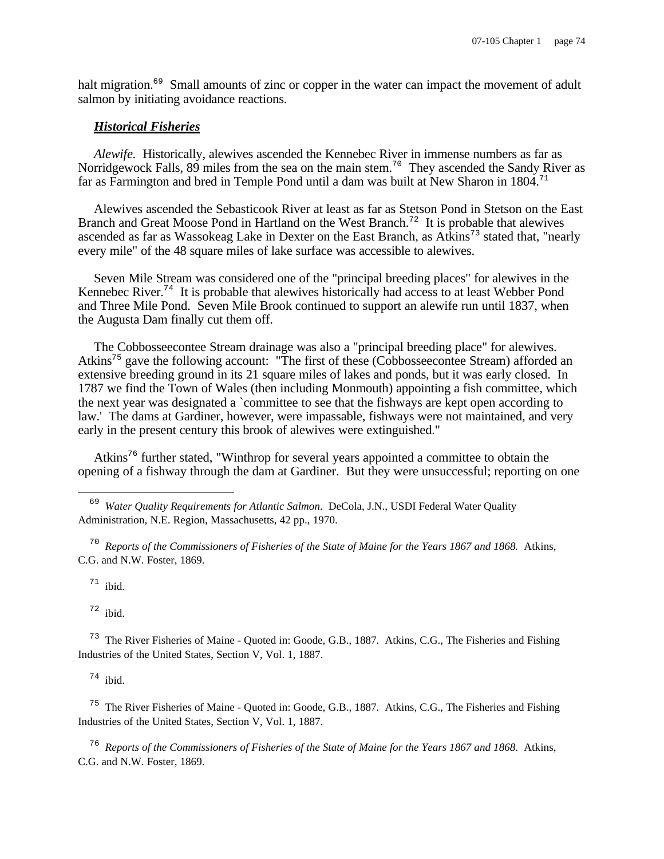halt migration.<sup>69</sup> Small amounts of zinc or copper in the water can impact the movement of adult salmon by initiating avoidance reactions.

#### *Historical Fisheries*

*Alewife.* Historically, alewives ascended the Kennebec River in immense numbers as far as Norridgewock Falls, 89 miles from the sea on the main stem.<sup>70</sup> They ascended the Sandy River as far as Farmington and bred in Temple Pond until a dam was built at New Sharon in 1804.<sup>71</sup>

Alewives ascended the Sebasticook River at least as far as Stetson Pond in Stetson on the East Branch and Great Moose Pond in Hartland on the West Branch.<sup>72</sup> It is probable that alewives ascended as far as Wassokeag Lake in Dexter on the East Branch, as Atkins<sup>73</sup> stated that, "nearly every mile" of the 48 square miles of lake surface was accessible to alewives.

Seven Mile Stream was considered one of the "principal breeding places" for alewives in the Kennebec River.<sup>74</sup> It is probable that alewives historically had access to at least Webber Pond and Three Mile Pond. Seven Mile Brook continued to support an alewife run until 1837, when the Augusta Dam finally cut them off.

The Cobbosseecontee Stream drainage was also a "principal breeding place" for alewives. Atkins<sup>75</sup> gave the following account: "The first of these (Cobbosseecontee Stream) afforded an extensive breeding ground in its 21 square miles of lakes and ponds, but it was early closed. In 1787 we find the Town of Wales (then including Monmouth) appointing a fish committee, which the next year was designated a `committee to see that the fishways are kept open according to law.' The dams at Gardiner, however, were impassable, fishways were not maintained, and very early in the present century this brook of alewives were extinguished."

Atkins<sup>76</sup> further stated, "Winthrop for several years appointed a committee to obtain the opening of a fishway through the dam at Gardiner. But they were unsuccessful; reporting on one

70 *Reports of the Commissioners of Fisheries of the State of Maine for the Years 1867 and 1868.* Atkins, C.G. and N.W. Foster, 1869.

 $71$  ibid.

 $\overline{\phantom{0}}$ 

 $72$  ibid.

<sup>73</sup> The River Fisheries of Maine - Quoted in: Goode, G.B., 1887. Atkins, C.G., The Fisheries and Fishing Industries of the United States, Section V, Vol. 1, 1887.

 $74$  ibid.

<sup>75</sup> The River Fisheries of Maine - Quoted in: Goode, G.B., 1887. Atkins, C.G., The Fisheries and Fishing Industries of the United States, Section V, Vol. 1, 1887.

76 *Reports of the Commissioners of Fisheries of the State of Maine for the Years 1867 and 1868*. Atkins, C.G. and N.W. Foster, 1869.

<sup>&</sup>lt;sup>69</sup> Water Quality Requirements for Atlantic Salmon. DeCola, J.N., USDI Federal Water Quality Administration, N.E. Region, Massachusetts, 42 pp., 1970.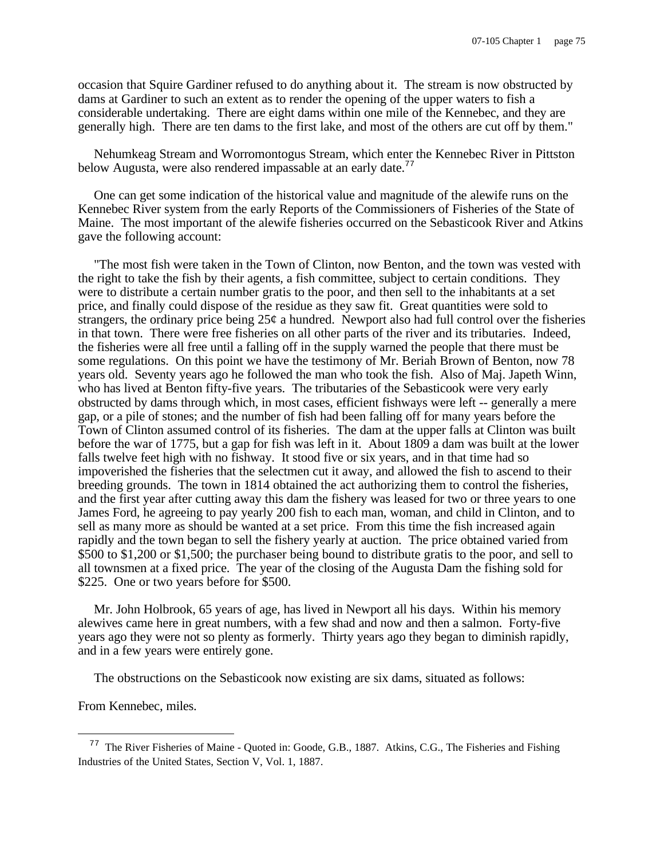occasion that Squire Gardiner refused to do anything about it. The stream is now obstructed by dams at Gardiner to such an extent as to render the opening of the upper waters to fish a considerable undertaking. There are eight dams within one mile of the Kennebec, and they are generally high. There are ten dams to the first lake, and most of the others are cut off by them."

Nehumkeag Stream and Worromontogus Stream, which enter the Kennebec River in Pittston below Augusta, were also rendered impassable at an early date.<sup>77</sup>

One can get some indication of the historical value and magnitude of the alewife runs on the Kennebec River system from the early Reports of the Commissioners of Fisheries of the State of Maine. The most important of the alewife fisheries occurred on the Sebasticook River and Atkins gave the following account:

"The most fish were taken in the Town of Clinton, now Benton, and the town was vested with the right to take the fish by their agents, a fish committee, subject to certain conditions. They were to distribute a certain number gratis to the poor, and then sell to the inhabitants at a set price, and finally could dispose of the residue as they saw fit. Great quantities were sold to strangers, the ordinary price being  $25¢$  a hundred. Newport also had full control over the fisheries in that town. There were free fisheries on all other parts of the river and its tributaries. Indeed, the fisheries were all free until a falling off in the supply warned the people that there must be some regulations. On this point we have the testimony of Mr. Beriah Brown of Benton, now 78 years old. Seventy years ago he followed the man who took the fish. Also of Maj. Japeth Winn, who has lived at Benton fifty-five years. The tributaries of the Sebasticook were very early obstructed by dams through which, in most cases, efficient fishways were left -- generally a mere gap, or a pile of stones; and the number of fish had been falling off for many years before the Town of Clinton assumed control of its fisheries. The dam at the upper falls at Clinton was built before the war of 1775, but a gap for fish was left in it. About 1809 a dam was built at the lower falls twelve feet high with no fishway. It stood five or six years, and in that time had so impoverished the fisheries that the selectmen cut it away, and allowed the fish to ascend to their breeding grounds. The town in 1814 obtained the act authorizing them to control the fisheries, and the first year after cutting away this dam the fishery was leased for two or three years to one James Ford, he agreeing to pay yearly 200 fish to each man, woman, and child in Clinton, and to sell as many more as should be wanted at a set price. From this time the fish increased again rapidly and the town began to sell the fishery yearly at auction. The price obtained varied from \$500 to \$1,200 or \$1,500; the purchaser being bound to distribute gratis to the poor, and sell to all townsmen at a fixed price. The year of the closing of the Augusta Dam the fishing sold for \$225. One or two years before for \$500.

Mr. John Holbrook, 65 years of age, has lived in Newport all his days. Within his memory alewives came here in great numbers, with a few shad and now and then a salmon. Forty-five years ago they were not so plenty as formerly. Thirty years ago they began to diminish rapidly, and in a few years were entirely gone.

The obstructions on the Sebasticook now existing are six dams, situated as follows:

From Kennebec, miles.

<sup>77</sup> The River Fisheries of Maine - Quoted in: Goode, G.B., 1887. Atkins, C.G., The Fisheries and Fishing Industries of the United States, Section V, Vol. 1, 1887.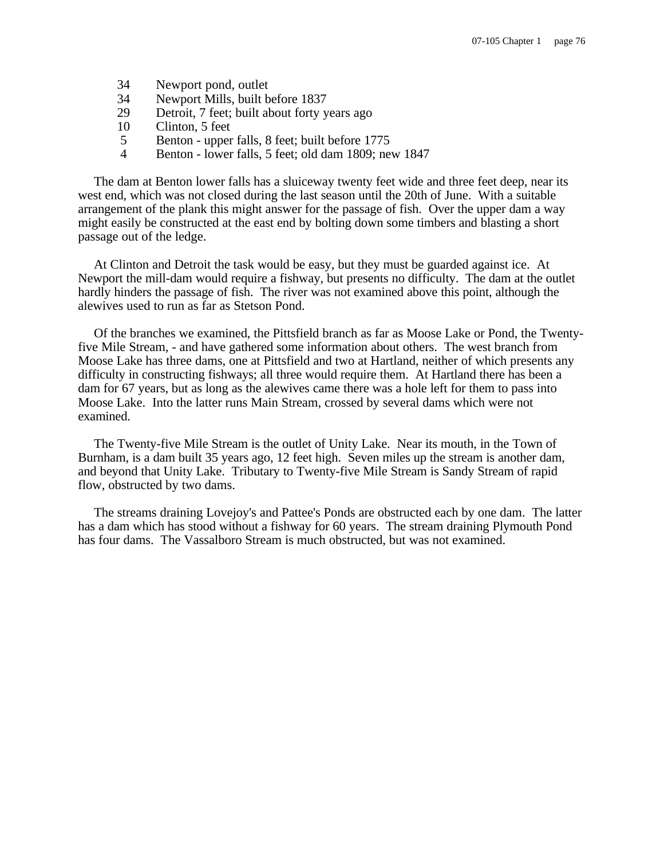- 34 Newport pond, outlet
- 34 Newport Mills, built before 1837
- 29 Detroit, 7 feet; built about forty years ago
- 10 Clinton, 5 feet
- 5 Benton upper falls, 8 feet; built before 1775
- 4 Benton lower falls, 5 feet; old dam 1809; new 1847

The dam at Benton lower falls has a sluiceway twenty feet wide and three feet deep, near its west end, which was not closed during the last season until the 20th of June. With a suitable arrangement of the plank this might answer for the passage of fish. Over the upper dam a way might easily be constructed at the east end by bolting down some timbers and blasting a short passage out of the ledge.

At Clinton and Detroit the task would be easy, but they must be guarded against ice. At Newport the mill-dam would require a fishway, but presents no difficulty. The dam at the outlet hardly hinders the passage of fish. The river was not examined above this point, although the alewives used to run as far as Stetson Pond.

Of the branches we examined, the Pittsfield branch as far as Moose Lake or Pond, the Twentyfive Mile Stream, - and have gathered some information about others. The west branch from Moose Lake has three dams, one at Pittsfield and two at Hartland, neither of which presents any difficulty in constructing fishways; all three would require them. At Hartland there has been a dam for 67 years, but as long as the alewives came there was a hole left for them to pass into Moose Lake. Into the latter runs Main Stream, crossed by several dams which were not examined.

The Twenty-five Mile Stream is the outlet of Unity Lake. Near its mouth, in the Town of Burnham, is a dam built 35 years ago, 12 feet high. Seven miles up the stream is another dam, and beyond that Unity Lake. Tributary to Twenty-five Mile Stream is Sandy Stream of rapid flow, obstructed by two dams.

The streams draining Lovejoy's and Pattee's Ponds are obstructed each by one dam. The latter has a dam which has stood without a fishway for 60 years. The stream draining Plymouth Pond has four dams. The Vassalboro Stream is much obstructed, but was not examined.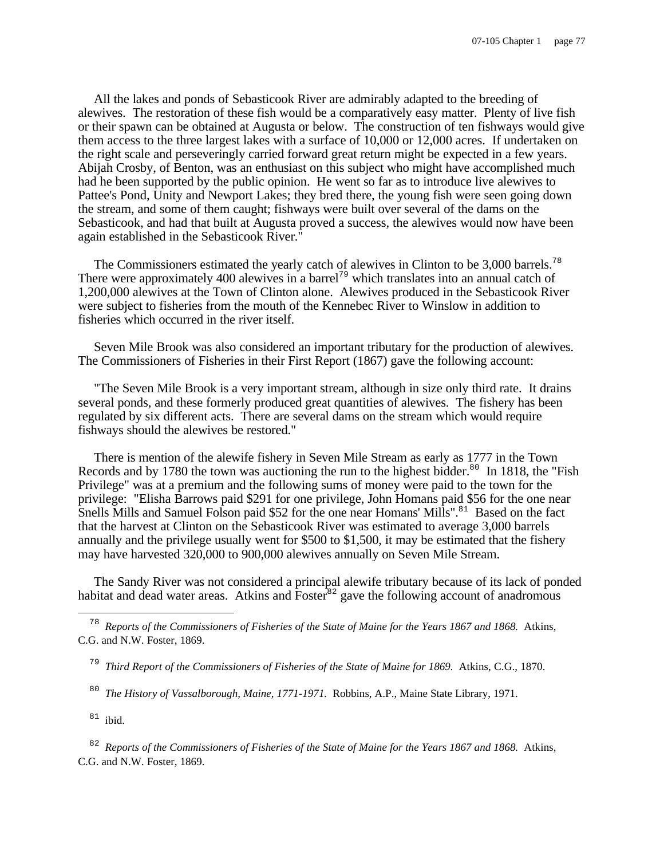All the lakes and ponds of Sebasticook River are admirably adapted to the breeding of alewives. The restoration of these fish would be a comparatively easy matter. Plenty of live fish or their spawn can be obtained at Augusta or below. The construction of ten fishways would give them access to the three largest lakes with a surface of 10,000 or 12,000 acres. If undertaken on the right scale and perseveringly carried forward great return might be expected in a few years. Abijah Crosby, of Benton, was an enthusiast on this subject who might have accomplished much had he been supported by the public opinion. He went so far as to introduce live alewives to Pattee's Pond, Unity and Newport Lakes; they bred there, the young fish were seen going down the stream, and some of them caught; fishways were built over several of the dams on the Sebasticook, and had that built at Augusta proved a success, the alewives would now have been again established in the Sebasticook River."

The Commissioners estimated the yearly catch of alewives in Clinton to be 3,000 barrels.<sup>78</sup> There were approximately 400 alewives in a barrel<sup>79</sup> which translates into an annual catch of 1,200,000 alewives at the Town of Clinton alone. Alewives produced in the Sebasticook River were subject to fisheries from the mouth of the Kennebec River to Winslow in addition to fisheries which occurred in the river itself.

Seven Mile Brook was also considered an important tributary for the production of alewives. The Commissioners of Fisheries in their First Report (1867) gave the following account:

"The Seven Mile Brook is a very important stream, although in size only third rate. It drains several ponds, and these formerly produced great quantities of alewives. The fishery has been regulated by six different acts. There are several dams on the stream which would require fishways should the alewives be restored."

There is mention of the alewife fishery in Seven Mile Stream as early as 1777 in the Town Records and by 1780 the town was auctioning the run to the highest bidder.<sup>80</sup> In 1818, the "Fish" Privilege" was at a premium and the following sums of money were paid to the town for the privilege: "Elisha Barrows paid \$291 for one privilege, John Homans paid \$56 for the one near Snells Mills and Samuel Folson paid \$52 for the one near Homans' Mills".<sup>81</sup> Based on the fact that the harvest at Clinton on the Sebasticook River was estimated to average 3,000 barrels annually and the privilege usually went for \$500 to \$1,500, it may be estimated that the fishery may have harvested 320,000 to 900,000 alewives annually on Seven Mile Stream.

The Sandy River was not considered a principal alewife tributary because of its lack of ponded habitat and dead water areas. Atkins and  $\overline{F}$  poster<sup>82</sup> gave the following account of anadromous

80 *The History of Vassalborough, Maine, 1771-1971.* Robbins, A.P., Maine State Library, 1971.

 $81$  ibid.

÷,

82 *Reports of the Commissioners of Fisheries of the State of Maine for the Years 1867 and 1868.* Atkins, C.G. and N.W. Foster, 1869.

<sup>78</sup> *Reports of the Commissioners of Fisheries of the State of Maine for the Years 1867 and 1868.* Atkins, C.G. and N.W. Foster, 1869.

<sup>79</sup> *Third Report of the Commissioners of Fisheries of the State of Maine for 1869.* Atkins, C.G., 1870.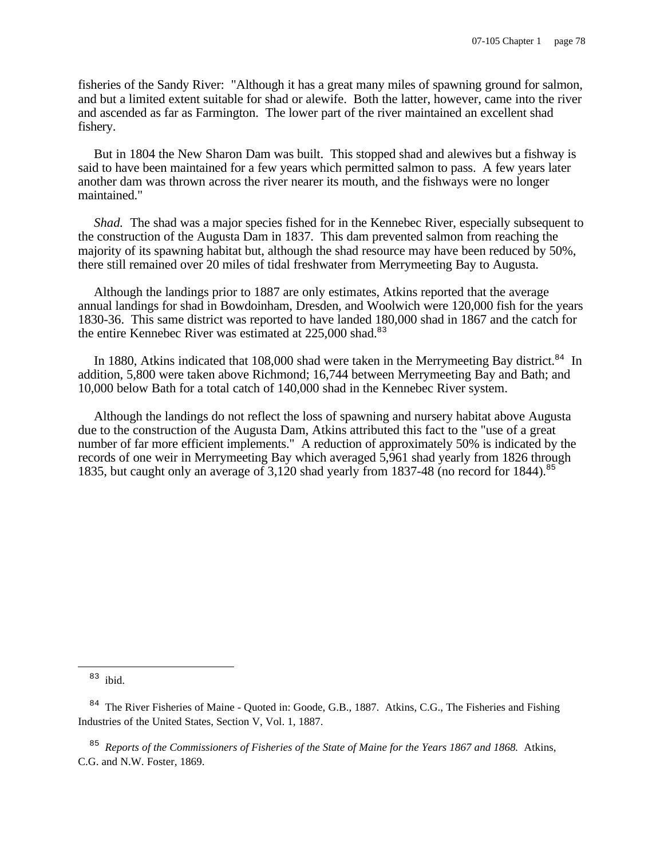fisheries of the Sandy River: "Although it has a great many miles of spawning ground for salmon, and but a limited extent suitable for shad or alewife. Both the latter, however, came into the river and ascended as far as Farmington. The lower part of the river maintained an excellent shad fishery.

But in 1804 the New Sharon Dam was built. This stopped shad and alewives but a fishway is said to have been maintained for a few years which permitted salmon to pass. A few years later another dam was thrown across the river nearer its mouth, and the fishways were no longer maintained."

*Shad.* The shad was a major species fished for in the Kennebec River, especially subsequent to the construction of the Augusta Dam in 1837. This dam prevented salmon from reaching the majority of its spawning habitat but, although the shad resource may have been reduced by 50%, there still remained over 20 miles of tidal freshwater from Merrymeeting Bay to Augusta.

Although the landings prior to 1887 are only estimates, Atkins reported that the average annual landings for shad in Bowdoinham, Dresden, and Woolwich were 120,000 fish for the years 1830-36. This same district was reported to have landed 180,000 shad in 1867 and the catch for the entire Kennebec River was estimated at  $225,000$  shad.<sup>83</sup>

In 1880, Atkins indicated that 108,000 shad were taken in the Merrymeeting Bay district.<sup>84</sup> In addition, 5,800 were taken above Richmond; 16,744 between Merrymeeting Bay and Bath; and 10,000 below Bath for a total catch of 140,000 shad in the Kennebec River system.

Although the landings do not reflect the loss of spawning and nursery habitat above Augusta due to the construction of the Augusta Dam, Atkins attributed this fact to the "use of a great number of far more efficient implements." A reduction of approximately 50% is indicated by the records of one weir in Merrymeeting Bay which averaged 5,961 shad yearly from 1826 through 1835, but caught only an average of 3,120 shad yearly from 1837-48 (no record for 1844).<sup>85</sup>

85 *Reports of the Commissioners of Fisheries of the State of Maine for the Years 1867 and 1868.* Atkins, C.G. and N.W. Foster, 1869.

<sup>83</sup> ibid.

<sup>&</sup>lt;sup>84</sup> The River Fisheries of Maine - Quoted in: Goode, G.B., 1887. Atkins, C.G., The Fisheries and Fishing Industries of the United States, Section V, Vol. 1, 1887.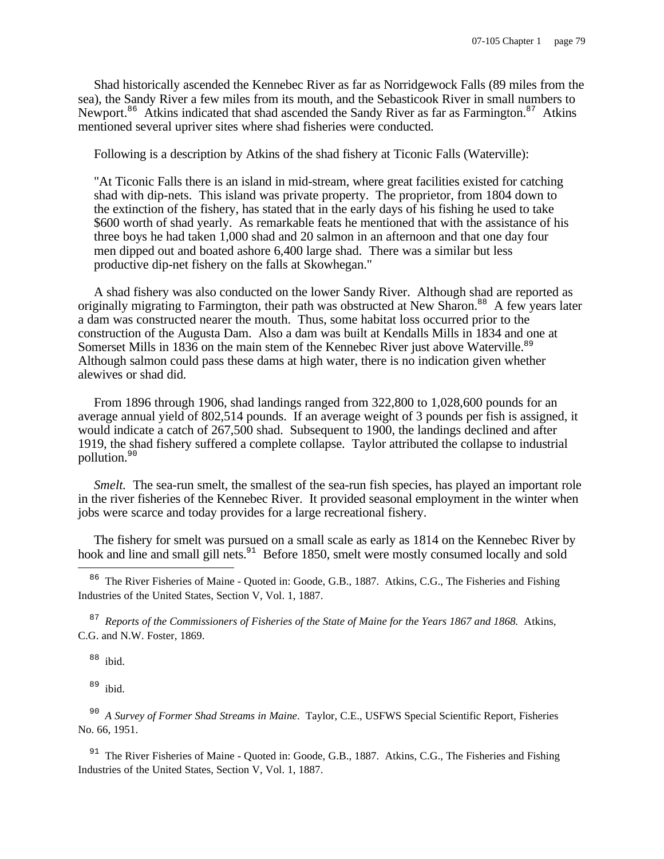Shad historically ascended the Kennebec River as far as Norridgewock Falls (89 miles from the sea), the Sandy River a few miles from its mouth, and the Sebasticook River in small numbers to Newport.<sup>86</sup> Atkins indicated that shad ascended the Sandy River as far as Farmington.<sup>87</sup> Atkins mentioned several upriver sites where shad fisheries were conducted.

Following is a description by Atkins of the shad fishery at Ticonic Falls (Waterville):

"At Ticonic Falls there is an island in mid-stream, where great facilities existed for catching shad with dip-nets. This island was private property. The proprietor, from 1804 down to the extinction of the fishery, has stated that in the early days of his fishing he used to take \$600 worth of shad yearly. As remarkable feats he mentioned that with the assistance of his three boys he had taken 1,000 shad and 20 salmon in an afternoon and that one day four men dipped out and boated ashore 6,400 large shad. There was a similar but less productive dip-net fishery on the falls at Skowhegan."

A shad fishery was also conducted on the lower Sandy River. Although shad are reported as originally migrating to Farmington, their path was obstructed at New Sharon.<sup>88</sup> A few years later a dam was constructed nearer the mouth. Thus, some habitat loss occurred prior to the construction of the Augusta Dam. Also a dam was built at Kendalls Mills in 1834 and one at Somerset Mills in 1836 on the main stem of the Kennebec River just above Waterville.<sup>89</sup> Although salmon could pass these dams at high water, there is no indication given whether alewives or shad did.

From 1896 through 1906, shad landings ranged from 322,800 to 1,028,600 pounds for an average annual yield of 802,514 pounds. If an average weight of 3 pounds per fish is assigned, it would indicate a catch of 267,500 shad. Subsequent to 1900, the landings declined and after 1919, the shad fishery suffered a complete collapse. Taylor attributed the collapse to industrial pollution.<sup>90</sup>

*Smelt.* The sea-run smelt, the smallest of the sea-run fish species, has played an important role in the river fisheries of the Kennebec River. It provided seasonal employment in the winter when jobs were scarce and today provides for a large recreational fishery.

The fishery for smelt was pursued on a small scale as early as 1814 on the Kennebec River by hook and line and small gill nets.<sup>91</sup> Before 1850, smelt were mostly consumed locally and sold

<sup>86</sup> The River Fisheries of Maine - Quoted in: Goode, G.B., 1887. Atkins, C.G., The Fisheries and Fishing Industries of the United States, Section V, Vol. 1, 1887.

87 *Reports of the Commissioners of Fisheries of the State of Maine for the Years 1867 and 1868.* Atkins, C.G. and N.W. Foster, 1869.

<sup>88</sup> ibid.

 $\overline{\phantom{0}}$ 

 $89$  ibid.

90 *A Survey of Former Shad Streams in Maine*. Taylor, C.E., USFWS Special Scientific Report, Fisheries No. 66, 1951.

<sup>91</sup> The River Fisheries of Maine - Quoted in: Goode, G.B., 1887. Atkins, C.G., The Fisheries and Fishing Industries of the United States, Section V, Vol. 1, 1887.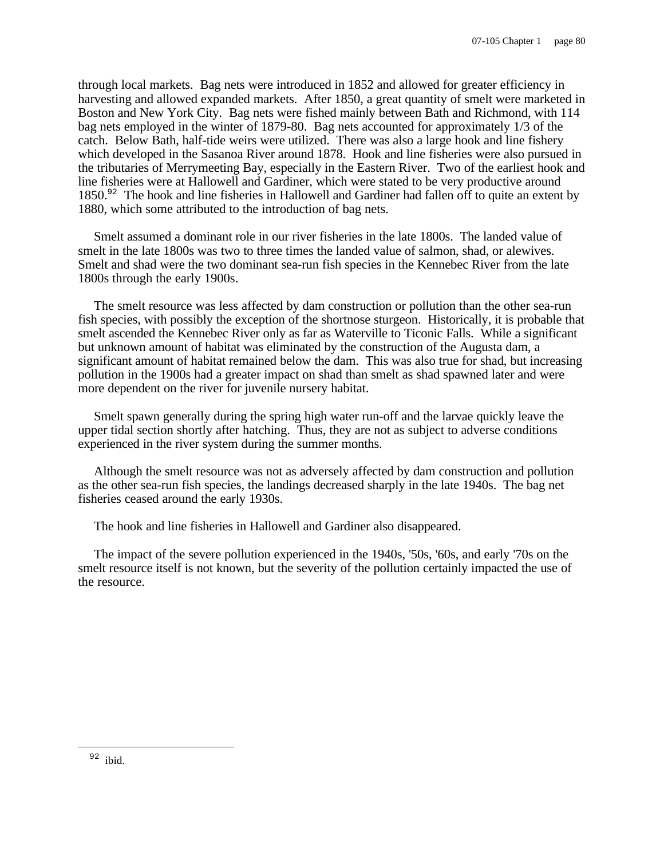through local markets. Bag nets were introduced in 1852 and allowed for greater efficiency in harvesting and allowed expanded markets. After 1850, a great quantity of smelt were marketed in Boston and New York City. Bag nets were fished mainly between Bath and Richmond, with 114 bag nets employed in the winter of 1879-80. Bag nets accounted for approximately 1/3 of the catch. Below Bath, half-tide weirs were utilized. There was also a large hook and line fishery which developed in the Sasanoa River around 1878. Hook and line fisheries were also pursued in the tributaries of Merrymeeting Bay, especially in the Eastern River. Two of the earliest hook and line fisheries were at Hallowell and Gardiner, which were stated to be very productive around 1850.<sup>92</sup> The hook and line fisheries in Hallowell and Gardiner had fallen off to quite an extent by 1880, which some attributed to the introduction of bag nets.

Smelt assumed a dominant role in our river fisheries in the late 1800s. The landed value of smelt in the late 1800s was two to three times the landed value of salmon, shad, or alewives. Smelt and shad were the two dominant sea-run fish species in the Kennebec River from the late 1800s through the early 1900s.

The smelt resource was less affected by dam construction or pollution than the other sea-run fish species, with possibly the exception of the shortnose sturgeon. Historically, it is probable that smelt ascended the Kennebec River only as far as Waterville to Ticonic Falls. While a significant but unknown amount of habitat was eliminated by the construction of the Augusta dam, a significant amount of habitat remained below the dam. This was also true for shad, but increasing pollution in the 1900s had a greater impact on shad than smelt as shad spawned later and were more dependent on the river for juvenile nursery habitat.

Smelt spawn generally during the spring high water run-off and the larvae quickly leave the upper tidal section shortly after hatching. Thus, they are not as subject to adverse conditions experienced in the river system during the summer months.

Although the smelt resource was not as adversely affected by dam construction and pollution as the other sea-run fish species, the landings decreased sharply in the late 1940s. The bag net fisheries ceased around the early 1930s.

The hook and line fisheries in Hallowell and Gardiner also disappeared.

The impact of the severe pollution experienced in the 1940s, '50s, '60s, and early '70s on the smelt resource itself is not known, but the severity of the pollution certainly impacted the use of the resource.

<sup>92</sup> ibid.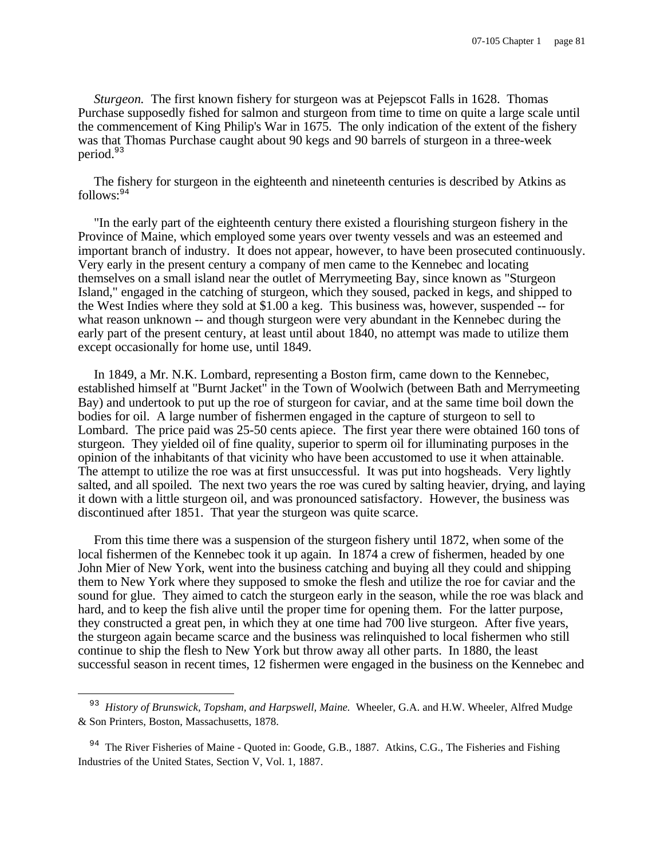*Sturgeon.* The first known fishery for sturgeon was at Pejepscot Falls in 1628. Thomas Purchase supposedly fished for salmon and sturgeon from time to time on quite a large scale until the commencement of King Philip's War in 1675. The only indication of the extent of the fishery was that Thomas Purchase caught about 90 kegs and 90 barrels of sturgeon in a three-week period.<sup>93</sup>

The fishery for sturgeon in the eighteenth and nineteenth centuries is described by Atkins as  $follows: <sup>94</sup>$ 

"In the early part of the eighteenth century there existed a flourishing sturgeon fishery in the Province of Maine, which employed some years over twenty vessels and was an esteemed and important branch of industry. It does not appear, however, to have been prosecuted continuously. Very early in the present century a company of men came to the Kennebec and locating themselves on a small island near the outlet of Merrymeeting Bay, since known as "Sturgeon Island," engaged in the catching of sturgeon, which they soused, packed in kegs, and shipped to the West Indies where they sold at \$1.00 a keg. This business was, however, suspended -- for what reason unknown -- and though sturgeon were very abundant in the Kennebec during the early part of the present century, at least until about 1840, no attempt was made to utilize them except occasionally for home use, until 1849.

In 1849, a Mr. N.K. Lombard, representing a Boston firm, came down to the Kennebec, established himself at "Burnt Jacket" in the Town of Woolwich (between Bath and Merrymeeting Bay) and undertook to put up the roe of sturgeon for caviar, and at the same time boil down the bodies for oil. A large number of fishermen engaged in the capture of sturgeon to sell to Lombard. The price paid was 25-50 cents apiece. The first year there were obtained 160 tons of sturgeon. They yielded oil of fine quality, superior to sperm oil for illuminating purposes in the opinion of the inhabitants of that vicinity who have been accustomed to use it when attainable. The attempt to utilize the roe was at first unsuccessful. It was put into hogsheads. Very lightly salted, and all spoiled. The next two years the roe was cured by salting heavier, drying, and laying it down with a little sturgeon oil, and was pronounced satisfactory. However, the business was discontinued after 1851. That year the sturgeon was quite scarce.

From this time there was a suspension of the sturgeon fishery until 1872, when some of the local fishermen of the Kennebec took it up again. In 1874 a crew of fishermen, headed by one John Mier of New York, went into the business catching and buying all they could and shipping them to New York where they supposed to smoke the flesh and utilize the roe for caviar and the sound for glue. They aimed to catch the sturgeon early in the season, while the roe was black and hard, and to keep the fish alive until the proper time for opening them. For the latter purpose, they constructed a great pen, in which they at one time had 700 live sturgeon. After five years, the sturgeon again became scarce and the business was relinquished to local fishermen who still continue to ship the flesh to New York but throw away all other parts. In 1880, the least successful season in recent times, 12 fishermen were engaged in the business on the Kennebec and

 $\overline{\phantom{0}}$ 

<sup>&</sup>lt;sup>93</sup> History of Brunswick, Topsham, and Harpswell, Maine. Wheeler, G.A. and H.W. Wheeler, Alfred Mudge & Son Printers, Boston, Massachusetts, 1878.

<sup>&</sup>lt;sup>94</sup> The River Fisheries of Maine - Quoted in: Goode, G.B., 1887. Atkins, C.G., The Fisheries and Fishing Industries of the United States, Section V, Vol. 1, 1887.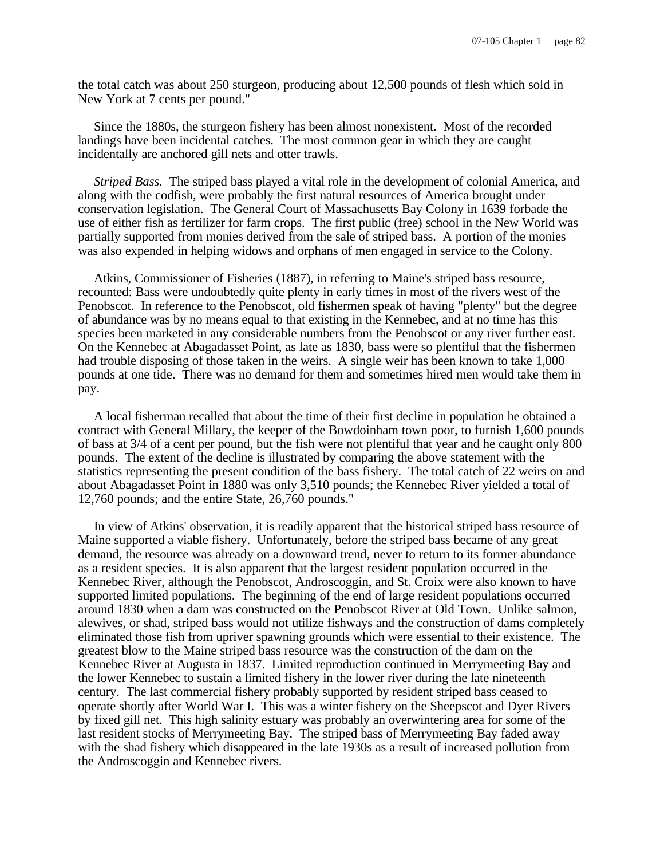the total catch was about 250 sturgeon, producing about 12,500 pounds of flesh which sold in New York at 7 cents per pound."

Since the 1880s, the sturgeon fishery has been almost nonexistent. Most of the recorded landings have been incidental catches. The most common gear in which they are caught incidentally are anchored gill nets and otter trawls.

*Striped Bass.* The striped bass played a vital role in the development of colonial America, and along with the codfish, were probably the first natural resources of America brought under conservation legislation. The General Court of Massachusetts Bay Colony in 1639 forbade the use of either fish as fertilizer for farm crops. The first public (free) school in the New World was partially supported from monies derived from the sale of striped bass. A portion of the monies was also expended in helping widows and orphans of men engaged in service to the Colony.

Atkins, Commissioner of Fisheries (1887), in referring to Maine's striped bass resource, recounted: Bass were undoubtedly quite plenty in early times in most of the rivers west of the Penobscot. In reference to the Penobscot, old fishermen speak of having "plenty" but the degree of abundance was by no means equal to that existing in the Kennebec, and at no time has this species been marketed in any considerable numbers from the Penobscot or any river further east. On the Kennebec at Abagadasset Point, as late as 1830, bass were so plentiful that the fishermen had trouble disposing of those taken in the weirs. A single weir has been known to take 1,000 pounds at one tide. There was no demand for them and sometimes hired men would take them in pay.

A local fisherman recalled that about the time of their first decline in population he obtained a contract with General Millary, the keeper of the Bowdoinham town poor, to furnish 1,600 pounds of bass at 3/4 of a cent per pound, but the fish were not plentiful that year and he caught only 800 pounds. The extent of the decline is illustrated by comparing the above statement with the statistics representing the present condition of the bass fishery. The total catch of 22 weirs on and about Abagadasset Point in 1880 was only 3,510 pounds; the Kennebec River yielded a total of 12,760 pounds; and the entire State, 26,760 pounds."

In view of Atkins' observation, it is readily apparent that the historical striped bass resource of Maine supported a viable fishery. Unfortunately, before the striped bass became of any great demand, the resource was already on a downward trend, never to return to its former abundance as a resident species. It is also apparent that the largest resident population occurred in the Kennebec River, although the Penobscot, Androscoggin, and St. Croix were also known to have supported limited populations. The beginning of the end of large resident populations occurred around 1830 when a dam was constructed on the Penobscot River at Old Town. Unlike salmon, alewives, or shad, striped bass would not utilize fishways and the construction of dams completely eliminated those fish from upriver spawning grounds which were essential to their existence. The greatest blow to the Maine striped bass resource was the construction of the dam on the Kennebec River at Augusta in 1837. Limited reproduction continued in Merrymeeting Bay and the lower Kennebec to sustain a limited fishery in the lower river during the late nineteenth century. The last commercial fishery probably supported by resident striped bass ceased to operate shortly after World War I. This was a winter fishery on the Sheepscot and Dyer Rivers by fixed gill net. This high salinity estuary was probably an overwintering area for some of the last resident stocks of Merrymeeting Bay. The striped bass of Merrymeeting Bay faded away with the shad fishery which disappeared in the late 1930s as a result of increased pollution from the Androscoggin and Kennebec rivers.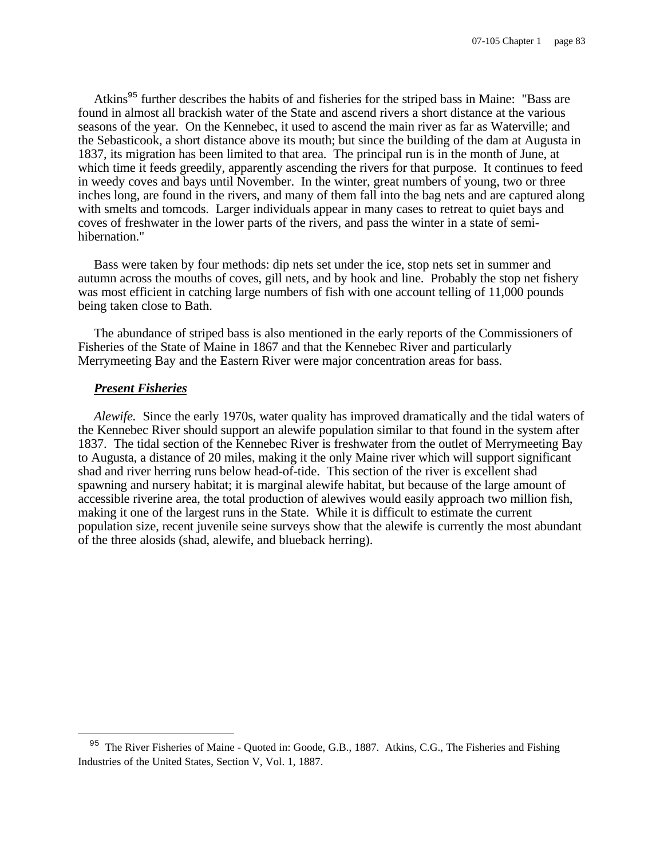Atkins<sup>95</sup> further describes the habits of and fisheries for the striped bass in Maine: "Bass are found in almost all brackish water of the State and ascend rivers a short distance at the various seasons of the year. On the Kennebec, it used to ascend the main river as far as Waterville; and the Sebasticook, a short distance above its mouth; but since the building of the dam at Augusta in 1837, its migration has been limited to that area. The principal run is in the month of June, at which time it feeds greedily, apparently ascending the rivers for that purpose. It continues to feed in weedy coves and bays until November. In the winter, great numbers of young, two or three inches long, are found in the rivers, and many of them fall into the bag nets and are captured along with smelts and tomcods. Larger individuals appear in many cases to retreat to quiet bays and coves of freshwater in the lower parts of the rivers, and pass the winter in a state of semihibernation."

Bass were taken by four methods: dip nets set under the ice, stop nets set in summer and autumn across the mouths of coves, gill nets, and by hook and line. Probably the stop net fishery was most efficient in catching large numbers of fish with one account telling of 11,000 pounds being taken close to Bath.

The abundance of striped bass is also mentioned in the early reports of the Commissioners of Fisheries of the State of Maine in 1867 and that the Kennebec River and particularly Merrymeeting Bay and the Eastern River were major concentration areas for bass.

#### *Present Fisheries*

i

*Alewife.* Since the early 1970s, water quality has improved dramatically and the tidal waters of the Kennebec River should support an alewife population similar to that found in the system after 1837. The tidal section of the Kennebec River is freshwater from the outlet of Merrymeeting Bay to Augusta, a distance of 20 miles, making it the only Maine river which will support significant shad and river herring runs below head-of-tide. This section of the river is excellent shad spawning and nursery habitat; it is marginal alewife habitat, but because of the large amount of accessible riverine area, the total production of alewives would easily approach two million fish, making it one of the largest runs in the State. While it is difficult to estimate the current population size, recent juvenile seine surveys show that the alewife is currently the most abundant of the three alosids (shad, alewife, and blueback herring).

<sup>&</sup>lt;sup>95</sup> The River Fisheries of Maine - Quoted in: Goode, G.B., 1887. Atkins, C.G., The Fisheries and Fishing Industries of the United States, Section V, Vol. 1, 1887.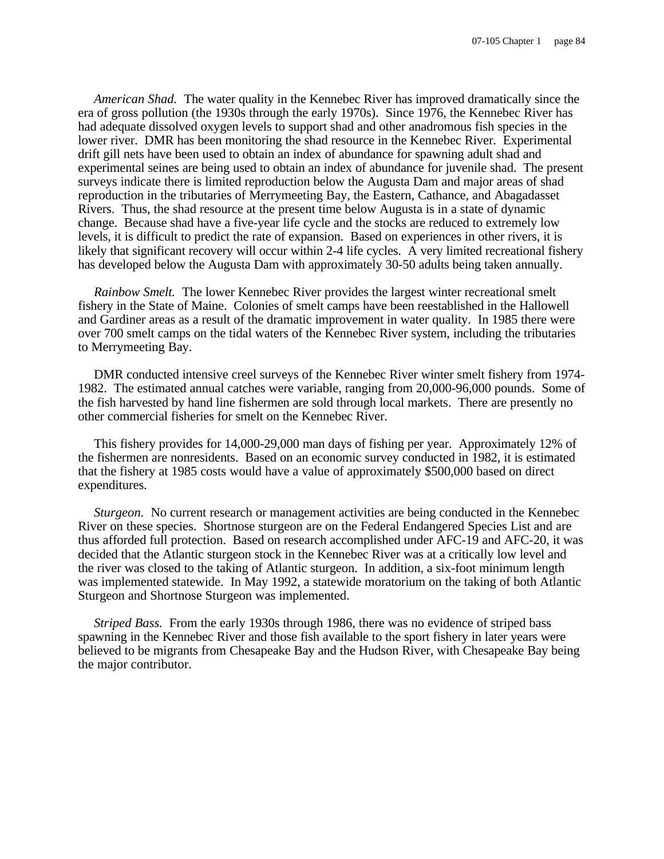*American Shad.* The water quality in the Kennebec River has improved dramatically since the era of gross pollution (the 1930s through the early 1970s). Since 1976, the Kennebec River has had adequate dissolved oxygen levels to support shad and other anadromous fish species in the lower river. DMR has been monitoring the shad resource in the Kennebec River. Experimental drift gill nets have been used to obtain an index of abundance for spawning adult shad and experimental seines are being used to obtain an index of abundance for juvenile shad. The present surveys indicate there is limited reproduction below the Augusta Dam and major areas of shad reproduction in the tributaries of Merrymeeting Bay, the Eastern, Cathance, and Abagadasset Rivers. Thus, the shad resource at the present time below Augusta is in a state of dynamic change. Because shad have a five-year life cycle and the stocks are reduced to extremely low levels, it is difficult to predict the rate of expansion. Based on experiences in other rivers, it is likely that significant recovery will occur within 2-4 life cycles. A very limited recreational fishery has developed below the Augusta Dam with approximately 30-50 adults being taken annually.

*Rainbow Smelt.* The lower Kennebec River provides the largest winter recreational smelt fishery in the State of Maine. Colonies of smelt camps have been reestablished in the Hallowell and Gardiner areas as a result of the dramatic improvement in water quality. In 1985 there were over 700 smelt camps on the tidal waters of the Kennebec River system, including the tributaries to Merrymeeting Bay.

DMR conducted intensive creel surveys of the Kennebec River winter smelt fishery from 1974- 1982. The estimated annual catches were variable, ranging from 20,000-96,000 pounds. Some of the fish harvested by hand line fishermen are sold through local markets. There are presently no other commercial fisheries for smelt on the Kennebec River.

This fishery provides for 14,000-29,000 man days of fishing per year. Approximately 12% of the fishermen are nonresidents. Based on an economic survey conducted in 1982, it is estimated that the fishery at 1985 costs would have a value of approximately \$500,000 based on direct expenditures.

*Sturgeon.* No current research or management activities are being conducted in the Kennebec River on these species. Shortnose sturgeon are on the Federal Endangered Species List and are thus afforded full protection. Based on research accomplished under AFC-19 and AFC-20, it was decided that the Atlantic sturgeon stock in the Kennebec River was at a critically low level and the river was closed to the taking of Atlantic sturgeon. In addition, a six-foot minimum length was implemented statewide. In May 1992, a statewide moratorium on the taking of both Atlantic Sturgeon and Shortnose Sturgeon was implemented.

*Striped Bass.* From the early 1930s through 1986, there was no evidence of striped bass spawning in the Kennebec River and those fish available to the sport fishery in later years were believed to be migrants from Chesapeake Bay and the Hudson River, with Chesapeake Bay being the major contributor.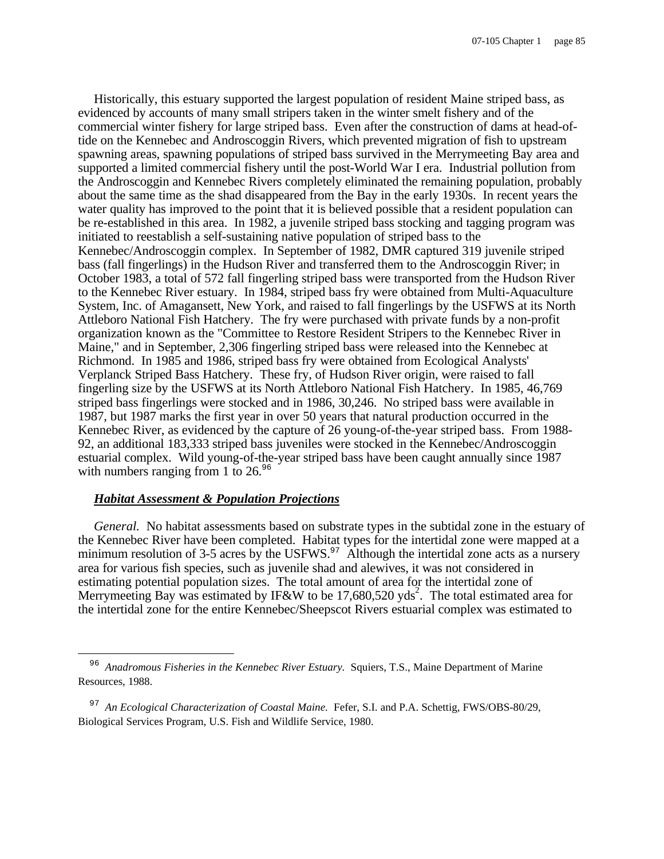Historically, this estuary supported the largest population of resident Maine striped bass, as evidenced by accounts of many small stripers taken in the winter smelt fishery and of the commercial winter fishery for large striped bass. Even after the construction of dams at head-oftide on the Kennebec and Androscoggin Rivers, which prevented migration of fish to upstream spawning areas, spawning populations of striped bass survived in the Merrymeeting Bay area and supported a limited commercial fishery until the post-World War I era. Industrial pollution from the Androscoggin and Kennebec Rivers completely eliminated the remaining population, probably about the same time as the shad disappeared from the Bay in the early 1930s. In recent years the water quality has improved to the point that it is believed possible that a resident population can be re-established in this area. In 1982, a juvenile striped bass stocking and tagging program was initiated to reestablish a self-sustaining native population of striped bass to the Kennebec/Androscoggin complex. In September of 1982, DMR captured 319 juvenile striped bass (fall fingerlings) in the Hudson River and transferred them to the Androscoggin River; in October 1983, a total of 572 fall fingerling striped bass were transported from the Hudson River to the Kennebec River estuary. In 1984, striped bass fry were obtained from Multi-Aquaculture System, Inc. of Amagansett, New York, and raised to fall fingerlings by the USFWS at its North Attleboro National Fish Hatchery. The fry were purchased with private funds by a non-profit organization known as the "Committee to Restore Resident Stripers to the Kennebec River in Maine," and in September, 2,306 fingerling striped bass were released into the Kennebec at Richmond. In 1985 and 1986, striped bass fry were obtained from Ecological Analysts' Verplanck Striped Bass Hatchery. These fry, of Hudson River origin, were raised to fall fingerling size by the USFWS at its North Attleboro National Fish Hatchery. In 1985, 46,769 striped bass fingerlings were stocked and in 1986, 30,246. No striped bass were available in 1987, but 1987 marks the first year in over 50 years that natural production occurred in the Kennebec River, as evidenced by the capture of 26 young-of-the-year striped bass. From 1988- 92, an additional 183,333 striped bass juveniles were stocked in the Kennebec/Androscoggin estuarial complex. Wild young-of-the-year striped bass have been caught annually since 1987 with numbers ranging from 1 to  $26.^{96}$ 

#### *Habitat Assessment & Population Projections*

÷,

*General.* No habitat assessments based on substrate types in the subtidal zone in the estuary of the Kennebec River have been completed. Habitat types for the intertidal zone were mapped at a minimum resolution of 3-5 acres by the USFWS. $\frac{97}{9}$  Although the intertidal zone acts as a nursery area for various fish species, such as juvenile shad and alewives, it was not considered in estimating potential population sizes. The total amount of area for the intertidal zone of Merrymeeting Bay was estimated by IF&W to be 17,680,520 yds<sup>2</sup>. The total estimated area for the intertidal zone for the entire Kennebec/Sheepscot Rivers estuarial complex was estimated to

<sup>&</sup>lt;sup>96</sup> Anadromous Fisheries in the Kennebec River Estuary. Squiers, T.S., Maine Department of Marine Resources, 1988.

<sup>97</sup> *An Ecological Characterization of Coastal Maine.* Fefer, S.I. and P.A. Schettig, FWS/OBS-80/29, Biological Services Program, U.S. Fish and Wildlife Service, 1980.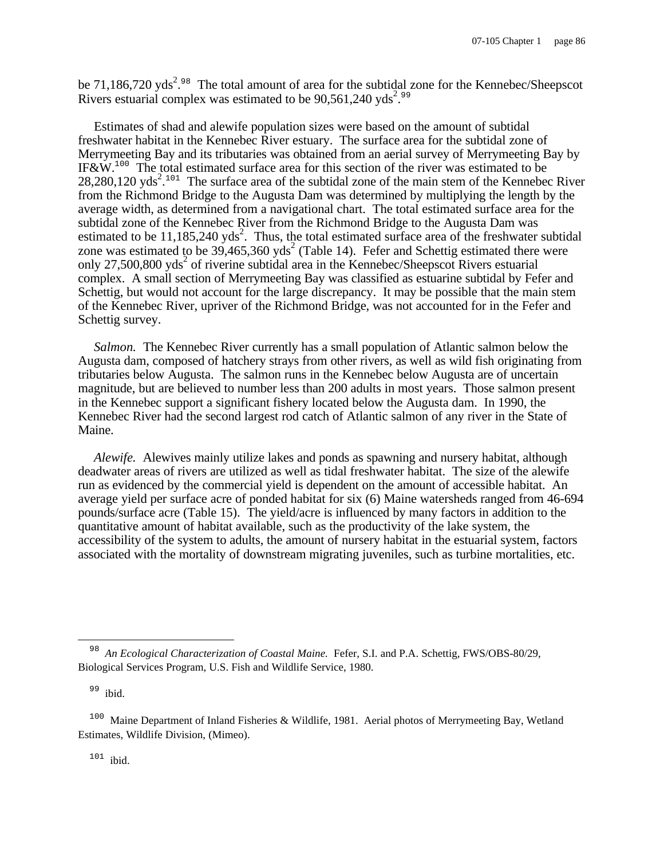be 71,186,720 yds<sup>2,98</sup> The total amount of area for the subtidal zone for the Kennebec/Sheepscot Rivers estuarial complex was estimated to be  $90,561,240$  yds<sup>2,99</sup>

Estimates of shad and alewife population sizes were based on the amount of subtidal freshwater habitat in the Kennebec River estuary. The surface area for the subtidal zone of Merrymeeting Bay and its tributaries was obtained from an aerial survey of Merrymeeting Bay by IF&W.<sup>100</sup> The total estimated surface area for this section of the river was estimated to be  $28,280,120$  yds<sup>2</sup>.<sup>101</sup> The surface area of the subtidal zone of the main stem of the Kennebec River from the Richmond Bridge to the Augusta Dam was determined by multiplying the length by the average width, as determined from a navigational chart. The total estimated surface area for the subtidal zone of the Kennebec River from the Richmond Bridge to the Augusta Dam was estimated to be 11,185,240 yds<sup>2</sup>. Thus, the total estimated surface area of the freshwater subtidal zone was estimated to be  $39,465,360$  yds<sup>2</sup> (Table 14). Fefer and Schettig estimated there were only 27,500,800 yds<sup>2</sup> of riverine subtidal area in the Kennebec/Sheepscot Rivers estuarial complex. A small section of Merrymeeting Bay was classified as estuarine subtidal by Fefer and Schettig, but would not account for the large discrepancy. It may be possible that the main stem of the Kennebec River, upriver of the Richmond Bridge, was not accounted for in the Fefer and Schettig survey.

*Salmon.* The Kennebec River currently has a small population of Atlantic salmon below the Augusta dam, composed of hatchery strays from other rivers, as well as wild fish originating from tributaries below Augusta. The salmon runs in the Kennebec below Augusta are of uncertain magnitude, but are believed to number less than 200 adults in most years. Those salmon present in the Kennebec support a significant fishery located below the Augusta dam. In 1990, the Kennebec River had the second largest rod catch of Atlantic salmon of any river in the State of Maine.

*Alewife.* Alewives mainly utilize lakes and ponds as spawning and nursery habitat, although deadwater areas of rivers are utilized as well as tidal freshwater habitat. The size of the alewife run as evidenced by the commercial yield is dependent on the amount of accessible habitat. An average yield per surface acre of ponded habitat for six (6) Maine watersheds ranged from 46-694 pounds/surface acre (Table 15). The yield/acre is influenced by many factors in addition to the quantitative amount of habitat available, such as the productivity of the lake system, the accessibility of the system to adults, the amount of nursery habitat in the estuarial system, factors associated with the mortality of downstream migrating juveniles, such as turbine mortalities, etc.

<sup>99</sup> ibid.

 $\overline{\phantom{0}}$ 

 $101$  ibid.

<sup>98</sup> *An Ecological Characterization of Coastal Maine.* Fefer, S.I. and P.A. Schettig, FWS/OBS-80/29, Biological Services Program, U.S. Fish and Wildlife Service, 1980.

<sup>&</sup>lt;sup>100</sup> Maine Department of Inland Fisheries & Wildlife, 1981. Aerial photos of Merrymeeting Bay, Wetland Estimates, Wildlife Division, (Mimeo).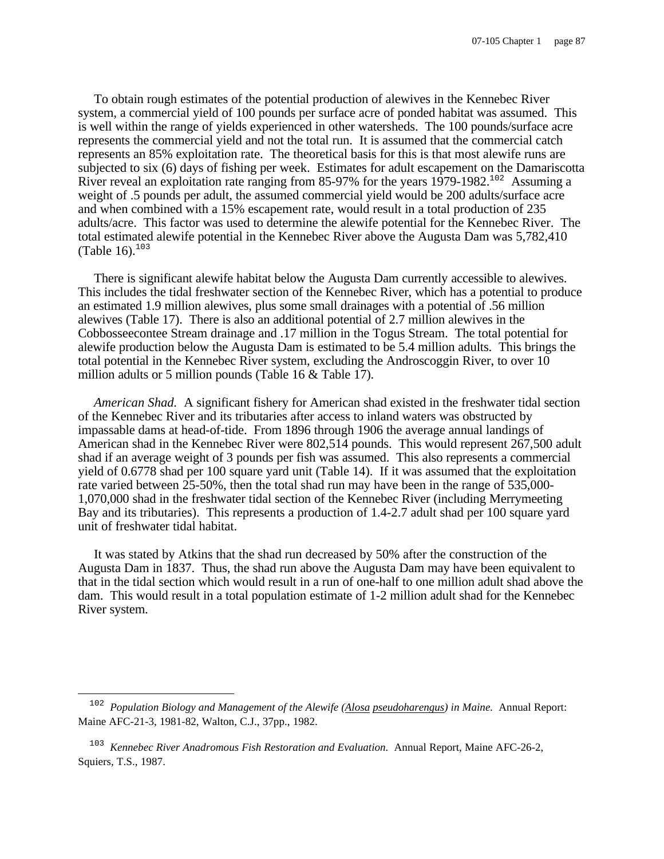To obtain rough estimates of the potential production of alewives in the Kennebec River system, a commercial yield of 100 pounds per surface acre of ponded habitat was assumed. This is well within the range of yields experienced in other watersheds. The 100 pounds/surface acre represents the commercial yield and not the total run. It is assumed that the commercial catch represents an 85% exploitation rate. The theoretical basis for this is that most alewife runs are subjected to six (6) days of fishing per week. Estimates for adult escapement on the Damariscotta River reveal an exploitation rate ranging from 85-97% for the years 1979-1982.<sup>102</sup> Assuming a weight of .5 pounds per adult, the assumed commercial yield would be 200 adults/surface acre and when combined with a 15% escapement rate, would result in a total production of 235 adults/acre. This factor was used to determine the alewife potential for the Kennebec River. The total estimated alewife potential in the Kennebec River above the Augusta Dam was 5,782,410 (Table 16). $103$ 

There is significant alewife habitat below the Augusta Dam currently accessible to alewives. This includes the tidal freshwater section of the Kennebec River, which has a potential to produce an estimated 1.9 million alewives, plus some small drainages with a potential of .56 million alewives (Table 17). There is also an additional potential of 2.7 million alewives in the Cobbosseecontee Stream drainage and .17 million in the Togus Stream. The total potential for alewife production below the Augusta Dam is estimated to be 5.4 million adults. This brings the total potential in the Kennebec River system, excluding the Androscoggin River, to over 10 million adults or 5 million pounds (Table 16 & Table 17).

*American Shad.* A significant fishery for American shad existed in the freshwater tidal section of the Kennebec River and its tributaries after access to inland waters was obstructed by impassable dams at head-of-tide. From 1896 through 1906 the average annual landings of American shad in the Kennebec River were 802,514 pounds. This would represent 267,500 adult shad if an average weight of 3 pounds per fish was assumed. This also represents a commercial yield of 0.6778 shad per 100 square yard unit (Table 14). If it was assumed that the exploitation rate varied between 25-50%, then the total shad run may have been in the range of 535,000- 1,070,000 shad in the freshwater tidal section of the Kennebec River (including Merrymeeting Bay and its tributaries). This represents a production of 1.4-2.7 adult shad per 100 square yard unit of freshwater tidal habitat.

It was stated by Atkins that the shad run decreased by 50% after the construction of the Augusta Dam in 1837. Thus, the shad run above the Augusta Dam may have been equivalent to that in the tidal section which would result in a run of one-half to one million adult shad above the dam. This would result in a total population estimate of 1-2 million adult shad for the Kennebec River system.

 $\overline{\phantom{0}}$ 

<sup>102</sup> *Population Biology and Management of the Alewife (Alosa pseudoharengus) in Maine.* Annual Report: Maine AFC-21-3, 1981-82, Walton, C.J., 37pp., 1982.

<sup>103</sup> *Kennebec River Anadromous Fish Restoration and Evaluation.* Annual Report, Maine AFC-26-2, Squiers, T.S., 1987.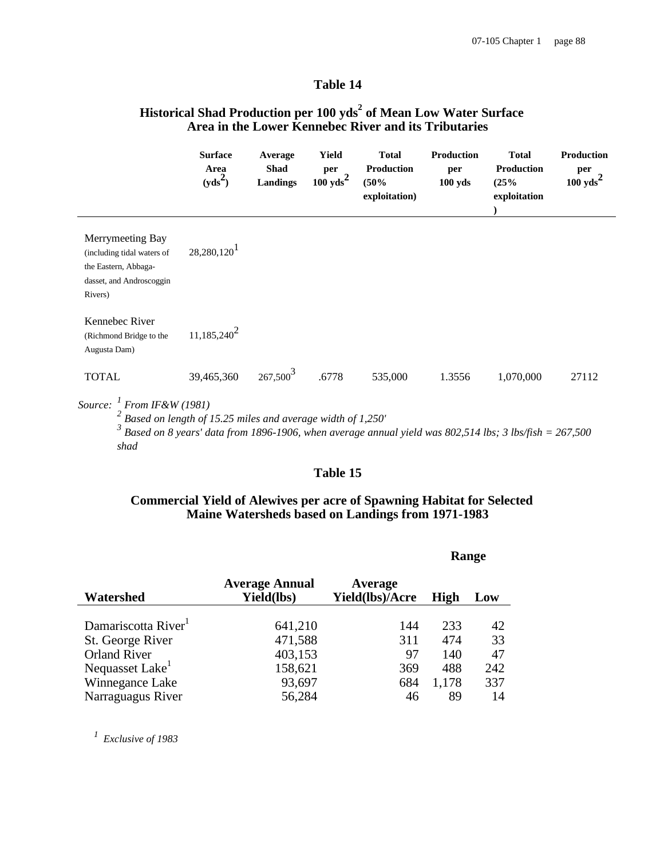## **Table 14**

# **Historical Shad Production per 100 yds<sup>2</sup> of Mean Low Water Surface Area in the Lower Kennebec River and its Tributaries**

|                                                                                                               | <b>Surface</b><br>Area<br>$(yds^2)$                                                                                                                                    | Average<br>Shad<br><b>Landings</b> | Yield<br>per<br>$100 \text{ yds}^2$ | <b>Total</b><br>Production<br>(50%<br>exploitation) | <b>Production</b><br>per<br>$100$ yds | <b>Total</b><br>Production<br>(25%<br>exploitation | <b>Production</b><br>per<br>$100 \text{ yds}^2$ |
|---------------------------------------------------------------------------------------------------------------|------------------------------------------------------------------------------------------------------------------------------------------------------------------------|------------------------------------|-------------------------------------|-----------------------------------------------------|---------------------------------------|----------------------------------------------------|-------------------------------------------------|
| Merrymeeting Bay<br>(including tidal waters of<br>the Eastern, Abbaga-<br>dasset, and Androscoggin<br>Rivers) | $28,280,120$ <sup>1</sup>                                                                                                                                              |                                    |                                     |                                                     |                                       |                                                    |                                                 |
| Kennebec River<br>(Richmond Bridge to the<br>Augusta Dam)                                                     | $11,185,240^2$                                                                                                                                                         |                                    |                                     |                                                     |                                       |                                                    |                                                 |
| <b>TOTAL</b>                                                                                                  | 39,465,360                                                                                                                                                             | 267,500 <sup>3</sup>               | .6778                               | 535,000                                             | 1.3556                                | 1,070,000                                          | 27112                                           |
| Source: $\frac{1}{1}$ From IF&W (1981)<br>shad                                                                | Based on length of 15.25 miles and average width of 1,250'<br>Based on 8 years' data from 1896-1906, when average annual yield was 802,514 lbs; 3 lbs/fish = $267,500$ |                                    |                                     |                                                     |                                       |                                                    |                                                 |

## **Table 15**

#### **Commercial Yield of Alewives per acre of Spawning Habitat for Selected Maine Watersheds based on Landings from 1971-1983**

|                                 |                                     | Range                      |             |     |
|---------------------------------|-------------------------------------|----------------------------|-------------|-----|
| Watershed                       | <b>Average Annual</b><br>Yield(lbs) | Average<br>Yield(lbs)/Acre | <b>High</b> | Low |
| Damariscotta River <sup>1</sup> | 641,210                             | 144                        | 233         | 42  |
| St. George River                | 471,588                             | 311                        | 474         | 33  |
| <b>Orland River</b>             | 403,153                             | 97                         | 140         | 47  |
| Nequasset Lake <sup>1</sup>     | 158,621                             | 369                        | 488         | 242 |
| Winnegance Lake                 | 93,697                              | 684                        | 1,178       | 337 |
| Narraguagus River               | 56,284                              | 46                         | 89          | 14  |

*1 Exclusive of 1983*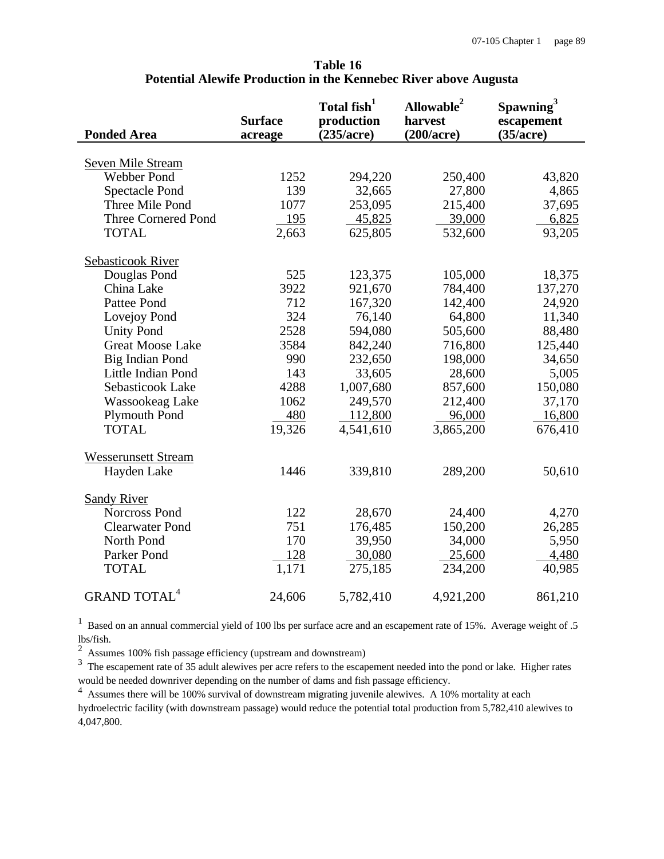|                                | <b>Surface</b> | Total fish <sup>1</sup><br>production | Allowable <sup>2</sup><br>harvest | Spawning <sup>3</sup><br>escapement |
|--------------------------------|----------------|---------------------------------------|-----------------------------------|-------------------------------------|
| <b>Ponded Area</b>             | acreage        | (235/acre)                            | (200/acre)                        | (35/acre)                           |
| <b>Seven Mile Stream</b>       |                |                                       |                                   |                                     |
| <b>Webber Pond</b>             | 1252           | 294,220                               | 250,400                           | 43,820                              |
| <b>Spectacle Pond</b>          | 139            | 32,665                                | 27,800                            | 4,865                               |
| Three Mile Pond                | 1077           | 253,095                               | 215,400                           | 37,695                              |
| <b>Three Cornered Pond</b>     | <u>195</u>     | 45,825                                | 39,000                            | 6,825                               |
| <b>TOTAL</b>                   | 2,663          | 625,805                               | 532,600                           |                                     |
|                                |                |                                       |                                   | 93,205                              |
| <b>Sebasticook River</b>       |                |                                       |                                   |                                     |
| Douglas Pond                   | 525            | 123,375                               | 105,000                           | 18,375                              |
| China Lake                     | 3922           | 921,670                               | 784,400                           | 137,270                             |
| Pattee Pond                    | 712            | 167,320                               | 142,400                           | 24,920                              |
| Lovejoy Pond                   | 324            | 76,140                                | 64,800                            | 11,340                              |
| <b>Unity Pond</b>              | 2528           | 594,080                               | 505,600                           | 88,480                              |
| <b>Great Moose Lake</b>        | 3584           | 842,240                               | 716,800                           | 125,440                             |
| Big Indian Pond                | 990            | 232,650                               | 198,000                           | 34,650                              |
| Little Indian Pond             | 143            | 33,605                                | 28,600                            | 5,005                               |
| Sebasticook Lake               | 4288           | 1,007,680                             | 857,600                           | 150,080                             |
| Wassookeag Lake                | 1062           | 249,570                               | 212,400                           | 37,170                              |
| <b>Plymouth Pond</b>           | 480            | 112,800                               | 96,000                            | 16,800                              |
| <b>TOTAL</b>                   | 19,326         | 4,541,610                             | 3,865,200                         | 676,410                             |
|                                |                |                                       |                                   |                                     |
| <b>Wesserunsett Stream</b>     | 1446           |                                       |                                   |                                     |
| Hayden Lake                    |                | 339,810                               | 289,200                           | 50,610                              |
| <b>Sandy River</b>             |                |                                       |                                   |                                     |
| Norcross Pond                  | 122            | 28,670                                | 24,400                            | 4,270                               |
| <b>Clearwater Pond</b>         | 751            | 176,485                               | 150,200                           | 26,285                              |
| North Pond                     | 170            | 39,950                                | 34,000                            | 5,950                               |
| Parker Pond                    | 128            | 30,080                                | 25,600                            | 4,480                               |
| <b>TOTAL</b>                   | 1,171          | 275,185                               | 234,200                           | 40,985                              |
|                                |                |                                       |                                   |                                     |
| <b>GRAND TOTAL<sup>4</sup></b> | 24,606         | 5,782,410                             | 4,921,200                         | 861,210                             |

## **Table 16 Potential Alewife Production in the Kennebec River above Augusta**

<sup>1</sup> Based on an annual commercial yield of 100 lbs per surface acre and an escapement rate of 15%. Average weight of .5 lbs/fish.

 $2$  Assumes 100% fish passage efficiency (upstream and downstream)

<sup>3</sup> The escapement rate of 35 adult alewives per acre refers to the escapement needed into the pond or lake. Higher rates would be needed downriver depending on the number of dams and fish passage efficiency.

<sup>4</sup> Assumes there will be 100% survival of downstream migrating juvenile alewives. A 10% mortality at each

hydroelectric facility (with downstream passage) would reduce the potential total production from 5,782,410 alewives to 4,047,800.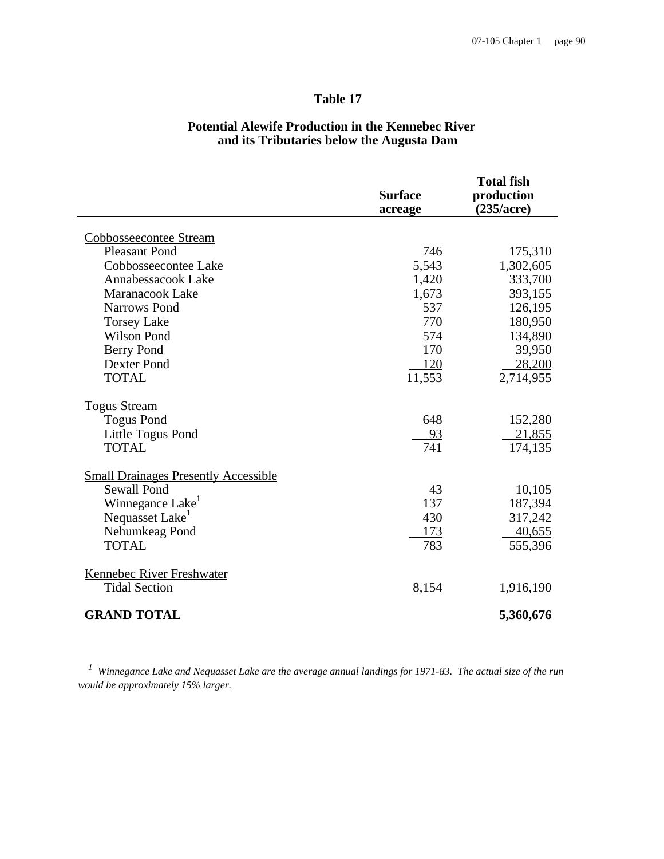# **Table 17**

|                                             | <b>Surface</b><br>acreage | <b>Total fish</b><br>production<br>(235/acre) |
|---------------------------------------------|---------------------------|-----------------------------------------------|
| Cobbosseecontee Stream                      |                           |                                               |
| <b>Pleasant Pond</b>                        | 746                       | 175,310                                       |
| Cobbosseecontee Lake                        | 5,543                     | 1,302,605                                     |
| Annabessacook Lake                          | 1,420                     | 333,700                                       |
| Maranacook Lake                             | 1,673                     | 393,155                                       |
| <b>Narrows Pond</b>                         | 537                       | 126,195                                       |
| <b>Torsey Lake</b>                          | 770                       | 180,950                                       |
| <b>Wilson Pond</b>                          | 574                       | 134,890                                       |
| <b>Berry Pond</b>                           | 170                       | 39,950                                        |
| Dexter Pond                                 | 120                       | 28,200                                        |
| <b>TOTAL</b>                                | 11,553                    | 2,714,955                                     |
| <b>Togus Stream</b>                         |                           |                                               |
| <b>Togus Pond</b>                           | 648                       | 152,280                                       |
| Little Togus Pond                           | 93                        | 21,855                                        |
| <b>TOTAL</b>                                | 741                       | 174,135                                       |
| <b>Small Drainages Presently Accessible</b> |                           |                                               |
| <b>Sewall Pond</b>                          | 43                        | 10,105                                        |
| Winnegance Lake                             | 137                       | 187,394                                       |
| Nequasset Lake <sup>1</sup>                 | 430                       | 317,242                                       |
| Nehumkeag Pond                              | 173                       | 40,655                                        |
| <b>TOTAL</b>                                | 783                       | 555,396                                       |
| Kennebec River Freshwater                   |                           |                                               |
| <b>Tidal Section</b>                        | 8,154                     | 1,916,190                                     |
| <b>GRAND TOTAL</b>                          |                           | 5,360,676                                     |

# **Potential Alewife Production in the Kennebec River and its Tributaries below the Augusta Dam**

*1 Winnegance Lake and Nequasset Lake are the average annual landings for 1971-83. The actual size of the run would be approximately 15% larger.*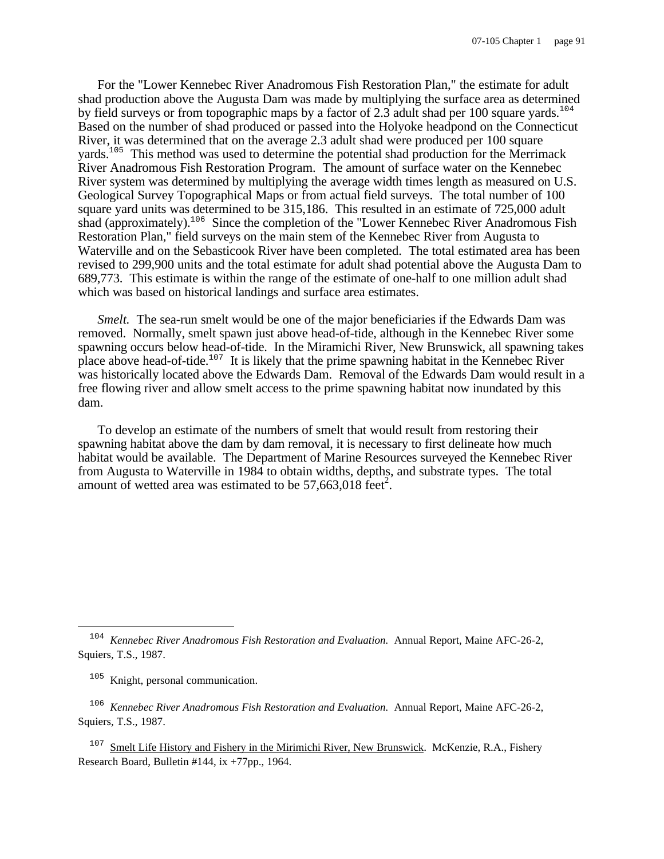For the "Lower Kennebec River Anadromous Fish Restoration Plan," the estimate for adult shad production above the Augusta Dam was made by multiplying the surface area as determined by field surveys or from topographic maps by a factor of 2.3 adult shad per 100 square yards.<sup>104</sup> Based on the number of shad produced or passed into the Holyoke headpond on the Connecticut River, it was determined that on the average 2.3 adult shad were produced per 100 square yards.<sup>105</sup> This method was used to determine the potential shad production for the Merrimack River Anadromous Fish Restoration Program. The amount of surface water on the Kennebec River system was determined by multiplying the average width times length as measured on U.S. Geological Survey Topographical Maps or from actual field surveys. The total number of 100 square yard units was determined to be 315,186. This resulted in an estimate of 725,000 adult shad (approximately).<sup>106</sup> Since the completion of the "Lower Kennebec River Anadromous Fish Restoration Plan," field surveys on the main stem of the Kennebec River from Augusta to Waterville and on the Sebasticook River have been completed. The total estimated area has been revised to 299,900 units and the total estimate for adult shad potential above the Augusta Dam to 689,773. This estimate is within the range of the estimate of one-half to one million adult shad which was based on historical landings and surface area estimates.

*Smelt.* The sea-run smelt would be one of the major beneficiaries if the Edwards Dam was removed. Normally, smelt spawn just above head-of-tide, although in the Kennebec River some spawning occurs below head-of-tide. In the Miramichi River, New Brunswick, all spawning takes place above head-of-tide.<sup>107</sup> It is likely that the prime spawning habitat in the Kennebec River was historically located above the Edwards Dam. Removal of the Edwards Dam would result in a free flowing river and allow smelt access to the prime spawning habitat now inundated by this dam.

To develop an estimate of the numbers of smelt that would result from restoring their spawning habitat above the dam by dam removal, it is necessary to first delineate how much habitat would be available. The Department of Marine Resources surveyed the Kennebec River from Augusta to Waterville in 1984 to obtain widths, depths, and substrate types. The total amount of wetted area was estimated to be  $57,663,018$  feet<sup>2</sup>.

<sup>105</sup> Knight, personal communication.

 $\overline{\phantom{0}}$ 

106 *Kennebec River Anadromous Fish Restoration and Evaluation.* Annual Report, Maine AFC-26-2, Squiers, T.S., 1987.

<sup>107</sup> Smelt Life History and Fishery in the Mirimichi River, New Brunswick. McKenzie, R.A., Fishery Research Board, Bulletin #144, ix +77pp., 1964.

<sup>104</sup> *Kennebec River Anadromous Fish Restoration and Evaluation.* Annual Report, Maine AFC-26-2, Squiers, T.S., 1987.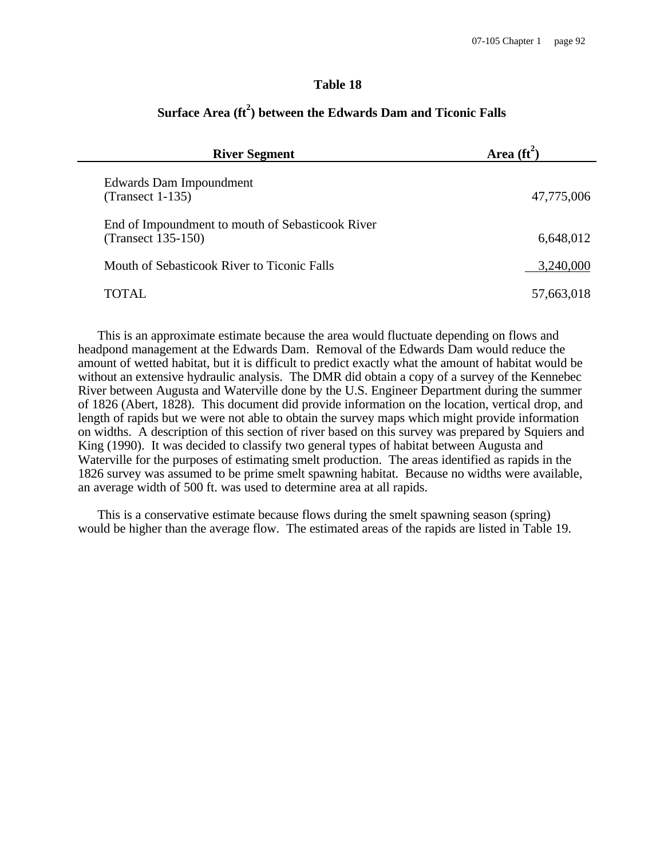## **Table 18**

| <b>River Segment</b>                                                   | Area $(\text{ft}^2)$ |
|------------------------------------------------------------------------|----------------------|
| Edwards Dam Impoundment<br>$(Transect 1-135)$                          | 47,775,006           |
| End of Impoundment to mouth of Sebasticook River<br>(Transect 135-150) | 6,648,012            |
| Mouth of Sebasticook River to Ticonic Falls                            | 3,240,000            |
| TOTAL.                                                                 | 57,663,018           |

# **Surface Area (ft<sup>2</sup> ) between the Edwards Dam and Ticonic Falls**

This is an approximate estimate because the area would fluctuate depending on flows and headpond management at the Edwards Dam. Removal of the Edwards Dam would reduce the amount of wetted habitat, but it is difficult to predict exactly what the amount of habitat would be without an extensive hydraulic analysis. The DMR did obtain a copy of a survey of the Kennebec River between Augusta and Waterville done by the U.S. Engineer Department during the summer of 1826 (Abert, 1828). This document did provide information on the location, vertical drop, and length of rapids but we were not able to obtain the survey maps which might provide information on widths. A description of this section of river based on this survey was prepared by Squiers and King (1990). It was decided to classify two general types of habitat between Augusta and Waterville for the purposes of estimating smelt production. The areas identified as rapids in the 1826 survey was assumed to be prime smelt spawning habitat. Because no widths were available, an average width of 500 ft. was used to determine area at all rapids.

This is a conservative estimate because flows during the smelt spawning season (spring) would be higher than the average flow. The estimated areas of the rapids are listed in Table 19.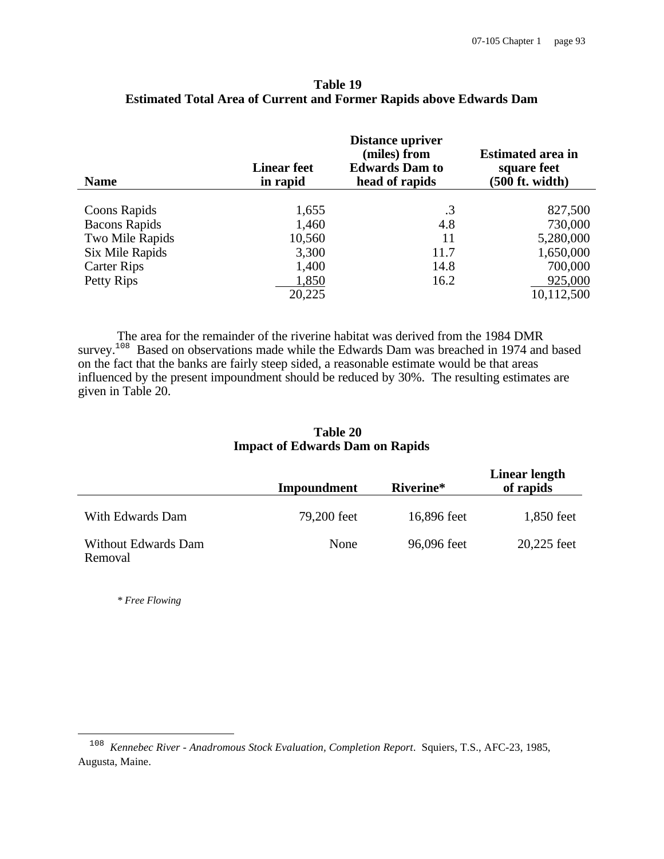| <b>Name</b>          | <b>Linear feet</b><br>in rapid | <b>Distance upriver</b><br>(miles) from<br><b>Edwards Dam to</b><br>head of rapids | <b>Estimated area in</b><br>square feet<br>$(500$ ft. width) |
|----------------------|--------------------------------|------------------------------------------------------------------------------------|--------------------------------------------------------------|
|                      |                                |                                                                                    |                                                              |
| Coons Rapids         | 1,655                          | $\cdot$ 3                                                                          | 827,500                                                      |
| <b>Bacons Rapids</b> | 1,460                          | 4.8                                                                                | 730,000                                                      |
| Two Mile Rapids      | 10,560                         | 11                                                                                 | 5,280,000                                                    |
| Six Mile Rapids      | 3,300                          | 11.7                                                                               | 1,650,000                                                    |
| <b>Carter Rips</b>   | 1,400                          | 14.8                                                                               | 700,000                                                      |
| Petty Rips           | 1,850                          | 16.2                                                                               | 925,000                                                      |
|                      | 20,225                         |                                                                                    | 10,112,500                                                   |

## **Table 19 Estimated Total Area of Current and Former Rapids above Edwards Dam**

The area for the remainder of the riverine habitat was derived from the 1984 DMR survey.<sup>108</sup> Based on observations made while the Edwards Dam was breached in 1974 and based on the fact that the banks are fairly steep sided, a reasonable estimate would be that areas influenced by the present impoundment should be reduced by 30%. The resulting estimates are given in Table 20.

## **Table 20 Impact of Edwards Dam on Rapids**

|                                | Impoundment | Riverine*   | Linear length<br>of rapids |
|--------------------------------|-------------|-------------|----------------------------|
| With Edwards Dam               | 79,200 feet | 16,896 feet | 1,850 feet                 |
| Without Edwards Dam<br>Removal | None        | 96,096 feet | 20,225 feet                |

*\* Free Flowing*

<sup>108</sup> *Kennebec River - Anadromous Stock Evaluation, Completion Report*. Squiers, T.S., AFC-23, 1985, Augusta, Maine.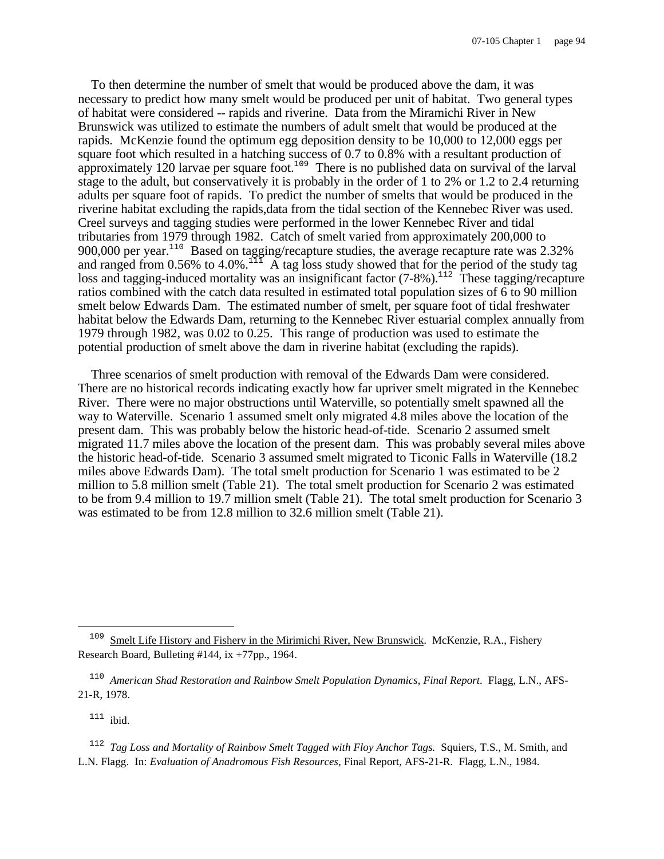To then determine the number of smelt that would be produced above the dam, it was necessary to predict how many smelt would be produced per unit of habitat. Two general types of habitat were considered -- rapids and riverine. Data from the Miramichi River in New Brunswick was utilized to estimate the numbers of adult smelt that would be produced at the rapids. McKenzie found the optimum egg deposition density to be 10,000 to 12,000 eggs per square foot which resulted in a hatching success of 0.7 to 0.8% with a resultant production of approximately 120 larvae per square foot.<sup>109</sup> There is no published data on survival of the larval stage to the adult, but conservatively it is probably in the order of 1 to 2% or 1.2 to 2.4 returning adults per square foot of rapids. To predict the number of smelts that would be produced in the riverine habitat excluding the rapids,data from the tidal section of the Kennebec River was used. Creel surveys and tagging studies were performed in the lower Kennebec River and tidal tributaries from 1979 through 1982. Catch of smelt varied from approximately 200,000 to 900,000 per year.<sup>110</sup> Based on tagging/recapture studies, the average recapture rate was 2.32% and ranged from 0.56% to 4.0%.<sup>111</sup> A tag loss study showed that for the period of the study tag loss and tagging-induced mortality was an insignificant factor (7-8%).<sup>112</sup> These tagging/recapture ratios combined with the catch data resulted in estimated total population sizes of 6 to 90 million smelt below Edwards Dam. The estimated number of smelt, per square foot of tidal freshwater habitat below the Edwards Dam, returning to the Kennebec River estuarial complex annually from 1979 through 1982, was 0.02 to 0.25. This range of production was used to estimate the potential production of smelt above the dam in riverine habitat (excluding the rapids).

Three scenarios of smelt production with removal of the Edwards Dam were considered. There are no historical records indicating exactly how far upriver smelt migrated in the Kennebec River. There were no major obstructions until Waterville, so potentially smelt spawned all the way to Waterville. Scenario 1 assumed smelt only migrated 4.8 miles above the location of the present dam. This was probably below the historic head-of-tide. Scenario 2 assumed smelt migrated 11.7 miles above the location of the present dam. This was probably several miles above the historic head-of-tide. Scenario 3 assumed smelt migrated to Ticonic Falls in Waterville (18.2 miles above Edwards Dam). The total smelt production for Scenario 1 was estimated to be 2 million to 5.8 million smelt (Table 21). The total smelt production for Scenario 2 was estimated to be from 9.4 million to 19.7 million smelt (Table 21). The total smelt production for Scenario 3 was estimated to be from 12.8 million to 32.6 million smelt (Table 21).

 $111$  ibid.

 $\overline{\phantom{0}}$ 

112 *Tag Loss and Mortality of Rainbow Smelt Tagged with Floy Anchor Tags.* Squiers, T.S., M. Smith, and L.N. Flagg. In: *Evaluation of Anadromous Fish Resources,* Final Report, AFS-21-R. Flagg, L.N., 1984.

<sup>&</sup>lt;sup>109</sup> Smelt Life History and Fishery in the Mirimichi River, New Brunswick. McKenzie, R.A., Fishery Research Board, Bulleting #144, ix +77pp., 1964.

<sup>&</sup>lt;sup>110</sup> American Shad Restoration and Rainbow Smelt Population Dynamics, Final Report. Flagg, L.N., AFS-21-R, 1978.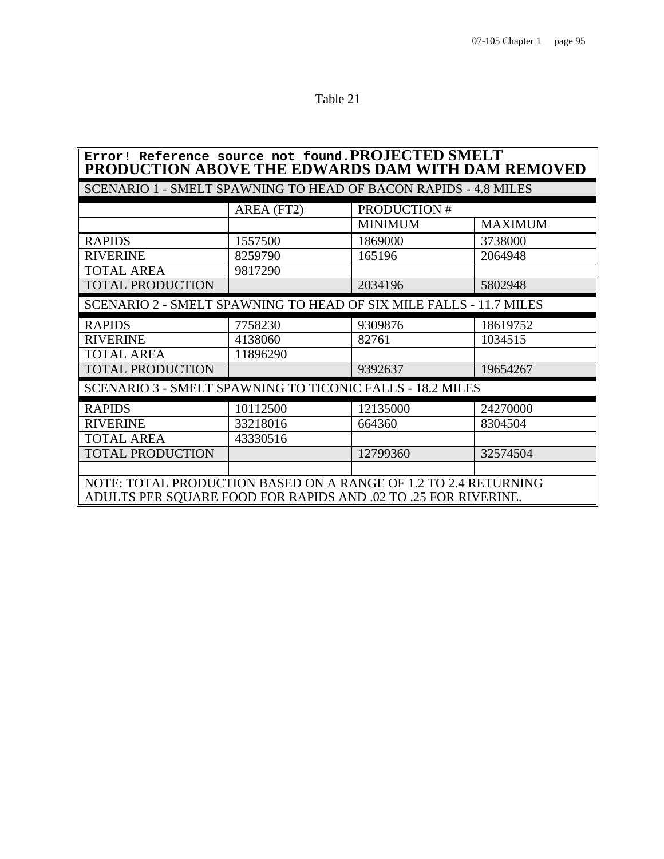Table 21

| Error! Reference source not found. PROJECTED SMELT<br>PRODUCTION ABOVE THE EDWARDS DAM WITH DAM REMOVED |                                                                        |                    |                |  |  |  |
|---------------------------------------------------------------------------------------------------------|------------------------------------------------------------------------|--------------------|----------------|--|--|--|
|                                                                                                         | <b>SCENARIO 1 - SMELT SPAWNING TO HEAD OF BACON RAPIDS - 4.8 MILES</b> |                    |                |  |  |  |
|                                                                                                         | AREA (FT2)                                                             | <b>PRODUCTION#</b> |                |  |  |  |
|                                                                                                         |                                                                        | <b>MINIMUM</b>     | <b>MAXIMUM</b> |  |  |  |
| <b>RAPIDS</b>                                                                                           | 1557500                                                                | 1869000            | 3738000        |  |  |  |
| <b>RIVERINE</b>                                                                                         | 8259790                                                                | 165196             | 2064948        |  |  |  |
| <b>TOTAL AREA</b>                                                                                       | 9817290                                                                |                    |                |  |  |  |
| <b>TOTAL PRODUCTION</b>                                                                                 |                                                                        | 2034196            | 5802948        |  |  |  |
| SCENARIO 2 - SMELT SPAWNING TO HEAD OF SIX MILE FALLS - 11.7 MILES                                      |                                                                        |                    |                |  |  |  |
| <b>RAPIDS</b>                                                                                           | 7758230                                                                | 9309876            | 18619752       |  |  |  |
| <b>RIVERINE</b>                                                                                         | 4138060                                                                | 82761              | 1034515        |  |  |  |
| <b>TOTAL AREA</b>                                                                                       | 11896290                                                               |                    |                |  |  |  |
| <b>TOTAL PRODUCTION</b>                                                                                 |                                                                        | 9392637            | 19654267       |  |  |  |
| <b>SCENARIO 3 - SMELT SPAWNING TO TICONIC FALLS - 18.2 MILES</b>                                        |                                                                        |                    |                |  |  |  |
| <b>RAPIDS</b>                                                                                           | 10112500                                                               | 12135000           | 24270000       |  |  |  |
| <b>RIVERINE</b>                                                                                         | 33218016                                                               | 664360             | 8304504        |  |  |  |
| <b>TOTAL AREA</b>                                                                                       | 43330516                                                               |                    |                |  |  |  |
| <b>TOTAL PRODUCTION</b>                                                                                 |                                                                        | 12799360           | 32574504       |  |  |  |
|                                                                                                         |                                                                        |                    |                |  |  |  |
| NOTE: TOTAL PRODUCTION BASED ON A RANGE OF 1.2 TO 2.4 RETURNING                                         |                                                                        |                    |                |  |  |  |
| ADULTS PER SQUARE FOOD FOR RAPIDS AND .02 TO .25 FOR RIVERINE.                                          |                                                                        |                    |                |  |  |  |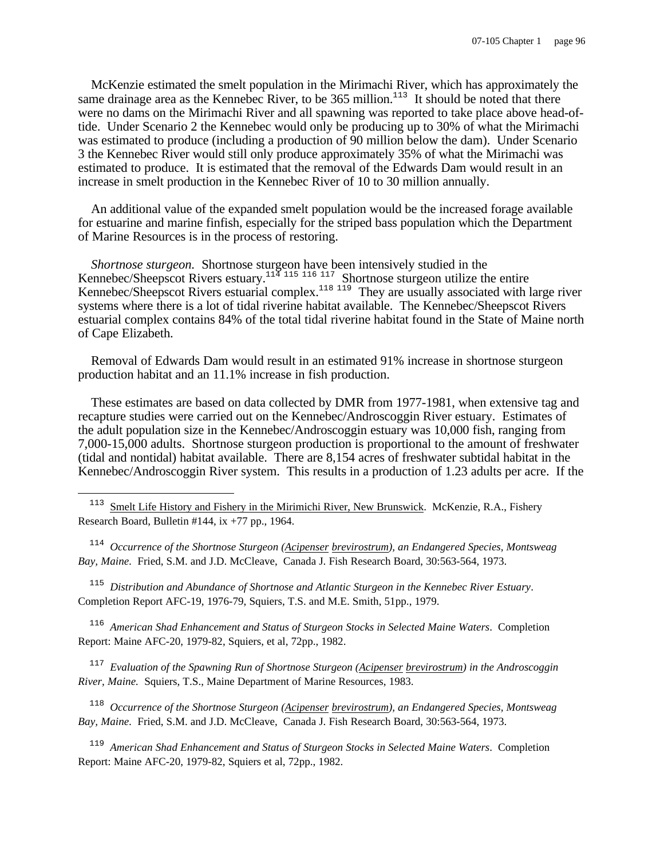McKenzie estimated the smelt population in the Mirimachi River, which has approximately the same drainage area as the Kennebec River, to be  $365$  million.<sup>113</sup> It should be noted that there were no dams on the Mirimachi River and all spawning was reported to take place above head-oftide. Under Scenario 2 the Kennebec would only be producing up to 30% of what the Mirimachi was estimated to produce (including a production of 90 million below the dam). Under Scenario 3 the Kennebec River would still only produce approximately 35% of what the Mirimachi was estimated to produce. It is estimated that the removal of the Edwards Dam would result in an increase in smelt production in the Kennebec River of 10 to 30 million annually.

An additional value of the expanded smelt population would be the increased forage available for estuarine and marine finfish, especially for the striped bass population which the Department of Marine Resources is in the process of restoring.

*Shortnose sturgeon.* Shortnose sturgeon have been intensively studied in the Kennebec/Sheepscot Rivers estuary.<sup>114 115 116</sup> 1<sup>17</sup> Shortnose sturgeon utilize the entire Kennebec/Sheepscot Rivers estuarial complex.<sup>118 119</sup> They are usually associated with large river systems where there is a lot of tidal riverine habitat available. The Kennebec/Sheepscot Rivers estuarial complex contains 84% of the total tidal riverine habitat found in the State of Maine north of Cape Elizabeth.

Removal of Edwards Dam would result in an estimated 91% increase in shortnose sturgeon production habitat and an 11.1% increase in fish production.

These estimates are based on data collected by DMR from 1977-1981, when extensive tag and recapture studies were carried out on the Kennebec/Androscoggin River estuary. Estimates of the adult population size in the Kennebec/Androscoggin estuary was 10,000 fish, ranging from 7,000-15,000 adults. Shortnose sturgeon production is proportional to the amount of freshwater (tidal and nontidal) habitat available. There are 8,154 acres of freshwater subtidal habitat in the Kennebec/Androscoggin River system. This results in a production of 1.23 adults per acre. If the

 $\overline{\phantom{0}}$ 

114 *Occurrence of the Shortnose Sturgeon (Acipenser brevirostrum), an Endangered Species, Montsweag Bay, Maine.* Fried, S.M. and J.D. McCleave, Canada J. Fish Research Board, 30:563-564, 1973.

115 *Distribution and Abundance of Shortnose and Atlantic Sturgeon in the Kennebec River Estuary*. Completion Report AFC-19, 1976-79, Squiers, T.S. and M.E. Smith, 51pp., 1979.

116 *American Shad Enhancement and Status of Sturgeon Stocks in Selected Maine Waters*. Completion Report: Maine AFC-20, 1979-82, Squiers, et al, 72pp., 1982.

117 *Evaluation of the Spawning Run of Shortnose Sturgeon (Acipenser brevirostrum) in the Androscoggin River, Maine.* Squiers, T.S., Maine Department of Marine Resources, 1983.

118 *Occurrence of the Shortnose Sturgeon (Acipenser brevirostrum), an Endangered Species, Montsweag Bay, Maine.* Fried, S.M. and J.D. McCleave, Canada J. Fish Research Board, 30:563-564, 1973.

119 *American Shad Enhancement and Status of Sturgeon Stocks in Selected Maine Waters*. Completion Report: Maine AFC-20, 1979-82, Squiers et al, 72pp., 1982.

<sup>&</sup>lt;sup>113</sup> Smelt Life History and Fishery in the Mirimichi River, New Brunswick. McKenzie, R.A., Fishery Research Board, Bulletin #144, ix +77 pp., 1964.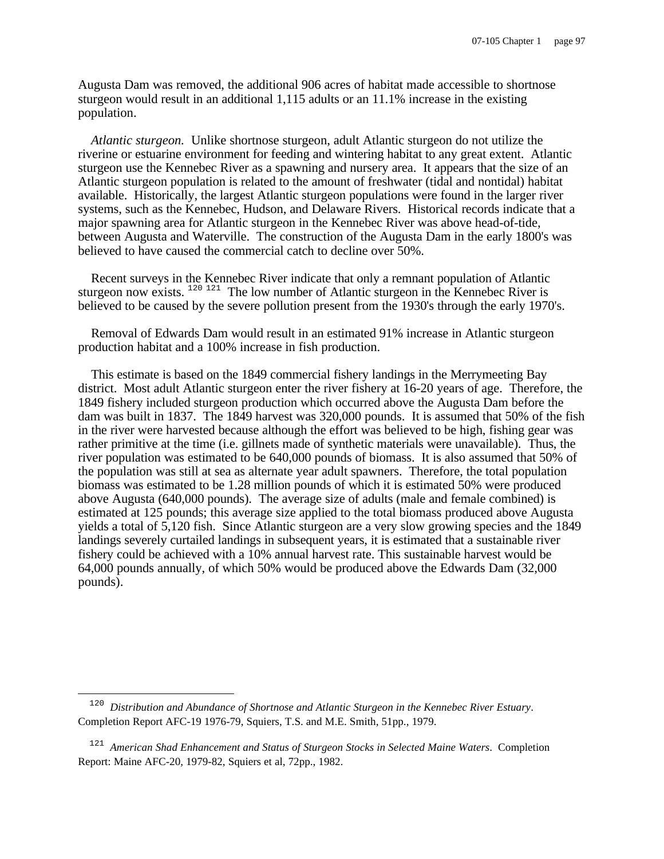Augusta Dam was removed, the additional 906 acres of habitat made accessible to shortnose sturgeon would result in an additional 1,115 adults or an 11.1% increase in the existing population.

*Atlantic sturgeon.* Unlike shortnose sturgeon, adult Atlantic sturgeon do not utilize the riverine or estuarine environment for feeding and wintering habitat to any great extent. Atlantic sturgeon use the Kennebec River as a spawning and nursery area. It appears that the size of an Atlantic sturgeon population is related to the amount of freshwater (tidal and nontidal) habitat available. Historically, the largest Atlantic sturgeon populations were found in the larger river systems, such as the Kennebec, Hudson, and Delaware Rivers. Historical records indicate that a major spawning area for Atlantic sturgeon in the Kennebec River was above head-of-tide, between Augusta and Waterville. The construction of the Augusta Dam in the early 1800's was believed to have caused the commercial catch to decline over 50%.

Recent surveys in the Kennebec River indicate that only a remnant population of Atlantic sturgeon now exists.  $120121$  The low number of Atlantic sturgeon in the Kennebec River is believed to be caused by the severe pollution present from the 1930's through the early 1970's.

Removal of Edwards Dam would result in an estimated 91% increase in Atlantic sturgeon production habitat and a 100% increase in fish production.

This estimate is based on the 1849 commercial fishery landings in the Merrymeeting Bay district. Most adult Atlantic sturgeon enter the river fishery at 16-20 years of age. Therefore, the 1849 fishery included sturgeon production which occurred above the Augusta Dam before the dam was built in 1837. The 1849 harvest was 320,000 pounds. It is assumed that 50% of the fish in the river were harvested because although the effort was believed to be high, fishing gear was rather primitive at the time (i.e. gillnets made of synthetic materials were unavailable). Thus, the river population was estimated to be 640,000 pounds of biomass. It is also assumed that 50% of the population was still at sea as alternate year adult spawners. Therefore, the total population biomass was estimated to be 1.28 million pounds of which it is estimated 50% were produced above Augusta (640,000 pounds). The average size of adults (male and female combined) is estimated at 125 pounds; this average size applied to the total biomass produced above Augusta yields a total of 5,120 fish. Since Atlantic sturgeon are a very slow growing species and the 1849 landings severely curtailed landings in subsequent years, it is estimated that a sustainable river fishery could be achieved with a 10% annual harvest rate. This sustainable harvest would be 64,000 pounds annually, of which 50% would be produced above the Edwards Dam (32,000 pounds).

<sup>120</sup> *Distribution and Abundance of Shortnose and Atlantic Sturgeon in the Kennebec River Estuary*. Completion Report AFC-19 1976-79, Squiers, T.S. and M.E. Smith, 51pp., 1979.

<sup>121</sup> *American Shad Enhancement and Status of Sturgeon Stocks in Selected Maine Waters*. Completion Report: Maine AFC-20, 1979-82, Squiers et al, 72pp., 1982.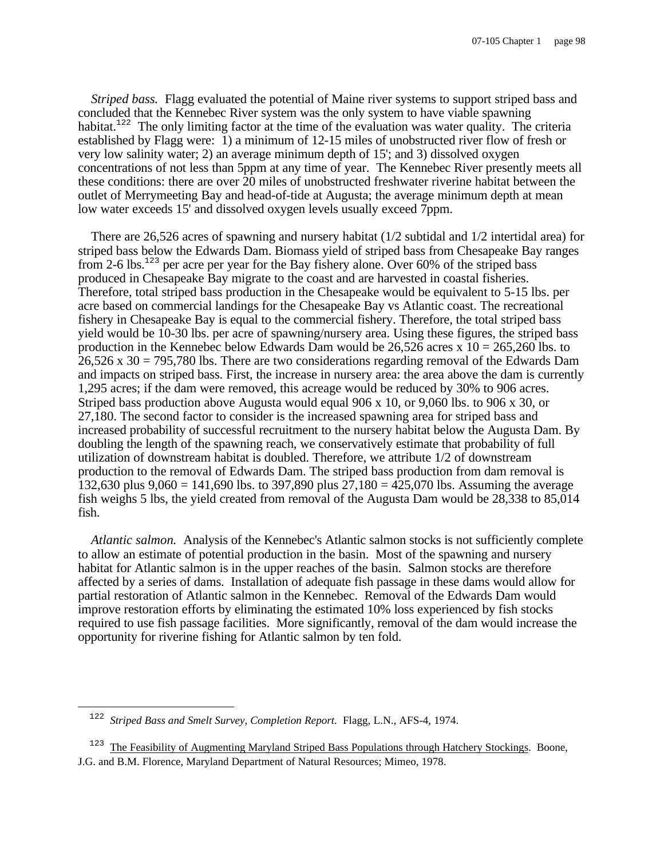*Striped bass.* Flagg evaluated the potential of Maine river systems to support striped bass and concluded that the Kennebec River system was the only system to have viable spawning habitat.<sup>122</sup> The only limiting factor at the time of the evaluation was water quality. The criteria established by Flagg were: 1) a minimum of 12-15 miles of unobstructed river flow of fresh or very low salinity water; 2) an average minimum depth of 15'; and 3) dissolved oxygen concentrations of not less than 5ppm at any time of year. The Kennebec River presently meets all these conditions: there are over 20 miles of unobstructed freshwater riverine habitat between the outlet of Merrymeeting Bay and head-of-tide at Augusta; the average minimum depth at mean low water exceeds 15' and dissolved oxygen levels usually exceed 7ppm.

There are 26,526 acres of spawning and nursery habitat (1/2 subtidal and 1/2 intertidal area) for striped bass below the Edwards Dam. Biomass yield of striped bass from Chesapeake Bay ranges from 2-6 lbs.<sup>123</sup> per acre per year for the Bay fishery alone. Over 60% of the striped bass produced in Chesapeake Bay migrate to the coast and are harvested in coastal fisheries. Therefore, total striped bass production in the Chesapeake would be equivalent to 5-15 lbs. per acre based on commercial landings for the Chesapeake Bay vs Atlantic coast. The recreational fishery in Chesapeake Bay is equal to the commercial fishery. Therefore, the total striped bass yield would be 10-30 lbs. per acre of spawning/nursery area. Using these figures, the striped bass production in the Kennebec below Edwards Dam would be 26,526 acres x  $10 = 265,260$  lbs. to 26,526 x 30 = 795,780 lbs. There are two considerations regarding removal of the Edwards Dam and impacts on striped bass. First, the increase in nursery area: the area above the dam is currently 1,295 acres; if the dam were removed, this acreage would be reduced by 30% to 906 acres. Striped bass production above Augusta would equal 906 x 10, or 9,060 lbs. to 906 x 30, or 27,180. The second factor to consider is the increased spawning area for striped bass and increased probability of successful recruitment to the nursery habitat below the Augusta Dam. By doubling the length of the spawning reach, we conservatively estimate that probability of full utilization of downstream habitat is doubled. Therefore, we attribute 1/2 of downstream production to the removal of Edwards Dam. The striped bass production from dam removal is 132,630 plus  $9,060 = 141,690$  lbs. to 397,890 plus  $27,180 = 425,070$  lbs. Assuming the average fish weighs 5 lbs, the yield created from removal of the Augusta Dam would be 28,338 to 85,014 fish.

*Atlantic salmon.* Analysis of the Kennebec's Atlantic salmon stocks is not sufficiently complete to allow an estimate of potential production in the basin. Most of the spawning and nursery habitat for Atlantic salmon is in the upper reaches of the basin. Salmon stocks are therefore affected by a series of dams. Installation of adequate fish passage in these dams would allow for partial restoration of Atlantic salmon in the Kennebec. Removal of the Edwards Dam would improve restoration efforts by eliminating the estimated 10% loss experienced by fish stocks required to use fish passage facilities. More significantly, removal of the dam would increase the opportunity for riverine fishing for Atlantic salmon by ten fold.

<sup>122</sup> *Striped Bass and Smelt Survey, Completion Report.* Flagg, L.N., AFS-4, 1974.

<sup>&</sup>lt;sup>123</sup> The Feasibility of Augmenting Maryland Striped Bass Populations through Hatchery Stockings. Boone, J.G. and B.M. Florence, Maryland Department of Natural Resources; Mimeo, 1978.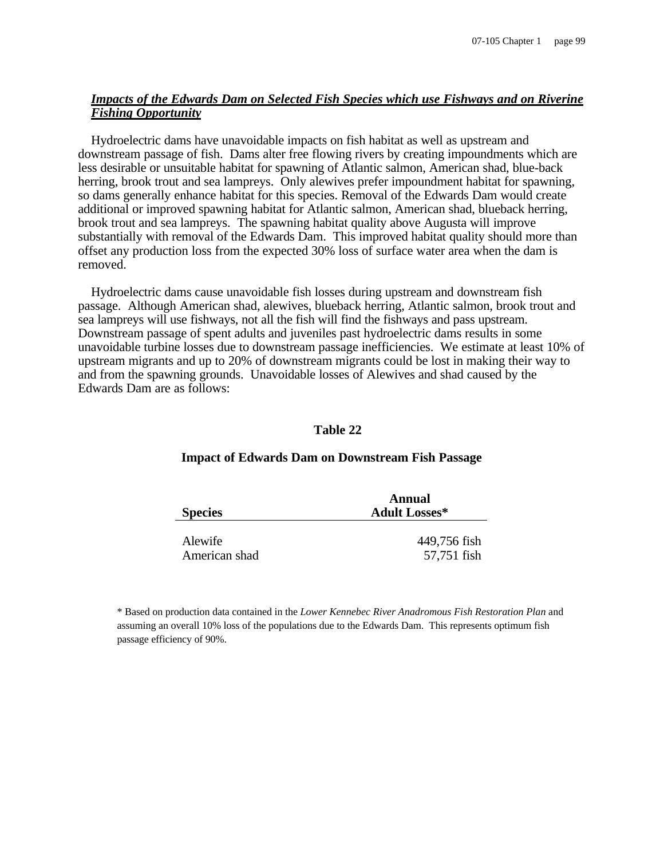## *Impacts of the Edwards Dam on Selected Fish Species which use Fishways and on Riverine Fishing Opportunity*

Hydroelectric dams have unavoidable impacts on fish habitat as well as upstream and downstream passage of fish. Dams alter free flowing rivers by creating impoundments which are less desirable or unsuitable habitat for spawning of Atlantic salmon, American shad, blue-back herring, brook trout and sea lampreys. Only alewives prefer impoundment habitat for spawning, so dams generally enhance habitat for this species. Removal of the Edwards Dam would create additional or improved spawning habitat for Atlantic salmon, American shad, blueback herring, brook trout and sea lampreys. The spawning habitat quality above Augusta will improve substantially with removal of the Edwards Dam. This improved habitat quality should more than offset any production loss from the expected 30% loss of surface water area when the dam is removed.

Hydroelectric dams cause unavoidable fish losses during upstream and downstream fish passage. Although American shad, alewives, blueback herring, Atlantic salmon, brook trout and sea lampreys will use fishways, not all the fish will find the fishways and pass upstream. Downstream passage of spent adults and juveniles past hydroelectric dams results in some unavoidable turbine losses due to downstream passage inefficiencies. We estimate at least 10% of upstream migrants and up to 20% of downstream migrants could be lost in making their way to and from the spawning grounds. Unavoidable losses of Alewives and shad caused by the Edwards Dam are as follows:

#### **Table 22**

# **Species Annual Adult Losses\*** Alewife 449,756 fish

American shad 57,751 fish

## **Impact of Edwards Dam on Downstream Fish Passage**

\* Based on production data contained in the *Lower Kennebec River Anadromous Fish Restoration Plan* and assuming an overall 10% loss of the populations due to the Edwards Dam. This represents optimum fish passage efficiency of 90%.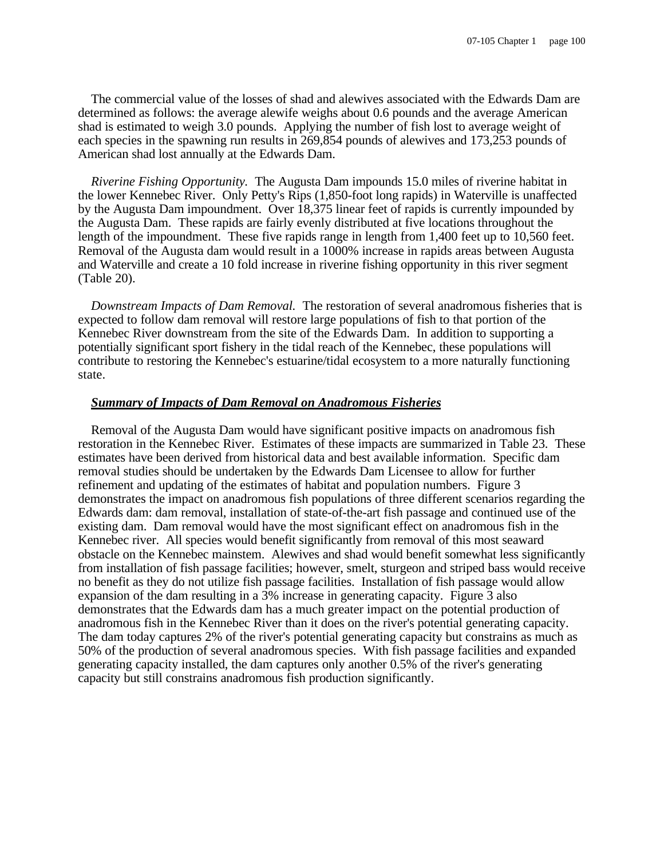The commercial value of the losses of shad and alewives associated with the Edwards Dam are determined as follows: the average alewife weighs about 0.6 pounds and the average American shad is estimated to weigh 3.0 pounds. Applying the number of fish lost to average weight of each species in the spawning run results in 269,854 pounds of alewives and 173,253 pounds of American shad lost annually at the Edwards Dam.

*Riverine Fishing Opportunity.* The Augusta Dam impounds 15.0 miles of riverine habitat in the lower Kennebec River. Only Petty's Rips (1,850-foot long rapids) in Waterville is unaffected by the Augusta Dam impoundment. Over 18,375 linear feet of rapids is currently impounded by the Augusta Dam. These rapids are fairly evenly distributed at five locations throughout the length of the impoundment. These five rapids range in length from 1,400 feet up to 10,560 feet. Removal of the Augusta dam would result in a 1000% increase in rapids areas between Augusta and Waterville and create a 10 fold increase in riverine fishing opportunity in this river segment (Table 20).

*Downstream Impacts of Dam Removal.* The restoration of several anadromous fisheries that is expected to follow dam removal will restore large populations of fish to that portion of the Kennebec River downstream from the site of the Edwards Dam. In addition to supporting a potentially significant sport fishery in the tidal reach of the Kennebec, these populations will contribute to restoring the Kennebec's estuarine/tidal ecosystem to a more naturally functioning state.

#### *Summary of Impacts of Dam Removal on Anadromous Fisheries*

Removal of the Augusta Dam would have significant positive impacts on anadromous fish restoration in the Kennebec River. Estimates of these impacts are summarized in Table 23. These estimates have been derived from historical data and best available information. Specific dam removal studies should be undertaken by the Edwards Dam Licensee to allow for further refinement and updating of the estimates of habitat and population numbers. Figure 3 demonstrates the impact on anadromous fish populations of three different scenarios regarding the Edwards dam: dam removal, installation of state-of-the-art fish passage and continued use of the existing dam. Dam removal would have the most significant effect on anadromous fish in the Kennebec river. All species would benefit significantly from removal of this most seaward obstacle on the Kennebec mainstem. Alewives and shad would benefit somewhat less significantly from installation of fish passage facilities; however, smelt, sturgeon and striped bass would receive no benefit as they do not utilize fish passage facilities. Installation of fish passage would allow expansion of the dam resulting in a 3% increase in generating capacity. Figure 3 also demonstrates that the Edwards dam has a much greater impact on the potential production of anadromous fish in the Kennebec River than it does on the river's potential generating capacity. The dam today captures 2% of the river's potential generating capacity but constrains as much as 50% of the production of several anadromous species. With fish passage facilities and expanded generating capacity installed, the dam captures only another 0.5% of the river's generating capacity but still constrains anadromous fish production significantly.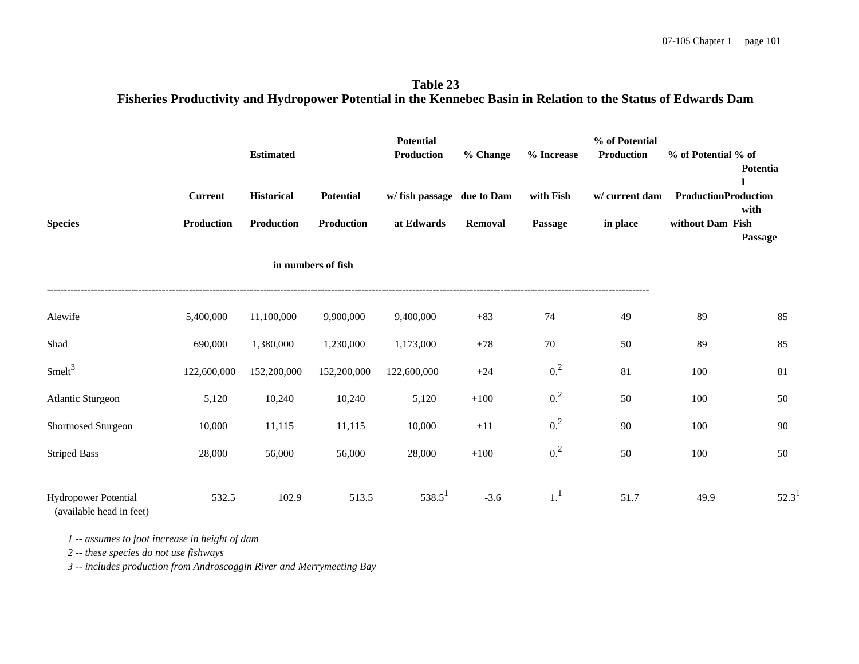**Table 23 Fisheries Productivity and Hydropower Potential in the Kennebec Basin in Relation to the Status of Edwards Dam**

|                                                         |                                     | <b>Estimated</b>                       |                                       | <b>Potential</b><br><b>Production</b>    | % Change       | % Increase           | % of Potential<br><b>Production</b> | % of Potential % of                             | Potentia        |
|---------------------------------------------------------|-------------------------------------|----------------------------------------|---------------------------------------|------------------------------------------|----------------|----------------------|-------------------------------------|-------------------------------------------------|-----------------|
| <b>Species</b>                                          | <b>Current</b><br><b>Production</b> | <b>Historical</b><br><b>Production</b> | <b>Potential</b><br><b>Production</b> | w/ fish passage due to Dam<br>at Edwards | <b>Removal</b> | with Fish<br>Passage | w/ current dam<br>in place          | <b>ProductionProduction</b><br>without Dam Fish | with<br>Passage |
|                                                         |                                     |                                        | in numbers of fish                    |                                          |                |                      |                                     |                                                 |                 |
| Alewife                                                 | 5,400,000                           | 11,100,000                             | 9,900,000                             | 9,400,000                                | $+83$          | 74                   | 49                                  | 89                                              | 85              |
| Shad                                                    | 690,000                             | 1,380,000                              | 1,230,000                             | 1,173,000                                | $+78$          | 70                   | 50                                  | 89                                              | 85              |
| Smelt <sup>3</sup>                                      | 122,600,000                         | 152,200,000                            | 152,200,000                           | 122,600,000                              | $+24$          | 0. <sup>2</sup>      | 81                                  | 100                                             | 81              |
| Atlantic Sturgeon                                       | 5,120                               | 10,240                                 | 10,240                                | 5,120                                    | $+100$         | 0. <sup>2</sup>      | 50                                  | 100                                             | 50              |
| Shortnosed Sturgeon                                     | 10,000                              | 11,115                                 | 11,115                                | 10,000                                   | $+11$          | 0. <sup>2</sup>      | 90                                  | 100                                             | 90              |
| <b>Striped Bass</b>                                     | 28,000                              | 56,000                                 | 56,000                                | 28,000                                   | $+100$         | 0. <sup>2</sup>      | 50                                  | 100                                             | 50              |
| <b>Hydropower Potential</b><br>(available head in feet) | 532.5                               | 102.9                                  | 513.5                                 | $538.5^1$                                | $-3.6$         | 1 <sup>1</sup>       | 51.7                                | 49.9                                            | $52.3^1$        |

*1 -- assumes to foot increase in height of dam*

 *2 -- these species do not use fishways*

 *3 -- includes production from Androscoggin River and Merrymeeting Bay*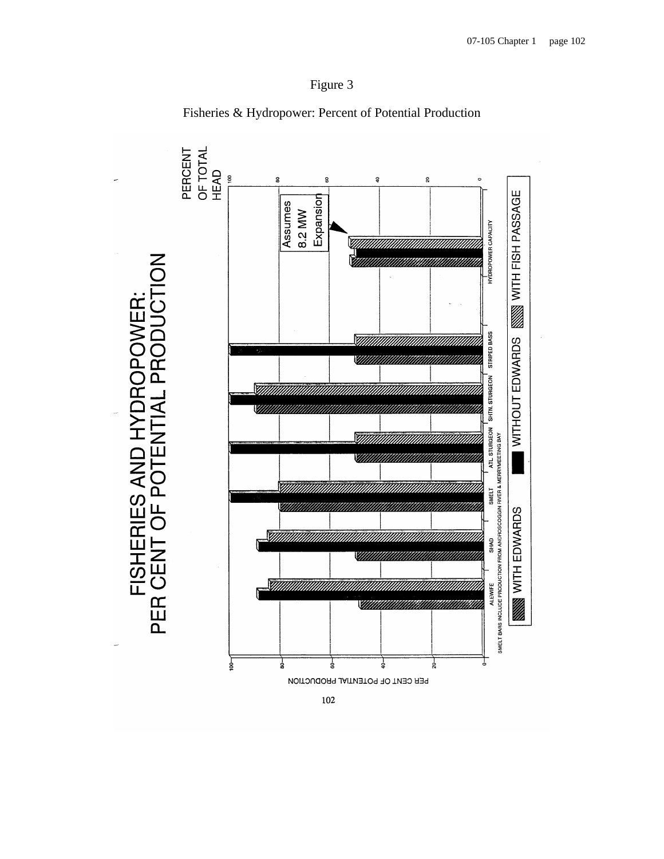



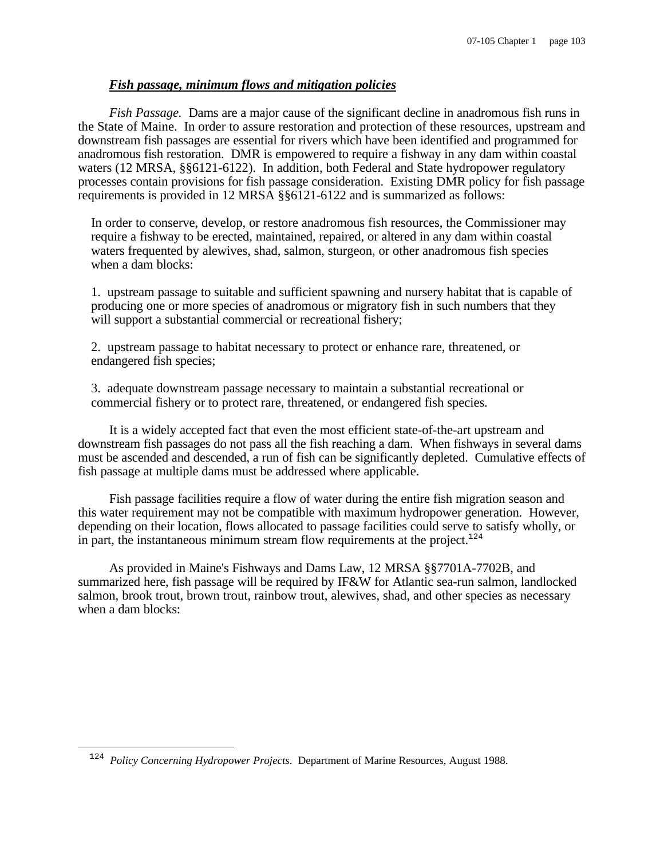## *Fish passage, minimum flows and mitigation policies*

*Fish Passage.* Dams are a major cause of the significant decline in anadromous fish runs in the State of Maine. In order to assure restoration and protection of these resources, upstream and downstream fish passages are essential for rivers which have been identified and programmed for anadromous fish restoration. DMR is empowered to require a fishway in any dam within coastal waters (12 MRSA, §§6121-6122). In addition, both Federal and State hydropower regulatory processes contain provisions for fish passage consideration. Existing DMR policy for fish passage requirements is provided in 12 MRSA §§6121-6122 and is summarized as follows:

In order to conserve, develop, or restore anadromous fish resources, the Commissioner may require a fishway to be erected, maintained, repaired, or altered in any dam within coastal waters frequented by alewives, shad, salmon, sturgeon, or other anadromous fish species when a dam blocks:

1. upstream passage to suitable and sufficient spawning and nursery habitat that is capable of producing one or more species of anadromous or migratory fish in such numbers that they will support a substantial commercial or recreational fishery;

2. upstream passage to habitat necessary to protect or enhance rare, threatened, or endangered fish species;

3. adequate downstream passage necessary to maintain a substantial recreational or commercial fishery or to protect rare, threatened, or endangered fish species.

It is a widely accepted fact that even the most efficient state-of-the-art upstream and downstream fish passages do not pass all the fish reaching a dam. When fishways in several dams must be ascended and descended, a run of fish can be significantly depleted. Cumulative effects of fish passage at multiple dams must be addressed where applicable.

Fish passage facilities require a flow of water during the entire fish migration season and this water requirement may not be compatible with maximum hydropower generation. However, depending on their location, flows allocated to passage facilities could serve to satisfy wholly, or in part, the instantaneous minimum stream flow requirements at the project.<sup>124</sup>

As provided in Maine's Fishways and Dams Law, 12 MRSA §§7701A-7702B, and summarized here, fish passage will be required by IF&W for Atlantic sea-run salmon, landlocked salmon, brook trout, brown trout, rainbow trout, alewives, shad, and other species as necessary when a dam blocks:

 $\overline{\phantom{0}}$ 

<sup>&</sup>lt;sup>124</sup> Policy Concerning Hydropower Projects. Department of Marine Resources, August 1988.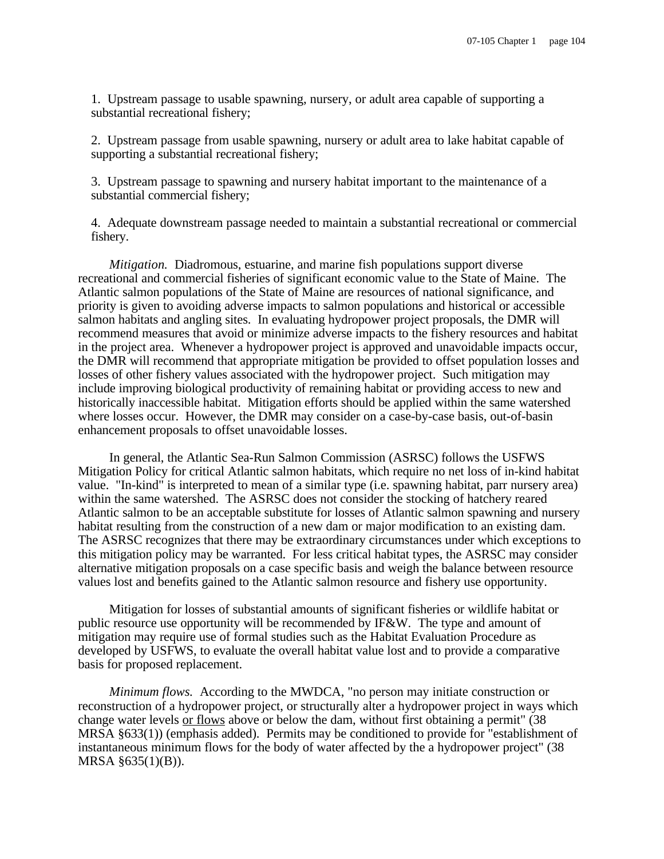1. Upstream passage to usable spawning, nursery, or adult area capable of supporting a substantial recreational fishery;

2. Upstream passage from usable spawning, nursery or adult area to lake habitat capable of supporting a substantial recreational fishery;

3. Upstream passage to spawning and nursery habitat important to the maintenance of a substantial commercial fishery;

4. Adequate downstream passage needed to maintain a substantial recreational or commercial fishery.

*Mitigation.* Diadromous, estuarine, and marine fish populations support diverse recreational and commercial fisheries of significant economic value to the State of Maine. The Atlantic salmon populations of the State of Maine are resources of national significance, and priority is given to avoiding adverse impacts to salmon populations and historical or accessible salmon habitats and angling sites. In evaluating hydropower project proposals, the DMR will recommend measures that avoid or minimize adverse impacts to the fishery resources and habitat in the project area. Whenever a hydropower project is approved and unavoidable impacts occur, the DMR will recommend that appropriate mitigation be provided to offset population losses and losses of other fishery values associated with the hydropower project. Such mitigation may include improving biological productivity of remaining habitat or providing access to new and historically inaccessible habitat. Mitigation efforts should be applied within the same watershed where losses occur. However, the DMR may consider on a case-by-case basis, out-of-basin enhancement proposals to offset unavoidable losses.

In general, the Atlantic Sea-Run Salmon Commission (ASRSC) follows the USFWS Mitigation Policy for critical Atlantic salmon habitats, which require no net loss of in-kind habitat value. "In-kind" is interpreted to mean of a similar type (i.e. spawning habitat, parr nursery area) within the same watershed. The ASRSC does not consider the stocking of hatchery reared Atlantic salmon to be an acceptable substitute for losses of Atlantic salmon spawning and nursery habitat resulting from the construction of a new dam or major modification to an existing dam. The ASRSC recognizes that there may be extraordinary circumstances under which exceptions to this mitigation policy may be warranted. For less critical habitat types, the ASRSC may consider alternative mitigation proposals on a case specific basis and weigh the balance between resource values lost and benefits gained to the Atlantic salmon resource and fishery use opportunity.

Mitigation for losses of substantial amounts of significant fisheries or wildlife habitat or public resource use opportunity will be recommended by IF&W. The type and amount of mitigation may require use of formal studies such as the Habitat Evaluation Procedure as developed by USFWS, to evaluate the overall habitat value lost and to provide a comparative basis for proposed replacement.

*Minimum flows.* According to the MWDCA, "no person may initiate construction or reconstruction of a hydropower project, or structurally alter a hydropower project in ways which change water levels or flows above or below the dam, without first obtaining a permit" (38 MRSA §633(1)) (emphasis added). Permits may be conditioned to provide for "establishment of instantaneous minimum flows for the body of water affected by the a hydropower project" (38 MRSA §635(1)(B)).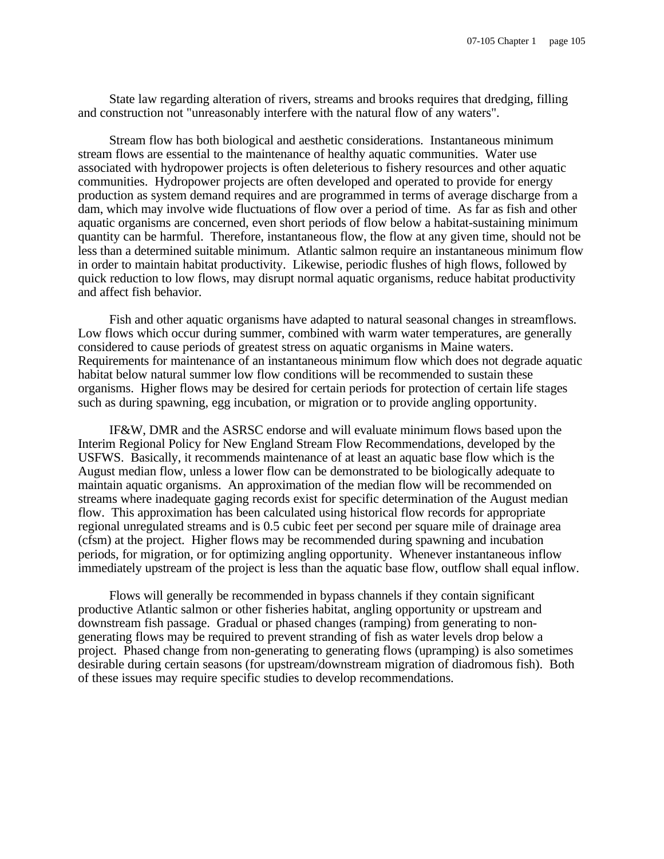State law regarding alteration of rivers, streams and brooks requires that dredging, filling and construction not "unreasonably interfere with the natural flow of any waters".

Stream flow has both biological and aesthetic considerations. Instantaneous minimum stream flows are essential to the maintenance of healthy aquatic communities. Water use associated with hydropower projects is often deleterious to fishery resources and other aquatic communities. Hydropower projects are often developed and operated to provide for energy production as system demand requires and are programmed in terms of average discharge from a dam, which may involve wide fluctuations of flow over a period of time. As far as fish and other aquatic organisms are concerned, even short periods of flow below a habitat-sustaining minimum quantity can be harmful. Therefore, instantaneous flow, the flow at any given time, should not be less than a determined suitable minimum. Atlantic salmon require an instantaneous minimum flow in order to maintain habitat productivity. Likewise, periodic flushes of high flows, followed by quick reduction to low flows, may disrupt normal aquatic organisms, reduce habitat productivity and affect fish behavior.

Fish and other aquatic organisms have adapted to natural seasonal changes in streamflows. Low flows which occur during summer, combined with warm water temperatures, are generally considered to cause periods of greatest stress on aquatic organisms in Maine waters. Requirements for maintenance of an instantaneous minimum flow which does not degrade aquatic habitat below natural summer low flow conditions will be recommended to sustain these organisms. Higher flows may be desired for certain periods for protection of certain life stages such as during spawning, egg incubation, or migration or to provide angling opportunity.

IF&W, DMR and the ASRSC endorse and will evaluate minimum flows based upon the Interim Regional Policy for New England Stream Flow Recommendations, developed by the USFWS. Basically, it recommends maintenance of at least an aquatic base flow which is the August median flow, unless a lower flow can be demonstrated to be biologically adequate to maintain aquatic organisms. An approximation of the median flow will be recommended on streams where inadequate gaging records exist for specific determination of the August median flow. This approximation has been calculated using historical flow records for appropriate regional unregulated streams and is 0.5 cubic feet per second per square mile of drainage area (cfsm) at the project. Higher flows may be recommended during spawning and incubation periods, for migration, or for optimizing angling opportunity. Whenever instantaneous inflow immediately upstream of the project is less than the aquatic base flow, outflow shall equal inflow.

Flows will generally be recommended in bypass channels if they contain significant productive Atlantic salmon or other fisheries habitat, angling opportunity or upstream and downstream fish passage. Gradual or phased changes (ramping) from generating to nongenerating flows may be required to prevent stranding of fish as water levels drop below a project. Phased change from non-generating to generating flows (upramping) is also sometimes desirable during certain seasons (for upstream/downstream migration of diadromous fish). Both of these issues may require specific studies to develop recommendations.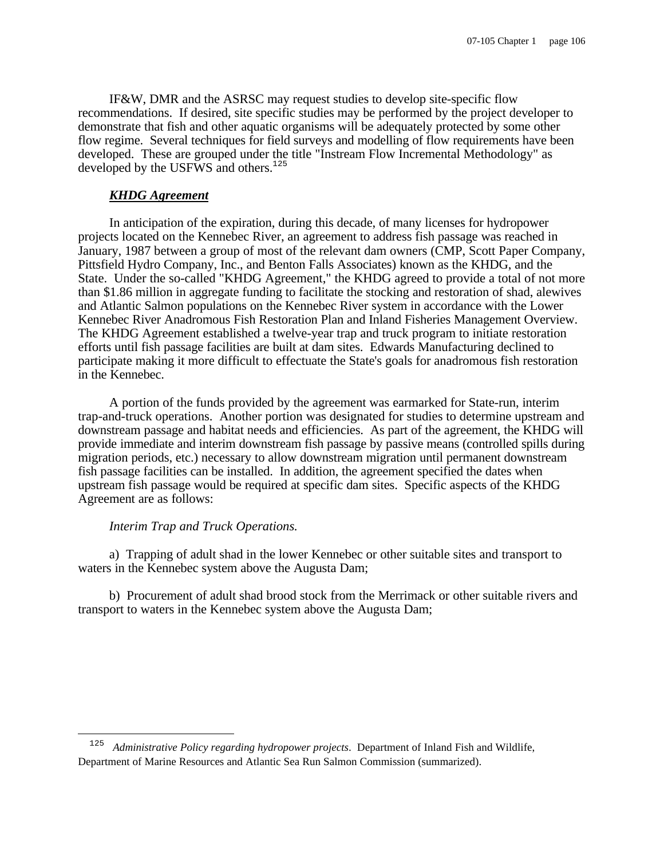IF&W, DMR and the ASRSC may request studies to develop site-specific flow recommendations. If desired, site specific studies may be performed by the project developer to demonstrate that fish and other aquatic organisms will be adequately protected by some other flow regime. Several techniques for field surveys and modelling of flow requirements have been developed. These are grouped under the title "Instream Flow Incremental Methodology" as developed by the USFWS and others.<sup>125</sup>

## *KHDG Agreement*

In anticipation of the expiration, during this decade, of many licenses for hydropower projects located on the Kennebec River, an agreement to address fish passage was reached in January, 1987 between a group of most of the relevant dam owners (CMP, Scott Paper Company, Pittsfield Hydro Company, Inc., and Benton Falls Associates) known as the KHDG, and the State. Under the so-called "KHDG Agreement," the KHDG agreed to provide a total of not more than \$1.86 million in aggregate funding to facilitate the stocking and restoration of shad, alewives and Atlantic Salmon populations on the Kennebec River system in accordance with the Lower Kennebec River Anadromous Fish Restoration Plan and Inland Fisheries Management Overview. The KHDG Agreement established a twelve-year trap and truck program to initiate restoration efforts until fish passage facilities are built at dam sites. Edwards Manufacturing declined to participate making it more difficult to effectuate the State's goals for anadromous fish restoration in the Kennebec.

A portion of the funds provided by the agreement was earmarked for State-run, interim trap-and-truck operations. Another portion was designated for studies to determine upstream and downstream passage and habitat needs and efficiencies. As part of the agreement, the KHDG will provide immediate and interim downstream fish passage by passive means (controlled spills during migration periods, etc.) necessary to allow downstream migration until permanent downstream fish passage facilities can be installed. In addition, the agreement specified the dates when upstream fish passage would be required at specific dam sites. Specific aspects of the KHDG Agreement are as follows:

#### *Interim Trap and Truck Operations.*

 $\overline{\phantom{0}}$ 

a) Trapping of adult shad in the lower Kennebec or other suitable sites and transport to waters in the Kennebec system above the Augusta Dam;

b) Procurement of adult shad brood stock from the Merrimack or other suitable rivers and transport to waters in the Kennebec system above the Augusta Dam;

<sup>125</sup> *Administrative Policy regarding hydropower projects*. Department of Inland Fish and Wildlife, Department of Marine Resources and Atlantic Sea Run Salmon Commission (summarized).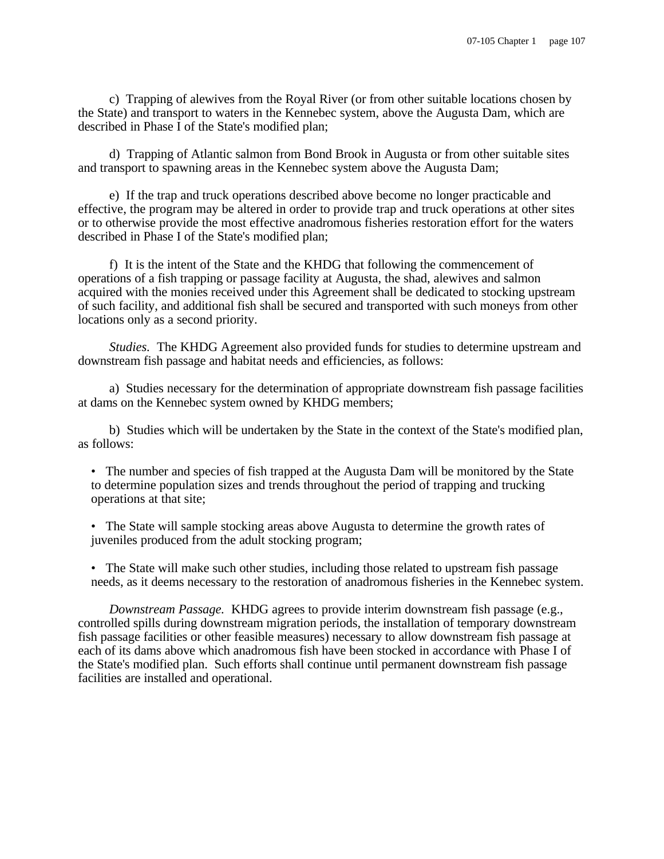c) Trapping of alewives from the Royal River (or from other suitable locations chosen by the State) and transport to waters in the Kennebec system, above the Augusta Dam, which are described in Phase I of the State's modified plan;

d) Trapping of Atlantic salmon from Bond Brook in Augusta or from other suitable sites and transport to spawning areas in the Kennebec system above the Augusta Dam;

e) If the trap and truck operations described above become no longer practicable and effective, the program may be altered in order to provide trap and truck operations at other sites or to otherwise provide the most effective anadromous fisheries restoration effort for the waters described in Phase I of the State's modified plan;

f) It is the intent of the State and the KHDG that following the commencement of operations of a fish trapping or passage facility at Augusta, the shad, alewives and salmon acquired with the monies received under this Agreement shall be dedicated to stocking upstream of such facility, and additional fish shall be secured and transported with such moneys from other locations only as a second priority.

*Studies.* The KHDG Agreement also provided funds for studies to determine upstream and downstream fish passage and habitat needs and efficiencies, as follows:

a) Studies necessary for the determination of appropriate downstream fish passage facilities at dams on the Kennebec system owned by KHDG members;

b) Studies which will be undertaken by the State in the context of the State's modified plan, as follows:

- The number and species of fish trapped at the Augusta Dam will be monitored by the State to determine population sizes and trends throughout the period of trapping and trucking operations at that site;
- The State will sample stocking areas above Augusta to determine the growth rates of juveniles produced from the adult stocking program;
- The State will make such other studies, including those related to upstream fish passage needs, as it deems necessary to the restoration of anadromous fisheries in the Kennebec system.

*Downstream Passage.* KHDG agrees to provide interim downstream fish passage (e.g., controlled spills during downstream migration periods, the installation of temporary downstream fish passage facilities or other feasible measures) necessary to allow downstream fish passage at each of its dams above which anadromous fish have been stocked in accordance with Phase I of the State's modified plan. Such efforts shall continue until permanent downstream fish passage facilities are installed and operational.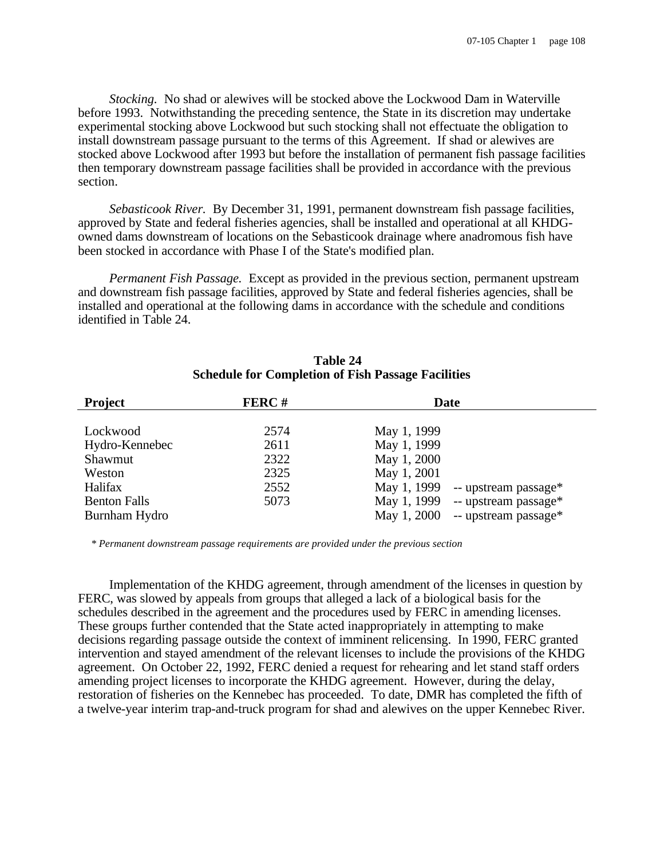*Stocking.* No shad or alewives will be stocked above the Lockwood Dam in Waterville before 1993. Notwithstanding the preceding sentence, the State in its discretion may undertake experimental stocking above Lockwood but such stocking shall not effectuate the obligation to install downstream passage pursuant to the terms of this Agreement. If shad or alewives are stocked above Lockwood after 1993 but before the installation of permanent fish passage facilities then temporary downstream passage facilities shall be provided in accordance with the previous section.

*Sebasticook River.* By December 31, 1991, permanent downstream fish passage facilities, approved by State and federal fisheries agencies, shall be installed and operational at all KHDGowned dams downstream of locations on the Sebasticook drainage where anadromous fish have been stocked in accordance with Phase I of the State's modified plan.

*Permanent Fish Passage.* Except as provided in the previous section, permanent upstream and downstream fish passage facilities, approved by State and federal fisheries agencies, shall be installed and operational at the following dams in accordance with the schedule and conditions identified in Table 24.

| <b>Project</b>                                                                                     | FERC#                                        | Date                                                                                                                                                                          |  |  |
|----------------------------------------------------------------------------------------------------|----------------------------------------------|-------------------------------------------------------------------------------------------------------------------------------------------------------------------------------|--|--|
| Lockwood<br>Hydro-Kennebec<br>Shawmut<br>Weston<br>Halifax<br><b>Benton Falls</b><br>Burnham Hydro | 2574<br>2611<br>2322<br>2325<br>2552<br>5073 | May 1, 1999<br>May 1, 1999<br>May 1, 2000<br>May 1, 2001<br>May 1, 1999<br>-- upstream passage*<br>May 1, 1999<br>-- upstream passage*<br>-- upstream passage*<br>May 1, 2000 |  |  |

## **Table 24 Schedule for Completion of Fish Passage Facilities**

*\* Permanent downstream passage requirements are provided under the previous section*

Implementation of the KHDG agreement, through amendment of the licenses in question by FERC, was slowed by appeals from groups that alleged a lack of a biological basis for the schedules described in the agreement and the procedures used by FERC in amending licenses. These groups further contended that the State acted inappropriately in attempting to make decisions regarding passage outside the context of imminent relicensing. In 1990, FERC granted intervention and stayed amendment of the relevant licenses to include the provisions of the KHDG agreement. On October 22, 1992, FERC denied a request for rehearing and let stand staff orders amending project licenses to incorporate the KHDG agreement. However, during the delay, restoration of fisheries on the Kennebec has proceeded. To date, DMR has completed the fifth of a twelve-year interim trap-and-truck program for shad and alewives on the upper Kennebec River.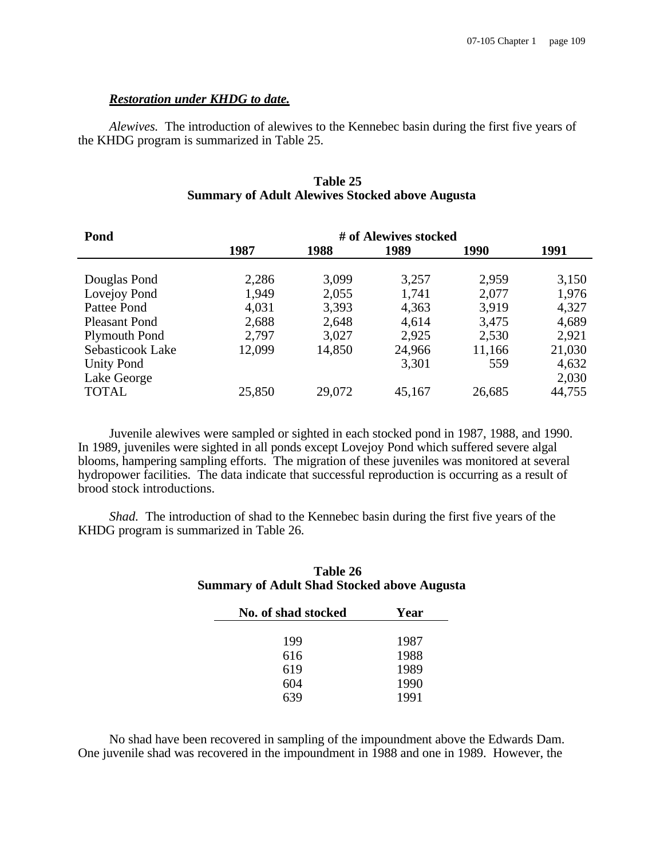## *Restoration under KHDG to date.*

*Alewives.* The introduction of alewives to the Kennebec basin during the first five years of the KHDG program is summarized in Table 25.

## **Table 25 Summary of Adult Alewives Stocked above Augusta**

| Pond                 | # of Alewives stocked |        |        |        |        |  |
|----------------------|-----------------------|--------|--------|--------|--------|--|
|                      | 1987                  | 1988   | 1989   | 1990   | 1991   |  |
|                      |                       |        |        |        |        |  |
| Douglas Pond         | 2,286                 | 3,099  | 3,257  | 2,959  | 3,150  |  |
| Lovejoy Pond         | 1,949                 | 2,055  | 1,741  | 2,077  | 1,976  |  |
| Pattee Pond          | 4,031                 | 3,393  | 4,363  | 3.919  | 4,327  |  |
| <b>Pleasant Pond</b> | 2,688                 | 2,648  | 4,614  | 3,475  | 4,689  |  |
| <b>Plymouth Pond</b> | 2,797                 | 3,027  | 2,925  | 2,530  | 2,921  |  |
| Sebasticook Lake     | 12,099                | 14,850 | 24,966 | 11,166 | 21,030 |  |
| <b>Unity Pond</b>    |                       |        | 3,301  | 559    | 4,632  |  |
| Lake George          |                       |        |        |        | 2,030  |  |
| <b>TOTAL</b>         | 25,850                | 29,072 | 45,167 | 26,685 | 44,755 |  |

Juvenile alewives were sampled or sighted in each stocked pond in 1987, 1988, and 1990. In 1989, juveniles were sighted in all ponds except Lovejoy Pond which suffered severe algal blooms, hampering sampling efforts. The migration of these juveniles was monitored at several hydropower facilities. The data indicate that successful reproduction is occurring as a result of brood stock introductions.

*Shad.* The introduction of shad to the Kennebec basin during the first five years of the KHDG program is summarized in Table 26.

# **Table 26 Summary of Adult Shad Stocked above Augusta**

| No. of shad stocked | Year |  |  |
|---------------------|------|--|--|
|                     |      |  |  |
| 199                 | 1987 |  |  |
| 616                 | 1988 |  |  |
| 619                 | 1989 |  |  |
| 604                 | 1990 |  |  |
| 639                 | 1991 |  |  |

No shad have been recovered in sampling of the impoundment above the Edwards Dam. One juvenile shad was recovered in the impoundment in 1988 and one in 1989. However, the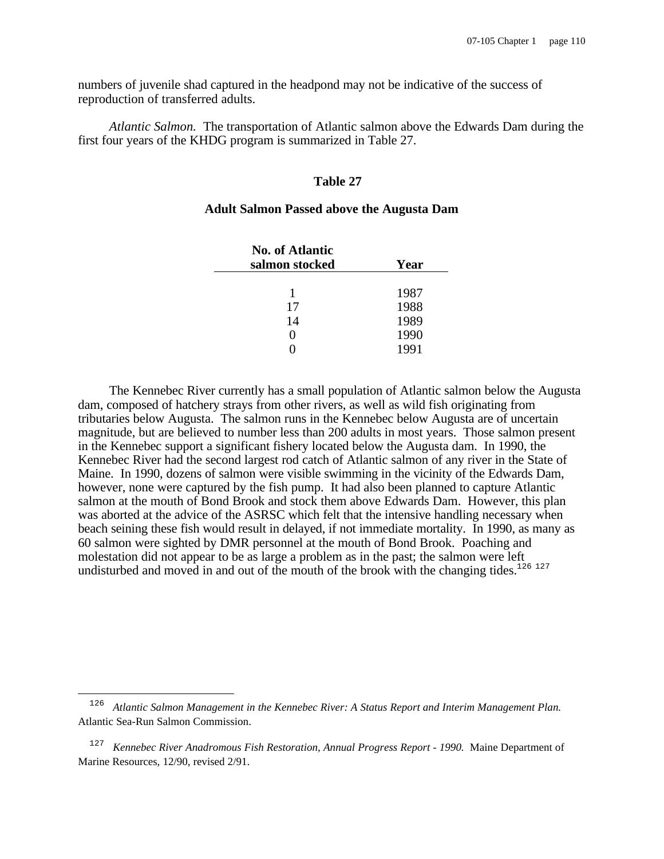numbers of juvenile shad captured in the headpond may not be indicative of the success of reproduction of transferred adults.

*Atlantic Salmon.* The transportation of Atlantic salmon above the Edwards Dam during the first four years of the KHDG program is summarized in Table 27.

#### **Table 27**

## **Adult Salmon Passed above the Augusta Dam**

| <b>No. of Atlantic</b><br>salmon stocked | Year |  |  |
|------------------------------------------|------|--|--|
| 1                                        | 1987 |  |  |
| 17                                       | 1988 |  |  |
| 14                                       | 1989 |  |  |
| $\mathbf{\Omega}$                        | 1990 |  |  |
|                                          | 1991 |  |  |

The Kennebec River currently has a small population of Atlantic salmon below the Augusta dam, composed of hatchery strays from other rivers, as well as wild fish originating from tributaries below Augusta. The salmon runs in the Kennebec below Augusta are of uncertain magnitude, but are believed to number less than 200 adults in most years. Those salmon present in the Kennebec support a significant fishery located below the Augusta dam. In 1990, the Kennebec River had the second largest rod catch of Atlantic salmon of any river in the State of Maine. In 1990, dozens of salmon were visible swimming in the vicinity of the Edwards Dam, however, none were captured by the fish pump. It had also been planned to capture Atlantic salmon at the mouth of Bond Brook and stock them above Edwards Dam. However, this plan was aborted at the advice of the ASRSC which felt that the intensive handling necessary when beach seining these fish would result in delayed, if not immediate mortality. In 1990, as many as 60 salmon were sighted by DMR personnel at the mouth of Bond Brook. Poaching and molestation did not appear to be as large a problem as in the past; the salmon were left undisturbed and moved in and out of the mouth of the brook with the changing tides.<sup>126 127</sup>

 $\overline{\phantom{0}}$ 

<sup>126</sup> *Atlantic Salmon Management in the Kennebec River: A Status Report and Interim Management Plan.* Atlantic Sea-Run Salmon Commission.

<sup>127</sup> *Kennebec River Anadromous Fish Restoration, Annual Progress Report - 1990.* Maine Department of Marine Resources, 12/90, revised 2/91.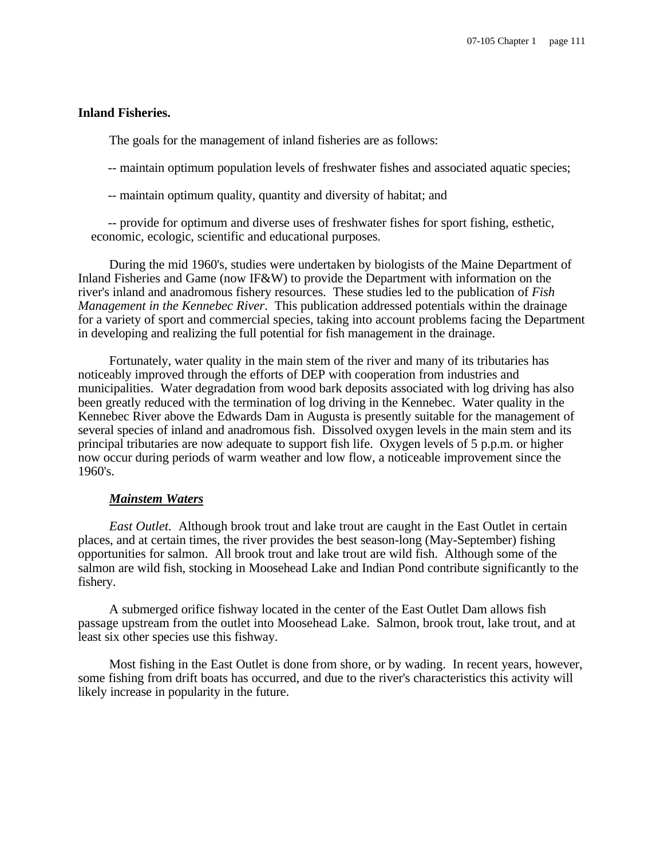## **Inland Fisheries.**

The goals for the management of inland fisheries are as follows:

- -- maintain optimum population levels of freshwater fishes and associated aquatic species;
- -- maintain optimum quality, quantity and diversity of habitat; and

 -- provide for optimum and diverse uses of freshwater fishes for sport fishing, esthetic, economic, ecologic, scientific and educational purposes.

During the mid 1960's, studies were undertaken by biologists of the Maine Department of Inland Fisheries and Game (now IF&W) to provide the Department with information on the river's inland and anadromous fishery resources. These studies led to the publication of *Fish Management in the Kennebec River*. This publication addressed potentials within the drainage for a variety of sport and commercial species, taking into account problems facing the Department in developing and realizing the full potential for fish management in the drainage.

Fortunately, water quality in the main stem of the river and many of its tributaries has noticeably improved through the efforts of DEP with cooperation from industries and municipalities. Water degradation from wood bark deposits associated with log driving has also been greatly reduced with the termination of log driving in the Kennebec. Water quality in the Kennebec River above the Edwards Dam in Augusta is presently suitable for the management of several species of inland and anadromous fish. Dissolved oxygen levels in the main stem and its principal tributaries are now adequate to support fish life. Oxygen levels of 5 p.p.m. or higher now occur during periods of warm weather and low flow, a noticeable improvement since the 1960's.

#### *Mainstem Waters*

*East Outlet.* Although brook trout and lake trout are caught in the East Outlet in certain places, and at certain times, the river provides the best season-long (May-September) fishing opportunities for salmon. All brook trout and lake trout are wild fish. Although some of the salmon are wild fish, stocking in Moosehead Lake and Indian Pond contribute significantly to the fishery.

A submerged orifice fishway located in the center of the East Outlet Dam allows fish passage upstream from the outlet into Moosehead Lake. Salmon, brook trout, lake trout, and at least six other species use this fishway.

Most fishing in the East Outlet is done from shore, or by wading. In recent years, however, some fishing from drift boats has occurred, and due to the river's characteristics this activity will likely increase in popularity in the future.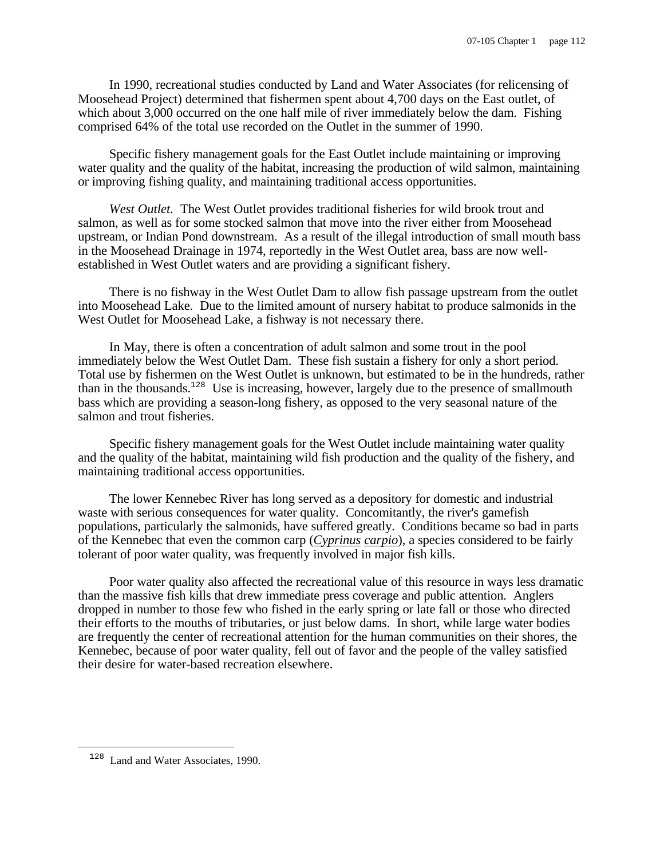In 1990, recreational studies conducted by Land and Water Associates (for relicensing of Moosehead Project) determined that fishermen spent about 4,700 days on the East outlet, of which about 3,000 occurred on the one half mile of river immediately below the dam. Fishing comprised 64% of the total use recorded on the Outlet in the summer of 1990.

Specific fishery management goals for the East Outlet include maintaining or improving water quality and the quality of the habitat, increasing the production of wild salmon, maintaining or improving fishing quality, and maintaining traditional access opportunities.

*West Outlet.* The West Outlet provides traditional fisheries for wild brook trout and salmon, as well as for some stocked salmon that move into the river either from Moosehead upstream, or Indian Pond downstream. As a result of the illegal introduction of small mouth bass in the Moosehead Drainage in 1974, reportedly in the West Outlet area, bass are now wellestablished in West Outlet waters and are providing a significant fishery.

There is no fishway in the West Outlet Dam to allow fish passage upstream from the outlet into Moosehead Lake. Due to the limited amount of nursery habitat to produce salmonids in the West Outlet for Moosehead Lake, a fishway is not necessary there.

In May, there is often a concentration of adult salmon and some trout in the pool immediately below the West Outlet Dam. These fish sustain a fishery for only a short period. Total use by fishermen on the West Outlet is unknown, but estimated to be in the hundreds, rather than in the thousands.<sup>128</sup> Use is increasing, however, largely due to the presence of smallmouth bass which are providing a season-long fishery, as opposed to the very seasonal nature of the salmon and trout fisheries.

Specific fishery management goals for the West Outlet include maintaining water quality and the quality of the habitat, maintaining wild fish production and the quality of the fishery, and maintaining traditional access opportunities.

The lower Kennebec River has long served as a depository for domestic and industrial waste with serious consequences for water quality. Concomitantly, the river's gamefish populations, particularly the salmonids, have suffered greatly. Conditions became so bad in parts of the Kennebec that even the common carp (*Cyprinus carpio*), a species considered to be fairly tolerant of poor water quality, was frequently involved in major fish kills.

Poor water quality also affected the recreational value of this resource in ways less dramatic than the massive fish kills that drew immediate press coverage and public attention. Anglers dropped in number to those few who fished in the early spring or late fall or those who directed their efforts to the mouths of tributaries, or just below dams. In short, while large water bodies are frequently the center of recreational attention for the human communities on their shores, the Kennebec, because of poor water quality, fell out of favor and the people of the valley satisfied their desire for water-based recreation elsewhere.

i

<sup>&</sup>lt;sup>128</sup> Land and Water Associates, 1990.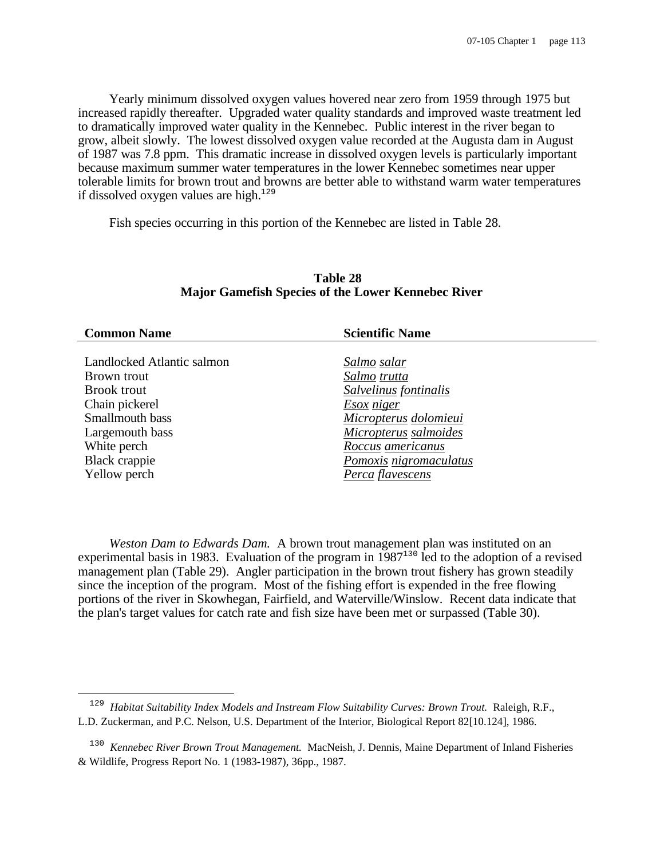Yearly minimum dissolved oxygen values hovered near zero from 1959 through 1975 but increased rapidly thereafter. Upgraded water quality standards and improved waste treatment led to dramatically improved water quality in the Kennebec. Public interest in the river began to grow, albeit slowly. The lowest dissolved oxygen value recorded at the Augusta dam in August of 1987 was 7.8 ppm. This dramatic increase in dissolved oxygen levels is particularly important because maximum summer water temperatures in the lower Kennebec sometimes near upper tolerable limits for brown trout and browns are better able to withstand warm water temperatures if dissolved oxygen values are high. $129$ 

Fish species occurring in this portion of the Kennebec are listed in Table 28.

| <b>Common Name</b>         | <b>Scientific Name</b> |
|----------------------------|------------------------|
|                            |                        |
| Landlocked Atlantic salmon | Salmo salar            |
| Brown trout                | Salmo trutta           |
| <b>Brook trout</b>         | Salvelinus fontinalis  |
| Chain pickerel             | <b>Esox</b> niger      |
| Smallmouth bass            | Micropterus dolomieui  |
| Largemouth bass            | Micropterus salmoides  |
| White perch                | Roccus americanus      |
| Black crappie              | Pomoxis nigromaculatus |
| Yellow perch               | Perca flavescens       |
|                            |                        |

## **Table 28 Major Gamefish Species of the Lower Kennebec River**

*Weston Dam to Edwards Dam.* A brown trout management plan was instituted on an experimental basis in 1983. Evaluation of the program in 1987<sup>130</sup> led to the adoption of a revised management plan (Table 29). Angler participation in the brown trout fishery has grown steadily since the inception of the program. Most of the fishing effort is expended in the free flowing portions of the river in Skowhegan, Fairfield, and Waterville/Winslow. Recent data indicate that the plan's target values for catch rate and fish size have been met or surpassed (Table 30).

i

<sup>129</sup> *Habitat Suitability Index Models and Instream Flow Suitability Curves: Brown Trout.* Raleigh, R.F., L.D. Zuckerman, and P.C. Nelson, U.S. Department of the Interior, Biological Report 82[10.124], 1986.

<sup>130</sup> *Kennebec River Brown Trout Management.* MacNeish, J. Dennis, Maine Department of Inland Fisheries & Wildlife, Progress Report No. 1 (1983-1987), 36pp., 1987.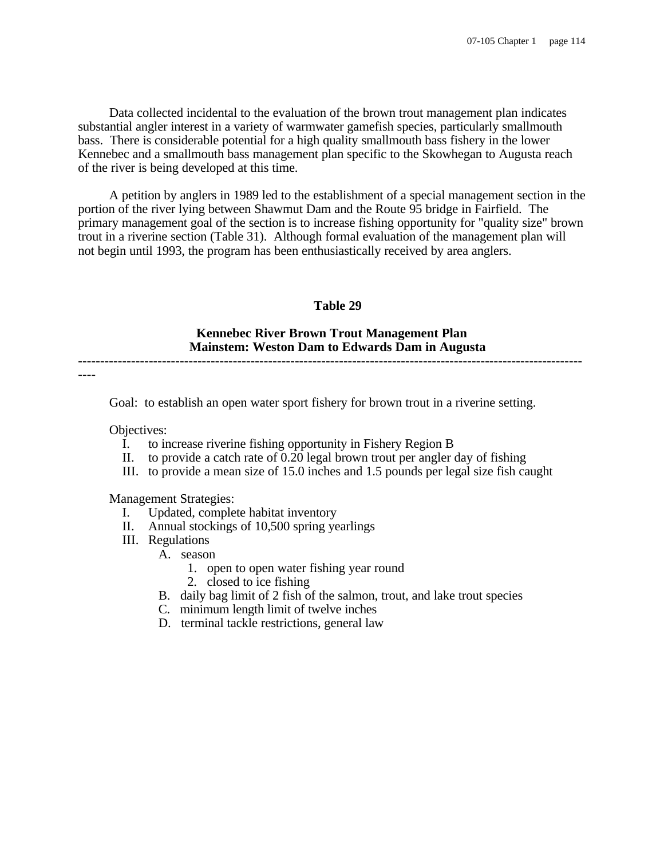Data collected incidental to the evaluation of the brown trout management plan indicates substantial angler interest in a variety of warmwater gamefish species, particularly smallmouth bass. There is considerable potential for a high quality smallmouth bass fishery in the lower Kennebec and a smallmouth bass management plan specific to the Skowhegan to Augusta reach of the river is being developed at this time.

A petition by anglers in 1989 led to the establishment of a special management section in the portion of the river lying between Shawmut Dam and the Route 95 bridge in Fairfield. The primary management goal of the section is to increase fishing opportunity for "quality size" brown trout in a riverine section (Table 31). Although formal evaluation of the management plan will not begin until 1993, the program has been enthusiastically received by area anglers.

## **Table 29**

# **Kennebec River Brown Trout Management Plan Mainstem: Weston Dam to Edwards Dam in Augusta**

**------------------------------------------------------------------------------------------------------------------**

**----**

Goal: to establish an open water sport fishery for brown trout in a riverine setting.

Objectives:

- I. to increase riverine fishing opportunity in Fishery Region B
- II. to provide a catch rate of 0.20 legal brown trout per angler day of fishing
- III. to provide a mean size of 15.0 inches and 1.5 pounds per legal size fish caught

Management Strategies:

- I. Updated, complete habitat inventory
- II. Annual stockings of 10,500 spring yearlings
- III. Regulations
	- A. season
		- 1. open to open water fishing year round
		- 2. closed to ice fishing
	- B. daily bag limit of 2 fish of the salmon, trout, and lake trout species
	- C. minimum length limit of twelve inches
	- D. terminal tackle restrictions, general law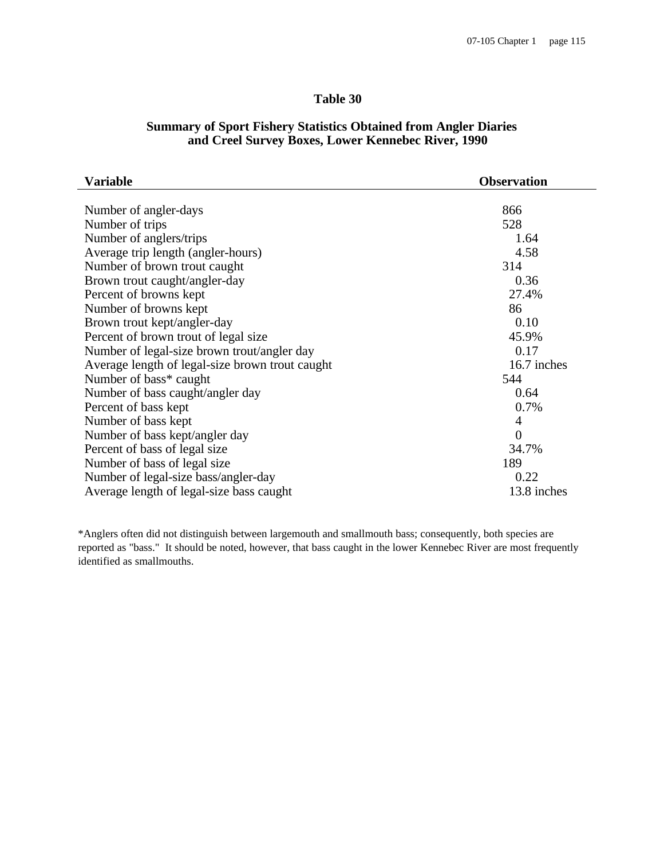# **Table 30**

# **Summary of Sport Fishery Statistics Obtained from Angler Diaries and Creel Survey Boxes, Lower Kennebec River, 1990**

| Variable                                        | <b>Observation</b> |  |  |  |
|-------------------------------------------------|--------------------|--|--|--|
|                                                 |                    |  |  |  |
| Number of angler-days                           | 866                |  |  |  |
| Number of trips                                 | 528                |  |  |  |
| Number of anglers/trips                         | 1.64               |  |  |  |
| Average trip length (angler-hours)              | 4.58               |  |  |  |
| Number of brown trout caught                    | 314                |  |  |  |
| Brown trout caught/angler-day                   | 0.36               |  |  |  |
| Percent of browns kept                          | 27.4%              |  |  |  |
| Number of browns kept                           | 86                 |  |  |  |
| Brown trout kept/angler-day                     | 0.10               |  |  |  |
| Percent of brown trout of legal size            | 45.9%              |  |  |  |
| Number of legal-size brown trout/angler day     | 0.17               |  |  |  |
| Average length of legal-size brown trout caught | 16.7 inches        |  |  |  |
| Number of bass* caught                          | 544                |  |  |  |
| Number of bass caught/angler day                | 0.64               |  |  |  |
| Percent of bass kept                            | 0.7%               |  |  |  |
| Number of bass kept                             | $\overline{4}$     |  |  |  |
| Number of bass kept/angler day                  | $\overline{0}$     |  |  |  |
| Percent of bass of legal size                   | 34.7%              |  |  |  |
| Number of bass of legal size                    | 189                |  |  |  |
| Number of legal-size bass/angler-day            | 0.22               |  |  |  |
| Average length of legal-size bass caught        | 13.8 inches        |  |  |  |

\*Anglers often did not distinguish between largemouth and smallmouth bass; consequently, both species are reported as "bass." It should be noted, however, that bass caught in the lower Kennebec River are most frequently identified as smallmouths.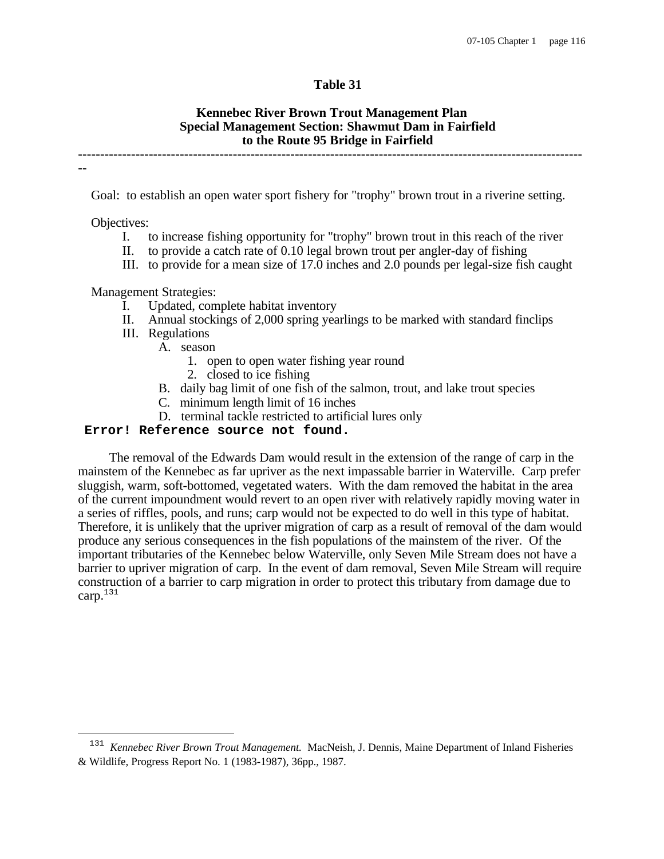## **Table 31**

#### **Kennebec River Brown Trout Management Plan Special Management Section: Shawmut Dam in Fairfield to the Route 95 Bridge in Fairfield ------------------------------------------------------------------------------------------------------------------**

Goal: to establish an open water sport fishery for "trophy" brown trout in a riverine setting.

Objectives:

**--**

i

- I. to increase fishing opportunity for "trophy" brown trout in this reach of the river
- II. to provide a catch rate of 0.10 legal brown trout per angler-day of fishing
- III. to provide for a mean size of 17.0 inches and 2.0 pounds per legal-size fish caught

Management Strategies:

- I. Updated, complete habitat inventory
- II. Annual stockings of 2,000 spring yearlings to be marked with standard finclips
- III. Regulations
	- A. season
		- 1. open to open water fishing year round
		- 2. closed to ice fishing
	- B. daily bag limit of one fish of the salmon, trout, and lake trout species
	- C. minimum length limit of 16 inches
	- D. terminal tackle restricted to artificial lures only

## **Error! Reference source not found.**

The removal of the Edwards Dam would result in the extension of the range of carp in the mainstem of the Kennebec as far upriver as the next impassable barrier in Waterville. Carp prefer sluggish, warm, soft-bottomed, vegetated waters. With the dam removed the habitat in the area of the current impoundment would revert to an open river with relatively rapidly moving water in a series of riffles, pools, and runs; carp would not be expected to do well in this type of habitat. Therefore, it is unlikely that the upriver migration of carp as a result of removal of the dam would produce any serious consequences in the fish populations of the mainstem of the river. Of the important tributaries of the Kennebec below Waterville, only Seven Mile Stream does not have a barrier to upriver migration of carp. In the event of dam removal, Seven Mile Stream will require construction of a barrier to carp migration in order to protect this tributary from damage due to carp.<sup>131</sup>

<sup>131</sup> *Kennebec River Brown Trout Management.* MacNeish, J. Dennis, Maine Department of Inland Fisheries & Wildlife, Progress Report No. 1 (1983-1987), 36pp., 1987.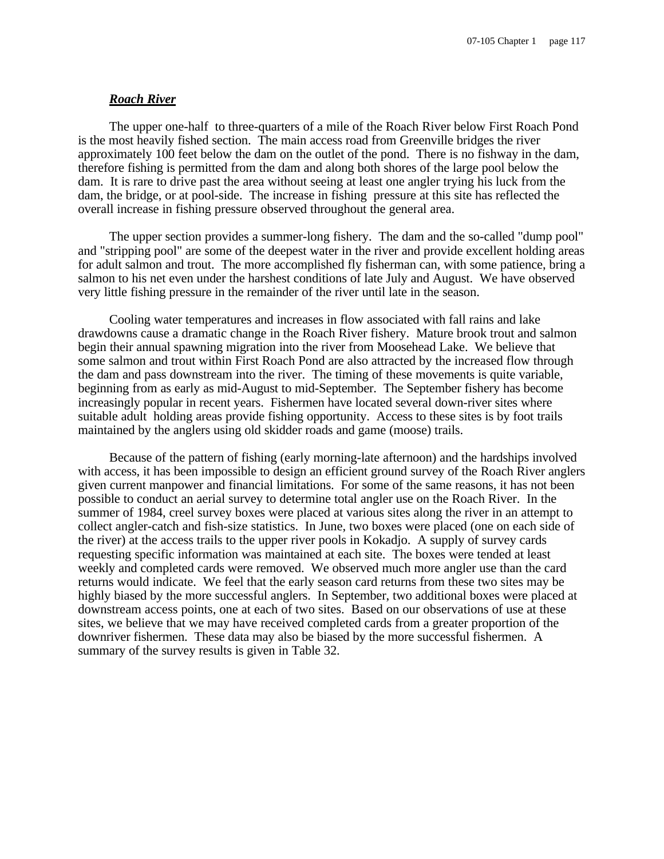#### *Roach River*

The upper one-half to three-quarters of a mile of the Roach River below First Roach Pond is the most heavily fished section. The main access road from Greenville bridges the river approximately 100 feet below the dam on the outlet of the pond. There is no fishway in the dam, therefore fishing is permitted from the dam and along both shores of the large pool below the dam. It is rare to drive past the area without seeing at least one angler trying his luck from the dam, the bridge, or at pool-side. The increase in fishing pressure at this site has reflected the overall increase in fishing pressure observed throughout the general area.

The upper section provides a summer-long fishery. The dam and the so-called "dump pool" and "stripping pool" are some of the deepest water in the river and provide excellent holding areas for adult salmon and trout. The more accomplished fly fisherman can, with some patience, bring a salmon to his net even under the harshest conditions of late July and August. We have observed very little fishing pressure in the remainder of the river until late in the season.

Cooling water temperatures and increases in flow associated with fall rains and lake drawdowns cause a dramatic change in the Roach River fishery. Mature brook trout and salmon begin their annual spawning migration into the river from Moosehead Lake. We believe that some salmon and trout within First Roach Pond are also attracted by the increased flow through the dam and pass downstream into the river. The timing of these movements is quite variable, beginning from as early as mid-August to mid-September. The September fishery has become increasingly popular in recent years. Fishermen have located several down-river sites where suitable adult holding areas provide fishing opportunity. Access to these sites is by foot trails maintained by the anglers using old skidder roads and game (moose) trails.

Because of the pattern of fishing (early morning-late afternoon) and the hardships involved with access, it has been impossible to design an efficient ground survey of the Roach River anglers given current manpower and financial limitations. For some of the same reasons, it has not been possible to conduct an aerial survey to determine total angler use on the Roach River. In the summer of 1984, creel survey boxes were placed at various sites along the river in an attempt to collect angler-catch and fish-size statistics. In June, two boxes were placed (one on each side of the river) at the access trails to the upper river pools in Kokadjo. A supply of survey cards requesting specific information was maintained at each site. The boxes were tended at least weekly and completed cards were removed. We observed much more angler use than the card returns would indicate. We feel that the early season card returns from these two sites may be highly biased by the more successful anglers. In September, two additional boxes were placed at downstream access points, one at each of two sites. Based on our observations of use at these sites, we believe that we may have received completed cards from a greater proportion of the downriver fishermen. These data may also be biased by the more successful fishermen. A summary of the survey results is given in Table 32.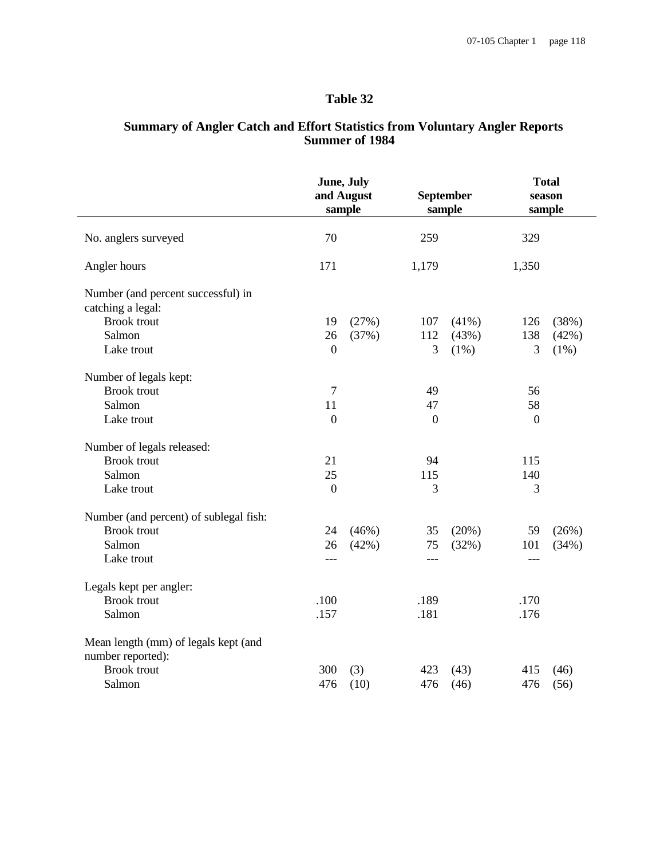# **Table 32**

## **Summary of Angler Catch and Effort Statistics from Voluntary Angler Reports Summer of 1984**

|                                                           | June, July<br>and August<br>sample |       | September<br>sample |         | <b>Total</b><br>season<br>sample |         |
|-----------------------------------------------------------|------------------------------------|-------|---------------------|---------|----------------------------------|---------|
| No. anglers surveyed                                      | 70                                 |       | 259                 |         | 329                              |         |
| Angler hours                                              | 171                                |       | 1,179               |         | 1,350                            |         |
| Number (and percent successful) in<br>catching a legal:   |                                    |       |                     |         |                                  |         |
| <b>Brook</b> trout                                        | 19                                 | (27%) | 107                 | (41%)   | 126                              | (38%)   |
| Salmon                                                    | 26                                 | (37%) | 112                 | (43%)   | 138                              | (42%)   |
| Lake trout                                                | $\overline{0}$                     |       | 3                   | $(1\%)$ | 3                                | $(1\%)$ |
| Number of legals kept:                                    |                                    |       |                     |         |                                  |         |
| <b>Brook</b> trout                                        | $\overline{7}$                     |       | 49                  |         | 56                               |         |
| Salmon                                                    | 11                                 |       | 47                  |         | 58                               |         |
| Lake trout                                                | $\overline{0}$                     |       | $\boldsymbol{0}$    |         | $\mathbf{0}$                     |         |
| Number of legals released:                                |                                    |       |                     |         |                                  |         |
| <b>Brook</b> trout                                        | 21                                 |       | 94                  |         | 115                              |         |
| Salmon                                                    | 25                                 |       | 115                 |         | 140                              |         |
| Lake trout                                                | $\boldsymbol{0}$                   |       | 3                   |         | 3                                |         |
| Number (and percent) of sublegal fish:                    |                                    |       |                     |         |                                  |         |
| <b>Brook</b> trout                                        | 24                                 | (46%) | 35                  | (20%)   | 59                               | (26%)   |
| Salmon                                                    | 26                                 | (42%) | 75                  | (32%)   | 101                              | (34%)   |
| Lake trout                                                | ---                                |       | $---$               |         | $---$                            |         |
| Legals kept per angler:                                   |                                    |       |                     |         |                                  |         |
| <b>Brook</b> trout                                        | .100                               |       | .189                |         | .170                             |         |
| Salmon                                                    | .157                               |       | .181                |         | .176                             |         |
| Mean length (mm) of legals kept (and<br>number reported): |                                    |       |                     |         |                                  |         |
| <b>Brook</b> trout                                        | 300                                | (3)   | 423                 | (43)    | 415                              | (46)    |
| Salmon                                                    | 476                                | (10)  | 476                 | (46)    | 476                              | (56)    |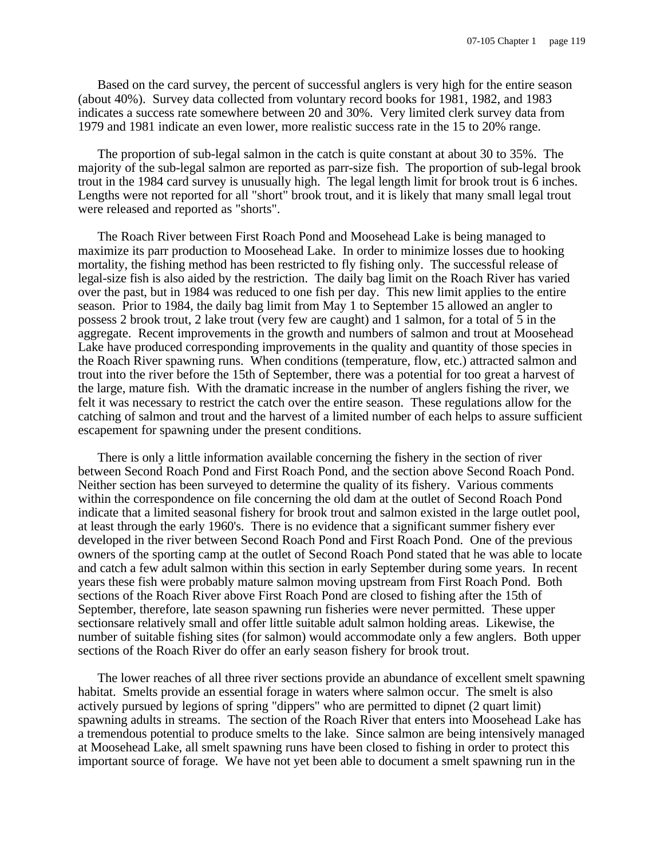Based on the card survey, the percent of successful anglers is very high for the entire season (about 40%). Survey data collected from voluntary record books for 1981, 1982, and 1983 indicates a success rate somewhere between 20 and 30%. Very limited clerk survey data from 1979 and 1981 indicate an even lower, more realistic success rate in the 15 to 20% range.

The proportion of sub-legal salmon in the catch is quite constant at about 30 to 35%. The majority of the sub-legal salmon are reported as parr-size fish. The proportion of sub-legal brook trout in the 1984 card survey is unusually high. The legal length limit for brook trout is 6 inches. Lengths were not reported for all "short" brook trout, and it is likely that many small legal trout were released and reported as "shorts".

The Roach River between First Roach Pond and Moosehead Lake is being managed to maximize its parr production to Moosehead Lake. In order to minimize losses due to hooking mortality, the fishing method has been restricted to fly fishing only. The successful release of legal-size fish is also aided by the restriction. The daily bag limit on the Roach River has varied over the past, but in 1984 was reduced to one fish per day. This new limit applies to the entire season. Prior to 1984, the daily bag limit from May 1 to September 15 allowed an angler to possess 2 brook trout, 2 lake trout (very few are caught) and 1 salmon, for a total of 5 in the aggregate. Recent improvements in the growth and numbers of salmon and trout at Moosehead Lake have produced corresponding improvements in the quality and quantity of those species in the Roach River spawning runs. When conditions (temperature, flow, etc.) attracted salmon and trout into the river before the 15th of September, there was a potential for too great a harvest of the large, mature fish. With the dramatic increase in the number of anglers fishing the river, we felt it was necessary to restrict the catch over the entire season. These regulations allow for the catching of salmon and trout and the harvest of a limited number of each helps to assure sufficient escapement for spawning under the present conditions.

There is only a little information available concerning the fishery in the section of river between Second Roach Pond and First Roach Pond, and the section above Second Roach Pond. Neither section has been surveyed to determine the quality of its fishery. Various comments within the correspondence on file concerning the old dam at the outlet of Second Roach Pond indicate that a limited seasonal fishery for brook trout and salmon existed in the large outlet pool, at least through the early 1960's. There is no evidence that a significant summer fishery ever developed in the river between Second Roach Pond and First Roach Pond. One of the previous owners of the sporting camp at the outlet of Second Roach Pond stated that he was able to locate and catch a few adult salmon within this section in early September during some years. In recent years these fish were probably mature salmon moving upstream from First Roach Pond. Both sections of the Roach River above First Roach Pond are closed to fishing after the 15th of September, therefore, late season spawning run fisheries were never permitted. These upper sectionsare relatively small and offer little suitable adult salmon holding areas. Likewise, the number of suitable fishing sites (for salmon) would accommodate only a few anglers. Both upper sections of the Roach River do offer an early season fishery for brook trout.

The lower reaches of all three river sections provide an abundance of excellent smelt spawning habitat. Smelts provide an essential forage in waters where salmon occur. The smelt is also actively pursued by legions of spring "dippers" who are permitted to dipnet (2 quart limit) spawning adults in streams. The section of the Roach River that enters into Moosehead Lake has a tremendous potential to produce smelts to the lake. Since salmon are being intensively managed at Moosehead Lake, all smelt spawning runs have been closed to fishing in order to protect this important source of forage. We have not yet been able to document a smelt spawning run in the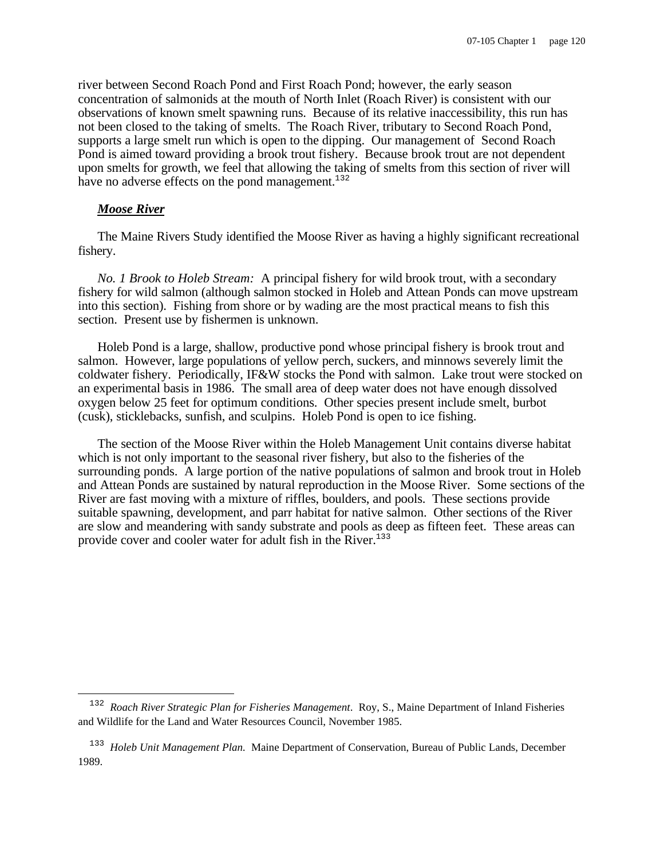river between Second Roach Pond and First Roach Pond; however, the early season concentration of salmonids at the mouth of North Inlet (Roach River) is consistent with our observations of known smelt spawning runs. Because of its relative inaccessibility, this run has not been closed to the taking of smelts. The Roach River, tributary to Second Roach Pond, supports a large smelt run which is open to the dipping. Our management of Second Roach Pond is aimed toward providing a brook trout fishery. Because brook trout are not dependent upon smelts for growth, we feel that allowing the taking of smelts from this section of river will have no adverse effects on the pond management. $132$ 

#### *Moose River*

i

The Maine Rivers Study identified the Moose River as having a highly significant recreational fishery.

*No. 1 Brook to Holeb Stream:* A principal fishery for wild brook trout, with a secondary fishery for wild salmon (although salmon stocked in Holeb and Attean Ponds can move upstream into this section). Fishing from shore or by wading are the most practical means to fish this section. Present use by fishermen is unknown.

Holeb Pond is a large, shallow, productive pond whose principal fishery is brook trout and salmon. However, large populations of yellow perch, suckers, and minnows severely limit the coldwater fishery. Periodically, IF&W stocks the Pond with salmon. Lake trout were stocked on an experimental basis in 1986. The small area of deep water does not have enough dissolved oxygen below 25 feet for optimum conditions. Other species present include smelt, burbot (cusk), sticklebacks, sunfish, and sculpins. Holeb Pond is open to ice fishing.

The section of the Moose River within the Holeb Management Unit contains diverse habitat which is not only important to the seasonal river fishery, but also to the fisheries of the surrounding ponds. A large portion of the native populations of salmon and brook trout in Holeb and Attean Ponds are sustained by natural reproduction in the Moose River. Some sections of the River are fast moving with a mixture of riffles, boulders, and pools. These sections provide suitable spawning, development, and parr habitat for native salmon. Other sections of the River are slow and meandering with sandy substrate and pools as deep as fifteen feet. These areas can provide cover and cooler water for adult fish in the River.<sup>133</sup>

<sup>132</sup> *Roach River Strategic Plan for Fisheries Management*. Roy, S., Maine Department of Inland Fisheries and Wildlife for the Land and Water Resources Council, November 1985.

<sup>&</sup>lt;sup>133</sup> Holeb Unit Management Plan. Maine Department of Conservation, Bureau of Public Lands, December 1989.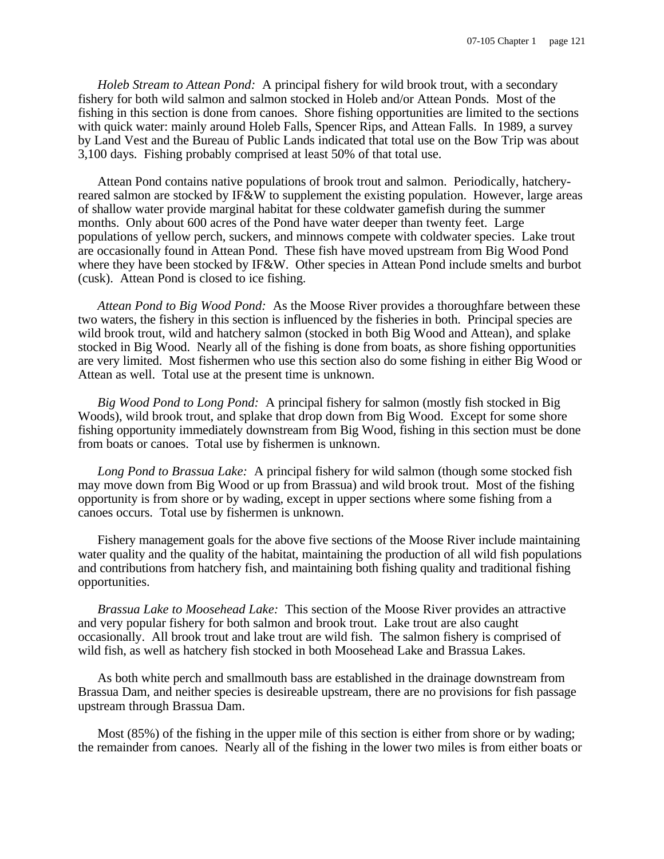*Holeb Stream to Attean Pond:* A principal fishery for wild brook trout, with a secondary fishery for both wild salmon and salmon stocked in Holeb and/or Attean Ponds. Most of the fishing in this section is done from canoes. Shore fishing opportunities are limited to the sections with quick water: mainly around Holeb Falls, Spencer Rips, and Attean Falls. In 1989, a survey by Land Vest and the Bureau of Public Lands indicated that total use on the Bow Trip was about 3,100 days. Fishing probably comprised at least 50% of that total use.

Attean Pond contains native populations of brook trout and salmon. Periodically, hatcheryreared salmon are stocked by IF&W to supplement the existing population. However, large areas of shallow water provide marginal habitat for these coldwater gamefish during the summer months. Only about 600 acres of the Pond have water deeper than twenty feet. Large populations of yellow perch, suckers, and minnows compete with coldwater species. Lake trout are occasionally found in Attean Pond. These fish have moved upstream from Big Wood Pond where they have been stocked by IF&W. Other species in Attean Pond include smelts and burbot (cusk). Attean Pond is closed to ice fishing.

*Attean Pond to Big Wood Pond:* As the Moose River provides a thoroughfare between these two waters, the fishery in this section is influenced by the fisheries in both. Principal species are wild brook trout, wild and hatchery salmon (stocked in both Big Wood and Attean), and splake stocked in Big Wood. Nearly all of the fishing is done from boats, as shore fishing opportunities are very limited. Most fishermen who use this section also do some fishing in either Big Wood or Attean as well. Total use at the present time is unknown.

*Big Wood Pond to Long Pond:* A principal fishery for salmon (mostly fish stocked in Big Woods), wild brook trout, and splake that drop down from Big Wood. Except for some shore fishing opportunity immediately downstream from Big Wood, fishing in this section must be done from boats or canoes. Total use by fishermen is unknown.

*Long Pond to Brassua Lake:* A principal fishery for wild salmon (though some stocked fish may move down from Big Wood or up from Brassua) and wild brook trout. Most of the fishing opportunity is from shore or by wading, except in upper sections where some fishing from a canoes occurs. Total use by fishermen is unknown.

Fishery management goals for the above five sections of the Moose River include maintaining water quality and the quality of the habitat, maintaining the production of all wild fish populations and contributions from hatchery fish, and maintaining both fishing quality and traditional fishing opportunities.

*Brassua Lake to Moosehead Lake:* This section of the Moose River provides an attractive and very popular fishery for both salmon and brook trout. Lake trout are also caught occasionally. All brook trout and lake trout are wild fish. The salmon fishery is comprised of wild fish, as well as hatchery fish stocked in both Moosehead Lake and Brassua Lakes.

As both white perch and smallmouth bass are established in the drainage downstream from Brassua Dam, and neither species is desireable upstream, there are no provisions for fish passage upstream through Brassua Dam.

Most (85%) of the fishing in the upper mile of this section is either from shore or by wading; the remainder from canoes. Nearly all of the fishing in the lower two miles is from either boats or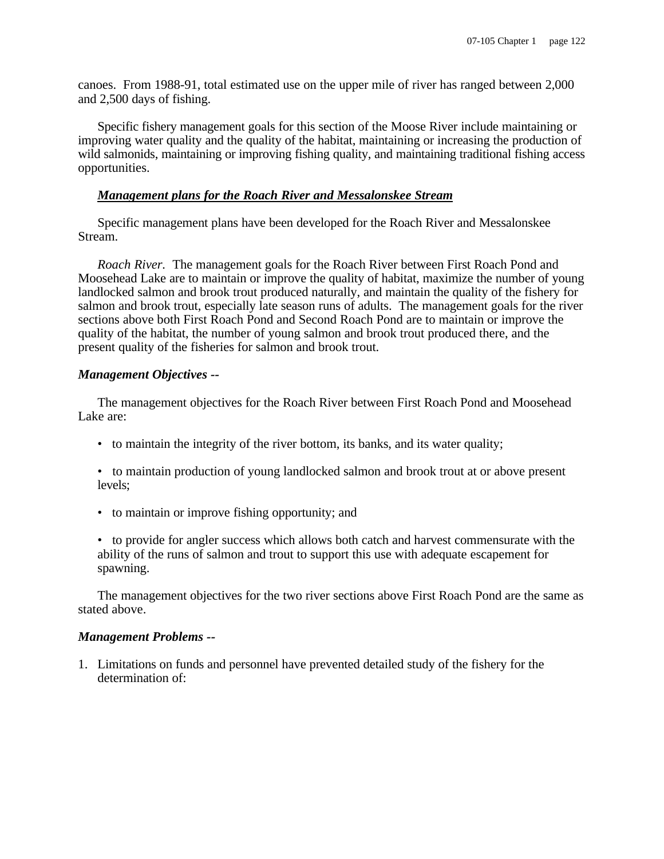canoes. From 1988-91, total estimated use on the upper mile of river has ranged between 2,000 and 2,500 days of fishing.

Specific fishery management goals for this section of the Moose River include maintaining or improving water quality and the quality of the habitat, maintaining or increasing the production of wild salmonids, maintaining or improving fishing quality, and maintaining traditional fishing access opportunities.

#### *Management plans for the Roach River and Messalonskee Stream*

Specific management plans have been developed for the Roach River and Messalonskee Stream.

*Roach River.* The management goals for the Roach River between First Roach Pond and Moosehead Lake are to maintain or improve the quality of habitat, maximize the number of young landlocked salmon and brook trout produced naturally, and maintain the quality of the fishery for salmon and brook trout, especially late season runs of adults. The management goals for the river sections above both First Roach Pond and Second Roach Pond are to maintain or improve the quality of the habitat, the number of young salmon and brook trout produced there, and the present quality of the fisheries for salmon and brook trout.

## *Management Objectives --*

The management objectives for the Roach River between First Roach Pond and Moosehead Lake are:

- to maintain the integrity of the river bottom, its banks, and its water quality;
- to maintain production of young landlocked salmon and brook trout at or above present levels;
- to maintain or improve fishing opportunity; and

• to provide for angler success which allows both catch and harvest commensurate with the ability of the runs of salmon and trout to support this use with adequate escapement for spawning.

The management objectives for the two river sections above First Roach Pond are the same as stated above.

#### *Management Problems --*

1. Limitations on funds and personnel have prevented detailed study of the fishery for the determination of: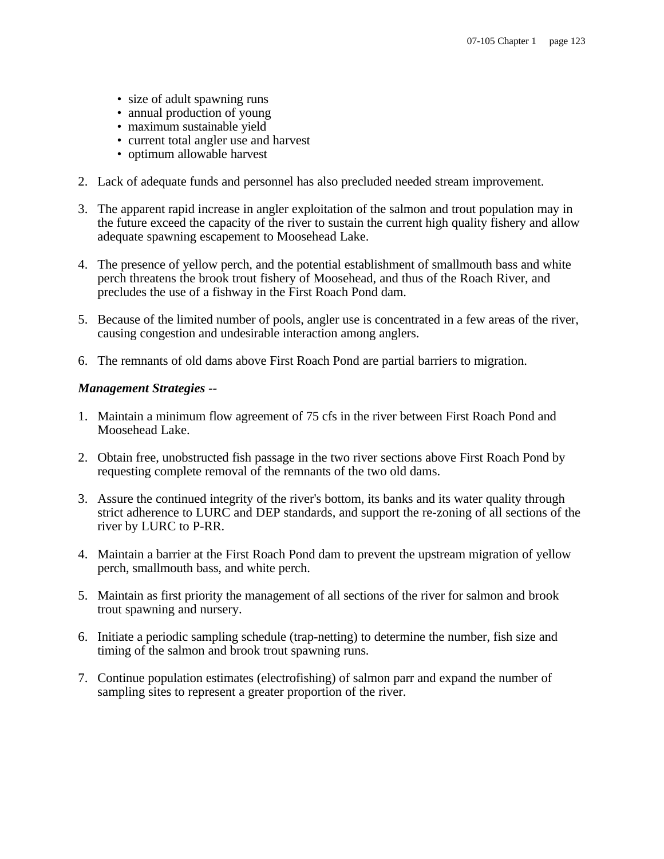- size of adult spawning runs
- annual production of young
- maximum sustainable yield
- current total angler use and harvest
- optimum allowable harvest
- 2. Lack of adequate funds and personnel has also precluded needed stream improvement.
- 3. The apparent rapid increase in angler exploitation of the salmon and trout population may in the future exceed the capacity of the river to sustain the current high quality fishery and allow adequate spawning escapement to Moosehead Lake.
- 4. The presence of yellow perch, and the potential establishment of smallmouth bass and white perch threatens the brook trout fishery of Moosehead, and thus of the Roach River, and precludes the use of a fishway in the First Roach Pond dam.
- 5. Because of the limited number of pools, angler use is concentrated in a few areas of the river, causing congestion and undesirable interaction among anglers.
- 6. The remnants of old dams above First Roach Pond are partial barriers to migration.

# *Management Strategies --*

- 1. Maintain a minimum flow agreement of 75 cfs in the river between First Roach Pond and Moosehead Lake.
- 2. Obtain free, unobstructed fish passage in the two river sections above First Roach Pond by requesting complete removal of the remnants of the two old dams.
- 3. Assure the continued integrity of the river's bottom, its banks and its water quality through strict adherence to LURC and DEP standards, and support the re-zoning of all sections of the river by LURC to P-RR.
- 4. Maintain a barrier at the First Roach Pond dam to prevent the upstream migration of yellow perch, smallmouth bass, and white perch.
- 5. Maintain as first priority the management of all sections of the river for salmon and brook trout spawning and nursery.
- 6. Initiate a periodic sampling schedule (trap-netting) to determine the number, fish size and timing of the salmon and brook trout spawning runs.
- 7. Continue population estimates (electrofishing) of salmon parr and expand the number of sampling sites to represent a greater proportion of the river.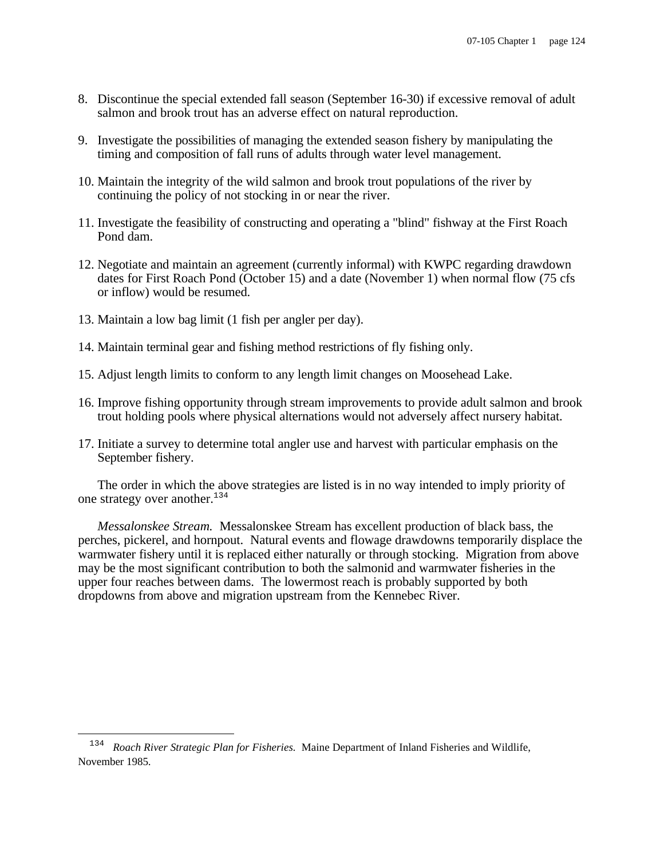- 8. Discontinue the special extended fall season (September 16-30) if excessive removal of adult salmon and brook trout has an adverse effect on natural reproduction.
- 9. Investigate the possibilities of managing the extended season fishery by manipulating the timing and composition of fall runs of adults through water level management.
- 10. Maintain the integrity of the wild salmon and brook trout populations of the river by continuing the policy of not stocking in or near the river.
- 11. Investigate the feasibility of constructing and operating a "blind" fishway at the First Roach Pond dam.
- 12. Negotiate and maintain an agreement (currently informal) with KWPC regarding drawdown dates for First Roach Pond (October 15) and a date (November 1) when normal flow (75 cfs or inflow) would be resumed.
- 13. Maintain a low bag limit (1 fish per angler per day).

i

- 14. Maintain terminal gear and fishing method restrictions of fly fishing only.
- 15. Adjust length limits to conform to any length limit changes on Moosehead Lake.
- 16. Improve fishing opportunity through stream improvements to provide adult salmon and brook trout holding pools where physical alternations would not adversely affect nursery habitat.
- 17. Initiate a survey to determine total angler use and harvest with particular emphasis on the September fishery.

The order in which the above strategies are listed is in no way intended to imply priority of one strategy over another.<sup>134</sup>

*Messalonskee Stream.* Messalonskee Stream has excellent production of black bass, the perches, pickerel, and hornpout. Natural events and flowage drawdowns temporarily displace the warmwater fishery until it is replaced either naturally or through stocking. Migration from above may be the most significant contribution to both the salmonid and warmwater fisheries in the upper four reaches between dams. The lowermost reach is probably supported by both dropdowns from above and migration upstream from the Kennebec River.

<sup>&</sup>lt;sup>134</sup> Roach River Strategic Plan for Fisheries. Maine Department of Inland Fisheries and Wildlife, November 1985.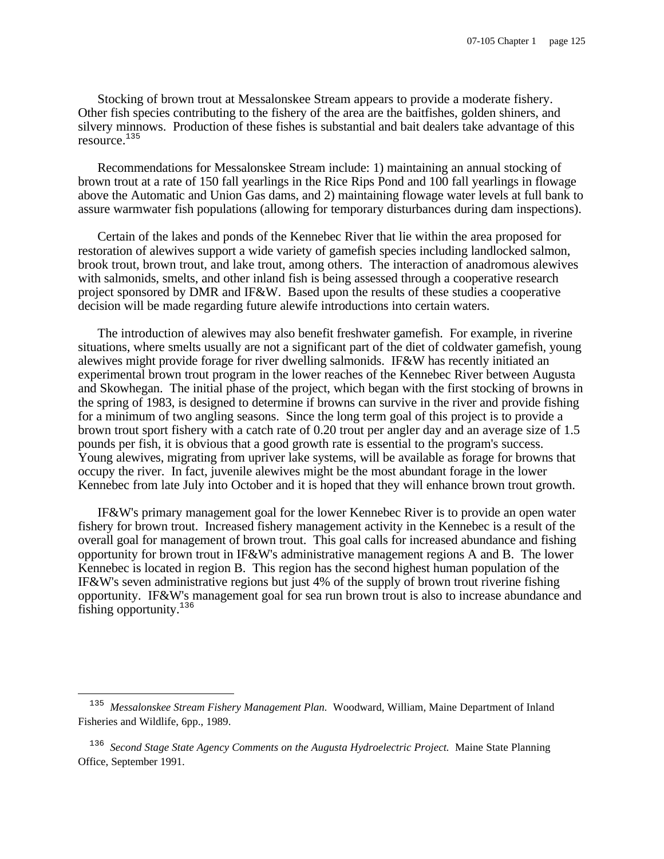Stocking of brown trout at Messalonskee Stream appears to provide a moderate fishery. Other fish species contributing to the fishery of the area are the baitfishes, golden shiners, and silvery minnows. Production of these fishes is substantial and bait dealers take advantage of this resource.<sup>135</sup>

Recommendations for Messalonskee Stream include: 1) maintaining an annual stocking of brown trout at a rate of 150 fall yearlings in the Rice Rips Pond and 100 fall yearlings in flowage above the Automatic and Union Gas dams, and 2) maintaining flowage water levels at full bank to assure warmwater fish populations (allowing for temporary disturbances during dam inspections).

Certain of the lakes and ponds of the Kennebec River that lie within the area proposed for restoration of alewives support a wide variety of gamefish species including landlocked salmon, brook trout, brown trout, and lake trout, among others. The interaction of anadromous alewives with salmonids, smelts, and other inland fish is being assessed through a cooperative research project sponsored by DMR and IF&W. Based upon the results of these studies a cooperative decision will be made regarding future alewife introductions into certain waters.

The introduction of alewives may also benefit freshwater gamefish. For example, in riverine situations, where smelts usually are not a significant part of the diet of coldwater gamefish, young alewives might provide forage for river dwelling salmonids. IF&W has recently initiated an experimental brown trout program in the lower reaches of the Kennebec River between Augusta and Skowhegan. The initial phase of the project, which began with the first stocking of browns in the spring of 1983, is designed to determine if browns can survive in the river and provide fishing for a minimum of two angling seasons. Since the long term goal of this project is to provide a brown trout sport fishery with a catch rate of 0.20 trout per angler day and an average size of 1.5 pounds per fish, it is obvious that a good growth rate is essential to the program's success. Young alewives, migrating from upriver lake systems, will be available as forage for browns that occupy the river. In fact, juvenile alewives might be the most abundant forage in the lower Kennebec from late July into October and it is hoped that they will enhance brown trout growth.

IF&W's primary management goal for the lower Kennebec River is to provide an open water fishery for brown trout. Increased fishery management activity in the Kennebec is a result of the overall goal for management of brown trout. This goal calls for increased abundance and fishing opportunity for brown trout in IF&W's administrative management regions A and B. The lower Kennebec is located in region B. This region has the second highest human population of the IF&W's seven administrative regions but just 4% of the supply of brown trout riverine fishing opportunity. IF&W's management goal for sea run brown trout is also to increase abundance and fishing opportunity.<sup>136</sup>

i

<sup>135</sup> *Messalonskee Stream Fishery Management Plan.* Woodward, William, Maine Department of Inland Fisheries and Wildlife, 6pp., 1989.

<sup>136</sup> *Second Stage State Agency Comments on the Augusta Hydroelectric Project.* Maine State Planning Office, September 1991.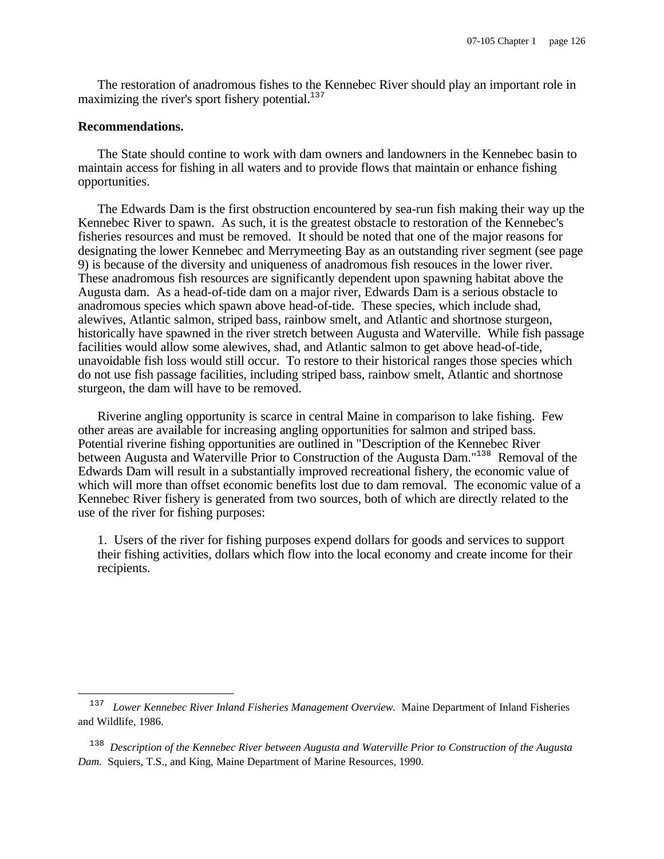The restoration of anadromous fishes to the Kennebec River should play an important role in maximizing the river's sport fishery potential. $137$ 

#### **Recommendations.**

i

The State should contine to work with dam owners and landowners in the Kennebec basin to maintain access for fishing in all waters and to provide flows that maintain or enhance fishing opportunities.

The Edwards Dam is the first obstruction encountered by sea-run fish making their way up the Kennebec River to spawn. As such, it is the greatest obstacle to restoration of the Kennebec's fisheries resources and must be removed. It should be noted that one of the major reasons for designating the lower Kennebec and Merrymeeting Bay as an outstanding river segment (see page 9) is because of the diversity and uniqueness of anadromous fish resouces in the lower river. These anadromous fish resources are significantly dependent upon spawning habitat above the Augusta dam. As a head-of-tide dam on a major river, Edwards Dam is a serious obstacle to anadromous species which spawn above head-of-tide. These species, which include shad, alewives, Atlantic salmon, striped bass, rainbow smelt, and Atlantic and shortnose sturgeon, historically have spawned in the river stretch between Augusta and Waterville. While fish passage facilities would allow some alewives, shad, and Atlantic salmon to get above head-of-tide, unavoidable fish loss would still occur. To restore to their historical ranges those species which do not use fish passage facilities, including striped bass, rainbow smelt, Atlantic and shortnose sturgeon, the dam will have to be removed.

Riverine angling opportunity is scarce in central Maine in comparison to lake fishing. Few other areas are available for increasing angling opportunities for salmon and striped bass. Potential riverine fishing opportunities are outlined in "Description of the Kennebec River between Augusta and Waterville Prior to Construction of the Augusta Dam."<sup>138</sup> Removal of the Edwards Dam will result in a substantially improved recreational fishery, the economic value of which will more than offset economic benefits lost due to dam removal. The economic value of a Kennebec River fishery is generated from two sources, both of which are directly related to the use of the river for fishing purposes:

1. Users of the river for fishing purposes expend dollars for goods and services to support their fishing activities, dollars which flow into the local economy and create income for their recipients.

<sup>137</sup> *Lower Kennebec River Inland Fisheries Management Overview.* Maine Department of Inland Fisheries and Wildlife, 1986.

<sup>138</sup> *Description of the Kennebec River between Augusta and Waterville Prior to Construction of the Augusta Dam.* Squiers, T.S., and King, Maine Department of Marine Resources, 1990.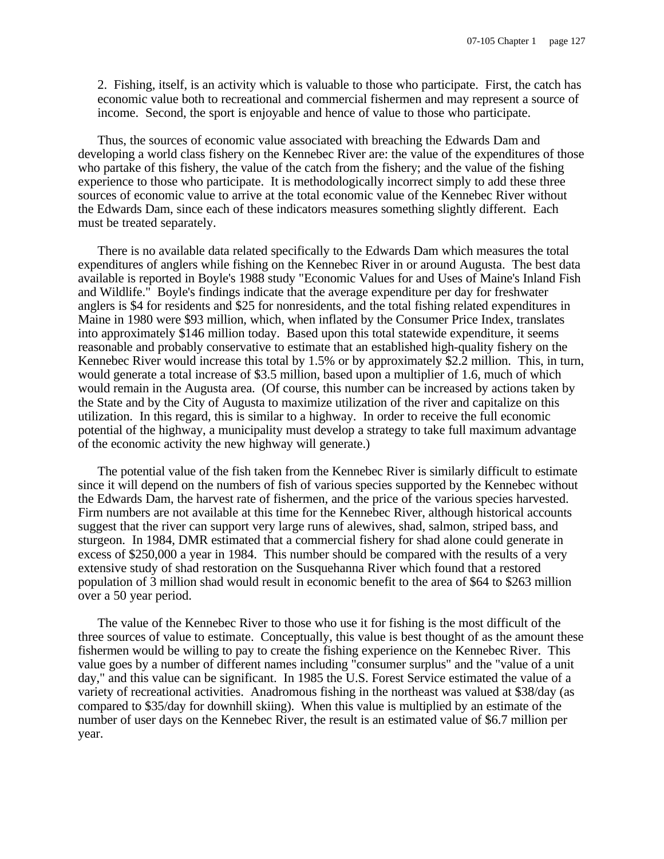2. Fishing, itself, is an activity which is valuable to those who participate. First, the catch has economic value both to recreational and commercial fishermen and may represent a source of income. Second, the sport is enjoyable and hence of value to those who participate.

Thus, the sources of economic value associated with breaching the Edwards Dam and developing a world class fishery on the Kennebec River are: the value of the expenditures of those who partake of this fishery, the value of the catch from the fishery; and the value of the fishing experience to those who participate. It is methodologically incorrect simply to add these three sources of economic value to arrive at the total economic value of the Kennebec River without the Edwards Dam, since each of these indicators measures something slightly different. Each must be treated separately.

There is no available data related specifically to the Edwards Dam which measures the total expenditures of anglers while fishing on the Kennebec River in or around Augusta. The best data available is reported in Boyle's 1988 study "Economic Values for and Uses of Maine's Inland Fish and Wildlife." Boyle's findings indicate that the average expenditure per day for freshwater anglers is \$4 for residents and \$25 for nonresidents, and the total fishing related expenditures in Maine in 1980 were \$93 million, which, when inflated by the Consumer Price Index, translates into approximately \$146 million today. Based upon this total statewide expenditure, it seems reasonable and probably conservative to estimate that an established high-quality fishery on the Kennebec River would increase this total by 1.5% or by approximately \$2.2 million. This, in turn, would generate a total increase of \$3.5 million, based upon a multiplier of 1.6, much of which would remain in the Augusta area. (Of course, this number can be increased by actions taken by the State and by the City of Augusta to maximize utilization of the river and capitalize on this utilization. In this regard, this is similar to a highway. In order to receive the full economic potential of the highway, a municipality must develop a strategy to take full maximum advantage of the economic activity the new highway will generate.)

The potential value of the fish taken from the Kennebec River is similarly difficult to estimate since it will depend on the numbers of fish of various species supported by the Kennebec without the Edwards Dam, the harvest rate of fishermen, and the price of the various species harvested. Firm numbers are not available at this time for the Kennebec River, although historical accounts suggest that the river can support very large runs of alewives, shad, salmon, striped bass, and sturgeon. In 1984, DMR estimated that a commercial fishery for shad alone could generate in excess of \$250,000 a year in 1984. This number should be compared with the results of a very extensive study of shad restoration on the Susquehanna River which found that a restored population of 3 million shad would result in economic benefit to the area of \$64 to \$263 million over a 50 year period.

The value of the Kennebec River to those who use it for fishing is the most difficult of the three sources of value to estimate. Conceptually, this value is best thought of as the amount these fishermen would be willing to pay to create the fishing experience on the Kennebec River. This value goes by a number of different names including "consumer surplus" and the "value of a unit day," and this value can be significant. In 1985 the U.S. Forest Service estimated the value of a variety of recreational activities. Anadromous fishing in the northeast was valued at \$38/day (as compared to \$35/day for downhill skiing). When this value is multiplied by an estimate of the number of user days on the Kennebec River, the result is an estimated value of \$6.7 million per year.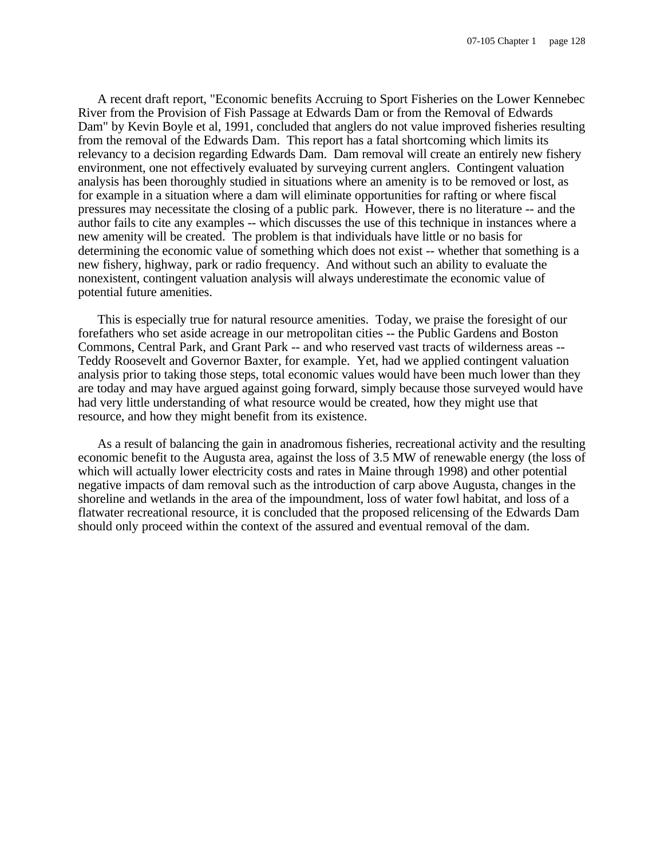A recent draft report, "Economic benefits Accruing to Sport Fisheries on the Lower Kennebec River from the Provision of Fish Passage at Edwards Dam or from the Removal of Edwards Dam" by Kevin Boyle et al, 1991, concluded that anglers do not value improved fisheries resulting from the removal of the Edwards Dam. This report has a fatal shortcoming which limits its relevancy to a decision regarding Edwards Dam. Dam removal will create an entirely new fishery environment, one not effectively evaluated by surveying current anglers. Contingent valuation analysis has been thoroughly studied in situations where an amenity is to be removed or lost, as for example in a situation where a dam will eliminate opportunities for rafting or where fiscal pressures may necessitate the closing of a public park. However, there is no literature -- and the author fails to cite any examples -- which discusses the use of this technique in instances where a new amenity will be created. The problem is that individuals have little or no basis for determining the economic value of something which does not exist -- whether that something is a new fishery, highway, park or radio frequency. And without such an ability to evaluate the nonexistent, contingent valuation analysis will always underestimate the economic value of potential future amenities.

This is especially true for natural resource amenities. Today, we praise the foresight of our forefathers who set aside acreage in our metropolitan cities -- the Public Gardens and Boston Commons, Central Park, and Grant Park -- and who reserved vast tracts of wilderness areas -- Teddy Roosevelt and Governor Baxter, for example. Yet, had we applied contingent valuation analysis prior to taking those steps, total economic values would have been much lower than they are today and may have argued against going forward, simply because those surveyed would have had very little understanding of what resource would be created, how they might use that resource, and how they might benefit from its existence.

As a result of balancing the gain in anadromous fisheries, recreational activity and the resulting economic benefit to the Augusta area, against the loss of 3.5 MW of renewable energy (the loss of which will actually lower electricity costs and rates in Maine through 1998) and other potential negative impacts of dam removal such as the introduction of carp above Augusta, changes in the shoreline and wetlands in the area of the impoundment, loss of water fowl habitat, and loss of a flatwater recreational resource, it is concluded that the proposed relicensing of the Edwards Dam should only proceed within the context of the assured and eventual removal of the dam.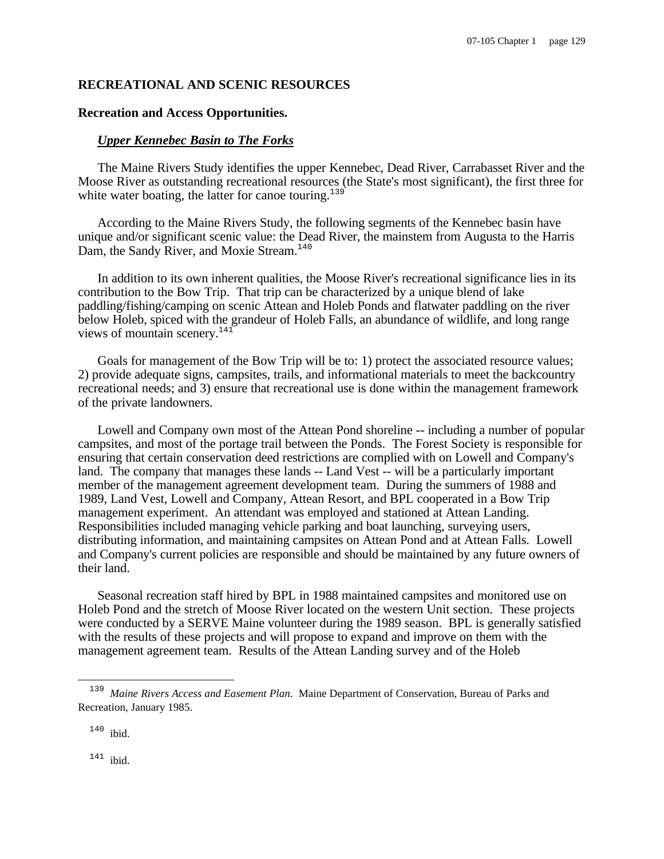## **RECREATIONAL AND SCENIC RESOURCES**

## **Recreation and Access Opportunities.**

#### *Upper Kennebec Basin to The Forks*

The Maine Rivers Study identifies the upper Kennebec, Dead River, Carrabasset River and the Moose River as outstanding recreational resources (the State's most significant), the first three for white water boating, the latter for canoe touring. $139$ 

According to the Maine Rivers Study, the following segments of the Kennebec basin have unique and/or significant scenic value: the Dead River, the mainstem from Augusta to the Harris Dam, the Sandy River, and Moxie Stream.<sup>140</sup>

In addition to its own inherent qualities, the Moose River's recreational significance lies in its contribution to the Bow Trip. That trip can be characterized by a unique blend of lake paddling/fishing/camping on scenic Attean and Holeb Ponds and flatwater paddling on the river below Holeb, spiced with the grandeur of Holeb Falls, an abundance of wildlife, and long range views of mountain scenery.<sup>141</sup>

Goals for management of the Bow Trip will be to: 1) protect the associated resource values; 2) provide adequate signs, campsites, trails, and informational materials to meet the backcountry recreational needs; and 3) ensure that recreational use is done within the management framework of the private landowners.

Lowell and Company own most of the Attean Pond shoreline -- including a number of popular campsites, and most of the portage trail between the Ponds. The Forest Society is responsible for ensuring that certain conservation deed restrictions are complied with on Lowell and Company's land. The company that manages these lands -- Land Vest -- will be a particularly important member of the management agreement development team. During the summers of 1988 and 1989, Land Vest, Lowell and Company, Attean Resort, and BPL cooperated in a Bow Trip management experiment. An attendant was employed and stationed at Attean Landing. Responsibilities included managing vehicle parking and boat launching, surveying users, distributing information, and maintaining campsites on Attean Pond and at Attean Falls. Lowell and Company's current policies are responsible and should be maintained by any future owners of their land.

Seasonal recreation staff hired by BPL in 1988 maintained campsites and monitored use on Holeb Pond and the stretch of Moose River located on the western Unit section. These projects were conducted by a SERVE Maine volunteer during the 1989 season. BPL is generally satisfied with the results of these projects and will propose to expand and improve on them with the management agreement team. Results of the Attean Landing survey and of the Holeb

 $140$  ibid.

 $141$  ibid.

<sup>&</sup>lt;sup>139</sup> Maine Rivers Access and Easement Plan. Maine Department of Conservation, Bureau of Parks and Recreation, January 1985.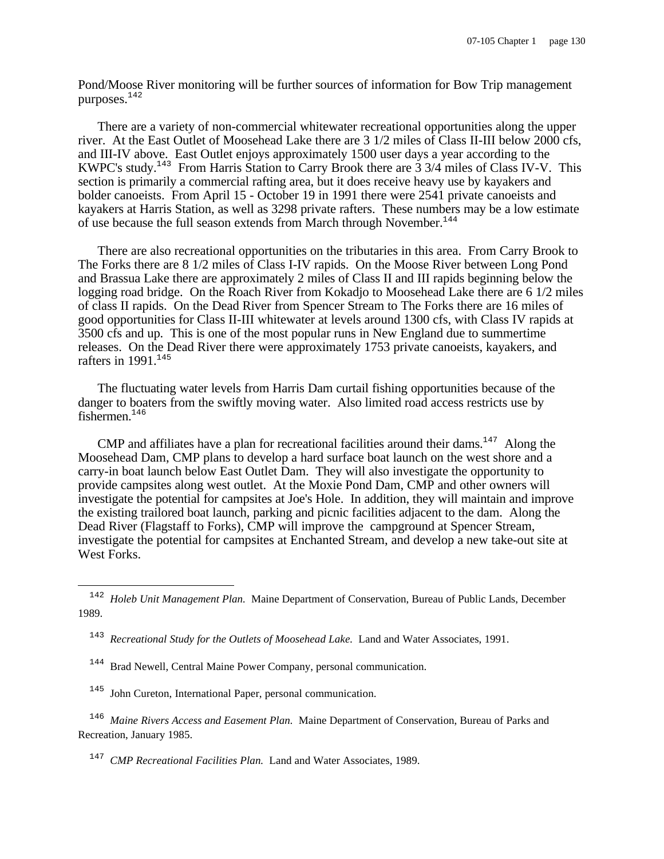Pond/Moose River monitoring will be further sources of information for Bow Trip management purposes.<sup>142</sup>

There are a variety of non-commercial whitewater recreational opportunities along the upper river. At the East Outlet of Moosehead Lake there are 3 1/2 miles of Class II-III below 2000 cfs, and III-IV above. East Outlet enjoys approximately 1500 user days a year according to the KWPC's study.<sup>143</sup> From Harris Station to Carry Brook there are 3 3/4 miles of Class IV-V. This section is primarily a commercial rafting area, but it does receive heavy use by kayakers and bolder canoeists. From April 15 - October 19 in 1991 there were 2541 private canoeists and kayakers at Harris Station, as well as 3298 private rafters. These numbers may be a low estimate of use because the full season extends from March through November.<sup>144</sup>

There are also recreational opportunities on the tributaries in this area. From Carry Brook to The Forks there are 8 1/2 miles of Class I-IV rapids. On the Moose River between Long Pond and Brassua Lake there are approximately 2 miles of Class II and III rapids beginning below the logging road bridge. On the Roach River from Kokadjo to Moosehead Lake there are 6 1/2 miles of class II rapids. On the Dead River from Spencer Stream to The Forks there are 16 miles of good opportunities for Class II-III whitewater at levels around 1300 cfs, with Class IV rapids at 3500 cfs and up. This is one of the most popular runs in New England due to summertime releases. On the Dead River there were approximately 1753 private canoeists, kayakers, and rafters in  $1991.<sup>145</sup>$ 

The fluctuating water levels from Harris Dam curtail fishing opportunities because of the danger to boaters from the swiftly moving water. Also limited road access restricts use by fishermen.<sup>146</sup>

CMP and affiliates have a plan for recreational facilities around their dams.<sup>147</sup> Along the Moosehead Dam, CMP plans to develop a hard surface boat launch on the west shore and a carry-in boat launch below East Outlet Dam. They will also investigate the opportunity to provide campsites along west outlet. At the Moxie Pond Dam, CMP and other owners will investigate the potential for campsites at Joe's Hole. In addition, they will maintain and improve the existing trailored boat launch, parking and picnic facilities adjacent to the dam. Along the Dead River (Flagstaff to Forks), CMP will improve the campground at Spencer Stream, investigate the potential for campsites at Enchanted Stream, and develop a new take-out site at West Forks.

- <sup>144</sup> Brad Newell, Central Maine Power Company, personal communication.
- <sup>145</sup> John Cureton, International Paper, personal communication.

i

<sup>146</sup> Maine Rivers Access and Easement Plan. Maine Department of Conservation, Bureau of Parks and Recreation, January 1985.

<sup>147</sup> CMP Recreational Facilities Plan. Land and Water Associates, 1989.

<sup>&</sup>lt;sup>142</sup> Holeb Unit Management Plan. Maine Department of Conservation, Bureau of Public Lands, December 1989.

<sup>&</sup>lt;sup>143</sup> Recreational Study for the Outlets of Moosehead Lake. Land and Water Associates, 1991.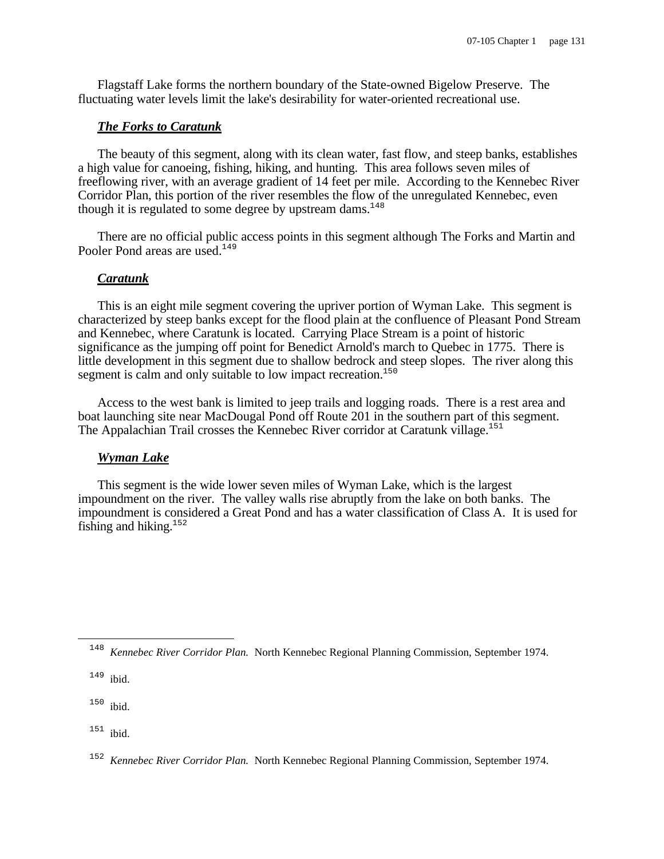Flagstaff Lake forms the northern boundary of the State-owned Bigelow Preserve. The fluctuating water levels limit the lake's desirability for water-oriented recreational use.

## *The Forks to Caratunk*

The beauty of this segment, along with its clean water, fast flow, and steep banks, establishes a high value for canoeing, fishing, hiking, and hunting. This area follows seven miles of freeflowing river, with an average gradient of 14 feet per mile. According to the Kennebec River Corridor Plan, this portion of the river resembles the flow of the unregulated Kennebec, even though it is regulated to some degree by upstream dams.<sup>148</sup>

There are no official public access points in this segment although The Forks and Martin and Pooler Pond areas are used.<sup>149</sup>

#### *Caratunk*

This is an eight mile segment covering the upriver portion of Wyman Lake. This segment is characterized by steep banks except for the flood plain at the confluence of Pleasant Pond Stream and Kennebec, where Caratunk is located. Carrying Place Stream is a point of historic significance as the jumping off point for Benedict Arnold's march to Quebec in 1775. There is little development in this segment due to shallow bedrock and steep slopes. The river along this segment is calm and only suitable to low impact recreation.<sup>150</sup>

Access to the west bank is limited to jeep trails and logging roads. There is a rest area and boat launching site near MacDougal Pond off Route 201 in the southern part of this segment. The Appalachian Trail crosses the Kennebec River corridor at Caratunk village.<sup>151</sup>

#### *Wyman Lake*

This segment is the wide lower seven miles of Wyman Lake, which is the largest impoundment on the river. The valley walls rise abruptly from the lake on both banks. The impoundment is considered a Great Pond and has a water classification of Class A. It is used for fishing and hiking.<sup>152</sup>

 $150$  ibid.

 $151$  ibid.

<sup>&</sup>lt;sup>148</sup> Kennebec River Corridor Plan. North Kennebec Regional Planning Commission, September 1974.

 $149$  ibid.

<sup>152</sup> *Kennebec River Corridor Plan.* North Kennebec Regional Planning Commission, September 1974.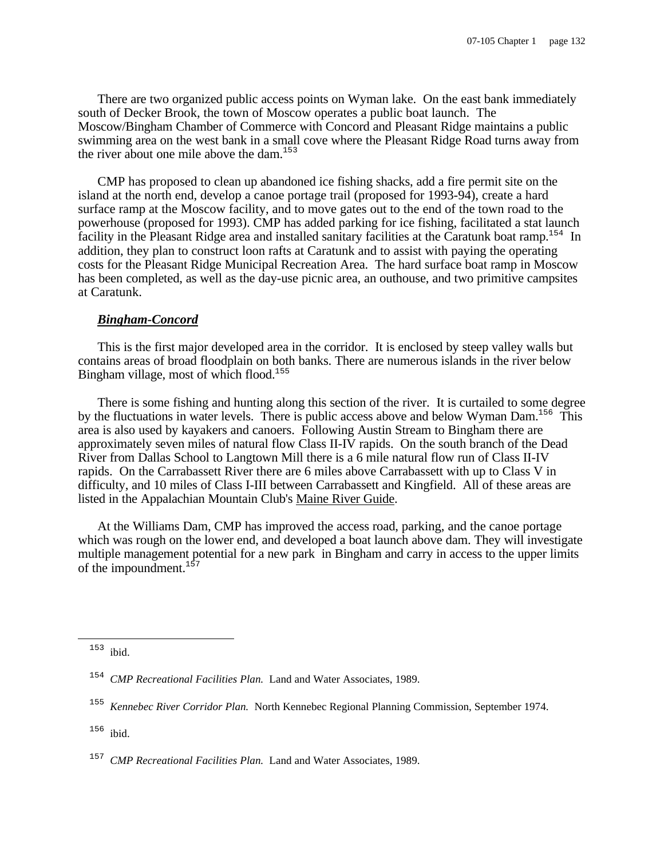There are two organized public access points on Wyman lake. On the east bank immediately south of Decker Brook, the town of Moscow operates a public boat launch. The Moscow/Bingham Chamber of Commerce with Concord and Pleasant Ridge maintains a public swimming area on the west bank in a small cove where the Pleasant Ridge Road turns away from the river about one mile above the dam. $153$ 

CMP has proposed to clean up abandoned ice fishing shacks, add a fire permit site on the island at the north end, develop a canoe portage trail (proposed for 1993-94), create a hard surface ramp at the Moscow facility, and to move gates out to the end of the town road to the powerhouse (proposed for 1993). CMP has added parking for ice fishing, facilitated a stat launch facility in the Pleasant Ridge area and installed sanitary facilities at the Caratunk boat ramp.<sup>154</sup> In addition, they plan to construct loon rafts at Caratunk and to assist with paying the operating costs for the Pleasant Ridge Municipal Recreation Area. The hard surface boat ramp in Moscow has been completed, as well as the day-use picnic area, an outhouse, and two primitive campsites at Caratunk.

## *Bingham-Concord*

This is the first major developed area in the corridor. It is enclosed by steep valley walls but contains areas of broad floodplain on both banks. There are numerous islands in the river below Bingham village, most of which flood.<sup>155</sup>

There is some fishing and hunting along this section of the river. It is curtailed to some degree by the fluctuations in water levels. There is public access above and below Wyman Dam.<sup>156</sup> This area is also used by kayakers and canoers. Following Austin Stream to Bingham there are approximately seven miles of natural flow Class II-IV rapids. On the south branch of the Dead River from Dallas School to Langtown Mill there is a 6 mile natural flow run of Class II-IV rapids. On the Carrabassett River there are 6 miles above Carrabassett with up to Class V in difficulty, and 10 miles of Class I-III between Carrabassett and Kingfield. All of these areas are listed in the Appalachian Mountain Club's Maine River Guide.

At the Williams Dam, CMP has improved the access road, parking, and the canoe portage which was rough on the lower end, and developed a boat launch above dam. They will investigate multiple management potential for a new park in Bingham and carry in access to the upper limits of the impoundment.<sup>157</sup>

 $153$  ibid.

<sup>154</sup> *CMP Recreational Facilities Plan.* Land and Water Associates, 1989.

<sup>155</sup> *Kennebec River Corridor Plan.* North Kennebec Regional Planning Commission, September 1974.

<sup>156</sup> ibid.

<sup>157</sup> *CMP Recreational Facilities Plan.* Land and Water Associates, 1989.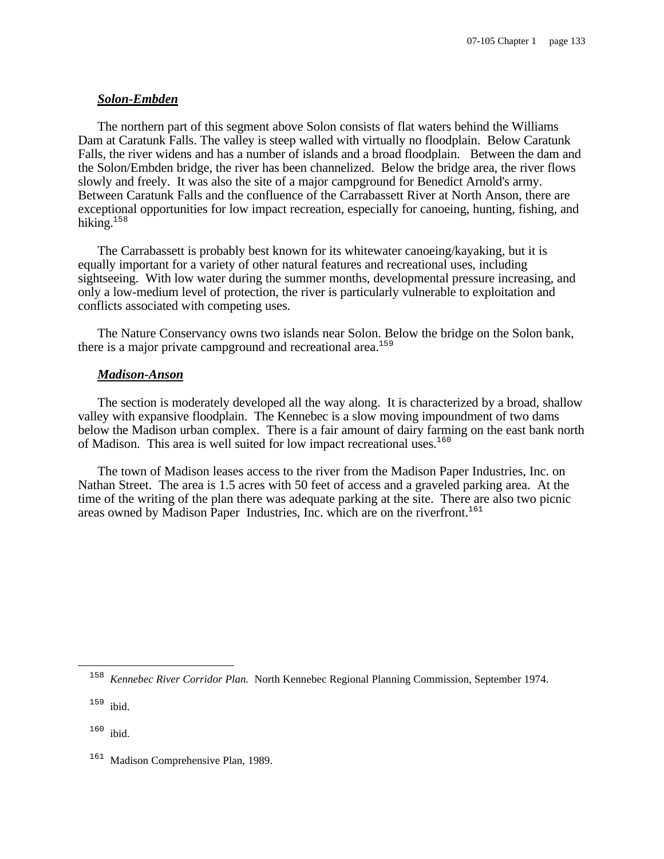## *Solon-Embden*

The northern part of this segment above Solon consists of flat waters behind the Williams Dam at Caratunk Falls. The valley is steep walled with virtually no floodplain. Below Caratunk Falls, the river widens and has a number of islands and a broad floodplain. Between the dam and the Solon/Embden bridge, the river has been channelized. Below the bridge area, the river flows slowly and freely. It was also the site of a major campground for Benedict Arnold's army. Between Caratunk Falls and the confluence of the Carrabassett River at North Anson, there are exceptional opportunities for low impact recreation, especially for canoeing, hunting, fishing, and hiking. $158$ 

The Carrabassett is probably best known for its whitewater canoeing/kayaking, but it is equally important for a variety of other natural features and recreational uses, including sightseeing. With low water during the summer months, developmental pressure increasing, and only a low-medium level of protection, the river is particularly vulnerable to exploitation and conflicts associated with competing uses.

The Nature Conservancy owns two islands near Solon. Below the bridge on the Solon bank, there is a major private camperound and recreational area.<sup>159</sup>

## *Madison-Anson*

The section is moderately developed all the way along. It is characterized by a broad, shallow valley with expansive floodplain. The Kennebec is a slow moving impoundment of two dams below the Madison urban complex. There is a fair amount of dairy farming on the east bank north of Madison. This area is well suited for low impact recreational uses.<sup>160</sup>

The town of Madison leases access to the river from the Madison Paper Industries, Inc. on Nathan Street. The area is 1.5 acres with 50 feet of access and a graveled parking area. At the time of the writing of the plan there was adequate parking at the site. There are also two picnic areas owned by Madison Paper Industries, Inc. which are on the riverfront.<sup>161</sup>

158 *Kennebec River Corridor Plan.* North Kennebec Regional Planning Commission, September 1974.

<sup>159</sup> ibid.

i

<sup>160</sup> ibid.

Madison Comprehensive Plan, 1989.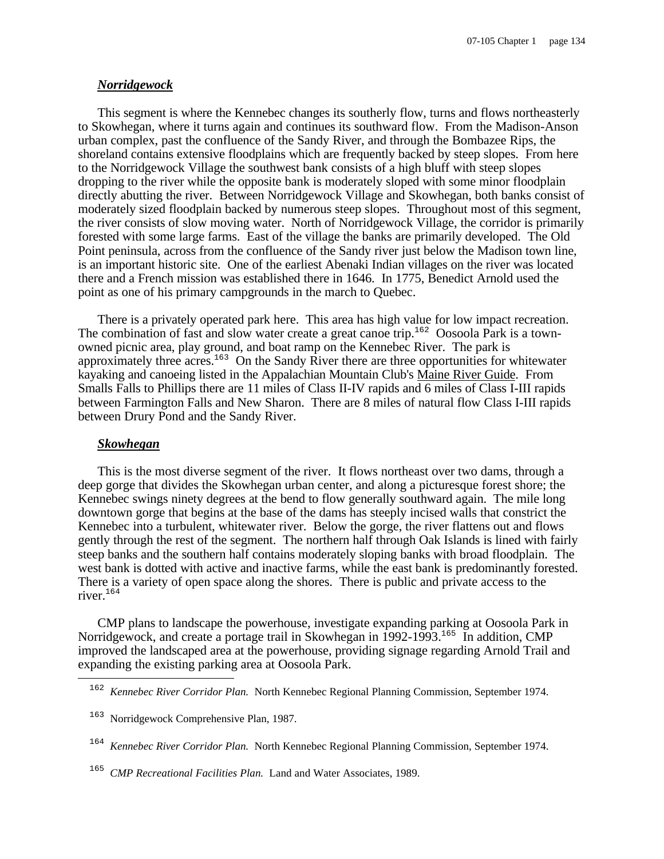#### *Norridgewock*

This segment is where the Kennebec changes its southerly flow, turns and flows northeasterly to Skowhegan, where it turns again and continues its southward flow. From the Madison-Anson urban complex, past the confluence of the Sandy River, and through the Bombazee Rips, the shoreland contains extensive floodplains which are frequently backed by steep slopes. From here to the Norridgewock Village the southwest bank consists of a high bluff with steep slopes dropping to the river while the opposite bank is moderately sloped with some minor floodplain directly abutting the river. Between Norridgewock Village and Skowhegan, both banks consist of moderately sized floodplain backed by numerous steep slopes. Throughout most of this segment, the river consists of slow moving water. North of Norridgewock Village, the corridor is primarily forested with some large farms. East of the village the banks are primarily developed. The Old Point peninsula, across from the confluence of the Sandy river just below the Madison town line, is an important historic site. One of the earliest Abenaki Indian villages on the river was located there and a French mission was established there in 1646. In 1775, Benedict Arnold used the point as one of his primary campgrounds in the march to Quebec.

There is a privately operated park here. This area has high value for low impact recreation. The combination of fast and slow water create a great canoe trip.<sup>162</sup> Oosoola Park is a townowned picnic area, play ground, and boat ramp on the Kennebec River. The park is approximately three acres.<sup>163</sup> On the Sandy River there are three opportunities for whitewater kayaking and canoeing listed in the Appalachian Mountain Club's Maine River Guide. From Smalls Falls to Phillips there are 11 miles of Class II-IV rapids and 6 miles of Class I-III rapids between Farmington Falls and New Sharon. There are 8 miles of natural flow Class I-III rapids between Drury Pond and the Sandy River.

#### *Skowhegan*

i

This is the most diverse segment of the river. It flows northeast over two dams, through a deep gorge that divides the Skowhegan urban center, and along a picturesque forest shore; the Kennebec swings ninety degrees at the bend to flow generally southward again. The mile long downtown gorge that begins at the base of the dams has steeply incised walls that constrict the Kennebec into a turbulent, whitewater river. Below the gorge, the river flattens out and flows gently through the rest of the segment. The northern half through Oak Islands is lined with fairly steep banks and the southern half contains moderately sloping banks with broad floodplain. The west bank is dotted with active and inactive farms, while the east bank is predominantly forested. There is a variety of open space along the shores. There is public and private access to the river.<sup>164</sup>

CMP plans to landscape the powerhouse, investigate expanding parking at Oosoola Park in Norridgewock, and create a portage trail in Skowhegan in 1992-1993.<sup>165</sup> In addition, CMP improved the landscaped area at the powerhouse, providing signage regarding Arnold Trail and expanding the existing parking area at Oosoola Park.

<sup>162</sup> *Kennebec River Corridor Plan.* North Kennebec Regional Planning Commission, September 1974.

<sup>163</sup> Norridgewock Comprehensive Plan, 1987.

<sup>&</sup>lt;sup>164</sup> Kennebec River Corridor Plan. North Kennebec Regional Planning Commission, September 1974.

<sup>&</sup>lt;sup>165</sup> CMP Recreational Facilities Plan. Land and Water Associates, 1989.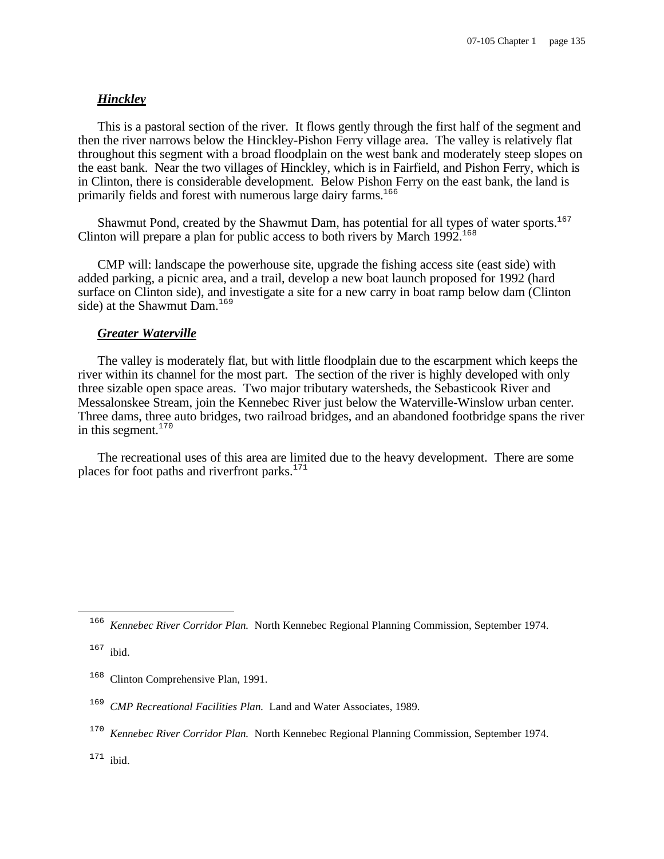## *Hinckley*

This is a pastoral section of the river. It flows gently through the first half of the segment and then the river narrows below the Hinckley-Pishon Ferry village area. The valley is relatively flat throughout this segment with a broad floodplain on the west bank and moderately steep slopes on the east bank. Near the two villages of Hinckley, which is in Fairfield, and Pishon Ferry, which is in Clinton, there is considerable development. Below Pishon Ferry on the east bank, the land is primarily fields and forest with numerous large dairy farms.<sup>166</sup>

Shawmut Pond, created by the Shawmut Dam, has potential for all types of water sports.<sup>167</sup> Clinton will prepare a plan for public access to both rivers by March  $1992$ <sup>168</sup>

CMP will: landscape the powerhouse site, upgrade the fishing access site (east side) with added parking, a picnic area, and a trail, develop a new boat launch proposed for 1992 (hard surface on Clinton side), and investigate a site for a new carry in boat ramp below dam (Clinton side) at the Shawmut Dam.<sup>169</sup>

#### *Greater Waterville*

The valley is moderately flat, but with little floodplain due to the escarpment which keeps the river within its channel for the most part. The section of the river is highly developed with only three sizable open space areas. Two major tributary watersheds, the Sebasticook River and Messalonskee Stream, join the Kennebec River just below the Waterville-Winslow urban center. Three dams, three auto bridges, two railroad bridges, and an abandoned footbridge spans the river in this segment. $170$ 

The recreational uses of this area are limited due to the heavy development. There are some places for foot paths and riverfront parks. $171$ 

i

<sup>&</sup>lt;sup>166</sup> Kennebec River Corridor Plan. North Kennebec Regional Planning Commission, September 1974.

 $167$  ibid.

<sup>&</sup>lt;sup>168</sup> Clinton Comprehensive Plan, 1991.

<sup>&</sup>lt;sup>169</sup> CMP Recreational Facilities Plan. Land and Water Associates, 1989.

<sup>&</sup>lt;sup>170</sup> Kennebec River Corridor Plan. North Kennebec Regional Planning Commission, September 1974.

 $171$  ibid.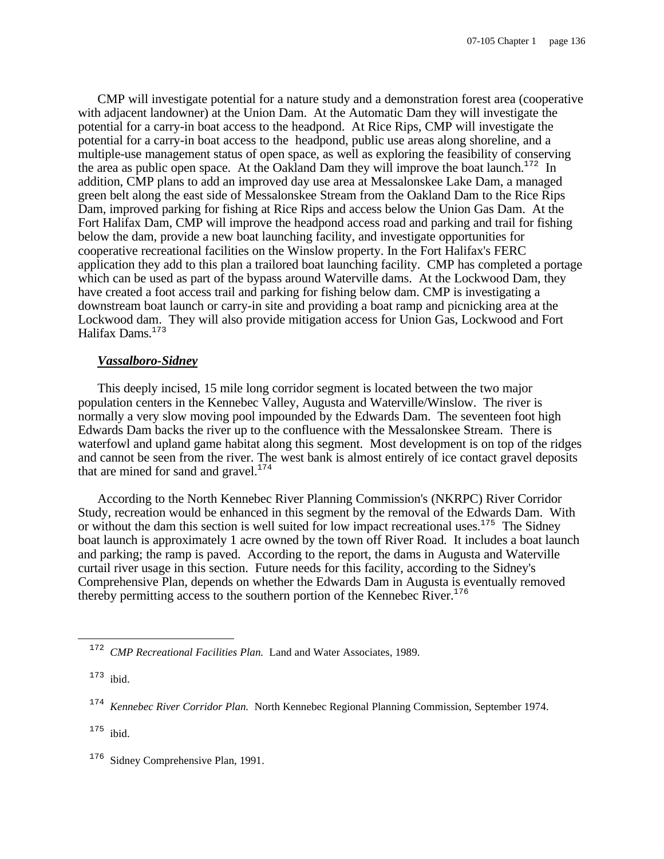CMP will investigate potential for a nature study and a demonstration forest area (cooperative with adjacent landowner) at the Union Dam. At the Automatic Dam they will investigate the potential for a carry-in boat access to the headpond. At Rice Rips, CMP will investigate the potential for a carry-in boat access to the headpond, public use areas along shoreline, and a multiple-use management status of open space, as well as exploring the feasibility of conserving the area as public open space. At the Oakland Dam they will improve the boat launch.<sup>172</sup> In addition, CMP plans to add an improved day use area at Messalonskee Lake Dam, a managed green belt along the east side of Messalonskee Stream from the Oakland Dam to the Rice Rips Dam, improved parking for fishing at Rice Rips and access below the Union Gas Dam. At the Fort Halifax Dam, CMP will improve the headpond access road and parking and trail for fishing below the dam, provide a new boat launching facility, and investigate opportunities for cooperative recreational facilities on the Winslow property. In the Fort Halifax's FERC application they add to this plan a trailored boat launching facility. CMP has completed a portage which can be used as part of the bypass around Waterville dams. At the Lockwood Dam, they have created a foot access trail and parking for fishing below dam. CMP is investigating a downstream boat launch or carry-in site and providing a boat ramp and picnicking area at the Lockwood dam. They will also provide mitigation access for Union Gas, Lockwood and Fort Halifax Dams.<sup>173</sup>

#### *Vassalboro-Sidney*

This deeply incised, 15 mile long corridor segment is located between the two major population centers in the Kennebec Valley, Augusta and Waterville/Winslow. The river is normally a very slow moving pool impounded by the Edwards Dam. The seventeen foot high Edwards Dam backs the river up to the confluence with the Messalonskee Stream. There is waterfowl and upland game habitat along this segment. Most development is on top of the ridges and cannot be seen from the river. The west bank is almost entirely of ice contact gravel deposits that are mined for sand and gravel. $174$ 

According to the North Kennebec River Planning Commission's (NKRPC) River Corridor Study, recreation would be enhanced in this segment by the removal of the Edwards Dam. With or without the dam this section is well suited for low impact recreational uses.<sup>175</sup> The Sidney boat launch is approximately 1 acre owned by the town off River Road. It includes a boat launch and parking; the ramp is paved. According to the report, the dams in Augusta and Waterville curtail river usage in this section. Future needs for this facility, according to the Sidney's Comprehensive Plan, depends on whether the Edwards Dam in Augusta is eventually removed thereby permitting access to the southern portion of the Kennebec River.<sup>176</sup>

<sup>&</sup>lt;sup>172</sup> CMP Recreational Facilities Plan. Land and Water Associates, 1989.

 $173$  ibid.

<sup>174</sup> *Kennebec River Corridor Plan.* North Kennebec Regional Planning Commission, September 1974.

 $175$  ibid.

Sidney Comprehensive Plan, 1991.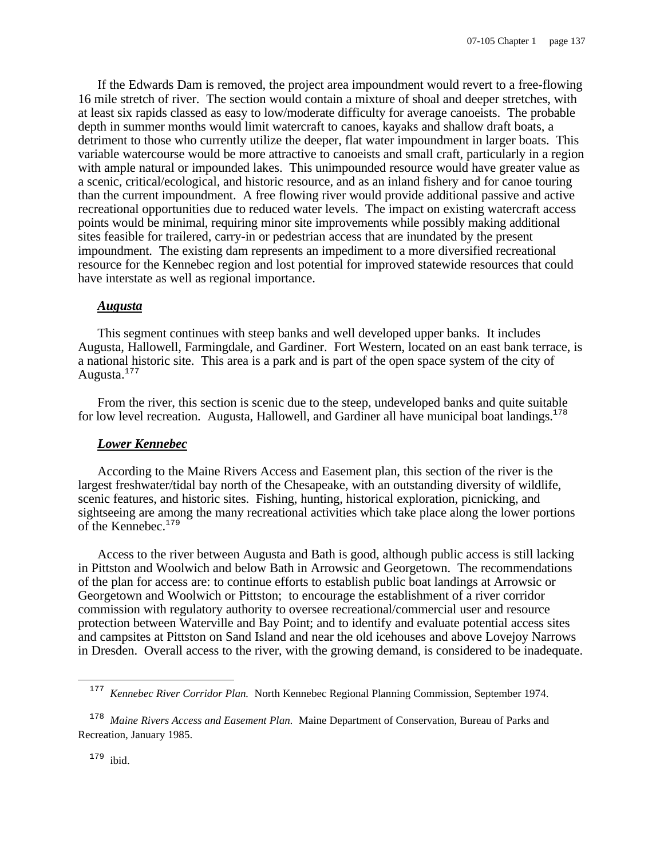If the Edwards Dam is removed, the project area impoundment would revert to a free-flowing 16 mile stretch of river. The section would contain a mixture of shoal and deeper stretches, with at least six rapids classed as easy to low/moderate difficulty for average canoeists. The probable depth in summer months would limit watercraft to canoes, kayaks and shallow draft boats, a detriment to those who currently utilize the deeper, flat water impoundment in larger boats. This variable watercourse would be more attractive to canoeists and small craft, particularly in a region with ample natural or impounded lakes. This unimpounded resource would have greater value as a scenic, critical/ecological, and historic resource, and as an inland fishery and for canoe touring than the current impoundment. A free flowing river would provide additional passive and active recreational opportunities due to reduced water levels. The impact on existing watercraft access points would be minimal, requiring minor site improvements while possibly making additional sites feasible for trailered, carry-in or pedestrian access that are inundated by the present impoundment. The existing dam represents an impediment to a more diversified recreational resource for the Kennebec region and lost potential for improved statewide resources that could have interstate as well as regional importance.

#### *Augusta*

This segment continues with steep banks and well developed upper banks. It includes Augusta, Hallowell, Farmingdale, and Gardiner. Fort Western, located on an east bank terrace, is a national historic site. This area is a park and is part of the open space system of the city of Augusta.<sup>177</sup>

From the river, this section is scenic due to the steep, undeveloped banks and quite suitable for low level recreation. Augusta, Hallowell, and Gardiner all have municipal boat landings. $178$ 

#### *Lower Kennebec*

According to the Maine Rivers Access and Easement plan, this section of the river is the largest freshwater/tidal bay north of the Chesapeake, with an outstanding diversity of wildlife, scenic features, and historic sites. Fishing, hunting, historical exploration, picnicking, and sightseeing are among the many recreational activities which take place along the lower portions of the Kennebec.<sup>179</sup>

Access to the river between Augusta and Bath is good, although public access is still lacking in Pittston and Woolwich and below Bath in Arrowsic and Georgetown. The recommendations of the plan for access are: to continue efforts to establish public boat landings at Arrowsic or Georgetown and Woolwich or Pittston; to encourage the establishment of a river corridor commission with regulatory authority to oversee recreational/commercial user and resource protection between Waterville and Bay Point; and to identify and evaluate potential access sites and campsites at Pittston on Sand Island and near the old icehouses and above Lovejoy Narrows in Dresden. Overall access to the river, with the growing demand, is considered to be inadequate.

<sup>&</sup>lt;sup>177</sup> Kennebec River Corridor Plan. North Kennebec Regional Planning Commission, September 1974.

<sup>&</sup>lt;sup>178</sup> Maine Rivers Access and Easement Plan. Maine Department of Conservation, Bureau of Parks and Recreation, January 1985.

<sup>179</sup> ibid.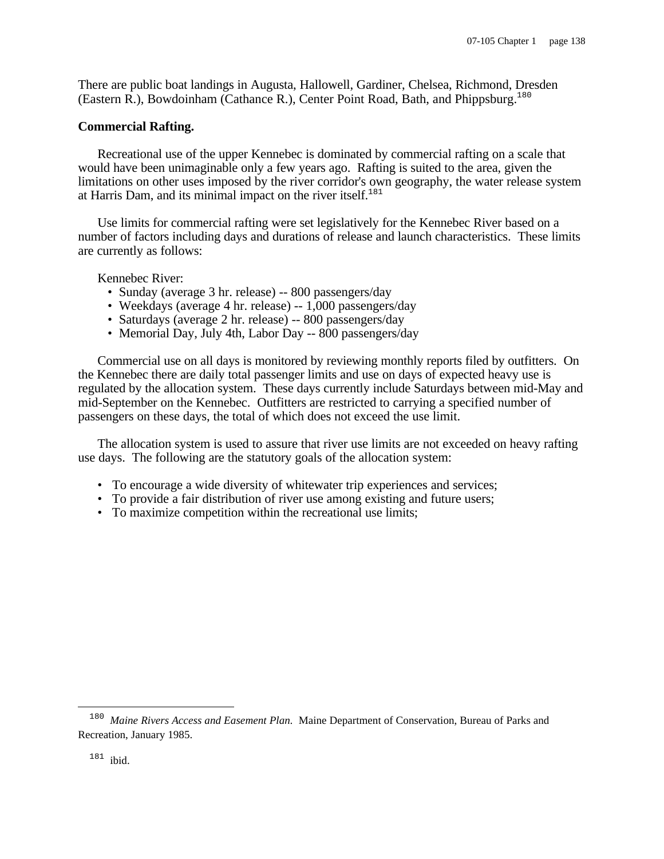There are public boat landings in Augusta, Hallowell, Gardiner, Chelsea, Richmond, Dresden (Eastern R.), Bowdoinham (Cathance R.), Center Point Road, Bath, and Phippsburg.<sup>180</sup>

#### **Commercial Rafting.**

Recreational use of the upper Kennebec is dominated by commercial rafting on a scale that would have been unimaginable only a few years ago. Rafting is suited to the area, given the limitations on other uses imposed by the river corridor's own geography, the water release system at Harris Dam, and its minimal impact on the river itself.<sup>181</sup>

Use limits for commercial rafting were set legislatively for the Kennebec River based on a number of factors including days and durations of release and launch characteristics. These limits are currently as follows:

Kennebec River:

- Sunday (average 3 hr. release) -- 800 passengers/day
- Weekdays (average 4 hr. release) -- 1,000 passengers/day
- Saturdays (average 2 hr. release) -- 800 passengers/day
- Memorial Day, July 4th, Labor Day -- 800 passengers/day

Commercial use on all days is monitored by reviewing monthly reports filed by outfitters. On the Kennebec there are daily total passenger limits and use on days of expected heavy use is regulated by the allocation system. These days currently include Saturdays between mid-May and mid-September on the Kennebec. Outfitters are restricted to carrying a specified number of passengers on these days, the total of which does not exceed the use limit.

The allocation system is used to assure that river use limits are not exceeded on heavy rafting use days. The following are the statutory goals of the allocation system:

- To encourage a wide diversity of whitewater trip experiences and services;
- To provide a fair distribution of river use among existing and future users;
- To maximize competition within the recreational use limits;

i

<sup>&</sup>lt;sup>180</sup> Maine Rivers Access and Easement Plan. Maine Department of Conservation, Bureau of Parks and Recreation, January 1985.

<sup>&</sup>lt;sup>181</sup> ibid.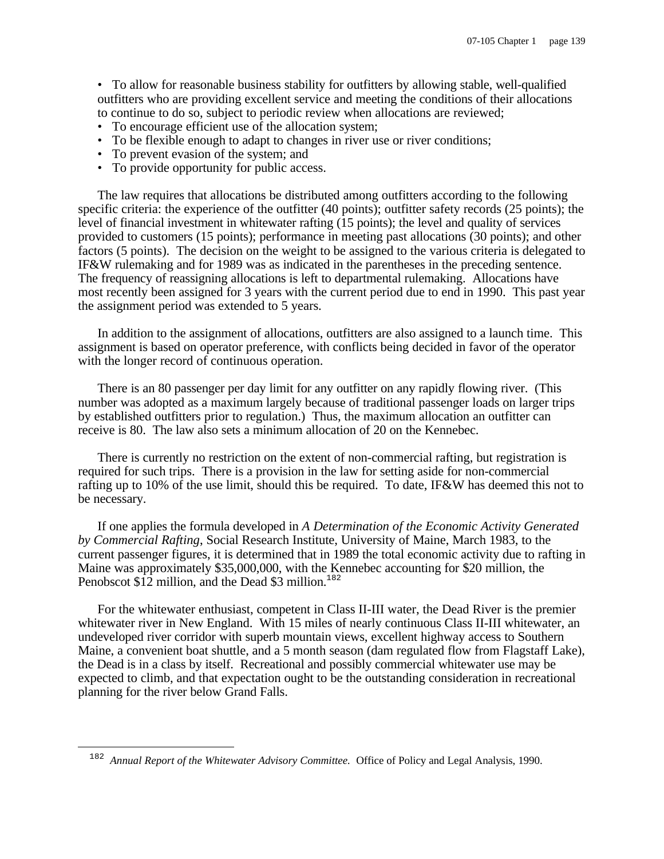• To allow for reasonable business stability for outfitters by allowing stable, well-qualified outfitters who are providing excellent service and meeting the conditions of their allocations to continue to do so, subject to periodic review when allocations are reviewed;

- To encourage efficient use of the allocation system;
- To be flexible enough to adapt to changes in river use or river conditions;
- To prevent evasion of the system; and
- To provide opportunity for public access.

The law requires that allocations be distributed among outfitters according to the following specific criteria: the experience of the outfitter (40 points); outfitter safety records (25 points); the level of financial investment in whitewater rafting (15 points); the level and quality of services provided to customers (15 points); performance in meeting past allocations (30 points); and other factors (5 points). The decision on the weight to be assigned to the various criteria is delegated to IF&W rulemaking and for 1989 was as indicated in the parentheses in the preceding sentence. The frequency of reassigning allocations is left to departmental rulemaking. Allocations have most recently been assigned for 3 years with the current period due to end in 1990. This past year the assignment period was extended to 5 years.

In addition to the assignment of allocations, outfitters are also assigned to a launch time. This assignment is based on operator preference, with conflicts being decided in favor of the operator with the longer record of continuous operation.

There is an 80 passenger per day limit for any outfitter on any rapidly flowing river. (This number was adopted as a maximum largely because of traditional passenger loads on larger trips by established outfitters prior to regulation.) Thus, the maximum allocation an outfitter can receive is 80. The law also sets a minimum allocation of 20 on the Kennebec.

There is currently no restriction on the extent of non-commercial rafting, but registration is required for such trips. There is a provision in the law for setting aside for non-commercial rafting up to 10% of the use limit, should this be required. To date, IF&W has deemed this not to be necessary.

If one applies the formula developed in *A Determination of the Economic Activity Generated by Commercial Rafting*, Social Research Institute, University of Maine, March 1983, to the current passenger figures, it is determined that in 1989 the total economic activity due to rafting in Maine was approximately \$35,000,000, with the Kennebec accounting for \$20 million, the Penobscot \$12 million, and the Dead \$3 million.<sup>182</sup>

For the whitewater enthusiast, competent in Class II-III water, the Dead River is the premier whitewater river in New England. With 15 miles of nearly continuous Class II-III whitewater, an undeveloped river corridor with superb mountain views, excellent highway access to Southern Maine, a convenient boat shuttle, and a 5 month season (dam regulated flow from Flagstaff Lake), the Dead is in a class by itself. Recreational and possibly commercial whitewater use may be expected to climb, and that expectation ought to be the outstanding consideration in recreational planning for the river below Grand Falls.

i

<sup>182</sup> *Annual Report of the Whitewater Advisory Committee.* Office of Policy and Legal Analysis, 1990.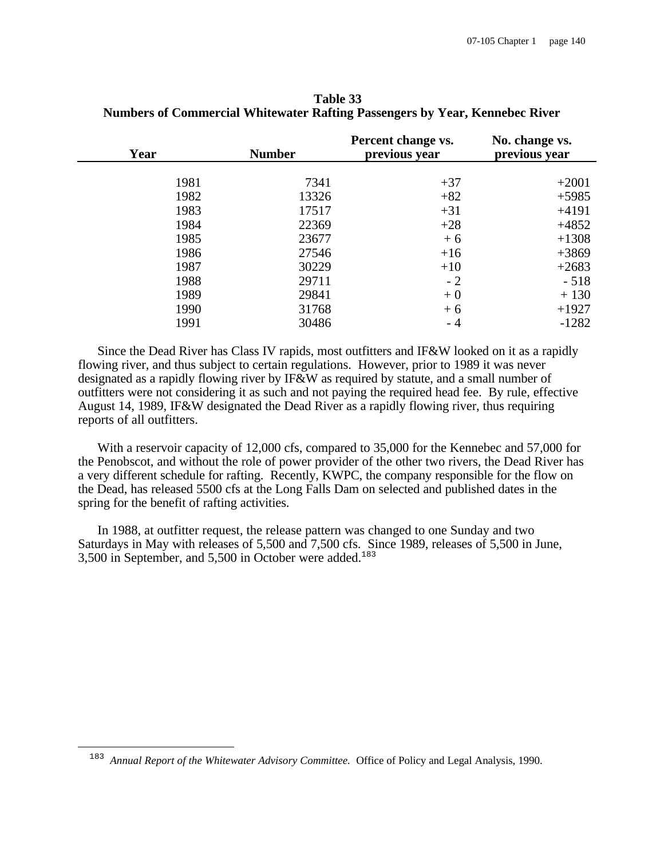| Year | <b>Number</b> | Percent change vs.<br>previous year | No. change vs.<br>previous year |
|------|---------------|-------------------------------------|---------------------------------|
|      |               |                                     |                                 |
| 1981 | 7341          | $+37$                               | $+2001$                         |
| 1982 | 13326         | $+82$                               | $+5985$                         |
| 1983 | 17517         | $+31$                               | $+4191$                         |
| 1984 | 22369         | $+28$                               | $+4852$                         |
| 1985 | 23677         | $+6$                                | $+1308$                         |
| 1986 | 27546         | $+16$                               | $+3869$                         |
| 1987 | 30229         | $+10$                               | $+2683$                         |
| 1988 | 29711         | $-2$                                | $-518$                          |
| 1989 | 29841         | $+0$                                | $+130$                          |
| 1990 | 31768         | $+6$                                | $+1927$                         |
| 1991 | 30486         | - 4                                 | $-1282$                         |

**Table 33 Numbers of Commercial Whitewater Rafting Passengers by Year, Kennebec River**

Since the Dead River has Class IV rapids, most outfitters and IF&W looked on it as a rapidly flowing river, and thus subject to certain regulations. However, prior to 1989 it was never designated as a rapidly flowing river by IF&W as required by statute, and a small number of outfitters were not considering it as such and not paying the required head fee. By rule, effective August 14, 1989, IF&W designated the Dead River as a rapidly flowing river, thus requiring reports of all outfitters.

With a reservoir capacity of 12,000 cfs, compared to 35,000 for the Kennebec and 57,000 for the Penobscot, and without the role of power provider of the other two rivers, the Dead River has a very different schedule for rafting. Recently, KWPC, the company responsible for the flow on the Dead, has released 5500 cfs at the Long Falls Dam on selected and published dates in the spring for the benefit of rafting activities.

In 1988, at outfitter request, the release pattern was changed to one Sunday and two Saturdays in May with releases of 5,500 and 7,500 cfs. Since 1989, releases of 5,500 in June, 3,500 in September, and 5,500 in October were added.<sup>183</sup>

i

<sup>183</sup> *Annual Report of the Whitewater Advisory Committee.* Office of Policy and Legal Analysis, 1990.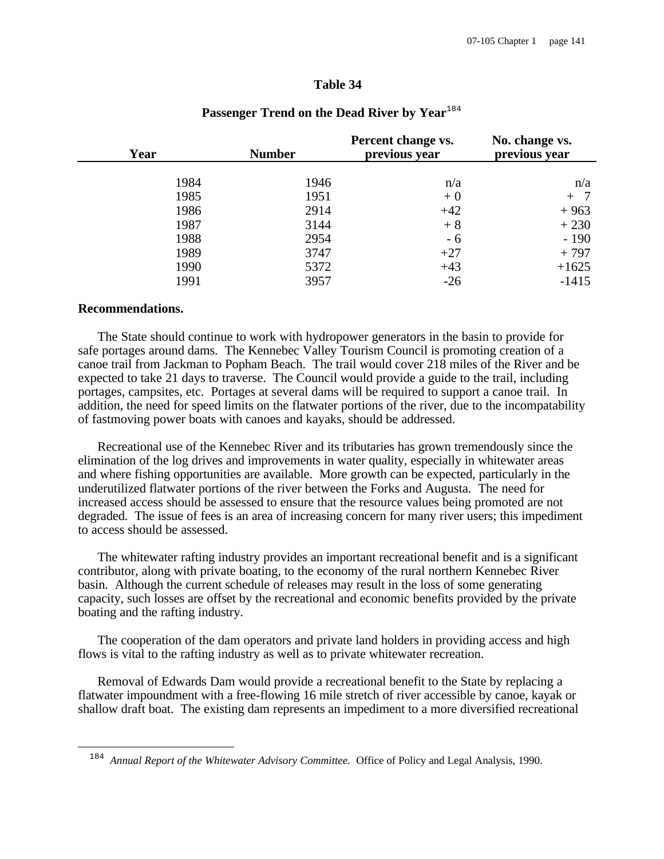#### **Table 34**

| Year | <b>Number</b> | Percent change vs.<br>previous year | No. change vs.<br>previous year |
|------|---------------|-------------------------------------|---------------------------------|
|      |               |                                     |                                 |
| 1984 | 1946          | n/a                                 | n/a                             |
| 1985 | 1951          | $+0$                                | $+$                             |
| 1986 | 2914          | $+42$                               | $+963$                          |
| 1987 | 3144          | $+8$                                | $+230$                          |
| 1988 | 2954          | - 6                                 | $-190$                          |
| 1989 | 3747          | $+27$                               | $+797$                          |
| 1990 | 5372          | $+43$                               | $+1625$                         |
| 1991 | 3957          | $-26$                               | $-1415$                         |

# Passenger Trend on the Dead River by Year<sup>184</sup>

#### **Recommendations.**

i

The State should continue to work with hydropower generators in the basin to provide for safe portages around dams. The Kennebec Valley Tourism Council is promoting creation of a canoe trail from Jackman to Popham Beach. The trail would cover 218 miles of the River and be expected to take 21 days to traverse. The Council would provide a guide to the trail, including portages, campsites, etc. Portages at several dams will be required to support a canoe trail. In addition, the need for speed limits on the flatwater portions of the river, due to the incompatability of fastmoving power boats with canoes and kayaks, should be addressed.

Recreational use of the Kennebec River and its tributaries has grown tremendously since the elimination of the log drives and improvements in water quality, especially in whitewater areas and where fishing opportunities are available. More growth can be expected, particularly in the underutilized flatwater portions of the river between the Forks and Augusta. The need for increased access should be assessed to ensure that the resource values being promoted are not degraded. The issue of fees is an area of increasing concern for many river users; this impediment to access should be assessed.

The whitewater rafting industry provides an important recreational benefit and is a significant contributor, along with private boating, to the economy of the rural northern Kennebec River basin. Although the current schedule of releases may result in the loss of some generating capacity, such losses are offset by the recreational and economic benefits provided by the private boating and the rafting industry.

The cooperation of the dam operators and private land holders in providing access and high flows is vital to the rafting industry as well as to private whitewater recreation.

Removal of Edwards Dam would provide a recreational benefit to the State by replacing a flatwater impoundment with a free-flowing 16 mile stretch of river accessible by canoe, kayak or shallow draft boat. The existing dam represents an impediment to a more diversified recreational

<sup>184</sup> *Annual Report of the Whitewater Advisory Committee.* Office of Policy and Legal Analysis, 1990.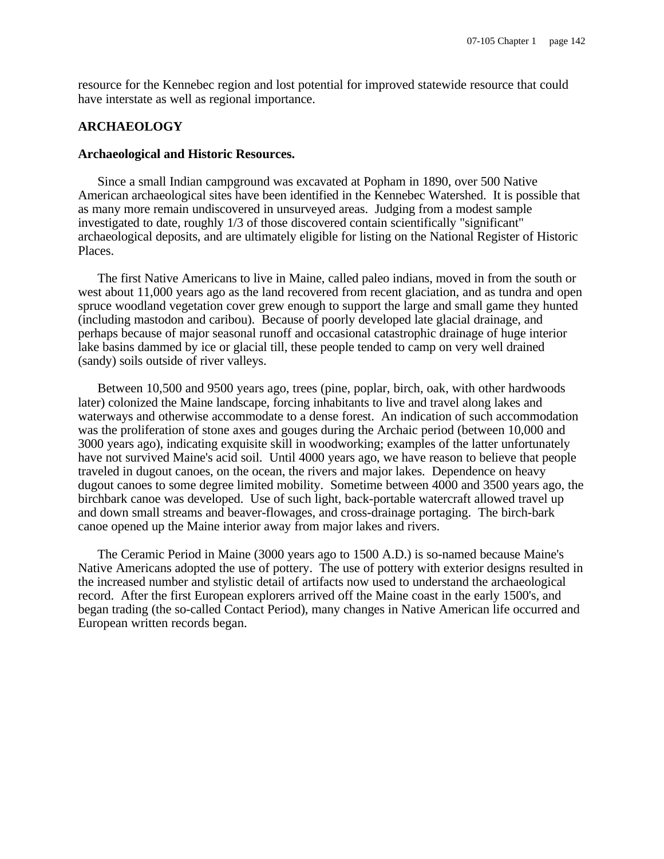resource for the Kennebec region and lost potential for improved statewide resource that could have interstate as well as regional importance.

# **ARCHAEOLOGY**

#### **Archaeological and Historic Resources.**

Since a small Indian campground was excavated at Popham in 1890, over 500 Native American archaeological sites have been identified in the Kennebec Watershed. It is possible that as many more remain undiscovered in unsurveyed areas. Judging from a modest sample investigated to date, roughly 1/3 of those discovered contain scientifically "significant" archaeological deposits, and are ultimately eligible for listing on the National Register of Historic Places.

The first Native Americans to live in Maine, called paleo indians, moved in from the south or west about 11,000 years ago as the land recovered from recent glaciation, and as tundra and open spruce woodland vegetation cover grew enough to support the large and small game they hunted (including mastodon and caribou). Because of poorly developed late glacial drainage, and perhaps because of major seasonal runoff and occasional catastrophic drainage of huge interior lake basins dammed by ice or glacial till, these people tended to camp on very well drained (sandy) soils outside of river valleys.

Between 10,500 and 9500 years ago, trees (pine, poplar, birch, oak, with other hardwoods later) colonized the Maine landscape, forcing inhabitants to live and travel along lakes and waterways and otherwise accommodate to a dense forest. An indication of such accommodation was the proliferation of stone axes and gouges during the Archaic period (between 10,000 and 3000 years ago), indicating exquisite skill in woodworking; examples of the latter unfortunately have not survived Maine's acid soil. Until 4000 years ago, we have reason to believe that people traveled in dugout canoes, on the ocean, the rivers and major lakes. Dependence on heavy dugout canoes to some degree limited mobility. Sometime between 4000 and 3500 years ago, the birchbark canoe was developed. Use of such light, back-portable watercraft allowed travel up and down small streams and beaver-flowages, and cross-drainage portaging. The birch-bark canoe opened up the Maine interior away from major lakes and rivers.

The Ceramic Period in Maine (3000 years ago to 1500 A.D.) is so-named because Maine's Native Americans adopted the use of pottery. The use of pottery with exterior designs resulted in the increased number and stylistic detail of artifacts now used to understand the archaeological record. After the first European explorers arrived off the Maine coast in the early 1500's, and began trading (the so-called Contact Period), many changes in Native American life occurred and European written records began.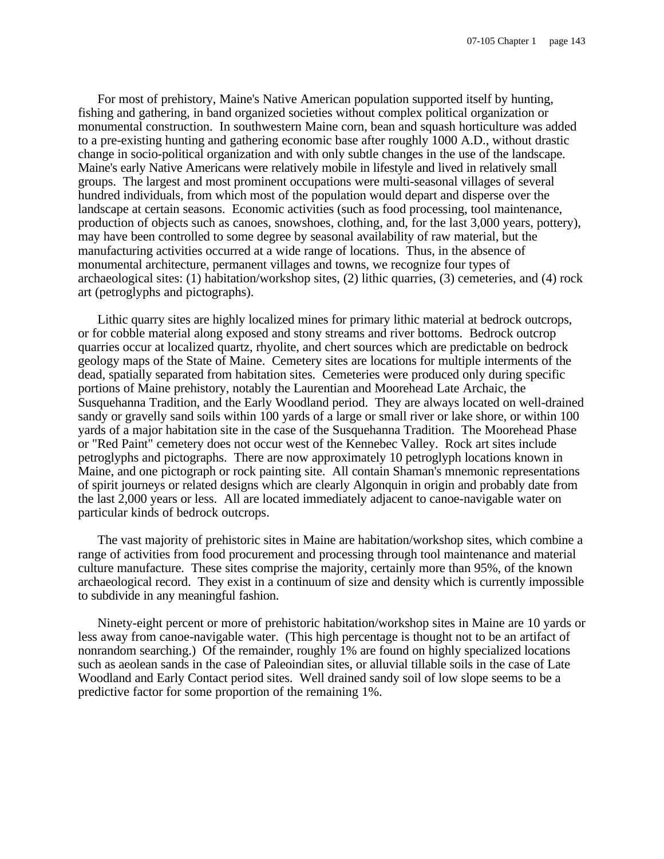For most of prehistory, Maine's Native American population supported itself by hunting, fishing and gathering, in band organized societies without complex political organization or monumental construction. In southwestern Maine corn, bean and squash horticulture was added to a pre-existing hunting and gathering economic base after roughly 1000 A.D., without drastic change in socio-political organization and with only subtle changes in the use of the landscape. Maine's early Native Americans were relatively mobile in lifestyle and lived in relatively small groups. The largest and most prominent occupations were multi-seasonal villages of several hundred individuals, from which most of the population would depart and disperse over the landscape at certain seasons. Economic activities (such as food processing, tool maintenance, production of objects such as canoes, snowshoes, clothing, and, for the last 3,000 years, pottery), may have been controlled to some degree by seasonal availability of raw material, but the manufacturing activities occurred at a wide range of locations. Thus, in the absence of monumental architecture, permanent villages and towns, we recognize four types of archaeological sites: (1) habitation/workshop sites, (2) lithic quarries, (3) cemeteries, and (4) rock art (petroglyphs and pictographs).

Lithic quarry sites are highly localized mines for primary lithic material at bedrock outcrops, or for cobble material along exposed and stony streams and river bottoms. Bedrock outcrop quarries occur at localized quartz, rhyolite, and chert sources which are predictable on bedrock geology maps of the State of Maine. Cemetery sites are locations for multiple interments of the dead, spatially separated from habitation sites. Cemeteries were produced only during specific portions of Maine prehistory, notably the Laurentian and Moorehead Late Archaic, the Susquehanna Tradition, and the Early Woodland period. They are always located on well-drained sandy or gravelly sand soils within 100 yards of a large or small river or lake shore, or within 100 yards of a major habitation site in the case of the Susquehanna Tradition. The Moorehead Phase or "Red Paint" cemetery does not occur west of the Kennebec Valley. Rock art sites include petroglyphs and pictographs. There are now approximately 10 petroglyph locations known in Maine, and one pictograph or rock painting site. All contain Shaman's mnemonic representations of spirit journeys or related designs which are clearly Algonquin in origin and probably date from the last 2,000 years or less. All are located immediately adjacent to canoe-navigable water on particular kinds of bedrock outcrops.

The vast majority of prehistoric sites in Maine are habitation/workshop sites, which combine a range of activities from food procurement and processing through tool maintenance and material culture manufacture. These sites comprise the majority, certainly more than 95%, of the known archaeological record. They exist in a continuum of size and density which is currently impossible to subdivide in any meaningful fashion.

Ninety-eight percent or more of prehistoric habitation/workshop sites in Maine are 10 yards or less away from canoe-navigable water. (This high percentage is thought not to be an artifact of nonrandom searching.) Of the remainder, roughly 1% are found on highly specialized locations such as aeolean sands in the case of Paleoindian sites, or alluvial tillable soils in the case of Late Woodland and Early Contact period sites. Well drained sandy soil of low slope seems to be a predictive factor for some proportion of the remaining 1%.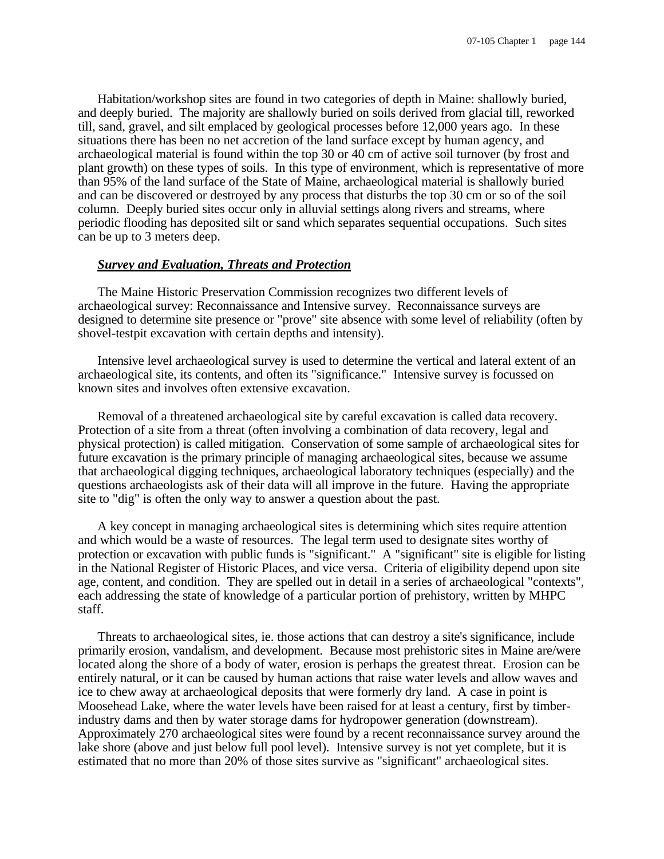Habitation/workshop sites are found in two categories of depth in Maine: shallowly buried, and deeply buried. The majority are shallowly buried on soils derived from glacial till, reworked till, sand, gravel, and silt emplaced by geological processes before 12,000 years ago. In these situations there has been no net accretion of the land surface except by human agency, and archaeological material is found within the top 30 or 40 cm of active soil turnover (by frost and plant growth) on these types of soils. In this type of environment, which is representative of more than 95% of the land surface of the State of Maine, archaeological material is shallowly buried and can be discovered or destroyed by any process that disturbs the top 30 cm or so of the soil column. Deeply buried sites occur only in alluvial settings along rivers and streams, where periodic flooding has deposited silt or sand which separates sequential occupations. Such sites can be up to 3 meters deep.

# *Survey and Evaluation, Threats and Protection*

The Maine Historic Preservation Commission recognizes two different levels of archaeological survey: Reconnaissance and Intensive survey. Reconnaissance surveys are designed to determine site presence or "prove" site absence with some level of reliability (often by shovel-testpit excavation with certain depths and intensity).

Intensive level archaeological survey is used to determine the vertical and lateral extent of an archaeological site, its contents, and often its "significance." Intensive survey is focussed on known sites and involves often extensive excavation.

Removal of a threatened archaeological site by careful excavation is called data recovery. Protection of a site from a threat (often involving a combination of data recovery, legal and physical protection) is called mitigation. Conservation of some sample of archaeological sites for future excavation is the primary principle of managing archaeological sites, because we assume that archaeological digging techniques, archaeological laboratory techniques (especially) and the questions archaeologists ask of their data will all improve in the future. Having the appropriate site to "dig" is often the only way to answer a question about the past.

A key concept in managing archaeological sites is determining which sites require attention and which would be a waste of resources. The legal term used to designate sites worthy of protection or excavation with public funds is "significant." A "significant" site is eligible for listing in the National Register of Historic Places, and vice versa. Criteria of eligibility depend upon site age, content, and condition. They are spelled out in detail in a series of archaeological "contexts", each addressing the state of knowledge of a particular portion of prehistory, written by MHPC staff.

Threats to archaeological sites, ie. those actions that can destroy a site's significance, include primarily erosion, vandalism, and development. Because most prehistoric sites in Maine are/were located along the shore of a body of water, erosion is perhaps the greatest threat. Erosion can be entirely natural, or it can be caused by human actions that raise water levels and allow waves and ice to chew away at archaeological deposits that were formerly dry land. A case in point is Moosehead Lake, where the water levels have been raised for at least a century, first by timberindustry dams and then by water storage dams for hydropower generation (downstream). Approximately 270 archaeological sites were found by a recent reconnaissance survey around the lake shore (above and just below full pool level). Intensive survey is not yet complete, but it is estimated that no more than 20% of those sites survive as "significant" archaeological sites.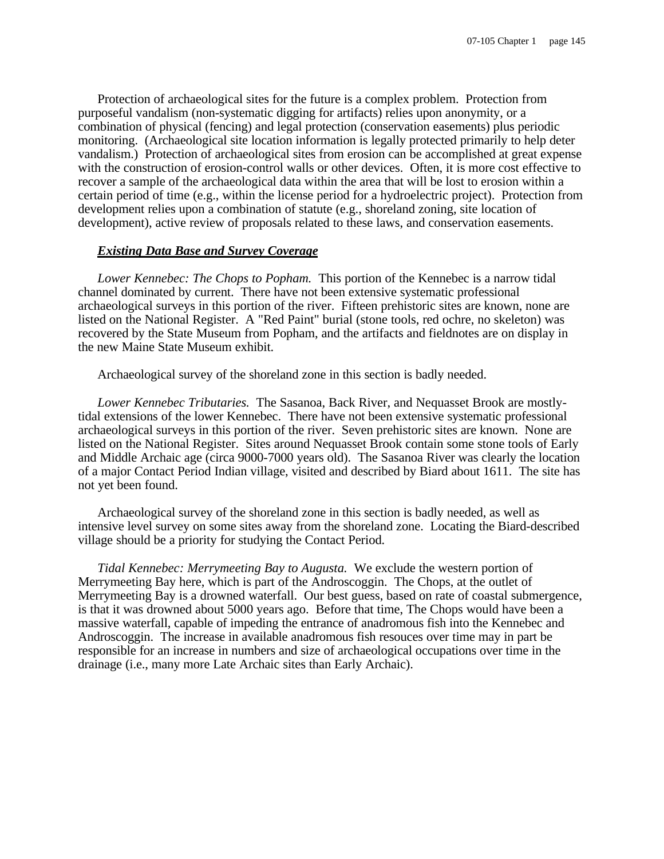Protection of archaeological sites for the future is a complex problem. Protection from purposeful vandalism (non-systematic digging for artifacts) relies upon anonymity, or a combination of physical (fencing) and legal protection (conservation easements) plus periodic monitoring. (Archaeological site location information is legally protected primarily to help deter vandalism.) Protection of archaeological sites from erosion can be accomplished at great expense with the construction of erosion-control walls or other devices. Often, it is more cost effective to recover a sample of the archaeological data within the area that will be lost to erosion within a certain period of time (e.g., within the license period for a hydroelectric project). Protection from development relies upon a combination of statute (e.g., shoreland zoning, site location of development), active review of proposals related to these laws, and conservation easements.

### *Existing Data Base and Survey Coverage*

*Lower Kennebec: The Chops to Popham.* This portion of the Kennebec is a narrow tidal channel dominated by current. There have not been extensive systematic professional archaeological surveys in this portion of the river. Fifteen prehistoric sites are known, none are listed on the National Register. A "Red Paint" burial (stone tools, red ochre, no skeleton) was recovered by the State Museum from Popham, and the artifacts and fieldnotes are on display in the new Maine State Museum exhibit.

Archaeological survey of the shoreland zone in this section is badly needed.

*Lower Kennebec Tributaries.* The Sasanoa, Back River, and Nequasset Brook are mostlytidal extensions of the lower Kennebec. There have not been extensive systematic professional archaeological surveys in this portion of the river. Seven prehistoric sites are known. None are listed on the National Register. Sites around Nequasset Brook contain some stone tools of Early and Middle Archaic age (circa 9000-7000 years old). The Sasanoa River was clearly the location of a major Contact Period Indian village, visited and described by Biard about 1611. The site has not yet been found.

Archaeological survey of the shoreland zone in this section is badly needed, as well as intensive level survey on some sites away from the shoreland zone. Locating the Biard-described village should be a priority for studying the Contact Period.

*Tidal Kennebec: Merrymeeting Bay to Augusta.* We exclude the western portion of Merrymeeting Bay here, which is part of the Androscoggin. The Chops, at the outlet of Merrymeeting Bay is a drowned waterfall. Our best guess, based on rate of coastal submergence, is that it was drowned about 5000 years ago. Before that time, The Chops would have been a massive waterfall, capable of impeding the entrance of anadromous fish into the Kennebec and Androscoggin. The increase in available anadromous fish resouces over time may in part be responsible for an increase in numbers and size of archaeological occupations over time in the drainage (i.e., many more Late Archaic sites than Early Archaic).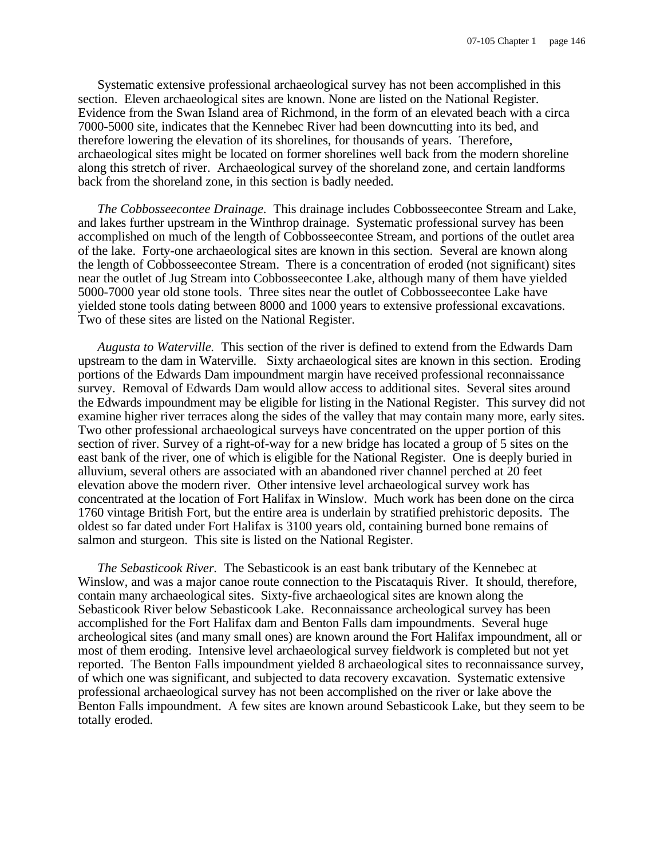Systematic extensive professional archaeological survey has not been accomplished in this section. Eleven archaeological sites are known. None are listed on the National Register. Evidence from the Swan Island area of Richmond, in the form of an elevated beach with a circa 7000-5000 site, indicates that the Kennebec River had been downcutting into its bed, and therefore lowering the elevation of its shorelines, for thousands of years. Therefore, archaeological sites might be located on former shorelines well back from the modern shoreline along this stretch of river. Archaeological survey of the shoreland zone, and certain landforms back from the shoreland zone, in this section is badly needed.

*The Cobbosseecontee Drainage.* This drainage includes Cobbosseecontee Stream and Lake, and lakes further upstream in the Winthrop drainage. Systematic professional survey has been accomplished on much of the length of Cobbosseecontee Stream, and portions of the outlet area of the lake. Forty-one archaeological sites are known in this section. Several are known along the length of Cobbosseecontee Stream. There is a concentration of eroded (not significant) sites near the outlet of Jug Stream into Cobbosseecontee Lake, although many of them have yielded 5000-7000 year old stone tools. Three sites near the outlet of Cobbosseecontee Lake have yielded stone tools dating between 8000 and 1000 years to extensive professional excavations. Two of these sites are listed on the National Register.

*Augusta to Waterville.* This section of the river is defined to extend from the Edwards Dam upstream to the dam in Waterville. Sixty archaeological sites are known in this section. Eroding portions of the Edwards Dam impoundment margin have received professional reconnaissance survey. Removal of Edwards Dam would allow access to additional sites. Several sites around the Edwards impoundment may be eligible for listing in the National Register. This survey did not examine higher river terraces along the sides of the valley that may contain many more, early sites. Two other professional archaeological surveys have concentrated on the upper portion of this section of river. Survey of a right-of-way for a new bridge has located a group of 5 sites on the east bank of the river, one of which is eligible for the National Register. One is deeply buried in alluvium, several others are associated with an abandoned river channel perched at 20 feet elevation above the modern river. Other intensive level archaeological survey work has concentrated at the location of Fort Halifax in Winslow. Much work has been done on the circa 1760 vintage British Fort, but the entire area is underlain by stratified prehistoric deposits. The oldest so far dated under Fort Halifax is 3100 years old, containing burned bone remains of salmon and sturgeon. This site is listed on the National Register.

*The Sebasticook River.* The Sebasticook is an east bank tributary of the Kennebec at Winslow, and was a major canoe route connection to the Piscataquis River. It should, therefore, contain many archaeological sites. Sixty-five archaeological sites are known along the Sebasticook River below Sebasticook Lake. Reconnaissance archeological survey has been accomplished for the Fort Halifax dam and Benton Falls dam impoundments. Several huge archeological sites (and many small ones) are known around the Fort Halifax impoundment, all or most of them eroding. Intensive level archaeological survey fieldwork is completed but not yet reported. The Benton Falls impoundment yielded 8 archaeological sites to reconnaissance survey, of which one was significant, and subjected to data recovery excavation. Systematic extensive professional archaeological survey has not been accomplished on the river or lake above the Benton Falls impoundment. A few sites are known around Sebasticook Lake, but they seem to be totally eroded.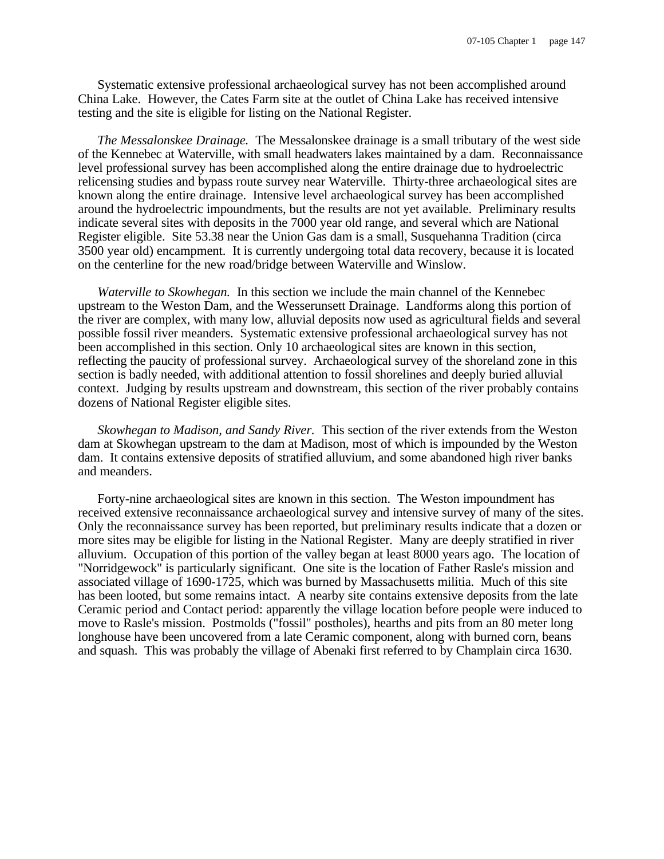Systematic extensive professional archaeological survey has not been accomplished around China Lake. However, the Cates Farm site at the outlet of China Lake has received intensive testing and the site is eligible for listing on the National Register.

*The Messalonskee Drainage.* The Messalonskee drainage is a small tributary of the west side of the Kennebec at Waterville, with small headwaters lakes maintained by a dam. Reconnaissance level professional survey has been accomplished along the entire drainage due to hydroelectric relicensing studies and bypass route survey near Waterville. Thirty-three archaeological sites are known along the entire drainage. Intensive level archaeological survey has been accomplished around the hydroelectric impoundments, but the results are not yet available. Preliminary results indicate several sites with deposits in the 7000 year old range, and several which are National Register eligible. Site 53.38 near the Union Gas dam is a small, Susquehanna Tradition (circa 3500 year old) encampment. It is currently undergoing total data recovery, because it is located on the centerline for the new road/bridge between Waterville and Winslow.

*Waterville to Skowhegan.* In this section we include the main channel of the Kennebec upstream to the Weston Dam, and the Wesserunsett Drainage. Landforms along this portion of the river are complex, with many low, alluvial deposits now used as agricultural fields and several possible fossil river meanders. Systematic extensive professional archaeological survey has not been accomplished in this section. Only 10 archaeological sites are known in this section, reflecting the paucity of professional survey. Archaeological survey of the shoreland zone in this section is badly needed, with additional attention to fossil shorelines and deeply buried alluvial context. Judging by results upstream and downstream, this section of the river probably contains dozens of National Register eligible sites.

*Skowhegan to Madison, and Sandy River.* This section of the river extends from the Weston dam at Skowhegan upstream to the dam at Madison, most of which is impounded by the Weston dam. It contains extensive deposits of stratified alluvium, and some abandoned high river banks and meanders.

Forty-nine archaeological sites are known in this section. The Weston impoundment has received extensive reconnaissance archaeological survey and intensive survey of many of the sites. Only the reconnaissance survey has been reported, but preliminary results indicate that a dozen or more sites may be eligible for listing in the National Register. Many are deeply stratified in river alluvium. Occupation of this portion of the valley began at least 8000 years ago. The location of "Norridgewock" is particularly significant. One site is the location of Father Rasle's mission and associated village of 1690-1725, which was burned by Massachusetts militia. Much of this site has been looted, but some remains intact. A nearby site contains extensive deposits from the late Ceramic period and Contact period: apparently the village location before people were induced to move to Rasle's mission. Postmolds ("fossil" postholes), hearths and pits from an 80 meter long longhouse have been uncovered from a late Ceramic component, along with burned corn, beans and squash. This was probably the village of Abenaki first referred to by Champlain circa 1630.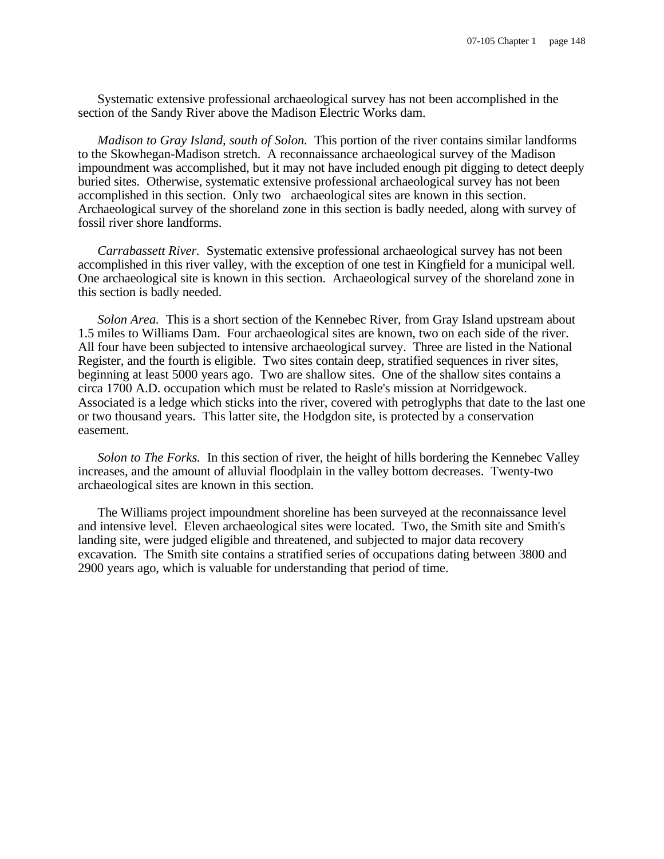Systematic extensive professional archaeological survey has not been accomplished in the section of the Sandy River above the Madison Electric Works dam.

*Madison to Gray Island, south of Solon.* This portion of the river contains similar landforms to the Skowhegan-Madison stretch. A reconnaissance archaeological survey of the Madison impoundment was accomplished, but it may not have included enough pit digging to detect deeply buried sites. Otherwise, systematic extensive professional archaeological survey has not been accomplished in this section. Only two archaeological sites are known in this section. Archaeological survey of the shoreland zone in this section is badly needed, along with survey of fossil river shore landforms.

*Carrabassett River.* Systematic extensive professional archaeological survey has not been accomplished in this river valley, with the exception of one test in Kingfield for a municipal well. One archaeological site is known in this section. Archaeological survey of the shoreland zone in this section is badly needed.

*Solon Area.* This is a short section of the Kennebec River, from Gray Island upstream about 1.5 miles to Williams Dam. Four archaeological sites are known, two on each side of the river. All four have been subjected to intensive archaeological survey. Three are listed in the National Register, and the fourth is eligible. Two sites contain deep, stratified sequences in river sites, beginning at least 5000 years ago. Two are shallow sites. One of the shallow sites contains a circa 1700 A.D. occupation which must be related to Rasle's mission at Norridgewock. Associated is a ledge which sticks into the river, covered with petroglyphs that date to the last one or two thousand years. This latter site, the Hodgdon site, is protected by a conservation easement.

*Solon to The Forks.* In this section of river, the height of hills bordering the Kennebec Valley increases, and the amount of alluvial floodplain in the valley bottom decreases. Twenty-two archaeological sites are known in this section.

The Williams project impoundment shoreline has been surveyed at the reconnaissance level and intensive level. Eleven archaeological sites were located. Two, the Smith site and Smith's landing site, were judged eligible and threatened, and subjected to major data recovery excavation. The Smith site contains a stratified series of occupations dating between 3800 and 2900 years ago, which is valuable for understanding that period of time.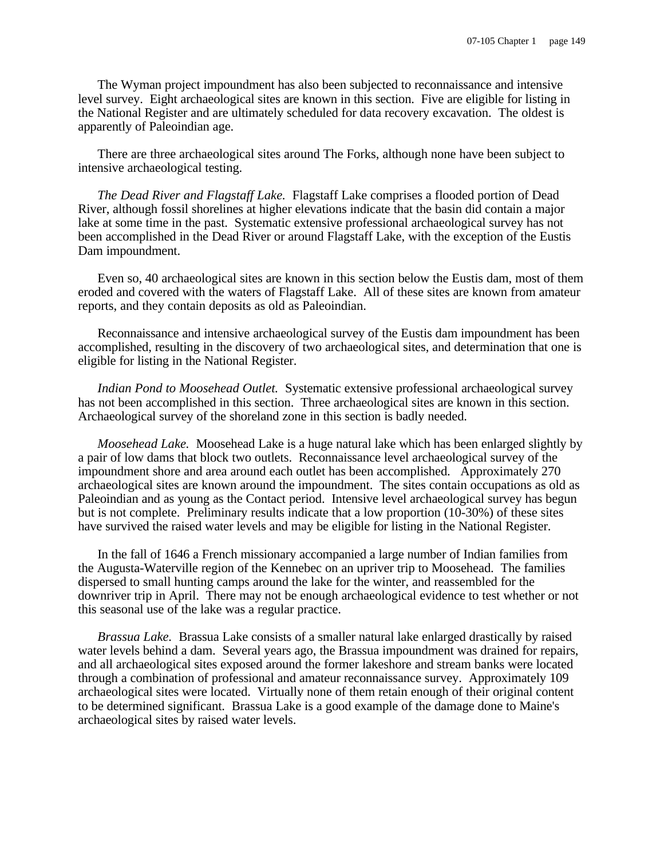The Wyman project impoundment has also been subjected to reconnaissance and intensive level survey. Eight archaeological sites are known in this section. Five are eligible for listing in the National Register and are ultimately scheduled for data recovery excavation. The oldest is apparently of Paleoindian age.

There are three archaeological sites around The Forks, although none have been subject to intensive archaeological testing.

*The Dead River and Flagstaff Lake.* Flagstaff Lake comprises a flooded portion of Dead River, although fossil shorelines at higher elevations indicate that the basin did contain a major lake at some time in the past. Systematic extensive professional archaeological survey has not been accomplished in the Dead River or around Flagstaff Lake, with the exception of the Eustis Dam impoundment.

Even so, 40 archaeological sites are known in this section below the Eustis dam, most of them eroded and covered with the waters of Flagstaff Lake. All of these sites are known from amateur reports, and they contain deposits as old as Paleoindian.

Reconnaissance and intensive archaeological survey of the Eustis dam impoundment has been accomplished, resulting in the discovery of two archaeological sites, and determination that one is eligible for listing in the National Register.

*Indian Pond to Moosehead Outlet.* Systematic extensive professional archaeological survey has not been accomplished in this section. Three archaeological sites are known in this section. Archaeological survey of the shoreland zone in this section is badly needed.

*Moosehead Lake.* Moosehead Lake is a huge natural lake which has been enlarged slightly by a pair of low dams that block two outlets. Reconnaissance level archaeological survey of the impoundment shore and area around each outlet has been accomplished. Approximately 270 archaeological sites are known around the impoundment. The sites contain occupations as old as Paleoindian and as young as the Contact period. Intensive level archaeological survey has begun but is not complete. Preliminary results indicate that a low proportion (10-30%) of these sites have survived the raised water levels and may be eligible for listing in the National Register.

In the fall of 1646 a French missionary accompanied a large number of Indian families from the Augusta-Waterville region of the Kennebec on an upriver trip to Moosehead. The families dispersed to small hunting camps around the lake for the winter, and reassembled for the downriver trip in April. There may not be enough archaeological evidence to test whether or not this seasonal use of the lake was a regular practice.

*Brassua Lake.* Brassua Lake consists of a smaller natural lake enlarged drastically by raised water levels behind a dam. Several years ago, the Brassua impoundment was drained for repairs, and all archaeological sites exposed around the former lakeshore and stream banks were located through a combination of professional and amateur reconnaissance survey. Approximately 109 archaeological sites were located. Virtually none of them retain enough of their original content to be determined significant. Brassua Lake is a good example of the damage done to Maine's archaeological sites by raised water levels.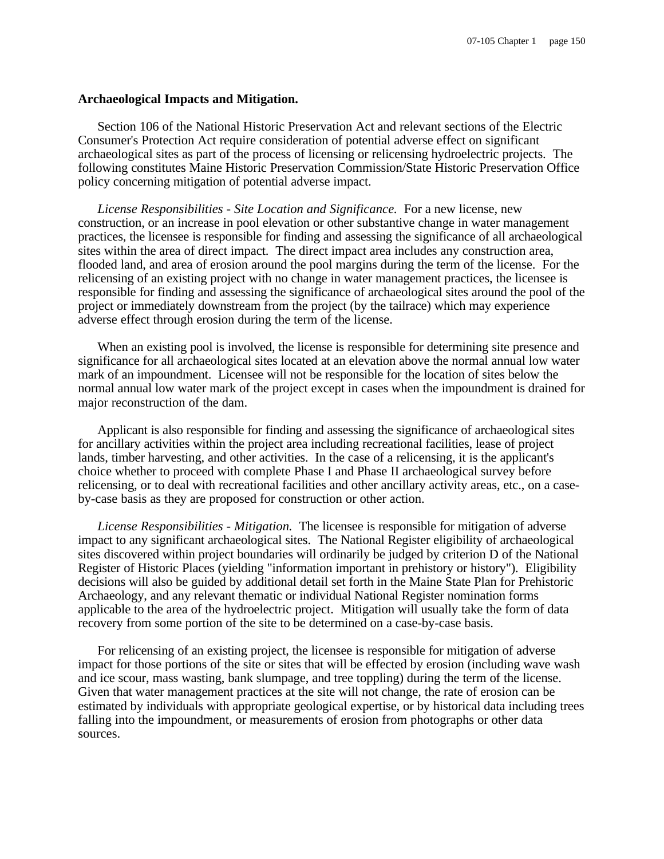#### **Archaeological Impacts and Mitigation.**

Section 106 of the National Historic Preservation Act and relevant sections of the Electric Consumer's Protection Act require consideration of potential adverse effect on significant archaeological sites as part of the process of licensing or relicensing hydroelectric projects. The following constitutes Maine Historic Preservation Commission/State Historic Preservation Office policy concerning mitigation of potential adverse impact.

*License Responsibilities - Site Location and Significance.* For a new license, new construction, or an increase in pool elevation or other substantive change in water management practices, the licensee is responsible for finding and assessing the significance of all archaeological sites within the area of direct impact. The direct impact area includes any construction area, flooded land, and area of erosion around the pool margins during the term of the license. For the relicensing of an existing project with no change in water management practices, the licensee is responsible for finding and assessing the significance of archaeological sites around the pool of the project or immediately downstream from the project (by the tailrace) which may experience adverse effect through erosion during the term of the license.

When an existing pool is involved, the license is responsible for determining site presence and significance for all archaeological sites located at an elevation above the normal annual low water mark of an impoundment. Licensee will not be responsible for the location of sites below the normal annual low water mark of the project except in cases when the impoundment is drained for major reconstruction of the dam.

Applicant is also responsible for finding and assessing the significance of archaeological sites for ancillary activities within the project area including recreational facilities, lease of project lands, timber harvesting, and other activities. In the case of a relicensing, it is the applicant's choice whether to proceed with complete Phase I and Phase II archaeological survey before relicensing, or to deal with recreational facilities and other ancillary activity areas, etc., on a caseby-case basis as they are proposed for construction or other action.

*License Responsibilities - Mitigation.* The licensee is responsible for mitigation of adverse impact to any significant archaeological sites. The National Register eligibility of archaeological sites discovered within project boundaries will ordinarily be judged by criterion D of the National Register of Historic Places (yielding "information important in prehistory or history"). Eligibility decisions will also be guided by additional detail set forth in the Maine State Plan for Prehistoric Archaeology, and any relevant thematic or individual National Register nomination forms applicable to the area of the hydroelectric project. Mitigation will usually take the form of data recovery from some portion of the site to be determined on a case-by-case basis.

For relicensing of an existing project, the licensee is responsible for mitigation of adverse impact for those portions of the site or sites that will be effected by erosion (including wave wash and ice scour, mass wasting, bank slumpage, and tree toppling) during the term of the license. Given that water management practices at the site will not change, the rate of erosion can be estimated by individuals with appropriate geological expertise, or by historical data including trees falling into the impoundment, or measurements of erosion from photographs or other data sources.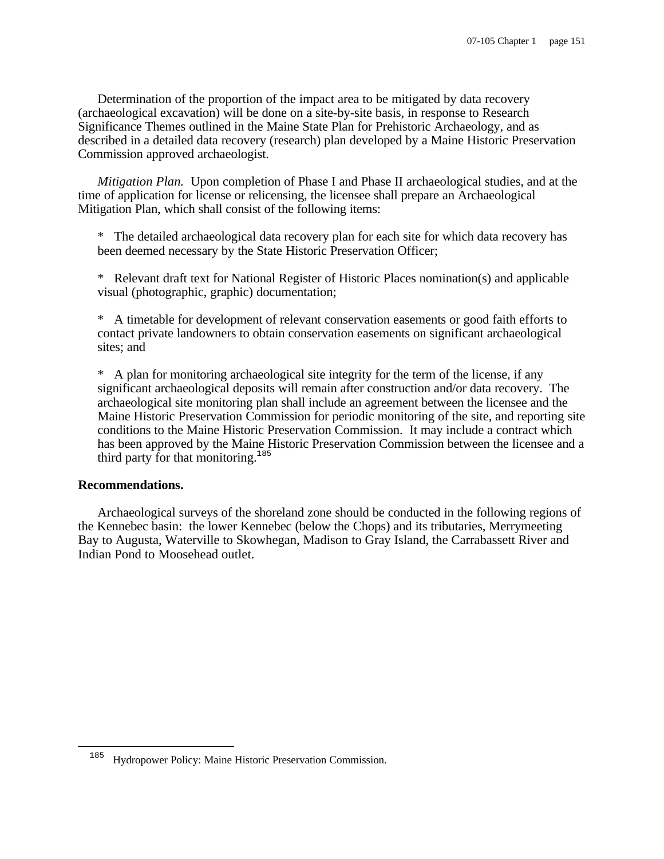Determination of the proportion of the impact area to be mitigated by data recovery (archaeological excavation) will be done on a site-by-site basis, in response to Research Significance Themes outlined in the Maine State Plan for Prehistoric Archaeology, and as described in a detailed data recovery (research) plan developed by a Maine Historic Preservation Commission approved archaeologist.

*Mitigation Plan.* Upon completion of Phase I and Phase II archaeological studies, and at the time of application for license or relicensing, the licensee shall prepare an Archaeological Mitigation Plan, which shall consist of the following items:

\* The detailed archaeological data recovery plan for each site for which data recovery has been deemed necessary by the State Historic Preservation Officer;

\* Relevant draft text for National Register of Historic Places nomination(s) and applicable visual (photographic, graphic) documentation;

\* A timetable for development of relevant conservation easements or good faith efforts to contact private landowners to obtain conservation easements on significant archaeological sites; and

\* A plan for monitoring archaeological site integrity for the term of the license, if any significant archaeological deposits will remain after construction and/or data recovery. The archaeological site monitoring plan shall include an agreement between the licensee and the Maine Historic Preservation Commission for periodic monitoring of the site, and reporting site conditions to the Maine Historic Preservation Commission. It may include a contract which has been approved by the Maine Historic Preservation Commission between the licensee and a third party for that monitoring.<sup>185</sup>

# **Recommendations.**

i

Archaeological surveys of the shoreland zone should be conducted in the following regions of the Kennebec basin: the lower Kennebec (below the Chops) and its tributaries, Merrymeeting Bay to Augusta, Waterville to Skowhegan, Madison to Gray Island, the Carrabassett River and Indian Pond to Moosehead outlet.

Hydropower Policy: Maine Historic Preservation Commission.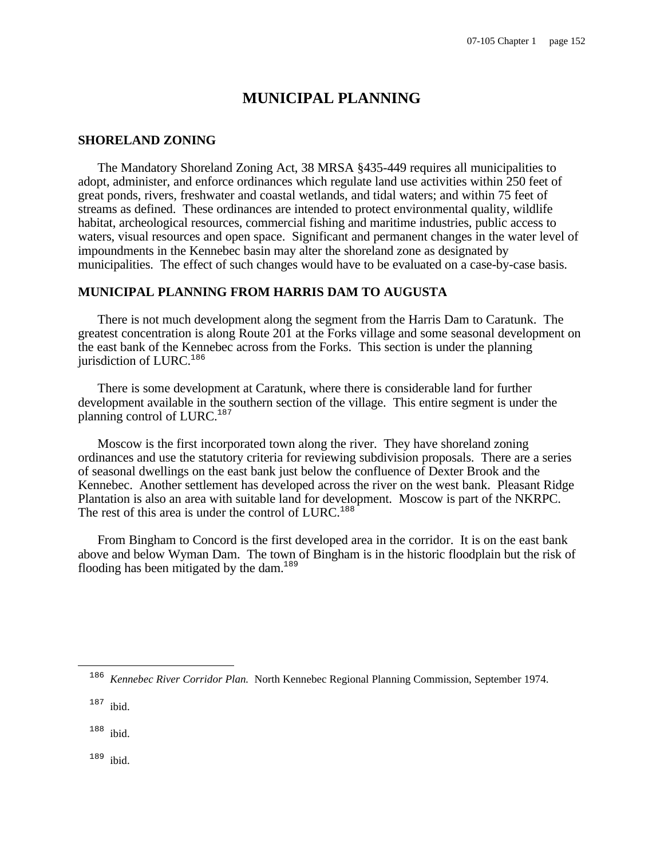# **MUNICIPAL PLANNING**

# **SHORELAND ZONING**

The Mandatory Shoreland Zoning Act, 38 MRSA §435-449 requires all municipalities to adopt, administer, and enforce ordinances which regulate land use activities within 250 feet of great ponds, rivers, freshwater and coastal wetlands, and tidal waters; and within 75 feet of streams as defined. These ordinances are intended to protect environmental quality, wildlife habitat, archeological resources, commercial fishing and maritime industries, public access to waters, visual resources and open space. Significant and permanent changes in the water level of impoundments in the Kennebec basin may alter the shoreland zone as designated by municipalities. The effect of such changes would have to be evaluated on a case-by-case basis.

# **MUNICIPAL PLANNING FROM HARRIS DAM TO AUGUSTA**

There is not much development along the segment from the Harris Dam to Caratunk. The greatest concentration is along Route 201 at the Forks village and some seasonal development on the east bank of the Kennebec across from the Forks. This section is under the planning jurisdiction of  $LURC$ <sup>186</sup>

There is some development at Caratunk, where there is considerable land for further development available in the southern section of the village. This entire segment is under the planning control of LURC.<sup>187</sup>

Moscow is the first incorporated town along the river. They have shoreland zoning ordinances and use the statutory criteria for reviewing subdivision proposals. There are a series of seasonal dwellings on the east bank just below the confluence of Dexter Brook and the Kennebec. Another settlement has developed across the river on the west bank. Pleasant Ridge Plantation is also an area with suitable land for development. Moscow is part of the NKRPC. The rest of this area is under the control of LURC.<sup>188</sup>

From Bingham to Concord is the first developed area in the corridor. It is on the east bank above and below Wyman Dam. The town of Bingham is in the historic floodplain but the risk of flooding has been mitigated by the dam.<sup>189</sup>

 $\overline{\phantom{0}}$ 

<sup>189</sup> ibid.

<sup>186</sup> *Kennebec River Corridor Plan.* North Kennebec Regional Planning Commission, September 1974.

<sup>187</sup> ibid.

<sup>188</sup> ibid.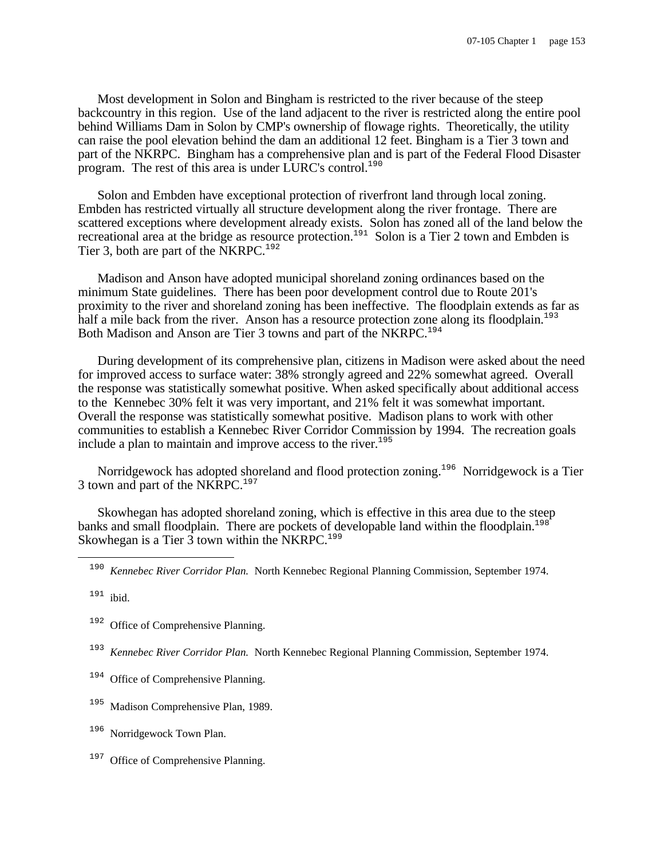Most development in Solon and Bingham is restricted to the river because of the steep backcountry in this region. Use of the land adjacent to the river is restricted along the entire pool behind Williams Dam in Solon by CMP's ownership of flowage rights. Theoretically, the utility can raise the pool elevation behind the dam an additional 12 feet. Bingham is a Tier 3 town and part of the NKRPC. Bingham has a comprehensive plan and is part of the Federal Flood Disaster program. The rest of this area is under LURC's control.<sup>190</sup>

Solon and Embden have exceptional protection of riverfront land through local zoning. Embden has restricted virtually all structure development along the river frontage. There are scattered exceptions where development already exists. Solon has zoned all of the land below the recreational area at the bridge as resource protection.<sup>191</sup> Solon is a Tier 2 town and Embden is Tier 3, both are part of the NKRPC.<sup>192</sup>

Madison and Anson have adopted municipal shoreland zoning ordinances based on the minimum State guidelines. There has been poor development control due to Route 201's proximity to the river and shoreland zoning has been ineffective. The floodplain extends as far as half a mile back from the river. Anson has a resource protection zone along its floodplain.<sup>193</sup> Both Madison and Anson are Tier 3 towns and part of the NKRPC.<sup>194</sup>

During development of its comprehensive plan, citizens in Madison were asked about the need for improved access to surface water: 38% strongly agreed and 22% somewhat agreed. Overall the response was statistically somewhat positive. When asked specifically about additional access to the Kennebec 30% felt it was very important, and 21% felt it was somewhat important. Overall the response was statistically somewhat positive. Madison plans to work with other communities to establish a Kennebec River Corridor Commission by 1994. The recreation goals include a plan to maintain and improve access to the river.<sup>195</sup>

Norridgewock has adopted shoreland and flood protection zoning.<sup>196</sup> Norridgewock is a Tier 3 town and part of the NKRPC.<sup>197</sup>

Skowhegan has adopted shoreland zoning, which is effective in this area due to the steep banks and small floodplain. There are pockets of developable land within the floodplain.<sup>198</sup> Skowhegan is a Tier  $\overline{3}$  town within the NKRPC.<sup>199</sup>

 $\overline{\phantom{0}}$ 

<sup>192</sup> Office of Comprehensive Planning.

- 193 *Kennebec River Corridor Plan.* North Kennebec Regional Planning Commission, September 1974.
- <sup>194</sup> Office of Comprehensive Planning.
- Madison Comprehensive Plan, 1989.
- <sup>196</sup> Norridgewock Town Plan.
- <sup>197</sup> Office of Comprehensive Planning.

<sup>190</sup> *Kennebec River Corridor Plan.* North Kennebec Regional Planning Commission, September 1974.

 $191$  ibid.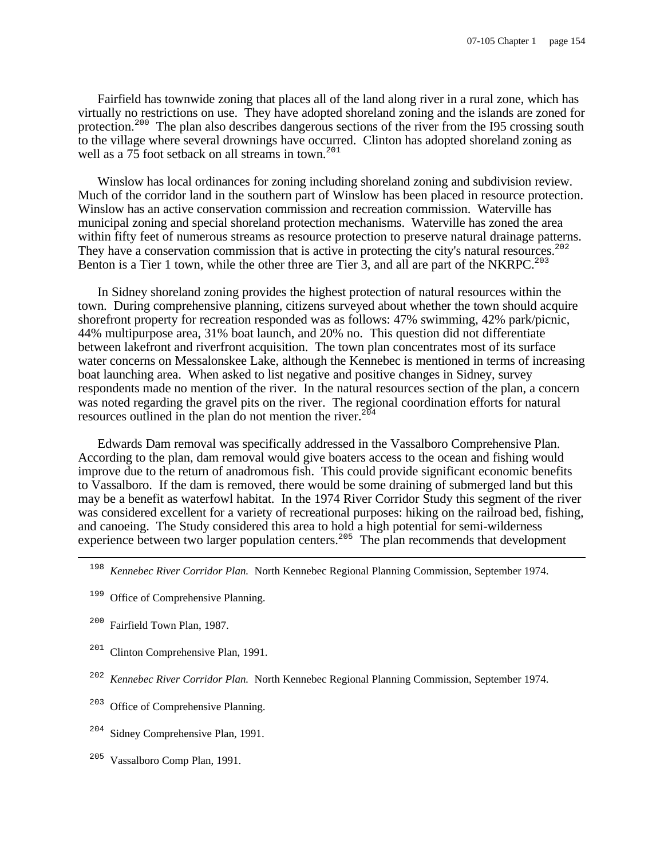Fairfield has townwide zoning that places all of the land along river in a rural zone, which has virtually no restrictions on use. They have adopted shoreland zoning and the islands are zoned for protection.<sup>200</sup> The plan also describes dangerous sections of the river from the I95 crossing south to the village where several drownings have occurred. Clinton has adopted shoreland zoning as well as a 75 foot setback on all streams in town.<sup>201</sup>

Winslow has local ordinances for zoning including shoreland zoning and subdivision review. Much of the corridor land in the southern part of Winslow has been placed in resource protection. Winslow has an active conservation commission and recreation commission. Waterville has municipal zoning and special shoreland protection mechanisms. Waterville has zoned the area within fifty feet of numerous streams as resource protection to preserve natural drainage patterns. They have a conservation commission that is active in protecting the city's natural resources.<sup>202</sup> Benton is a Tier 1 town, while the other three are Tier  $\overline{3}$ , and all are part of the NKRPC.<sup>203</sup>

In Sidney shoreland zoning provides the highest protection of natural resources within the town. During comprehensive planning, citizens surveyed about whether the town should acquire shorefront property for recreation responded was as follows: 47% swimming, 42% park/picnic, 44% multipurpose area, 31% boat launch, and 20% no. This question did not differentiate between lakefront and riverfront acquisition. The town plan concentrates most of its surface water concerns on Messalonskee Lake, although the Kennebec is mentioned in terms of increasing boat launching area. When asked to list negative and positive changes in Sidney, survey respondents made no mention of the river. In the natural resources section of the plan, a concern was noted regarding the gravel pits on the river. The regional coordination efforts for natural resources outlined in the plan do not mention the river.<sup>204</sup>

Edwards Dam removal was specifically addressed in the Vassalboro Comprehensive Plan. According to the plan, dam removal would give boaters access to the ocean and fishing would improve due to the return of anadromous fish. This could provide significant economic benefits to Vassalboro. If the dam is removed, there would be some draining of submerged land but this may be a benefit as waterfowl habitat. In the 1974 River Corridor Study this segment of the river was considered excellent for a variety of recreational purposes: hiking on the railroad bed, fishing, and canoeing. The Study considered this area to hold a high potential for semi-wilderness experience between two larger population centers.<sup>205</sup> The plan recommends that development

<sup>200</sup> Fairfield Town Plan, 1987.

i

- <sup>201</sup> Clinton Comprehensive Plan, 1991.
- 202 *Kennebec River Corridor Plan.* North Kennebec Regional Planning Commission, September 1974.
- <sup>203</sup> Office of Comprehensive Planning.
- <sup>204</sup> Sidney Comprehensive Plan, 1991.
- <sup>205</sup> Vassalboro Comp Plan, 1991.

<sup>198</sup> *Kennebec River Corridor Plan.* North Kennebec Regional Planning Commission, September 1974.

<sup>&</sup>lt;sup>199</sup> Office of Comprehensive Planning.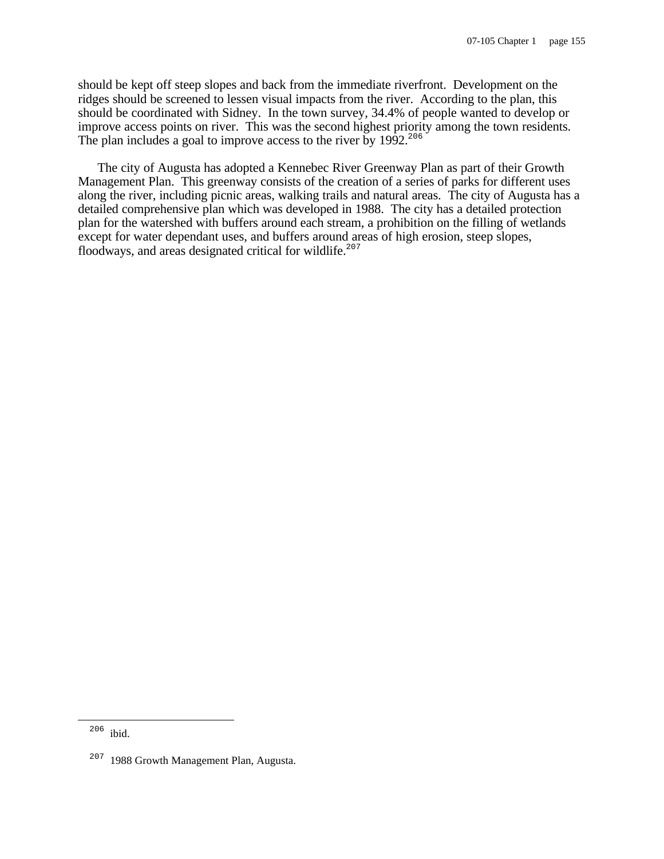should be kept off steep slopes and back from the immediate riverfront. Development on the ridges should be screened to lessen visual impacts from the river. According to the plan, this should be coordinated with Sidney. In the town survey, 34.4% of people wanted to develop or improve access points on river. This was the second highest priority among the town residents. The plan includes a goal to improve access to the river by 1992.<sup>206</sup>

The city of Augusta has adopted a Kennebec River Greenway Plan as part of their Growth Management Plan. This greenway consists of the creation of a series of parks for different uses along the river, including picnic areas, walking trails and natural areas. The city of Augusta has a detailed comprehensive plan which was developed in 1988. The city has a detailed protection plan for the watershed with buffers around each stream, a prohibition on the filling of wetlands except for water dependant uses, and buffers around areas of high erosion, steep slopes, floodways, and areas designated critical for wildlife.<sup>207</sup>

i

<sup>206</sup> ibid.

<sup>&</sup>lt;sup>207</sup> 1988 Growth Management Plan, Augusta.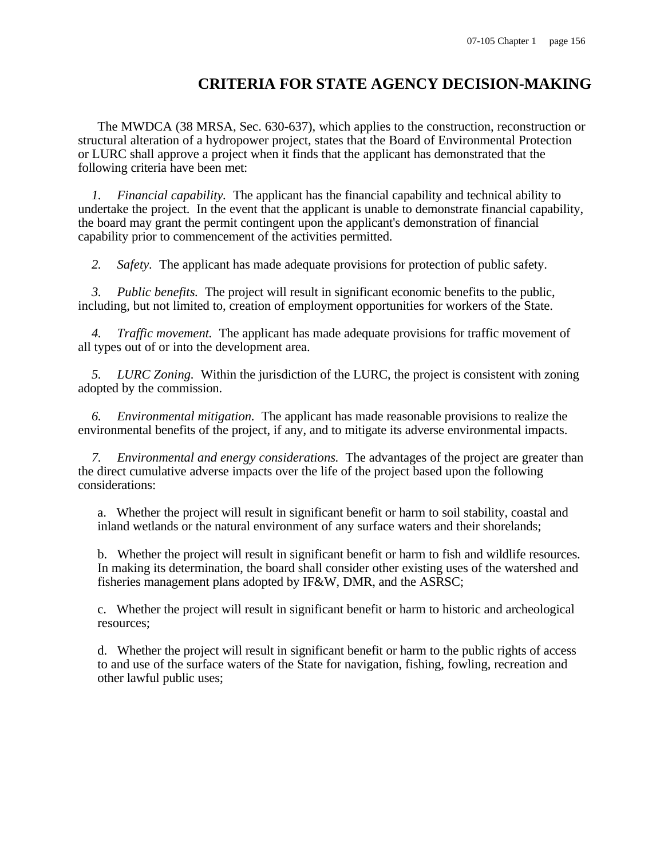# **CRITERIA FOR STATE AGENCY DECISION-MAKING**

The MWDCA (38 MRSA, Sec. 630-637), which applies to the construction, reconstruction or structural alteration of a hydropower project, states that the Board of Environmental Protection or LURC shall approve a project when it finds that the applicant has demonstrated that the following criteria have been met:

 *1. Financial capability.* The applicant has the financial capability and technical ability to undertake the project. In the event that the applicant is unable to demonstrate financial capability, the board may grant the permit contingent upon the applicant's demonstration of financial capability prior to commencement of the activities permitted.

*2. Safety.* The applicant has made adequate provisions for protection of public safety.

 *3. Public benefits.* The project will result in significant economic benefits to the public, including, but not limited to, creation of employment opportunities for workers of the State.

 *4. Traffic movement.* The applicant has made adequate provisions for traffic movement of all types out of or into the development area.

 *5. LURC Zoning.* Within the jurisdiction of the LURC, the project is consistent with zoning adopted by the commission.

 *6. Environmental mitigation.* The applicant has made reasonable provisions to realize the environmental benefits of the project, if any, and to mitigate its adverse environmental impacts.

 *7. Environmental and energy considerations.* The advantages of the project are greater than the direct cumulative adverse impacts over the life of the project based upon the following considerations:

a. Whether the project will result in significant benefit or harm to soil stability, coastal and inland wetlands or the natural environment of any surface waters and their shorelands;

b. Whether the project will result in significant benefit or harm to fish and wildlife resources. In making its determination, the board shall consider other existing uses of the watershed and fisheries management plans adopted by IF&W, DMR, and the ASRSC;

c. Whether the project will result in significant benefit or harm to historic and archeological resources;

d. Whether the project will result in significant benefit or harm to the public rights of access to and use of the surface waters of the State for navigation, fishing, fowling, recreation and other lawful public uses;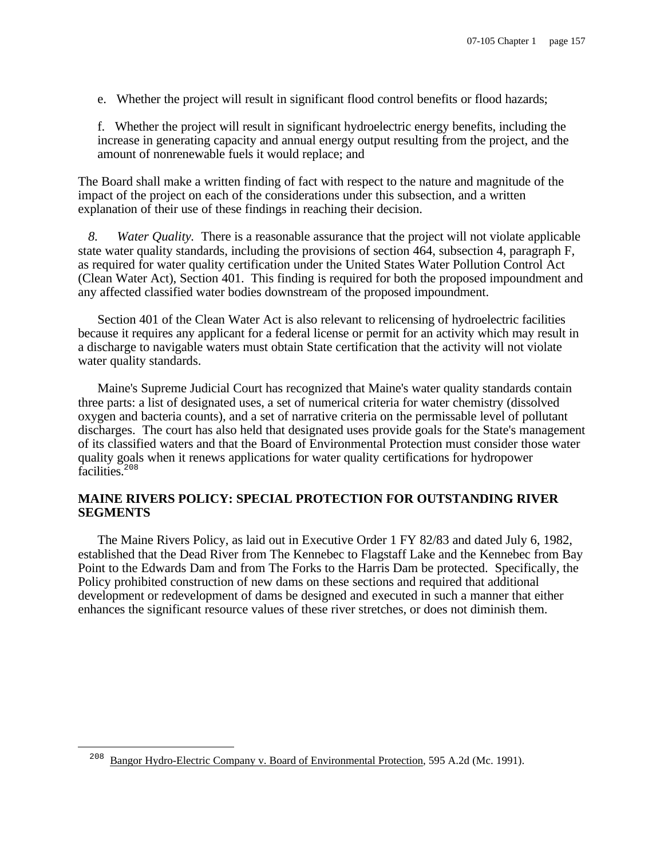e. Whether the project will result in significant flood control benefits or flood hazards;

f. Whether the project will result in significant hydroelectric energy benefits, including the increase in generating capacity and annual energy output resulting from the project, and the amount of nonrenewable fuels it would replace; and

The Board shall make a written finding of fact with respect to the nature and magnitude of the impact of the project on each of the considerations under this subsection, and a written explanation of their use of these findings in reaching their decision.

 *8. Water Quality.* There is a reasonable assurance that the project will not violate applicable state water quality standards, including the provisions of section 464, subsection 4, paragraph F, as required for water quality certification under the United States Water Pollution Control Act (Clean Water Act), Section 401. This finding is required for both the proposed impoundment and any affected classified water bodies downstream of the proposed impoundment.

Section 401 of the Clean Water Act is also relevant to relicensing of hydroelectric facilities because it requires any applicant for a federal license or permit for an activity which may result in a discharge to navigable waters must obtain State certification that the activity will not violate water quality standards.

Maine's Supreme Judicial Court has recognized that Maine's water quality standards contain three parts: a list of designated uses, a set of numerical criteria for water chemistry (dissolved oxygen and bacteria counts), and a set of narrative criteria on the permissable level of pollutant discharges. The court has also held that designated uses provide goals for the State's management of its classified waters and that the Board of Environmental Protection must consider those water quality goals when it renews applications for water quality certifications for hydropower facilities.<sup>208</sup>

# **MAINE RIVERS POLICY: SPECIAL PROTECTION FOR OUTSTANDING RIVER SEGMENTS**

The Maine Rivers Policy, as laid out in Executive Order 1 FY 82/83 and dated July 6, 1982, established that the Dead River from The Kennebec to Flagstaff Lake and the Kennebec from Bay Point to the Edwards Dam and from The Forks to the Harris Dam be protected. Specifically, the Policy prohibited construction of new dams on these sections and required that additional development or redevelopment of dams be designed and executed in such a manner that either enhances the significant resource values of these river stretches, or does not diminish them.

i

<sup>208</sup> Bangor Hydro-Electric Company v. Board of Environmental Protection, 595 A.2d (Mc. 1991).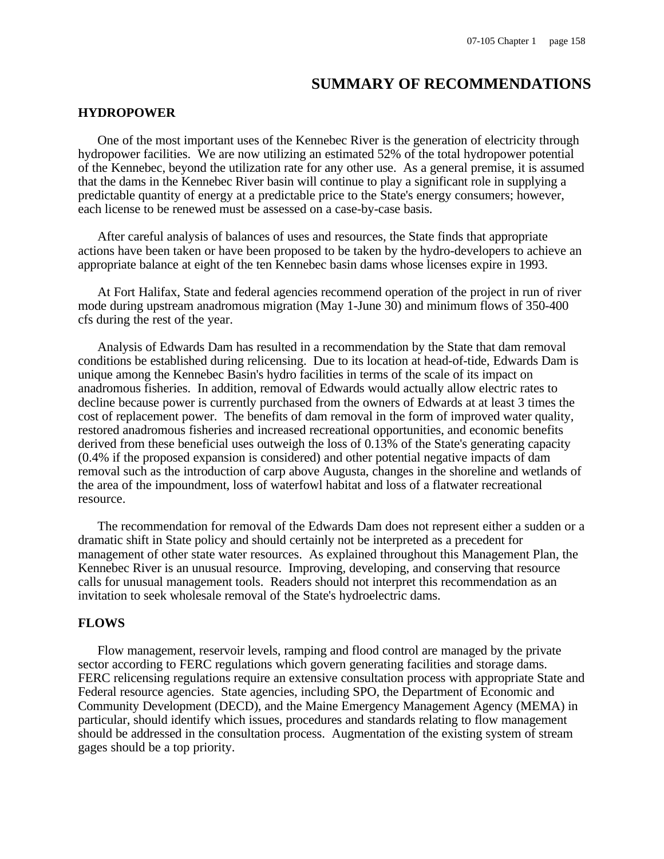# **SUMMARY OF RECOMMENDATIONS**

# **HYDROPOWER**

One of the most important uses of the Kennebec River is the generation of electricity through hydropower facilities. We are now utilizing an estimated 52% of the total hydropower potential of the Kennebec, beyond the utilization rate for any other use. As a general premise, it is assumed that the dams in the Kennebec River basin will continue to play a significant role in supplying a predictable quantity of energy at a predictable price to the State's energy consumers; however, each license to be renewed must be assessed on a case-by-case basis.

After careful analysis of balances of uses and resources, the State finds that appropriate actions have been taken or have been proposed to be taken by the hydro-developers to achieve an appropriate balance at eight of the ten Kennebec basin dams whose licenses expire in 1993.

At Fort Halifax, State and federal agencies recommend operation of the project in run of river mode during upstream anadromous migration (May 1-June 30) and minimum flows of 350-400 cfs during the rest of the year.

Analysis of Edwards Dam has resulted in a recommendation by the State that dam removal conditions be established during relicensing. Due to its location at head-of-tide, Edwards Dam is unique among the Kennebec Basin's hydro facilities in terms of the scale of its impact on anadromous fisheries. In addition, removal of Edwards would actually allow electric rates to decline because power is currently purchased from the owners of Edwards at at least 3 times the cost of replacement power. The benefits of dam removal in the form of improved water quality, restored anadromous fisheries and increased recreational opportunities, and economic benefits derived from these beneficial uses outweigh the loss of 0.13% of the State's generating capacity (0.4% if the proposed expansion is considered) and other potential negative impacts of dam removal such as the introduction of carp above Augusta, changes in the shoreline and wetlands of the area of the impoundment, loss of waterfowl habitat and loss of a flatwater recreational resource.

The recommendation for removal of the Edwards Dam does not represent either a sudden or a dramatic shift in State policy and should certainly not be interpreted as a precedent for management of other state water resources. As explained throughout this Management Plan, the Kennebec River is an unusual resource. Improving, developing, and conserving that resource calls for unusual management tools. Readers should not interpret this recommendation as an invitation to seek wholesale removal of the State's hydroelectric dams.

## **FLOWS**

Flow management, reservoir levels, ramping and flood control are managed by the private sector according to FERC regulations which govern generating facilities and storage dams. FERC relicensing regulations require an extensive consultation process with appropriate State and Federal resource agencies. State agencies, including SPO, the Department of Economic and Community Development (DECD), and the Maine Emergency Management Agency (MEMA) in particular, should identify which issues, procedures and standards relating to flow management should be addressed in the consultation process. Augmentation of the existing system of stream gages should be a top priority.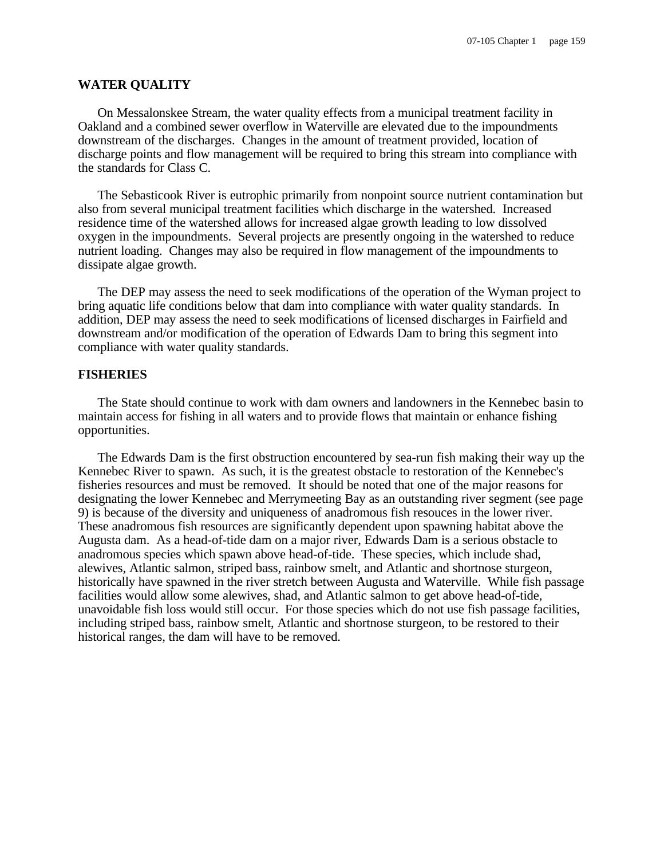#### **WATER QUALITY**

On Messalonskee Stream, the water quality effects from a municipal treatment facility in Oakland and a combined sewer overflow in Waterville are elevated due to the impoundments downstream of the discharges. Changes in the amount of treatment provided, location of discharge points and flow management will be required to bring this stream into compliance with the standards for Class C.

The Sebasticook River is eutrophic primarily from nonpoint source nutrient contamination but also from several municipal treatment facilities which discharge in the watershed. Increased residence time of the watershed allows for increased algae growth leading to low dissolved oxygen in the impoundments. Several projects are presently ongoing in the watershed to reduce nutrient loading. Changes may also be required in flow management of the impoundments to dissipate algae growth.

The DEP may assess the need to seek modifications of the operation of the Wyman project to bring aquatic life conditions below that dam into compliance with water quality standards. In addition, DEP may assess the need to seek modifications of licensed discharges in Fairfield and downstream and/or modification of the operation of Edwards Dam to bring this segment into compliance with water quality standards.

## **FISHERIES**

The State should continue to work with dam owners and landowners in the Kennebec basin to maintain access for fishing in all waters and to provide flows that maintain or enhance fishing opportunities.

The Edwards Dam is the first obstruction encountered by sea-run fish making their way up the Kennebec River to spawn. As such, it is the greatest obstacle to restoration of the Kennebec's fisheries resources and must be removed. It should be noted that one of the major reasons for designating the lower Kennebec and Merrymeeting Bay as an outstanding river segment (see page 9) is because of the diversity and uniqueness of anadromous fish resouces in the lower river. These anadromous fish resources are significantly dependent upon spawning habitat above the Augusta dam. As a head-of-tide dam on a major river, Edwards Dam is a serious obstacle to anadromous species which spawn above head-of-tide. These species, which include shad, alewives, Atlantic salmon, striped bass, rainbow smelt, and Atlantic and shortnose sturgeon, historically have spawned in the river stretch between Augusta and Waterville. While fish passage facilities would allow some alewives, shad, and Atlantic salmon to get above head-of-tide, unavoidable fish loss would still occur. For those species which do not use fish passage facilities, including striped bass, rainbow smelt, Atlantic and shortnose sturgeon, to be restored to their historical ranges, the dam will have to be removed.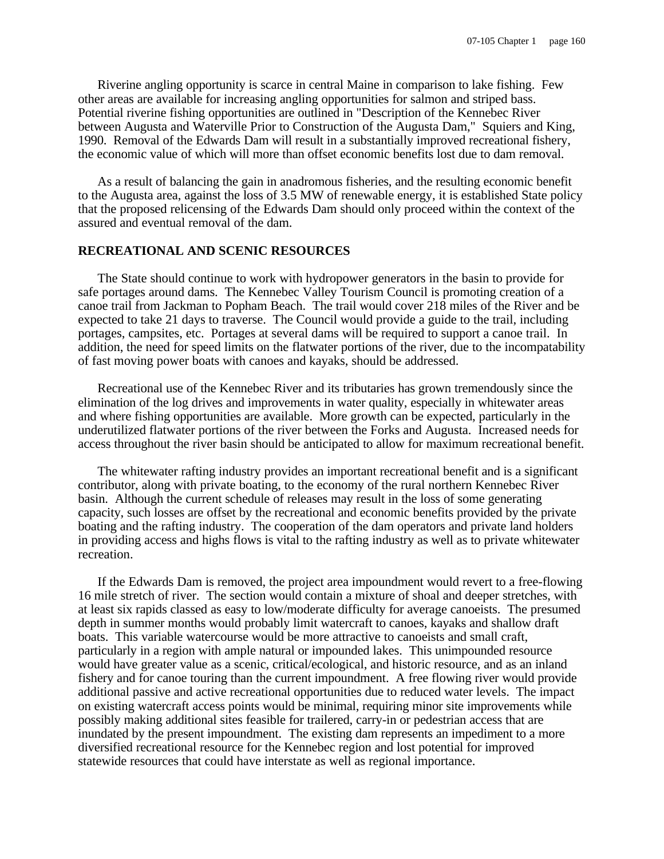Riverine angling opportunity is scarce in central Maine in comparison to lake fishing. Few other areas are available for increasing angling opportunities for salmon and striped bass. Potential riverine fishing opportunities are outlined in "Description of the Kennebec River between Augusta and Waterville Prior to Construction of the Augusta Dam," Squiers and King, 1990. Removal of the Edwards Dam will result in a substantially improved recreational fishery, the economic value of which will more than offset economic benefits lost due to dam removal.

As a result of balancing the gain in anadromous fisheries, and the resulting economic benefit to the Augusta area, against the loss of 3.5 MW of renewable energy, it is established State policy that the proposed relicensing of the Edwards Dam should only proceed within the context of the assured and eventual removal of the dam.

# **RECREATIONAL AND SCENIC RESOURCES**

The State should continue to work with hydropower generators in the basin to provide for safe portages around dams. The Kennebec Valley Tourism Council is promoting creation of a canoe trail from Jackman to Popham Beach. The trail would cover 218 miles of the River and be expected to take 21 days to traverse. The Council would provide a guide to the trail, including portages, campsites, etc. Portages at several dams will be required to support a canoe trail. In addition, the need for speed limits on the flatwater portions of the river, due to the incompatability of fast moving power boats with canoes and kayaks, should be addressed.

Recreational use of the Kennebec River and its tributaries has grown tremendously since the elimination of the log drives and improvements in water quality, especially in whitewater areas and where fishing opportunities are available. More growth can be expected, particularly in the underutilized flatwater portions of the river between the Forks and Augusta. Increased needs for access throughout the river basin should be anticipated to allow for maximum recreational benefit.

The whitewater rafting industry provides an important recreational benefit and is a significant contributor, along with private boating, to the economy of the rural northern Kennebec River basin. Although the current schedule of releases may result in the loss of some generating capacity, such losses are offset by the recreational and economic benefits provided by the private boating and the rafting industry. The cooperation of the dam operators and private land holders in providing access and highs flows is vital to the rafting industry as well as to private whitewater recreation.

If the Edwards Dam is removed, the project area impoundment would revert to a free-flowing 16 mile stretch of river. The section would contain a mixture of shoal and deeper stretches, with at least six rapids classed as easy to low/moderate difficulty for average canoeists. The presumed depth in summer months would probably limit watercraft to canoes, kayaks and shallow draft boats. This variable watercourse would be more attractive to canoeists and small craft, particularly in a region with ample natural or impounded lakes. This unimpounded resource would have greater value as a scenic, critical/ecological, and historic resource, and as an inland fishery and for canoe touring than the current impoundment. A free flowing river would provide additional passive and active recreational opportunities due to reduced water levels. The impact on existing watercraft access points would be minimal, requiring minor site improvements while possibly making additional sites feasible for trailered, carry-in or pedestrian access that are inundated by the present impoundment. The existing dam represents an impediment to a more diversified recreational resource for the Kennebec region and lost potential for improved statewide resources that could have interstate as well as regional importance.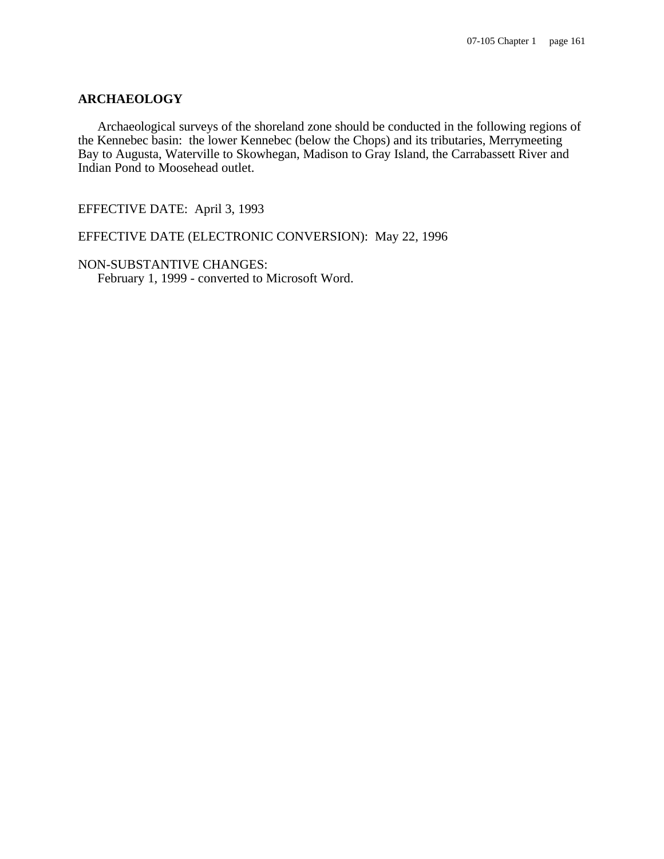# **ARCHAEOLOGY**

Archaeological surveys of the shoreland zone should be conducted in the following regions of the Kennebec basin: the lower Kennebec (below the Chops) and its tributaries, Merrymeeting Bay to Augusta, Waterville to Skowhegan, Madison to Gray Island, the Carrabassett River and Indian Pond to Moosehead outlet.

EFFECTIVE DATE: April 3, 1993

EFFECTIVE DATE (ELECTRONIC CONVERSION): May 22, 1996

NON-SUBSTANTIVE CHANGES: February 1, 1999 - converted to Microsoft Word.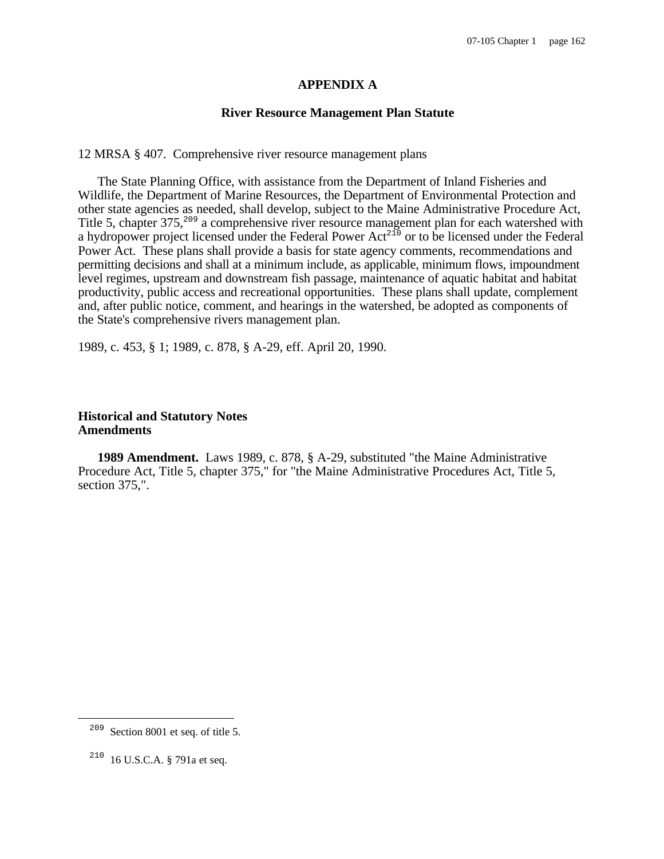# **APPENDIX A**

### **River Resource Management Plan Statute**

12 MRSA § 407. Comprehensive river resource management plans

The State Planning Office, with assistance from the Department of Inland Fisheries and Wildlife, the Department of Marine Resources, the Department of Environmental Protection and other state agencies as needed, shall develop, subject to the Maine Administrative Procedure Act, Title 5, chapter 375,<sup>209</sup> a comprehensive river resource management plan for each watershed with a hydropower project licensed under the Federal Power  $Act^{210}$  or to be licensed under the Federal Power Act. These plans shall provide a basis for state agency comments, recommendations and permitting decisions and shall at a minimum include, as applicable, minimum flows, impoundment level regimes, upstream and downstream fish passage, maintenance of aquatic habitat and habitat productivity, public access and recreational opportunities. These plans shall update, complement and, after public notice, comment, and hearings in the watershed, be adopted as components of the State's comprehensive rivers management plan.

1989, c. 453, § 1; 1989, c. 878, § A-29, eff. April 20, 1990.

# **Historical and Statutory Notes Amendments**

**1989 Amendment.** Laws 1989, c. 878, § A-29, substituted "the Maine Administrative Procedure Act, Title 5, chapter 375," for "the Maine Administrative Procedures Act, Title 5, section 375,".

 $\overline{\phantom{0}}$ 

<sup>209</sup> Section 8001 et seq. of title 5.

<sup>210</sup> 16 U.S.C.A. § 791a et seq.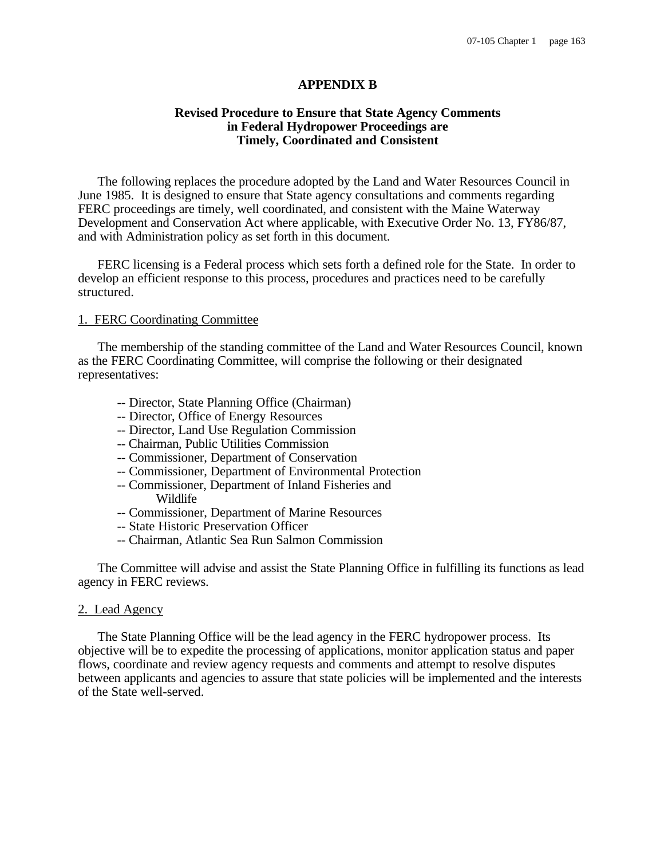# **APPENDIX B**

# **Revised Procedure to Ensure that State Agency Comments in Federal Hydropower Proceedings are Timely, Coordinated and Consistent**

The following replaces the procedure adopted by the Land and Water Resources Council in June 1985. It is designed to ensure that State agency consultations and comments regarding FERC proceedings are timely, well coordinated, and consistent with the Maine Waterway Development and Conservation Act where applicable, with Executive Order No. 13, FY86/87, and with Administration policy as set forth in this document.

FERC licensing is a Federal process which sets forth a defined role for the State. In order to develop an efficient response to this process, procedures and practices need to be carefully structured.

#### 1. FERC Coordinating Committee

The membership of the standing committee of the Land and Water Resources Council, known as the FERC Coordinating Committee, will comprise the following or their designated representatives:

- -- Director, State Planning Office (Chairman)
- -- Director, Office of Energy Resources
- -- Director, Land Use Regulation Commission
- -- Chairman, Public Utilities Commission
- -- Commissioner, Department of Conservation
- -- Commissioner, Department of Environmental Protection
- -- Commissioner, Department of Inland Fisheries and Wildlife
- -- Commissioner, Department of Marine Resources
- -- State Historic Preservation Officer
- -- Chairman, Atlantic Sea Run Salmon Commission

The Committee will advise and assist the State Planning Office in fulfilling its functions as lead agency in FERC reviews.

#### 2. Lead Agency

The State Planning Office will be the lead agency in the FERC hydropower process. Its objective will be to expedite the processing of applications, monitor application status and paper flows, coordinate and review agency requests and comments and attempt to resolve disputes between applicants and agencies to assure that state policies will be implemented and the interests of the State well-served.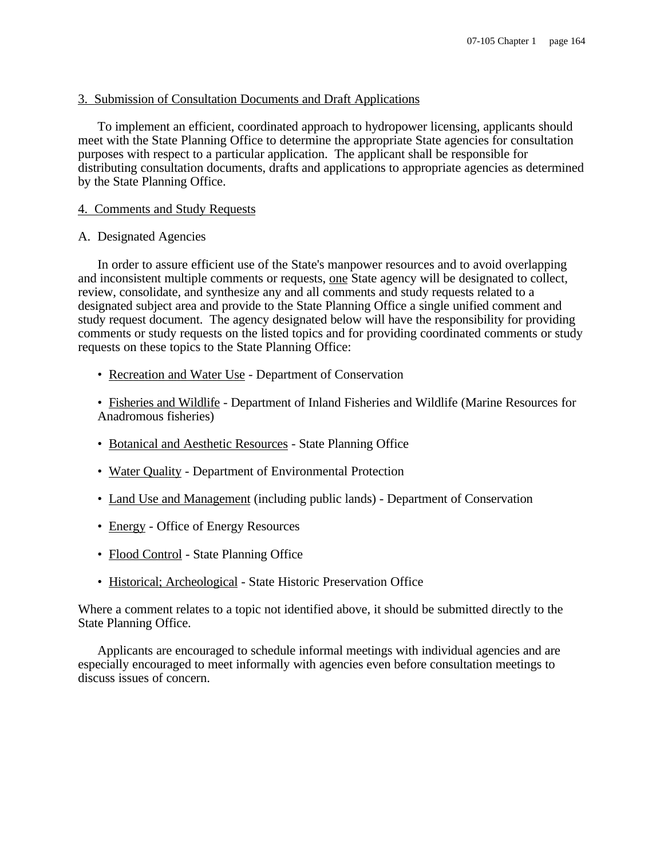# 3. Submission of Consultation Documents and Draft Applications

To implement an efficient, coordinated approach to hydropower licensing, applicants should meet with the State Planning Office to determine the appropriate State agencies for consultation purposes with respect to a particular application. The applicant shall be responsible for distributing consultation documents, drafts and applications to appropriate agencies as determined by the State Planning Office.

# 4. Comments and Study Requests

### A. Designated Agencies

In order to assure efficient use of the State's manpower resources and to avoid overlapping and inconsistent multiple comments or requests, one State agency will be designated to collect, review, consolidate, and synthesize any and all comments and study requests related to a designated subject area and provide to the State Planning Office a single unified comment and study request document. The agency designated below will have the responsibility for providing comments or study requests on the listed topics and for providing coordinated comments or study requests on these topics to the State Planning Office:

- Recreation and Water Use Department of Conservation
- Fisheries and Wildlife Department of Inland Fisheries and Wildlife (Marine Resources for Anadromous fisheries)
- Botanical and Aesthetic Resources State Planning Office
- Water Quality Department of Environmental Protection
- Land Use and Management (including public lands) Department of Conservation
- Energy Office of Energy Resources
- Flood Control State Planning Office
- Historical; Archeological State Historic Preservation Office

Where a comment relates to a topic not identified above, it should be submitted directly to the State Planning Office.

Applicants are encouraged to schedule informal meetings with individual agencies and are especially encouraged to meet informally with agencies even before consultation meetings to discuss issues of concern.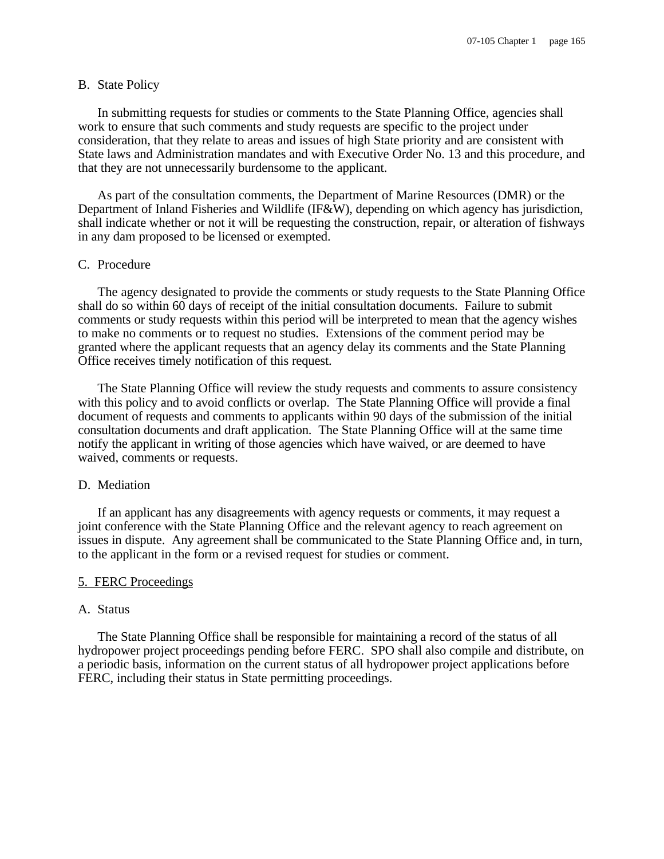#### B. State Policy

In submitting requests for studies or comments to the State Planning Office, agencies shall work to ensure that such comments and study requests are specific to the project under consideration, that they relate to areas and issues of high State priority and are consistent with State laws and Administration mandates and with Executive Order No. 13 and this procedure, and that they are not unnecessarily burdensome to the applicant.

As part of the consultation comments, the Department of Marine Resources (DMR) or the Department of Inland Fisheries and Wildlife (IF&W), depending on which agency has jurisdiction, shall indicate whether or not it will be requesting the construction, repair, or alteration of fishways in any dam proposed to be licensed or exempted.

# C. Procedure

The agency designated to provide the comments or study requests to the State Planning Office shall do so within 60 days of receipt of the initial consultation documents. Failure to submit comments or study requests within this period will be interpreted to mean that the agency wishes to make no comments or to request no studies. Extensions of the comment period may be granted where the applicant requests that an agency delay its comments and the State Planning Office receives timely notification of this request.

The State Planning Office will review the study requests and comments to assure consistency with this policy and to avoid conflicts or overlap. The State Planning Office will provide a final document of requests and comments to applicants within 90 days of the submission of the initial consultation documents and draft application. The State Planning Office will at the same time notify the applicant in writing of those agencies which have waived, or are deemed to have waived, comments or requests.

# D. Mediation

If an applicant has any disagreements with agency requests or comments, it may request a joint conference with the State Planning Office and the relevant agency to reach agreement on issues in dispute. Any agreement shall be communicated to the State Planning Office and, in turn, to the applicant in the form or a revised request for studies or comment.

### 5. FERC Proceedings

#### A. Status

The State Planning Office shall be responsible for maintaining a record of the status of all hydropower project proceedings pending before FERC. SPO shall also compile and distribute, on a periodic basis, information on the current status of all hydropower project applications before FERC, including their status in State permitting proceedings.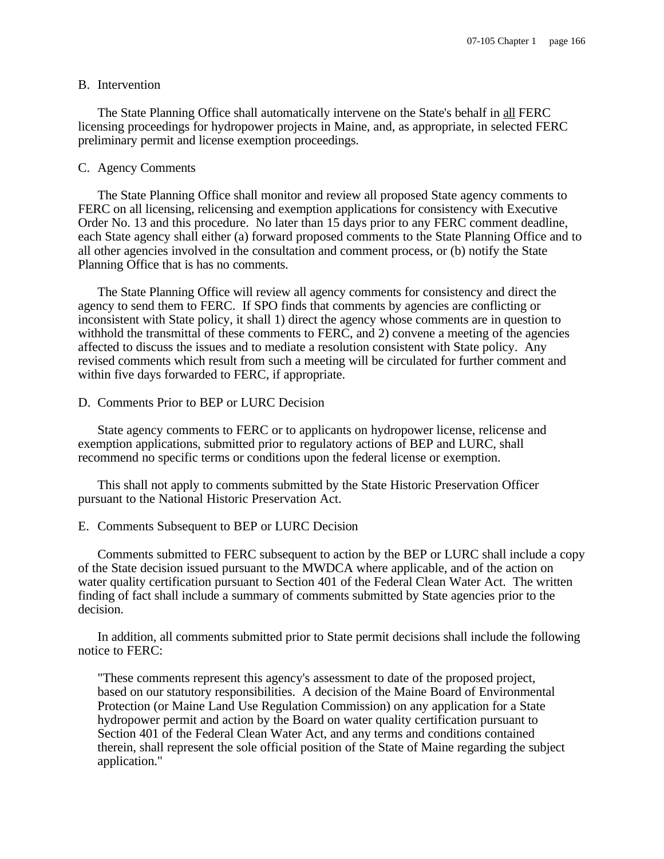#### B. Intervention

The State Planning Office shall automatically intervene on the State's behalf in all FERC licensing proceedings for hydropower projects in Maine, and, as appropriate, in selected FERC preliminary permit and license exemption proceedings.

#### C. Agency Comments

The State Planning Office shall monitor and review all proposed State agency comments to FERC on all licensing, relicensing and exemption applications for consistency with Executive Order No. 13 and this procedure. No later than 15 days prior to any FERC comment deadline, each State agency shall either (a) forward proposed comments to the State Planning Office and to all other agencies involved in the consultation and comment process, or (b) notify the State Planning Office that is has no comments.

The State Planning Office will review all agency comments for consistency and direct the agency to send them to FERC. If SPO finds that comments by agencies are conflicting or inconsistent with State policy, it shall 1) direct the agency whose comments are in question to withhold the transmittal of these comments to FERC, and 2) convene a meeting of the agencies affected to discuss the issues and to mediate a resolution consistent with State policy. Any revised comments which result from such a meeting will be circulated for further comment and within five days forwarded to FERC, if appropriate.

# D. Comments Prior to BEP or LURC Decision

State agency comments to FERC or to applicants on hydropower license, relicense and exemption applications, submitted prior to regulatory actions of BEP and LURC, shall recommend no specific terms or conditions upon the federal license or exemption.

This shall not apply to comments submitted by the State Historic Preservation Officer pursuant to the National Historic Preservation Act.

#### E. Comments Subsequent to BEP or LURC Decision

Comments submitted to FERC subsequent to action by the BEP or LURC shall include a copy of the State decision issued pursuant to the MWDCA where applicable, and of the action on water quality certification pursuant to Section 401 of the Federal Clean Water Act. The written finding of fact shall include a summary of comments submitted by State agencies prior to the decision.

In addition, all comments submitted prior to State permit decisions shall include the following notice to FERC:

"These comments represent this agency's assessment to date of the proposed project, based on our statutory responsibilities. A decision of the Maine Board of Environmental Protection (or Maine Land Use Regulation Commission) on any application for a State hydropower permit and action by the Board on water quality certification pursuant to Section 401 of the Federal Clean Water Act, and any terms and conditions contained therein, shall represent the sole official position of the State of Maine regarding the subject application."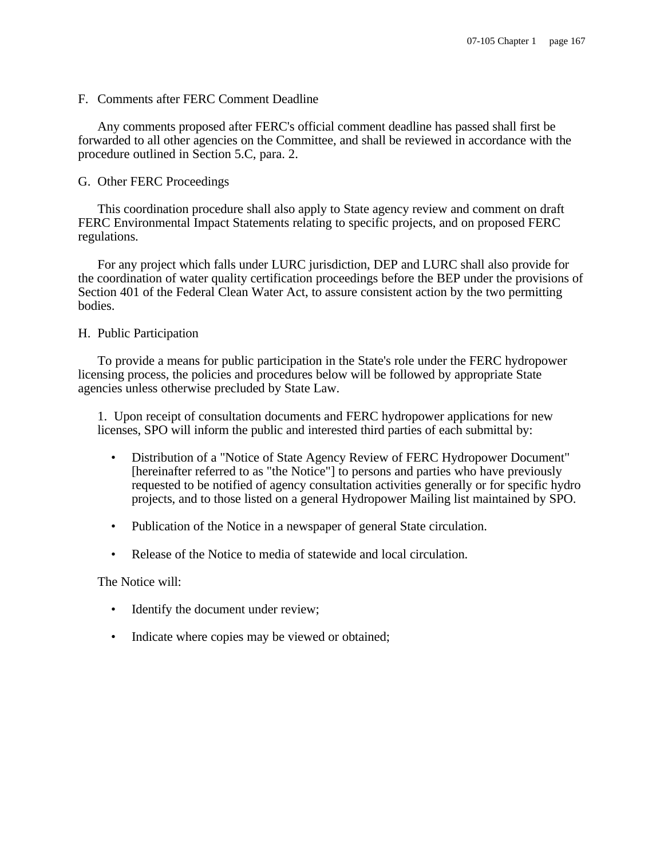### F. Comments after FERC Comment Deadline

Any comments proposed after FERC's official comment deadline has passed shall first be forwarded to all other agencies on the Committee, and shall be reviewed in accordance with the procedure outlined in Section 5.C, para. 2.

# G. Other FERC Proceedings

This coordination procedure shall also apply to State agency review and comment on draft FERC Environmental Impact Statements relating to specific projects, and on proposed FERC regulations.

For any project which falls under LURC jurisdiction, DEP and LURC shall also provide for the coordination of water quality certification proceedings before the BEP under the provisions of Section 401 of the Federal Clean Water Act, to assure consistent action by the two permitting bodies.

# H. Public Participation

To provide a means for public participation in the State's role under the FERC hydropower licensing process, the policies and procedures below will be followed by appropriate State agencies unless otherwise precluded by State Law.

1. Upon receipt of consultation documents and FERC hydropower applications for new licenses, SPO will inform the public and interested third parties of each submittal by:

- Distribution of a "Notice of State Agency Review of FERC Hydropower Document" [hereinafter referred to as "the Notice"] to persons and parties who have previously requested to be notified of agency consultation activities generally or for specific hydro projects, and to those listed on a general Hydropower Mailing list maintained by SPO.
- Publication of the Notice in a newspaper of general State circulation.
- Release of the Notice to media of statewide and local circulation.

The Notice will:

- Identify the document under review;
- Indicate where copies may be viewed or obtained;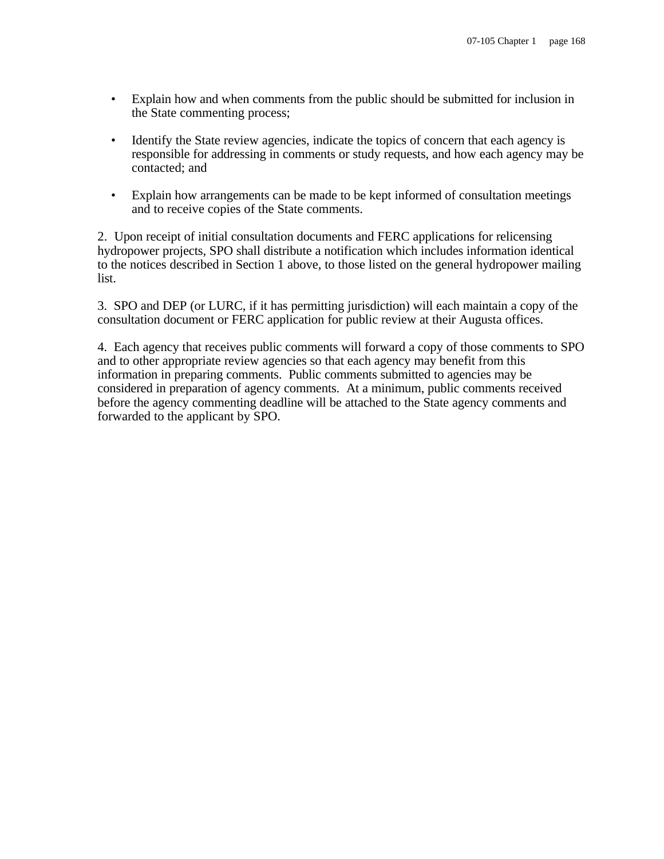- Explain how and when comments from the public should be submitted for inclusion in the State commenting process;
- Identify the State review agencies, indicate the topics of concern that each agency is responsible for addressing in comments or study requests, and how each agency may be contacted; and
- Explain how arrangements can be made to be kept informed of consultation meetings and to receive copies of the State comments.

2. Upon receipt of initial consultation documents and FERC applications for relicensing hydropower projects, SPO shall distribute a notification which includes information identical to the notices described in Section 1 above, to those listed on the general hydropower mailing list.

3. SPO and DEP (or LURC, if it has permitting jurisdiction) will each maintain a copy of the consultation document or FERC application for public review at their Augusta offices.

4. Each agency that receives public comments will forward a copy of those comments to SPO and to other appropriate review agencies so that each agency may benefit from this information in preparing comments. Public comments submitted to agencies may be considered in preparation of agency comments. At a minimum, public comments received before the agency commenting deadline will be attached to the State agency comments and forwarded to the applicant by SPO.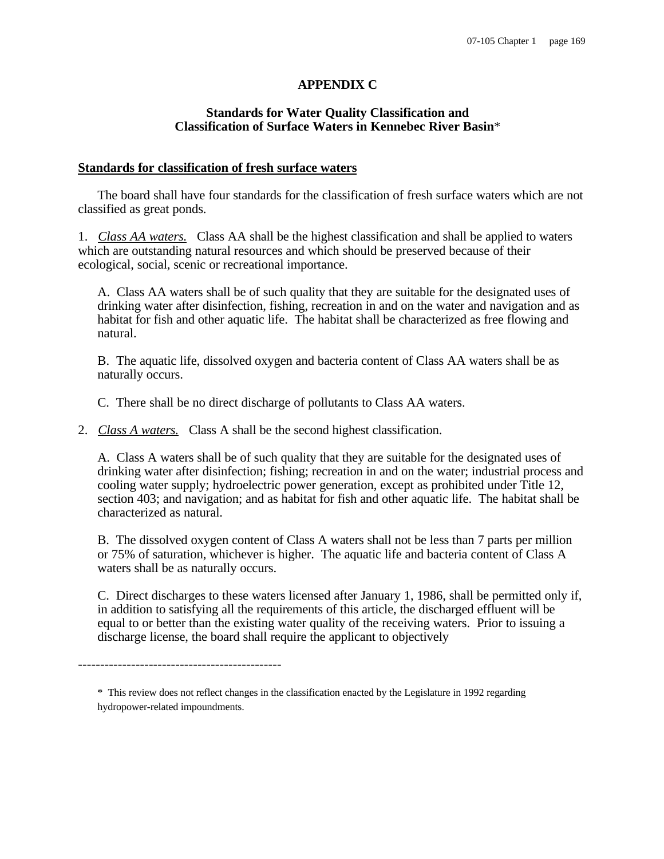# **APPENDIX C**

# **Standards for Water Quality Classification and Classification of Surface Waters in Kennebec River Basin**\*

### **Standards for classification of fresh surface waters**

The board shall have four standards for the classification of fresh surface waters which are not classified as great ponds.

1. *Class AA waters.* Class AA shall be the highest classification and shall be applied to waters which are outstanding natural resources and which should be preserved because of their ecological, social, scenic or recreational importance.

A. Class AA waters shall be of such quality that they are suitable for the designated uses of drinking water after disinfection, fishing, recreation in and on the water and navigation and as habitat for fish and other aquatic life. The habitat shall be characterized as free flowing and natural.

B. The aquatic life, dissolved oxygen and bacteria content of Class AA waters shall be as naturally occurs.

C. There shall be no direct discharge of pollutants to Class AA waters.

2. *Class A waters.* Class A shall be the second highest classification.

A. Class A waters shall be of such quality that they are suitable for the designated uses of drinking water after disinfection; fishing; recreation in and on the water; industrial process and cooling water supply; hydroelectric power generation, except as prohibited under Title 12, section 403; and navigation; and as habitat for fish and other aquatic life. The habitat shall be characterized as natural.

B. The dissolved oxygen content of Class A waters shall not be less than 7 parts per million or 75% of saturation, whichever is higher. The aquatic life and bacteria content of Class A waters shall be as naturally occurs.

C. Direct discharges to these waters licensed after January 1, 1986, shall be permitted only if, in addition to satisfying all the requirements of this article, the discharged effluent will be equal to or better than the existing water quality of the receiving waters. Prior to issuing a discharge license, the board shall require the applicant to objectively

----------------------------------------------

<sup>\*</sup> This review does not reflect changes in the classification enacted by the Legislature in 1992 regarding hydropower-related impoundments.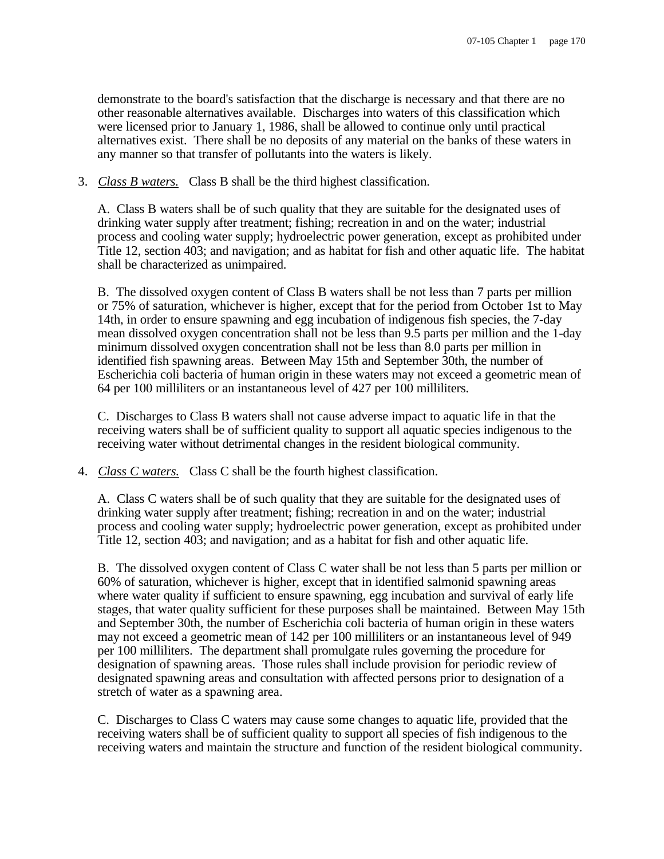demonstrate to the board's satisfaction that the discharge is necessary and that there are no other reasonable alternatives available. Discharges into waters of this classification which were licensed prior to January 1, 1986, shall be allowed to continue only until practical alternatives exist. There shall be no deposits of any material on the banks of these waters in any manner so that transfer of pollutants into the waters is likely.

3. *Class B waters.* Class B shall be the third highest classification.

A. Class B waters shall be of such quality that they are suitable for the designated uses of drinking water supply after treatment; fishing; recreation in and on the water; industrial process and cooling water supply; hydroelectric power generation, except as prohibited under Title 12, section 403; and navigation; and as habitat for fish and other aquatic life. The habitat shall be characterized as unimpaired.

B. The dissolved oxygen content of Class B waters shall be not less than 7 parts per million or 75% of saturation, whichever is higher, except that for the period from October 1st to May 14th, in order to ensure spawning and egg incubation of indigenous fish species, the 7-day mean dissolved oxygen concentration shall not be less than 9.5 parts per million and the 1-day minimum dissolved oxygen concentration shall not be less than 8.0 parts per million in identified fish spawning areas. Between May 15th and September 30th, the number of Escherichia coli bacteria of human origin in these waters may not exceed a geometric mean of 64 per 100 milliliters or an instantaneous level of 427 per 100 milliliters.

C. Discharges to Class B waters shall not cause adverse impact to aquatic life in that the receiving waters shall be of sufficient quality to support all aquatic species indigenous to the receiving water without detrimental changes in the resident biological community.

4. *Class C waters.* Class C shall be the fourth highest classification.

A. Class C waters shall be of such quality that they are suitable for the designated uses of drinking water supply after treatment; fishing; recreation in and on the water; industrial process and cooling water supply; hydroelectric power generation, except as prohibited under Title 12, section 403; and navigation; and as a habitat for fish and other aquatic life.

B. The dissolved oxygen content of Class C water shall be not less than 5 parts per million or 60% of saturation, whichever is higher, except that in identified salmonid spawning areas where water quality if sufficient to ensure spawning, egg incubation and survival of early life stages, that water quality sufficient for these purposes shall be maintained. Between May 15th and September 30th, the number of Escherichia coli bacteria of human origin in these waters may not exceed a geometric mean of 142 per 100 milliliters or an instantaneous level of 949 per 100 milliliters. The department shall promulgate rules governing the procedure for designation of spawning areas. Those rules shall include provision for periodic review of designated spawning areas and consultation with affected persons prior to designation of a stretch of water as a spawning area.

C. Discharges to Class C waters may cause some changes to aquatic life, provided that the receiving waters shall be of sufficient quality to support all species of fish indigenous to the receiving waters and maintain the structure and function of the resident biological community.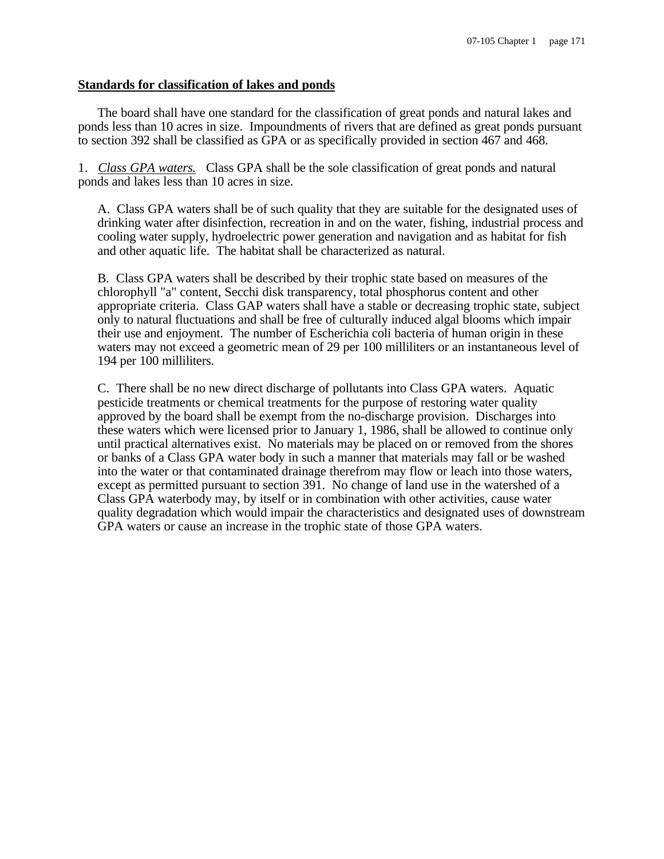## **Standards for classification of lakes and ponds**

The board shall have one standard for the classification of great ponds and natural lakes and ponds less than 10 acres in size. Impoundments of rivers that are defined as great ponds pursuant to section 392 shall be classified as GPA or as specifically provided in section 467 and 468.

1. *Class GPA waters.* Class GPA shall be the sole classification of great ponds and natural ponds and lakes less than 10 acres in size.

A. Class GPA waters shall be of such quality that they are suitable for the designated uses of drinking water after disinfection, recreation in and on the water, fishing, industrial process and cooling water supply, hydroelectric power generation and navigation and as habitat for fish and other aquatic life. The habitat shall be characterized as natural.

B. Class GPA waters shall be described by their trophic state based on measures of the chlorophyll "a" content, Secchi disk transparency, total phosphorus content and other appropriate criteria. Class GAP waters shall have a stable or decreasing trophic state, subject only to natural fluctuations and shall be free of culturally induced algal blooms which impair their use and enjoyment. The number of Escherichia coli bacteria of human origin in these waters may not exceed a geometric mean of 29 per 100 milliliters or an instantaneous level of 194 per 100 milliliters.

C. There shall be no new direct discharge of pollutants into Class GPA waters. Aquatic pesticide treatments or chemical treatments for the purpose of restoring water quality approved by the board shall be exempt from the no-discharge provision. Discharges into these waters which were licensed prior to January 1, 1986, shall be allowed to continue only until practical alternatives exist. No materials may be placed on or removed from the shores or banks of a Class GPA water body in such a manner that materials may fall or be washed into the water or that contaminated drainage therefrom may flow or leach into those waters, except as permitted pursuant to section 391. No change of land use in the watershed of a Class GPA waterbody may, by itself or in combination with other activities, cause water quality degradation which would impair the characteristics and designated uses of downstream GPA waters or cause an increase in the trophic state of those GPA waters.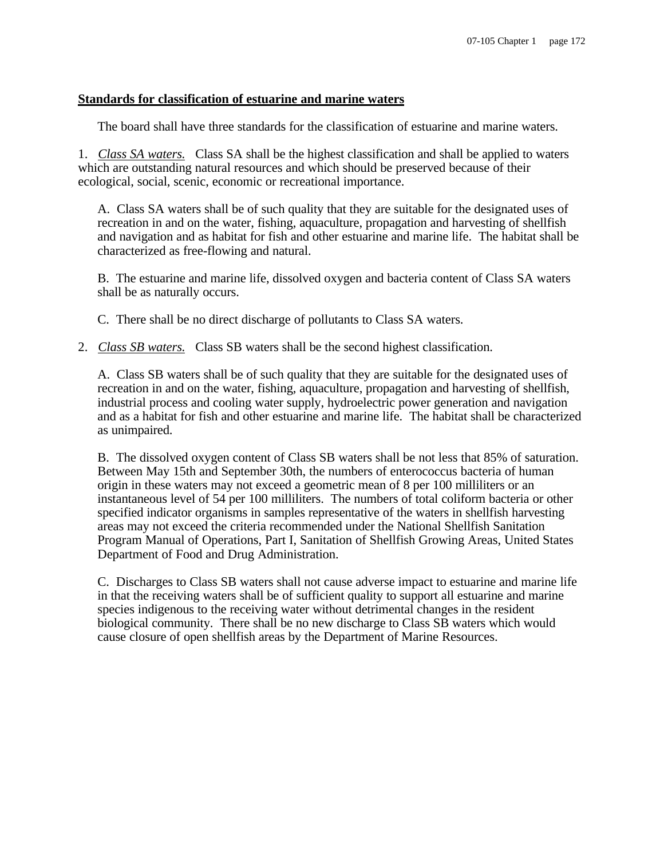# **Standards for classification of estuarine and marine waters**

The board shall have three standards for the classification of estuarine and marine waters.

1. *Class SA waters.* Class SA shall be the highest classification and shall be applied to waters which are outstanding natural resources and which should be preserved because of their ecological, social, scenic, economic or recreational importance.

A. Class SA waters shall be of such quality that they are suitable for the designated uses of recreation in and on the water, fishing, aquaculture, propagation and harvesting of shellfish and navigation and as habitat for fish and other estuarine and marine life. The habitat shall be characterized as free-flowing and natural.

B. The estuarine and marine life, dissolved oxygen and bacteria content of Class SA waters shall be as naturally occurs.

C. There shall be no direct discharge of pollutants to Class SA waters.

2. *Class SB waters.* Class SB waters shall be the second highest classification.

A. Class SB waters shall be of such quality that they are suitable for the designated uses of recreation in and on the water, fishing, aquaculture, propagation and harvesting of shellfish, industrial process and cooling water supply, hydroelectric power generation and navigation and as a habitat for fish and other estuarine and marine life. The habitat shall be characterized as unimpaired.

B. The dissolved oxygen content of Class SB waters shall be not less that 85% of saturation. Between May 15th and September 30th, the numbers of enterococcus bacteria of human origin in these waters may not exceed a geometric mean of 8 per 100 milliliters or an instantaneous level of 54 per 100 milliliters. The numbers of total coliform bacteria or other specified indicator organisms in samples representative of the waters in shellfish harvesting areas may not exceed the criteria recommended under the National Shellfish Sanitation Program Manual of Operations, Part I, Sanitation of Shellfish Growing Areas, United States Department of Food and Drug Administration.

C. Discharges to Class SB waters shall not cause adverse impact to estuarine and marine life in that the receiving waters shall be of sufficient quality to support all estuarine and marine species indigenous to the receiving water without detrimental changes in the resident biological community. There shall be no new discharge to Class SB waters which would cause closure of open shellfish areas by the Department of Marine Resources.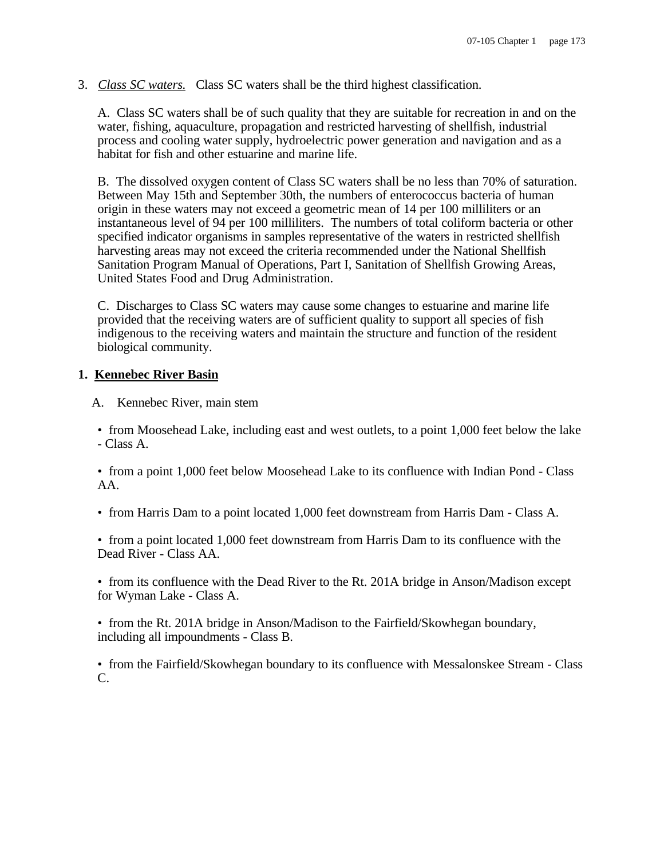3. *Class SC waters.* Class SC waters shall be the third highest classification.

A. Class SC waters shall be of such quality that they are suitable for recreation in and on the water, fishing, aquaculture, propagation and restricted harvesting of shellfish, industrial process and cooling water supply, hydroelectric power generation and navigation and as a habitat for fish and other estuarine and marine life.

B. The dissolved oxygen content of Class SC waters shall be no less than 70% of saturation. Between May 15th and September 30th, the numbers of enterococcus bacteria of human origin in these waters may not exceed a geometric mean of 14 per 100 milliliters or an instantaneous level of 94 per 100 milliliters. The numbers of total coliform bacteria or other specified indicator organisms in samples representative of the waters in restricted shellfish harvesting areas may not exceed the criteria recommended under the National Shellfish Sanitation Program Manual of Operations, Part I, Sanitation of Shellfish Growing Areas, United States Food and Drug Administration.

C. Discharges to Class SC waters may cause some changes to estuarine and marine life provided that the receiving waters are of sufficient quality to support all species of fish indigenous to the receiving waters and maintain the structure and function of the resident biological community.

# **1. Kennebec River Basin**

A. Kennebec River, main stem

• from Moosehead Lake, including east and west outlets, to a point 1,000 feet below the lake - Class A.

• from a point 1,000 feet below Moosehead Lake to its confluence with Indian Pond - Class AA.

• from Harris Dam to a point located 1,000 feet downstream from Harris Dam - Class A.

• from a point located 1,000 feet downstream from Harris Dam to its confluence with the Dead River - Class AA.

• from its confluence with the Dead River to the Rt. 201A bridge in Anson/Madison except for Wyman Lake - Class A.

• from the Rt. 201A bridge in Anson/Madison to the Fairfield/Skowhegan boundary, including all impoundments - Class B.

• from the Fairfield/Skowhegan boundary to its confluence with Messalonskee Stream - Class C.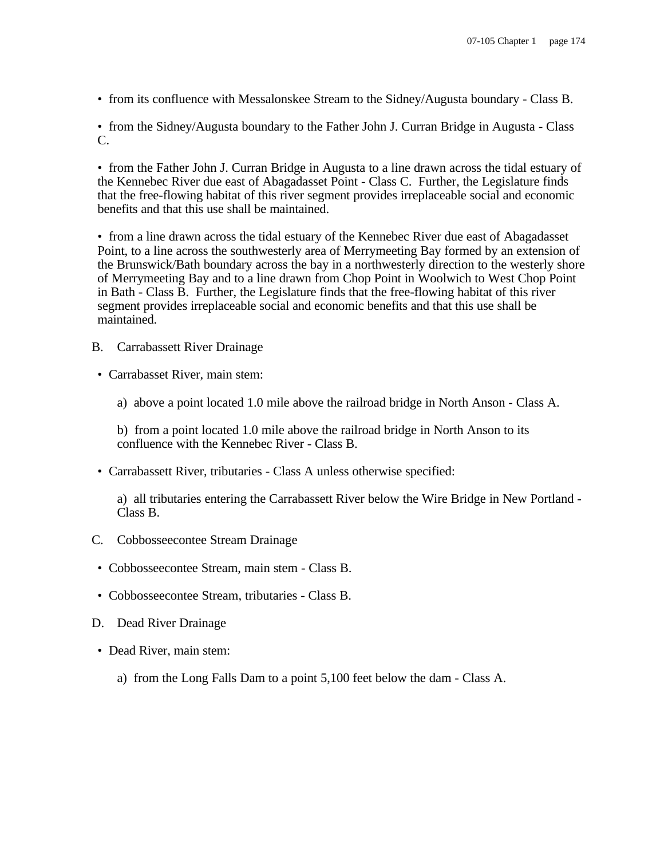• from its confluence with Messalonskee Stream to the Sidney/Augusta boundary - Class B.

• from the Sidney/Augusta boundary to the Father John J. Curran Bridge in Augusta - Class C.

• from the Father John J. Curran Bridge in Augusta to a line drawn across the tidal estuary of the Kennebec River due east of Abagadasset Point - Class C. Further, the Legislature finds that the free-flowing habitat of this river segment provides irreplaceable social and economic benefits and that this use shall be maintained.

• from a line drawn across the tidal estuary of the Kennebec River due east of Abagadasset Point, to a line across the southwesterly area of Merrymeeting Bay formed by an extension of the Brunswick/Bath boundary across the bay in a northwesterly direction to the westerly shore of Merrymeeting Bay and to a line drawn from Chop Point in Woolwich to West Chop Point in Bath - Class B. Further, the Legislature finds that the free-flowing habitat of this river segment provides irreplaceable social and economic benefits and that this use shall be maintained.

B. Carrabassett River Drainage

• Carrabasset River, main stem:

a) above a point located 1.0 mile above the railroad bridge in North Anson - Class A.

b) from a point located 1.0 mile above the railroad bridge in North Anson to its confluence with the Kennebec River - Class B.

• Carrabassett River, tributaries - Class A unless otherwise specified:

a) all tributaries entering the Carrabassett River below the Wire Bridge in New Portland - Class B.

- C. Cobbosseecontee Stream Drainage
	- Cobbosseecontee Stream, main stem Class B.
- Cobbosseecontee Stream, tributaries Class B.
- D. Dead River Drainage
- Dead River, main stem:
	- a) from the Long Falls Dam to a point 5,100 feet below the dam Class A.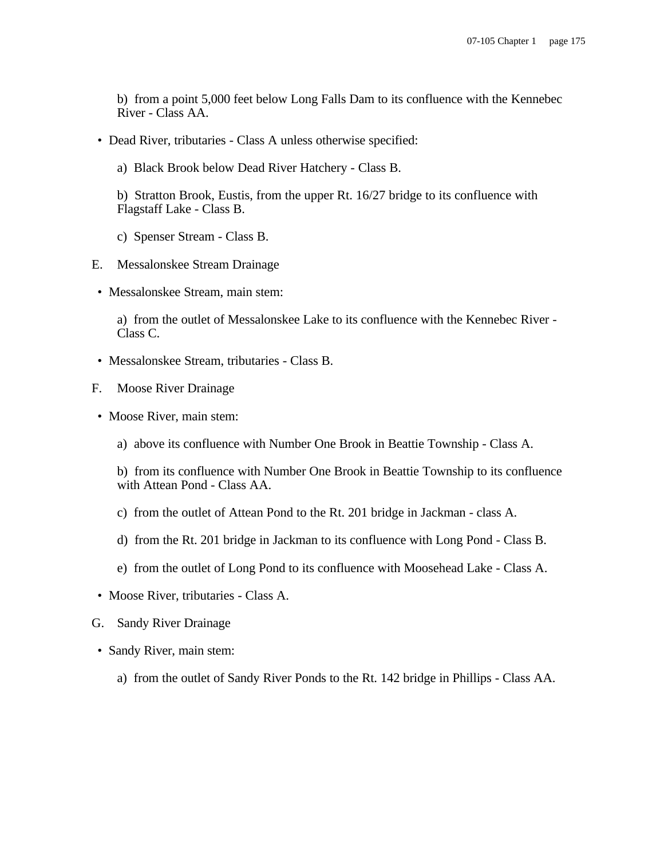b) from a point 5,000 feet below Long Falls Dam to its confluence with the Kennebec River - Class AA.

• Dead River, tributaries - Class A unless otherwise specified:

a) Black Brook below Dead River Hatchery - Class B.

b) Stratton Brook, Eustis, from the upper Rt. 16/27 bridge to its confluence with Flagstaff Lake - Class B.

- c) Spenser Stream Class B.
- E. Messalonskee Stream Drainage
- Messalonskee Stream, main stem:

a) from the outlet of Messalonskee Lake to its confluence with the Kennebec River - Class C.

- Messalonskee Stream, tributaries Class B.
- F. Moose River Drainage
- Moose River, main stem:
	- a) above its confluence with Number One Brook in Beattie Township Class A.

b) from its confluence with Number One Brook in Beattie Township to its confluence with Attean Pond - Class AA.

- c) from the outlet of Attean Pond to the Rt. 201 bridge in Jackman class A.
- d) from the Rt. 201 bridge in Jackman to its confluence with Long Pond Class B.
- e) from the outlet of Long Pond to its confluence with Moosehead Lake Class A.
- Moose River, tributaries Class A.
- G. Sandy River Drainage
- Sandy River, main stem:
	- a) from the outlet of Sandy River Ponds to the Rt. 142 bridge in Phillips Class AA.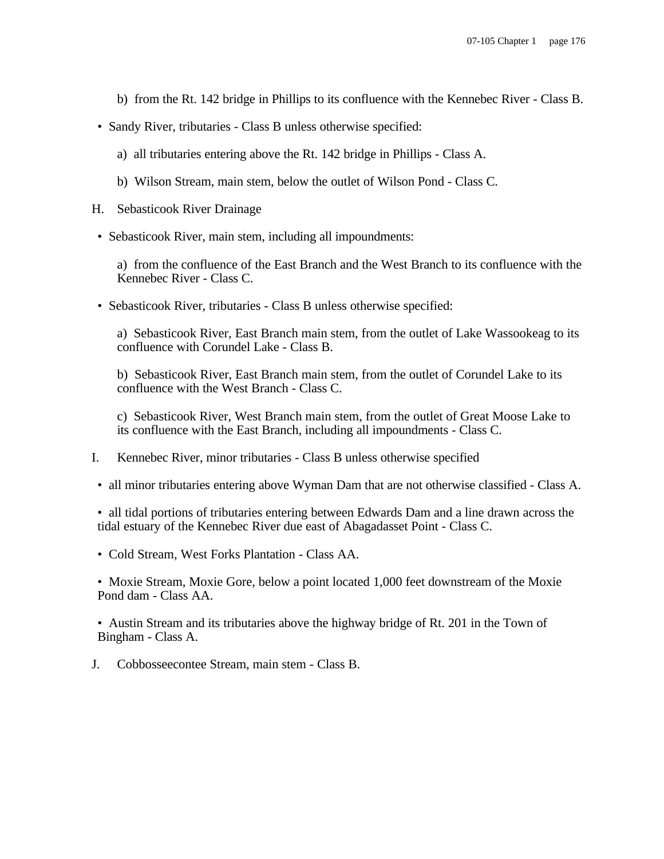- b) from the Rt. 142 bridge in Phillips to its confluence with the Kennebec River Class B.
- Sandy River, tributaries Class B unless otherwise specified:
	- a) all tributaries entering above the Rt. 142 bridge in Phillips Class A.
	- b) Wilson Stream, main stem, below the outlet of Wilson Pond Class C.
- H. Sebasticook River Drainage
- Sebasticook River, main stem, including all impoundments:

a) from the confluence of the East Branch and the West Branch to its confluence with the Kennebec River - Class C.

• Sebasticook River, tributaries - Class B unless otherwise specified:

a) Sebasticook River, East Branch main stem, from the outlet of Lake Wassookeag to its confluence with Corundel Lake - Class B.

b) Sebasticook River, East Branch main stem, from the outlet of Corundel Lake to its confluence with the West Branch - Class C.

c) Sebasticook River, West Branch main stem, from the outlet of Great Moose Lake to its confluence with the East Branch, including all impoundments - Class C.

- I. Kennebec River, minor tributaries Class B unless otherwise specified
- all minor tributaries entering above Wyman Dam that are not otherwise classified Class A.
- all tidal portions of tributaries entering between Edwards Dam and a line drawn across the tidal estuary of the Kennebec River due east of Abagadasset Point - Class C.
- Cold Stream, West Forks Plantation Class AA.

• Moxie Stream, Moxie Gore, below a point located 1,000 feet downstream of the Moxie Pond dam - Class AA.

• Austin Stream and its tributaries above the highway bridge of Rt. 201 in the Town of Bingham - Class A.

J. Cobbosseecontee Stream, main stem - Class B.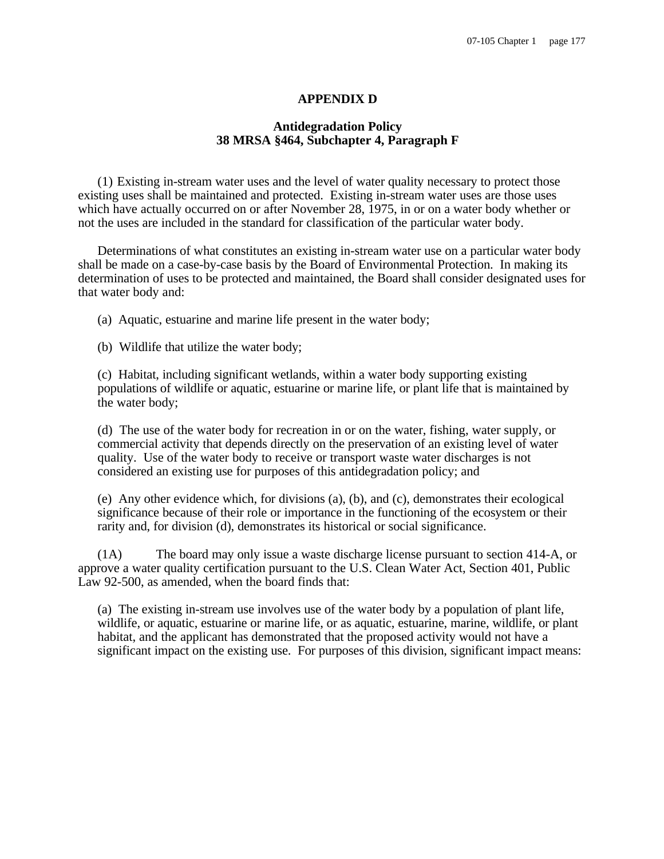# **APPENDIX D**

# **Antidegradation Policy 38 MRSA §464, Subchapter 4, Paragraph F**

(1) Existing in-stream water uses and the level of water quality necessary to protect those existing uses shall be maintained and protected. Existing in-stream water uses are those uses which have actually occurred on or after November 28, 1975, in or on a water body whether or not the uses are included in the standard for classification of the particular water body.

Determinations of what constitutes an existing in-stream water use on a particular water body shall be made on a case-by-case basis by the Board of Environmental Protection. In making its determination of uses to be protected and maintained, the Board shall consider designated uses for that water body and:

(a) Aquatic, estuarine and marine life present in the water body;

(b) Wildlife that utilize the water body;

(c) Habitat, including significant wetlands, within a water body supporting existing populations of wildlife or aquatic, estuarine or marine life, or plant life that is maintained by the water body;

(d) The use of the water body for recreation in or on the water, fishing, water supply, or commercial activity that depends directly on the preservation of an existing level of water quality. Use of the water body to receive or transport waste water discharges is not considered an existing use for purposes of this antidegradation policy; and

(e) Any other evidence which, for divisions (a), (b), and (c), demonstrates their ecological significance because of their role or importance in the functioning of the ecosystem or their rarity and, for division (d), demonstrates its historical or social significance.

(1A) The board may only issue a waste discharge license pursuant to section 414-A, or approve a water quality certification pursuant to the U.S. Clean Water Act, Section 401, Public Law 92-500, as amended, when the board finds that:

(a) The existing in-stream use involves use of the water body by a population of plant life, wildlife, or aquatic, estuarine or marine life, or as aquatic, estuarine, marine, wildlife, or plant habitat, and the applicant has demonstrated that the proposed activity would not have a significant impact on the existing use. For purposes of this division, significant impact means: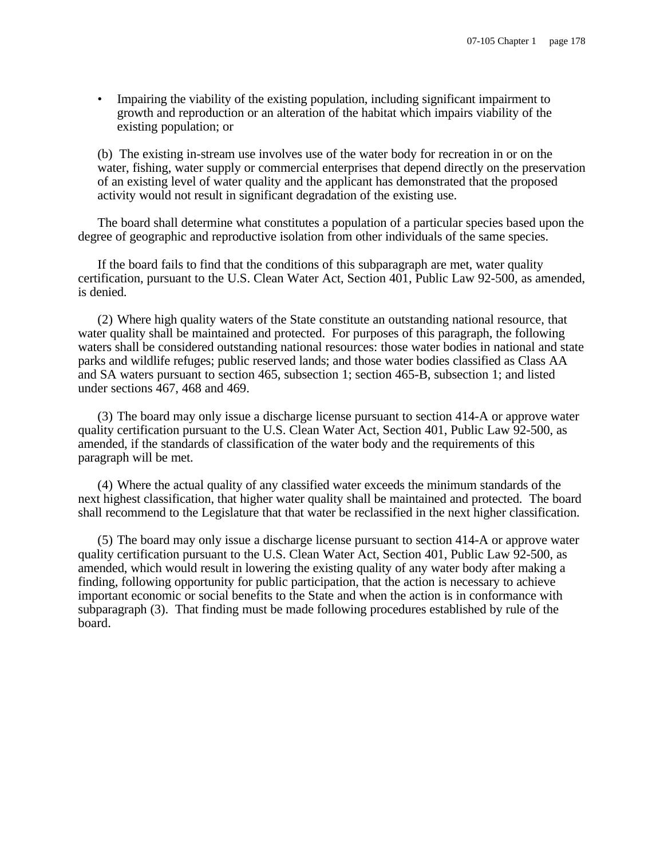• Impairing the viability of the existing population, including significant impairment to growth and reproduction or an alteration of the habitat which impairs viability of the existing population; or

(b) The existing in-stream use involves use of the water body for recreation in or on the water, fishing, water supply or commercial enterprises that depend directly on the preservation of an existing level of water quality and the applicant has demonstrated that the proposed activity would not result in significant degradation of the existing use.

The board shall determine what constitutes a population of a particular species based upon the degree of geographic and reproductive isolation from other individuals of the same species.

If the board fails to find that the conditions of this subparagraph are met, water quality certification, pursuant to the U.S. Clean Water Act, Section 401, Public Law 92-500, as amended, is denied.

(2) Where high quality waters of the State constitute an outstanding national resource, that water quality shall be maintained and protected. For purposes of this paragraph, the following waters shall be considered outstanding national resources: those water bodies in national and state parks and wildlife refuges; public reserved lands; and those water bodies classified as Class AA and SA waters pursuant to section 465, subsection 1; section 465-B, subsection 1; and listed under sections 467, 468 and 469.

(3) The board may only issue a discharge license pursuant to section 414-A or approve water quality certification pursuant to the U.S. Clean Water Act, Section 401, Public Law 92-500, as amended, if the standards of classification of the water body and the requirements of this paragraph will be met.

(4) Where the actual quality of any classified water exceeds the minimum standards of the next highest classification, that higher water quality shall be maintained and protected. The board shall recommend to the Legislature that that water be reclassified in the next higher classification.

(5) The board may only issue a discharge license pursuant to section 414-A or approve water quality certification pursuant to the U.S. Clean Water Act, Section 401, Public Law 92-500, as amended, which would result in lowering the existing quality of any water body after making a finding, following opportunity for public participation, that the action is necessary to achieve important economic or social benefits to the State and when the action is in conformance with subparagraph (3). That finding must be made following procedures established by rule of the board.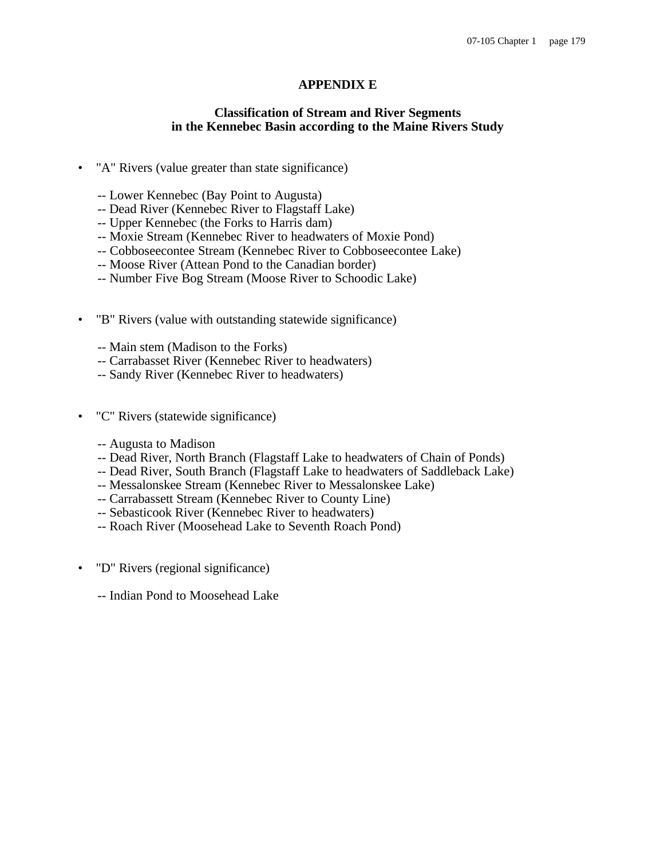# **APPENDIX E**

### **Classification of Stream and River Segments in the Kennebec Basin according to the Maine Rivers Study**

- "A" Rivers (value greater than state significance)
	- -- Lower Kennebec (Bay Point to Augusta)
	- -- Dead River (Kennebec River to Flagstaff Lake)
	- -- Upper Kennebec (the Forks to Harris dam)
	- -- Moxie Stream (Kennebec River to headwaters of Moxie Pond)
	- -- Cobboseecontee Stream (Kennebec River to Cobboseecontee Lake)
	- -- Moose River (Attean Pond to the Canadian border)
	- -- Number Five Bog Stream (Moose River to Schoodic Lake)
- "B" Rivers (value with outstanding statewide significance)
	- -- Main stem (Madison to the Forks)
	- -- Carrabasset River (Kennebec River to headwaters)
	- -- Sandy River (Kennebec River to headwaters)
- "C" Rivers (statewide significance)
	- -- Augusta to Madison
	- -- Dead River, North Branch (Flagstaff Lake to headwaters of Chain of Ponds)
	- -- Dead River, South Branch (Flagstaff Lake to headwaters of Saddleback Lake)
	- -- Messalonskee Stream (Kennebec River to Messalonskee Lake)
	- -- Carrabassett Stream (Kennebec River to County Line)
	- -- Sebasticook River (Kennebec River to headwaters)
	- -- Roach River (Moosehead Lake to Seventh Roach Pond)
- "D" Rivers (regional significance)
	- -- Indian Pond to Moosehead Lake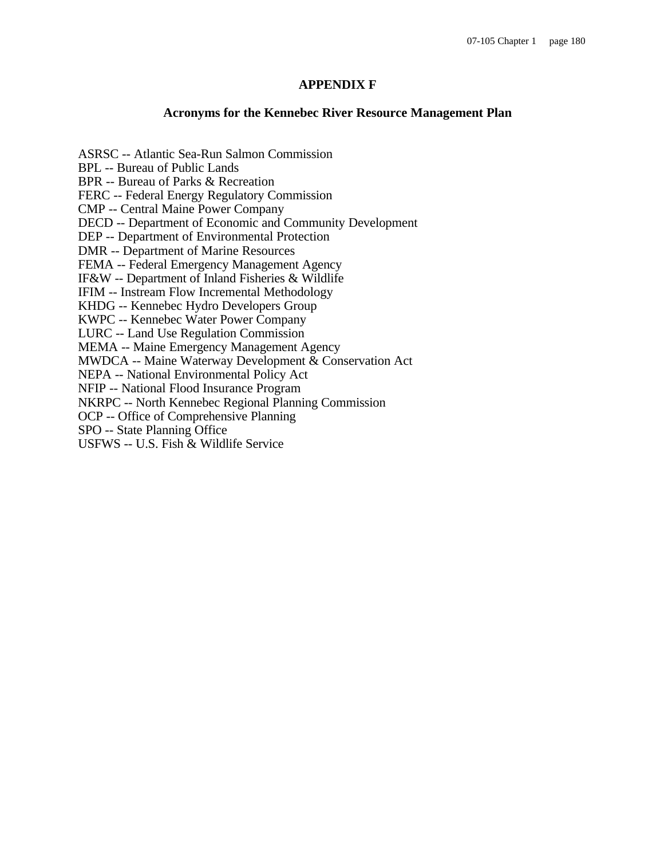# **APPENDIX F**

# **Acronyms for the Kennebec River Resource Management Plan**

ASRSC -- Atlantic Sea-Run Salmon Commission BPL -- Bureau of Public Lands BPR -- Bureau of Parks & Recreation FERC -- Federal Energy Regulatory Commission CMP -- Central Maine Power Company DECD -- Department of Economic and Community Development DEP -- Department of Environmental Protection DMR -- Department of Marine Resources FEMA -- Federal Emergency Management Agency IF&W -- Department of Inland Fisheries & Wildlife IFIM -- Instream Flow Incremental Methodology KHDG -- Kennebec Hydro Developers Group KWPC -- Kennebec Water Power Company LURC -- Land Use Regulation Commission MEMA -- Maine Emergency Management Agency MWDCA -- Maine Waterway Development & Conservation Act NEPA -- National Environmental Policy Act NFIP -- National Flood Insurance Program NKRPC -- North Kennebec Regional Planning Commission OCP -- Office of Comprehensive Planning SPO -- State Planning Office

USFWS -- U.S. Fish & Wildlife Service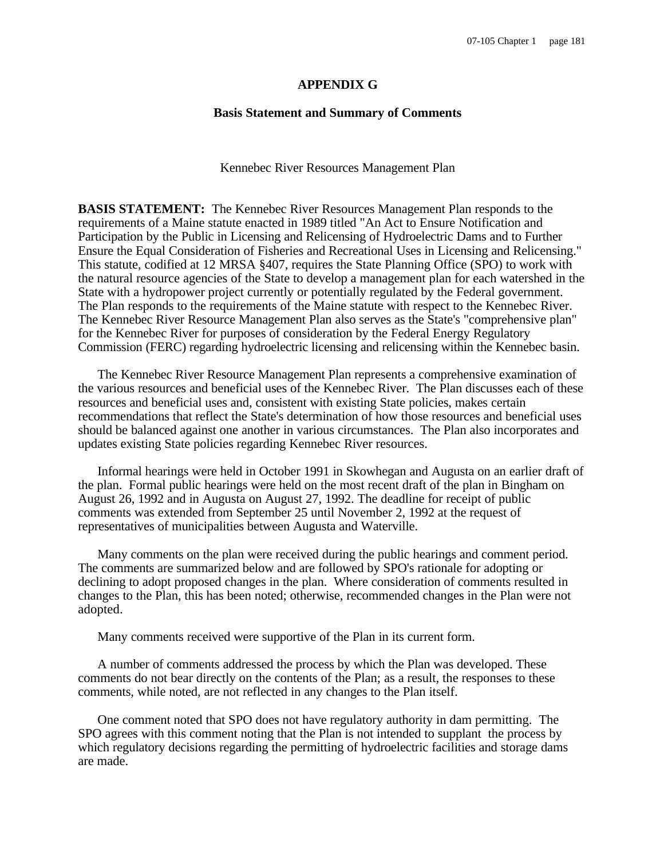#### **APPENDIX G**

#### **Basis Statement and Summary of Comments**

Kennebec River Resources Management Plan

**BASIS STATEMENT:** The Kennebec River Resources Management Plan responds to the requirements of a Maine statute enacted in 1989 titled "An Act to Ensure Notification and Participation by the Public in Licensing and Relicensing of Hydroelectric Dams and to Further Ensure the Equal Consideration of Fisheries and Recreational Uses in Licensing and Relicensing." This statute, codified at 12 MRSA §407, requires the State Planning Office (SPO) to work with the natural resource agencies of the State to develop a management plan for each watershed in the State with a hydropower project currently or potentially regulated by the Federal government. The Plan responds to the requirements of the Maine statute with respect to the Kennebec River. The Kennebec River Resource Management Plan also serves as the State's "comprehensive plan" for the Kennebec River for purposes of consideration by the Federal Energy Regulatory Commission (FERC) regarding hydroelectric licensing and relicensing within the Kennebec basin.

The Kennebec River Resource Management Plan represents a comprehensive examination of the various resources and beneficial uses of the Kennebec River. The Plan discusses each of these resources and beneficial uses and, consistent with existing State policies, makes certain recommendations that reflect the State's determination of how those resources and beneficial uses should be balanced against one another in various circumstances. The Plan also incorporates and updates existing State policies regarding Kennebec River resources.

Informal hearings were held in October 1991 in Skowhegan and Augusta on an earlier draft of the plan. Formal public hearings were held on the most recent draft of the plan in Bingham on August 26, 1992 and in Augusta on August 27, 1992. The deadline for receipt of public comments was extended from September 25 until November 2, 1992 at the request of representatives of municipalities between Augusta and Waterville.

Many comments on the plan were received during the public hearings and comment period. The comments are summarized below and are followed by SPO's rationale for adopting or declining to adopt proposed changes in the plan. Where consideration of comments resulted in changes to the Plan, this has been noted; otherwise, recommended changes in the Plan were not adopted.

Many comments received were supportive of the Plan in its current form.

A number of comments addressed the process by which the Plan was developed. These comments do not bear directly on the contents of the Plan; as a result, the responses to these comments, while noted, are not reflected in any changes to the Plan itself.

One comment noted that SPO does not have regulatory authority in dam permitting. The SPO agrees with this comment noting that the Plan is not intended to supplant the process by which regulatory decisions regarding the permitting of hydroelectric facilities and storage dams are made.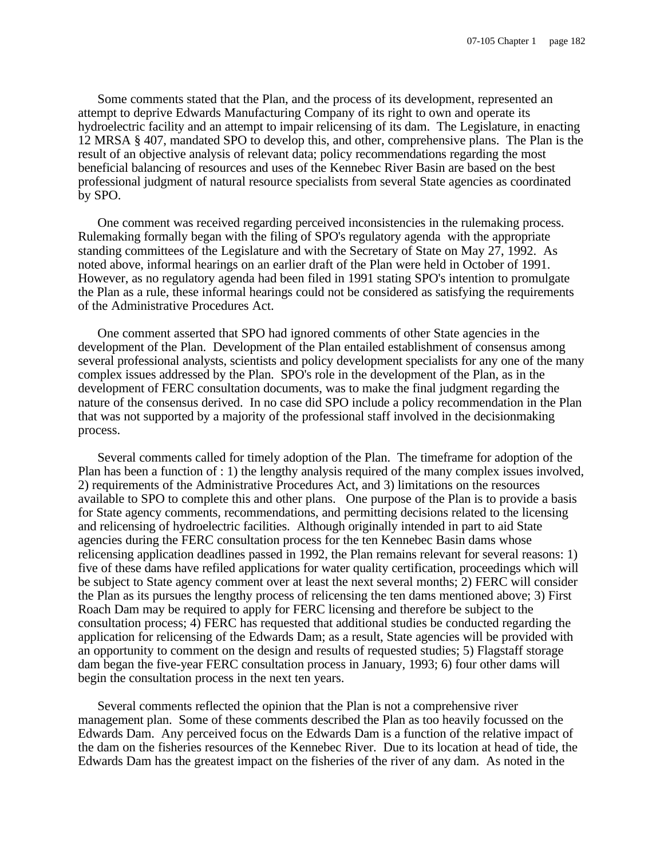Some comments stated that the Plan, and the process of its development, represented an attempt to deprive Edwards Manufacturing Company of its right to own and operate its hydroelectric facility and an attempt to impair relicensing of its dam. The Legislature, in enacting 12 MRSA § 407, mandated SPO to develop this, and other, comprehensive plans. The Plan is the result of an objective analysis of relevant data; policy recommendations regarding the most beneficial balancing of resources and uses of the Kennebec River Basin are based on the best professional judgment of natural resource specialists from several State agencies as coordinated by SPO.

One comment was received regarding perceived inconsistencies in the rulemaking process. Rulemaking formally began with the filing of SPO's regulatory agenda with the appropriate standing committees of the Legislature and with the Secretary of State on May 27, 1992. As noted above, informal hearings on an earlier draft of the Plan were held in October of 1991. However, as no regulatory agenda had been filed in 1991 stating SPO's intention to promulgate the Plan as a rule, these informal hearings could not be considered as satisfying the requirements of the Administrative Procedures Act.

One comment asserted that SPO had ignored comments of other State agencies in the development of the Plan. Development of the Plan entailed establishment of consensus among several professional analysts, scientists and policy development specialists for any one of the many complex issues addressed by the Plan. SPO's role in the development of the Plan, as in the development of FERC consultation documents, was to make the final judgment regarding the nature of the consensus derived. In no case did SPO include a policy recommendation in the Plan that was not supported by a majority of the professional staff involved in the decisionmaking process.

Several comments called for timely adoption of the Plan. The timeframe for adoption of the Plan has been a function of : 1) the lengthy analysis required of the many complex issues involved, 2) requirements of the Administrative Procedures Act, and 3) limitations on the resources available to SPO to complete this and other plans. One purpose of the Plan is to provide a basis for State agency comments, recommendations, and permitting decisions related to the licensing and relicensing of hydroelectric facilities. Although originally intended in part to aid State agencies during the FERC consultation process for the ten Kennebec Basin dams whose relicensing application deadlines passed in 1992, the Plan remains relevant for several reasons: 1) five of these dams have refiled applications for water quality certification, proceedings which will be subject to State agency comment over at least the next several months; 2) FERC will consider the Plan as its pursues the lengthy process of relicensing the ten dams mentioned above; 3) First Roach Dam may be required to apply for FERC licensing and therefore be subject to the consultation process; 4) FERC has requested that additional studies be conducted regarding the application for relicensing of the Edwards Dam; as a result, State agencies will be provided with an opportunity to comment on the design and results of requested studies; 5) Flagstaff storage dam began the five-year FERC consultation process in January, 1993; 6) four other dams will begin the consultation process in the next ten years.

Several comments reflected the opinion that the Plan is not a comprehensive river management plan. Some of these comments described the Plan as too heavily focussed on the Edwards Dam. Any perceived focus on the Edwards Dam is a function of the relative impact of the dam on the fisheries resources of the Kennebec River. Due to its location at head of tide, the Edwards Dam has the greatest impact on the fisheries of the river of any dam. As noted in the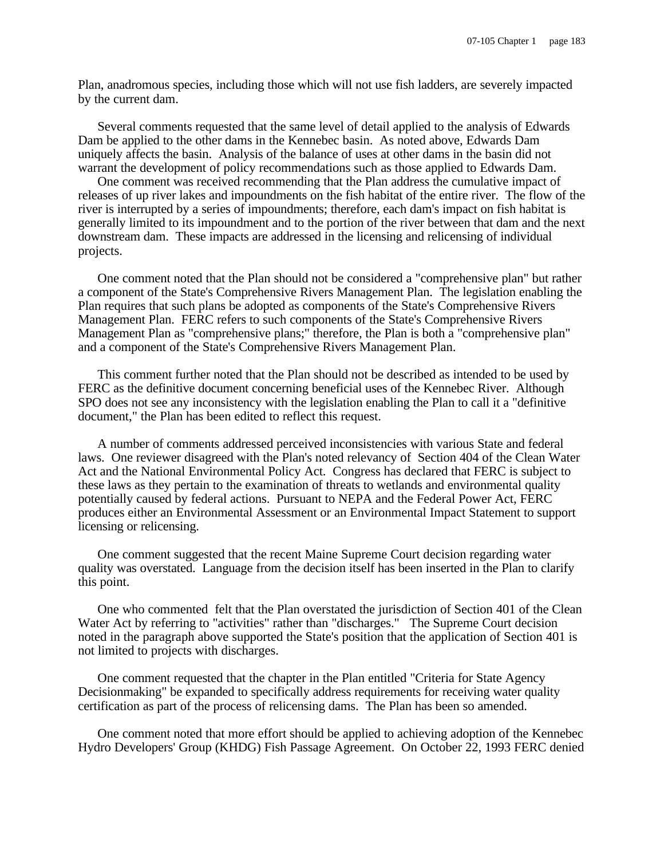Plan, anadromous species, including those which will not use fish ladders, are severely impacted by the current dam.

Several comments requested that the same level of detail applied to the analysis of Edwards Dam be applied to the other dams in the Kennebec basin. As noted above, Edwards Dam uniquely affects the basin. Analysis of the balance of uses at other dams in the basin did not warrant the development of policy recommendations such as those applied to Edwards Dam.

One comment was received recommending that the Plan address the cumulative impact of releases of up river lakes and impoundments on the fish habitat of the entire river. The flow of the river is interrupted by a series of impoundments; therefore, each dam's impact on fish habitat is generally limited to its impoundment and to the portion of the river between that dam and the next downstream dam. These impacts are addressed in the licensing and relicensing of individual projects.

One comment noted that the Plan should not be considered a "comprehensive plan" but rather a component of the State's Comprehensive Rivers Management Plan. The legislation enabling the Plan requires that such plans be adopted as components of the State's Comprehensive Rivers Management Plan. FERC refers to such components of the State's Comprehensive Rivers Management Plan as "comprehensive plans;" therefore, the Plan is both a "comprehensive plan" and a component of the State's Comprehensive Rivers Management Plan.

This comment further noted that the Plan should not be described as intended to be used by FERC as the definitive document concerning beneficial uses of the Kennebec River. Although SPO does not see any inconsistency with the legislation enabling the Plan to call it a "definitive document," the Plan has been edited to reflect this request.

A number of comments addressed perceived inconsistencies with various State and federal laws.One reviewer disagreed with the Plan's noted relevancy of Section 404 of the Clean Water Act and the National Environmental Policy Act. Congress has declared that FERC is subject to these laws as they pertain to the examination of threats to wetlands and environmental quality potentially caused by federal actions. Pursuant to NEPA and the Federal Power Act, FERC produces either an Environmental Assessment or an Environmental Impact Statement to support licensing or relicensing.

One comment suggested that the recent Maine Supreme Court decision regarding water quality was overstated. Language from the decision itself has been inserted in the Plan to clarify this point.

One who commented felt that the Plan overstated the jurisdiction of Section 401 of the Clean Water Act by referring to "activities" rather than "discharges." The Supreme Court decision noted in the paragraph above supported the State's position that the application of Section 401 is not limited to projects with discharges.

One comment requested that the chapter in the Plan entitled "Criteria for State Agency Decisionmaking" be expanded to specifically address requirements for receiving water quality certification as part of the process of relicensing dams. The Plan has been so amended.

One comment noted that more effort should be applied to achieving adoption of the Kennebec Hydro Developers' Group (KHDG) Fish Passage Agreement. On October 22, 1993 FERC denied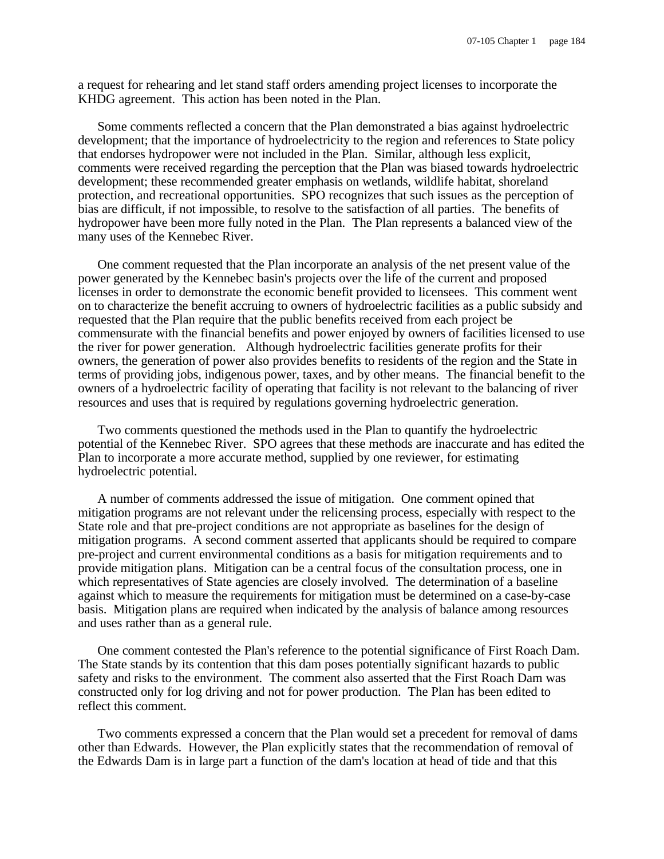a request for rehearing and let stand staff orders amending project licenses to incorporate the KHDG agreement. This action has been noted in the Plan.

Some comments reflected a concern that the Plan demonstrated a bias against hydroelectric development; that the importance of hydroelectricity to the region and references to State policy that endorses hydropower were not included in the Plan. Similar, although less explicit, comments were received regarding the perception that the Plan was biased towards hydroelectric development; these recommended greater emphasis on wetlands, wildlife habitat, shoreland protection, and recreational opportunities. SPO recognizes that such issues as the perception of bias are difficult, if not impossible, to resolve to the satisfaction of all parties. The benefits of hydropower have been more fully noted in the Plan. The Plan represents a balanced view of the many uses of the Kennebec River.

One comment requested that the Plan incorporate an analysis of the net present value of the power generated by the Kennebec basin's projects over the life of the current and proposed licenses in order to demonstrate the economic benefit provided to licensees. This comment went on to characterize the benefit accruing to owners of hydroelectric facilities as a public subsidy and requested that the Plan require that the public benefits received from each project be commensurate with the financial benefits and power enjoyed by owners of facilities licensed to use the river for power generation. Although hydroelectric facilities generate profits for their owners, the generation of power also provides benefits to residents of the region and the State in terms of providing jobs, indigenous power, taxes, and by other means. The financial benefit to the owners of a hydroelectric facility of operating that facility is not relevant to the balancing of river resources and uses that is required by regulations governing hydroelectric generation.

Two comments questioned the methods used in the Plan to quantify the hydroelectric potential of the Kennebec River. SPO agrees that these methods are inaccurate and has edited the Plan to incorporate a more accurate method, supplied by one reviewer, for estimating hydroelectric potential.

A number of comments addressed the issue of mitigation. One comment opined that mitigation programs are not relevant under the relicensing process, especially with respect to the State role and that pre-project conditions are not appropriate as baselines for the design of mitigation programs. A second comment asserted that applicants should be required to compare pre-project and current environmental conditions as a basis for mitigation requirements and to provide mitigation plans. Mitigation can be a central focus of the consultation process, one in which representatives of State agencies are closely involved. The determination of a baseline against which to measure the requirements for mitigation must be determined on a case-by-case basis. Mitigation plans are required when indicated by the analysis of balance among resources and uses rather than as a general rule.

One comment contested the Plan's reference to the potential significance of First Roach Dam. The State stands by its contention that this dam poses potentially significant hazards to public safety and risks to the environment. The comment also asserted that the First Roach Dam was constructed only for log driving and not for power production. The Plan has been edited to reflect this comment.

Two comments expressed a concern that the Plan would set a precedent for removal of dams other than Edwards. However, the Plan explicitly states that the recommendation of removal of the Edwards Dam is in large part a function of the dam's location at head of tide and that this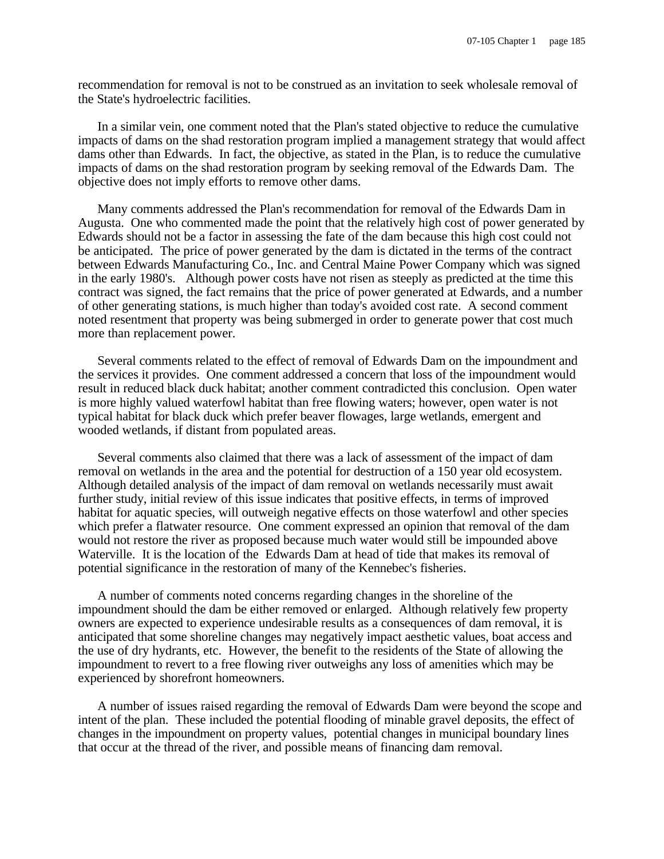recommendation for removal is not to be construed as an invitation to seek wholesale removal of the State's hydroelectric facilities.

In a similar vein, one comment noted that the Plan's stated objective to reduce the cumulative impacts of dams on the shad restoration program implied a management strategy that would affect dams other than Edwards. In fact, the objective, as stated in the Plan, is to reduce the cumulative impacts of dams on the shad restoration program by seeking removal of the Edwards Dam. The objective does not imply efforts to remove other dams.

Many comments addressed the Plan's recommendation for removal of the Edwards Dam in Augusta. One who commented made the point that the relatively high cost of power generated by Edwards should not be a factor in assessing the fate of the dam because this high cost could not be anticipated. The price of power generated by the dam is dictated in the terms of the contract between Edwards Manufacturing Co., Inc. and Central Maine Power Company which was signed in the early 1980's. Although power costs have not risen as steeply as predicted at the time this contract was signed, the fact remains that the price of power generated at Edwards, and a number of other generating stations, is much higher than today's avoided cost rate. A second comment noted resentment that property was being submerged in order to generate power that cost much more than replacement power.

Several comments related to the effect of removal of Edwards Dam on the impoundment and the services it provides. One comment addressed a concern that loss of the impoundment would result in reduced black duck habitat; another comment contradicted this conclusion. Open water is more highly valued waterfowl habitat than free flowing waters; however, open water is not typical habitat for black duck which prefer beaver flowages, large wetlands, emergent and wooded wetlands, if distant from populated areas.

Several comments also claimed that there was a lack of assessment of the impact of dam removal on wetlands in the area and the potential for destruction of a 150 year old ecosystem. Although detailed analysis of the impact of dam removal on wetlands necessarily must await further study, initial review of this issue indicates that positive effects, in terms of improved habitat for aquatic species, will outweigh negative effects on those waterfowl and other species which prefer a flatwater resource. One comment expressed an opinion that removal of the dam would not restore the river as proposed because much water would still be impounded above Waterville. It is the location of the Edwards Dam at head of tide that makes its removal of potential significance in the restoration of many of the Kennebec's fisheries.

A number of comments noted concerns regarding changes in the shoreline of the impoundment should the dam be either removed or enlarged. Although relatively few property owners are expected to experience undesirable results as a consequences of dam removal, it is anticipated that some shoreline changes may negatively impact aesthetic values, boat access and the use of dry hydrants, etc. However, the benefit to the residents of the State of allowing the impoundment to revert to a free flowing river outweighs any loss of amenities which may be experienced by shorefront homeowners.

A number of issues raised regarding the removal of Edwards Dam were beyond the scope and intent of the plan. These included the potential flooding of minable gravel deposits, the effect of changes in the impoundment on property values, potential changes in municipal boundary lines that occur at the thread of the river, and possible means of financing dam removal.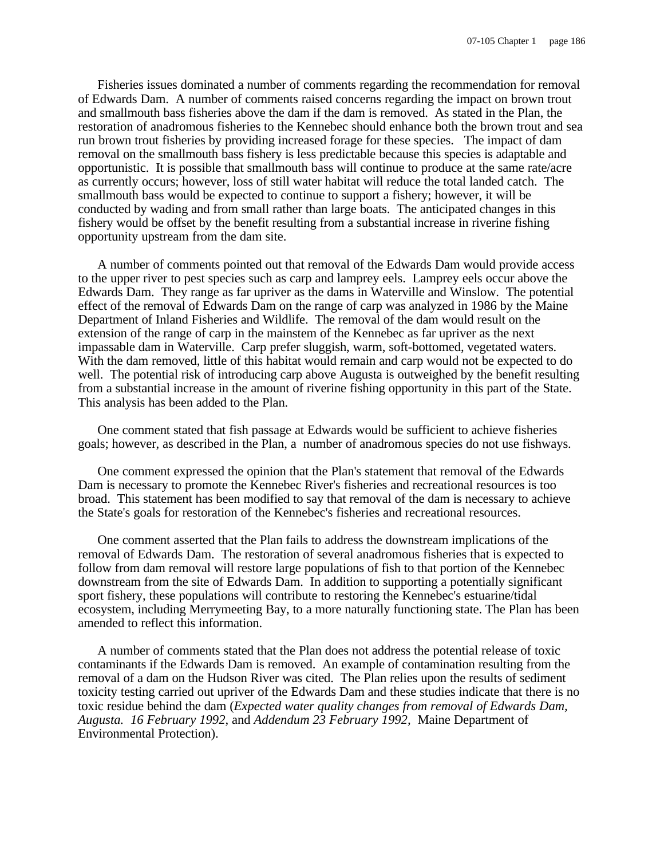Fisheries issues dominated a number of comments regarding the recommendation for removal of Edwards Dam. A number of comments raised concerns regarding the impact on brown trout and smallmouth bass fisheries above the dam if the dam is removed. As stated in the Plan, the restoration of anadromous fisheries to the Kennebec should enhance both the brown trout and sea run brown trout fisheries by providing increased forage for these species. The impact of dam removal on the smallmouth bass fishery is less predictable because this species is adaptable and opportunistic. It is possible that smallmouth bass will continue to produce at the same rate/acre as currently occurs; however, loss of still water habitat will reduce the total landed catch. The smallmouth bass would be expected to continue to support a fishery; however, it will be conducted by wading and from small rather than large boats. The anticipated changes in this fishery would be offset by the benefit resulting from a substantial increase in riverine fishing opportunity upstream from the dam site.

A number of comments pointed out that removal of the Edwards Dam would provide access to the upper river to pest species such as carp and lamprey eels. Lamprey eels occur above the Edwards Dam. They range as far upriver as the dams in Waterville and Winslow. The potential effect of the removal of Edwards Dam on the range of carp was analyzed in 1986 by the Maine Department of Inland Fisheries and Wildlife. The removal of the dam would result on the extension of the range of carp in the mainstem of the Kennebec as far upriver as the next impassable dam in Waterville. Carp prefer sluggish, warm, soft-bottomed, vegetated waters. With the dam removed, little of this habitat would remain and carp would not be expected to do well. The potential risk of introducing carp above Augusta is outweighed by the benefit resulting from a substantial increase in the amount of riverine fishing opportunity in this part of the State. This analysis has been added to the Plan.

One comment stated that fish passage at Edwards would be sufficient to achieve fisheries goals; however, as described in the Plan, a number of anadromous species do not use fishways.

One comment expressed the opinion that the Plan's statement that removal of the Edwards Dam is necessary to promote the Kennebec River's fisheries and recreational resources is too broad. This statement has been modified to say that removal of the dam is necessary to achieve the State's goals for restoration of the Kennebec's fisheries and recreational resources.

One comment asserted that the Plan fails to address the downstream implications of the removal of Edwards Dam. The restoration of several anadromous fisheries that is expected to follow from dam removal will restore large populations of fish to that portion of the Kennebec downstream from the site of Edwards Dam. In addition to supporting a potentially significant sport fishery, these populations will contribute to restoring the Kennebec's estuarine/tidal ecosystem, including Merrymeeting Bay, to a more naturally functioning state. The Plan has been amended to reflect this information.

A number of comments stated that the Plan does not address the potential release of toxic contaminants if the Edwards Dam is removed. An example of contamination resulting from the removal of a dam on the Hudson River was cited. The Plan relies upon the results of sediment toxicity testing carried out upriver of the Edwards Dam and these studies indicate that there is no toxic residue behind the dam (*Expected water quality changes from removal of Edwards Dam, Augusta. 16 February 1992*, and *Addendum 23 February 1992,* Maine Department of Environmental Protection).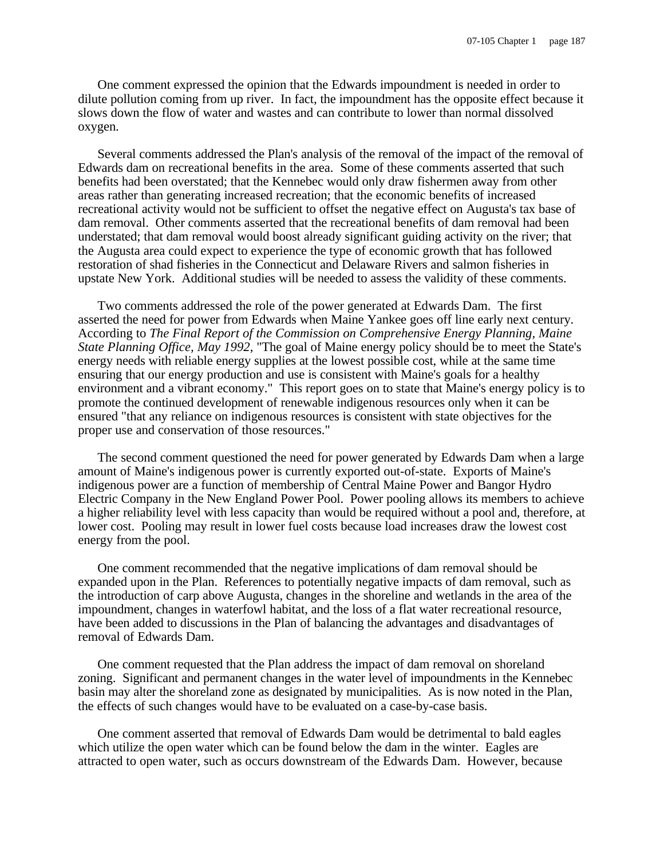One comment expressed the opinion that the Edwards impoundment is needed in order to dilute pollution coming from up river. In fact, the impoundment has the opposite effect because it slows down the flow of water and wastes and can contribute to lower than normal dissolved oxygen.

Several comments addressed the Plan's analysis of the removal of the impact of the removal of Edwards dam on recreational benefits in the area. Some of these comments asserted that such benefits had been overstated; that the Kennebec would only draw fishermen away from other areas rather than generating increased recreation; that the economic benefits of increased recreational activity would not be sufficient to offset the negative effect on Augusta's tax base of dam removal. Other comments asserted that the recreational benefits of dam removal had been understated; that dam removal would boost already significant guiding activity on the river; that the Augusta area could expect to experience the type of economic growth that has followed restoration of shad fisheries in the Connecticut and Delaware Rivers and salmon fisheries in upstate New York. Additional studies will be needed to assess the validity of these comments.

Two comments addressed the role of the power generated at Edwards Dam. The first asserted the need for power from Edwards when Maine Yankee goes off line early next century. According to *The Final Report of the Commission on Comprehensive Energy Planning, Maine State Planning Office, May 1992*, "The goal of Maine energy policy should be to meet the State's energy needs with reliable energy supplies at the lowest possible cost, while at the same time ensuring that our energy production and use is consistent with Maine's goals for a healthy environment and a vibrant economy." This report goes on to state that Maine's energy policy is to promote the continued development of renewable indigenous resources only when it can be ensured "that any reliance on indigenous resources is consistent with state objectives for the proper use and conservation of those resources."

The second comment questioned the need for power generated by Edwards Dam when a large amount of Maine's indigenous power is currently exported out-of-state. Exports of Maine's indigenous power are a function of membership of Central Maine Power and Bangor Hydro Electric Company in the New England Power Pool. Power pooling allows its members to achieve a higher reliability level with less capacity than would be required without a pool and, therefore, at lower cost. Pooling may result in lower fuel costs because load increases draw the lowest cost energy from the pool.

One comment recommended that the negative implications of dam removal should be expanded upon in the Plan. References to potentially negative impacts of dam removal, such as the introduction of carp above Augusta, changes in the shoreline and wetlands in the area of the impoundment, changes in waterfowl habitat, and the loss of a flat water recreational resource, have been added to discussions in the Plan of balancing the advantages and disadvantages of removal of Edwards Dam.

One comment requested that the Plan address the impact of dam removal on shoreland zoning. Significant and permanent changes in the water level of impoundments in the Kennebec basin may alter the shoreland zone as designated by municipalities. As is now noted in the Plan, the effects of such changes would have to be evaluated on a case-by-case basis.

One comment asserted that removal of Edwards Dam would be detrimental to bald eagles which utilize the open water which can be found below the dam in the winter. Eagles are attracted to open water, such as occurs downstream of the Edwards Dam. However, because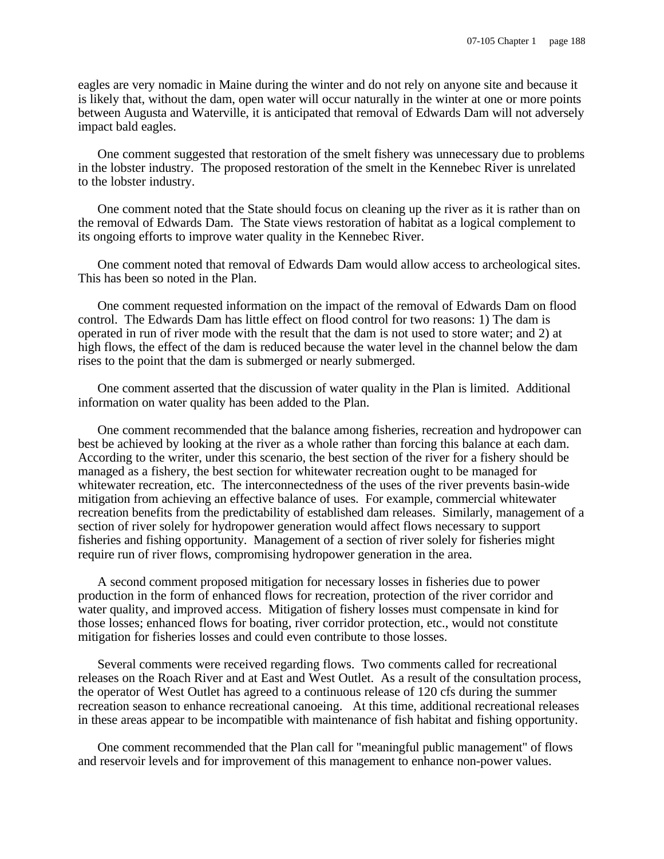eagles are very nomadic in Maine during the winter and do not rely on anyone site and because it is likely that, without the dam, open water will occur naturally in the winter at one or more points between Augusta and Waterville, it is anticipated that removal of Edwards Dam will not adversely impact bald eagles.

One comment suggested that restoration of the smelt fishery was unnecessary due to problems in the lobster industry. The proposed restoration of the smelt in the Kennebec River is unrelated to the lobster industry.

One comment noted that the State should focus on cleaning up the river as it is rather than on the removal of Edwards Dam. The State views restoration of habitat as a logical complement to its ongoing efforts to improve water quality in the Kennebec River.

One comment noted that removal of Edwards Dam would allow access to archeological sites. This has been so noted in the Plan.

One comment requested information on the impact of the removal of Edwards Dam on flood control. The Edwards Dam has little effect on flood control for two reasons: 1) The dam is operated in run of river mode with the result that the dam is not used to store water; and 2) at high flows, the effect of the dam is reduced because the water level in the channel below the dam rises to the point that the dam is submerged or nearly submerged.

One comment asserted that the discussion of water quality in the Plan is limited. Additional information on water quality has been added to the Plan.

One comment recommended that the balance among fisheries, recreation and hydropower can best be achieved by looking at the river as a whole rather than forcing this balance at each dam. According to the writer, under this scenario, the best section of the river for a fishery should be managed as a fishery, the best section for whitewater recreation ought to be managed for whitewater recreation, etc. The interconnectedness of the uses of the river prevents basin-wide mitigation from achieving an effective balance of uses. For example, commercial whitewater recreation benefits from the predictability of established dam releases. Similarly, management of a section of river solely for hydropower generation would affect flows necessary to support fisheries and fishing opportunity. Management of a section of river solely for fisheries might require run of river flows, compromising hydropower generation in the area.

A second comment proposed mitigation for necessary losses in fisheries due to power production in the form of enhanced flows for recreation, protection of the river corridor and water quality, and improved access. Mitigation of fishery losses must compensate in kind for those losses; enhanced flows for boating, river corridor protection, etc., would not constitute mitigation for fisheries losses and could even contribute to those losses.

Several comments were received regarding flows. Two comments called for recreational releases on the Roach River and at East and West Outlet. As a result of the consultation process, the operator of West Outlet has agreed to a continuous release of 120 cfs during the summer recreation season to enhance recreational canoeing. At this time, additional recreational releases in these areas appear to be incompatible with maintenance of fish habitat and fishing opportunity.

One comment recommended that the Plan call for "meaningful public management" of flows and reservoir levels and for improvement of this management to enhance non-power values.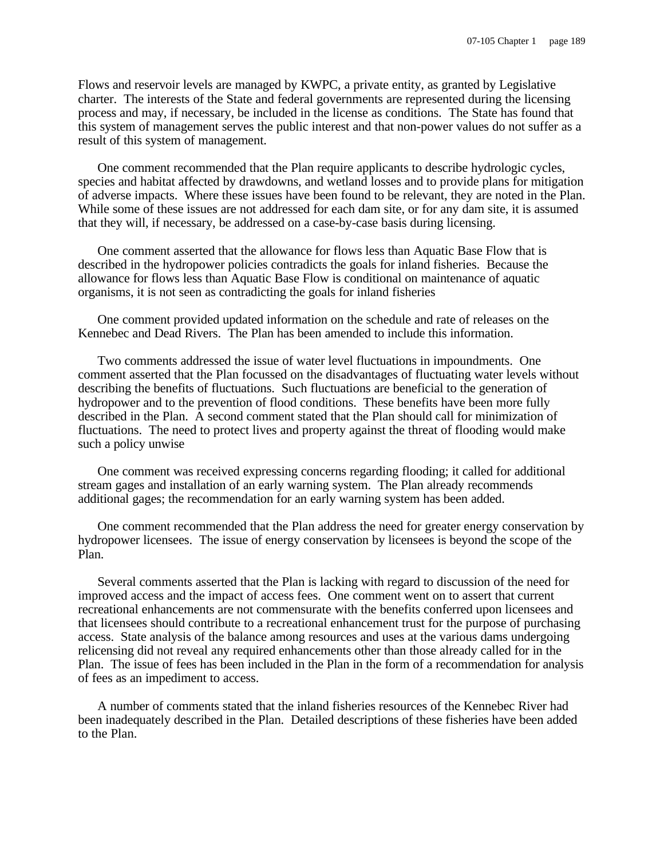Flows and reservoir levels are managed by KWPC, a private entity, as granted by Legislative charter. The interests of the State and federal governments are represented during the licensing process and may, if necessary, be included in the license as conditions. The State has found that this system of management serves the public interest and that non-power values do not suffer as a result of this system of management.

One comment recommended that the Plan require applicants to describe hydrologic cycles, species and habitat affected by drawdowns, and wetland losses and to provide plans for mitigation of adverse impacts. Where these issues have been found to be relevant, they are noted in the Plan. While some of these issues are not addressed for each dam site, or for any dam site, it is assumed that they will, if necessary, be addressed on a case-by-case basis during licensing.

One comment asserted that the allowance for flows less than Aquatic Base Flow that is described in the hydropower policies contradicts the goals for inland fisheries. Because the allowance for flows less than Aquatic Base Flow is conditional on maintenance of aquatic organisms, it is not seen as contradicting the goals for inland fisheries

One comment provided updated information on the schedule and rate of releases on the Kennebec and Dead Rivers. The Plan has been amended to include this information.

Two comments addressed the issue of water level fluctuations in impoundments. One comment asserted that the Plan focussed on the disadvantages of fluctuating water levels without describing the benefits of fluctuations. Such fluctuations are beneficial to the generation of hydropower and to the prevention of flood conditions. These benefits have been more fully described in the Plan. A second comment stated that the Plan should call for minimization of fluctuations. The need to protect lives and property against the threat of flooding would make such a policy unwise

One comment was received expressing concerns regarding flooding; it called for additional stream gages and installation of an early warning system. The Plan already recommends additional gages; the recommendation for an early warning system has been added.

One comment recommended that the Plan address the need for greater energy conservation by hydropower licensees. The issue of energy conservation by licensees is beyond the scope of the Plan.

Several comments asserted that the Plan is lacking with regard to discussion of the need for improved access and the impact of access fees. One comment went on to assert that current recreational enhancements are not commensurate with the benefits conferred upon licensees and that licensees should contribute to a recreational enhancement trust for the purpose of purchasing access. State analysis of the balance among resources and uses at the various dams undergoing relicensing did not reveal any required enhancements other than those already called for in the Plan. The issue of fees has been included in the Plan in the form of a recommendation for analysis of fees as an impediment to access.

A number of comments stated that the inland fisheries resources of the Kennebec River had been inadequately described in the Plan. Detailed descriptions of these fisheries have been added to the Plan.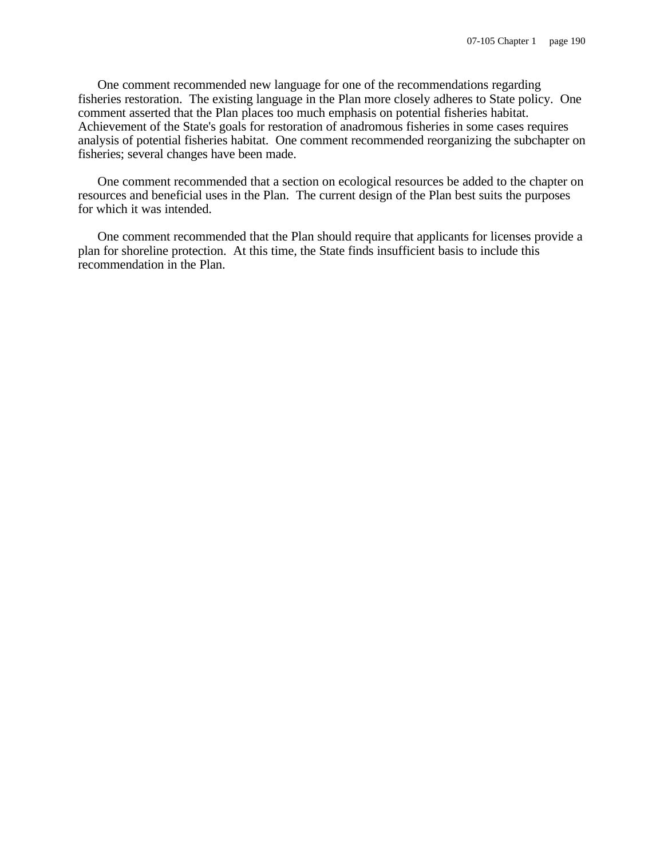One comment recommended new language for one of the recommendations regarding fisheries restoration. The existing language in the Plan more closely adheres to State policy. One comment asserted that the Plan places too much emphasis on potential fisheries habitat. Achievement of the State's goals for restoration of anadromous fisheries in some cases requires analysis of potential fisheries habitat. One comment recommended reorganizing the subchapter on fisheries; several changes have been made.

One comment recommended that a section on ecological resources be added to the chapter on resources and beneficial uses in the Plan. The current design of the Plan best suits the purposes for which it was intended.

One comment recommended that the Plan should require that applicants for licenses provide a plan for shoreline protection. At this time, the State finds insufficient basis to include this recommendation in the Plan.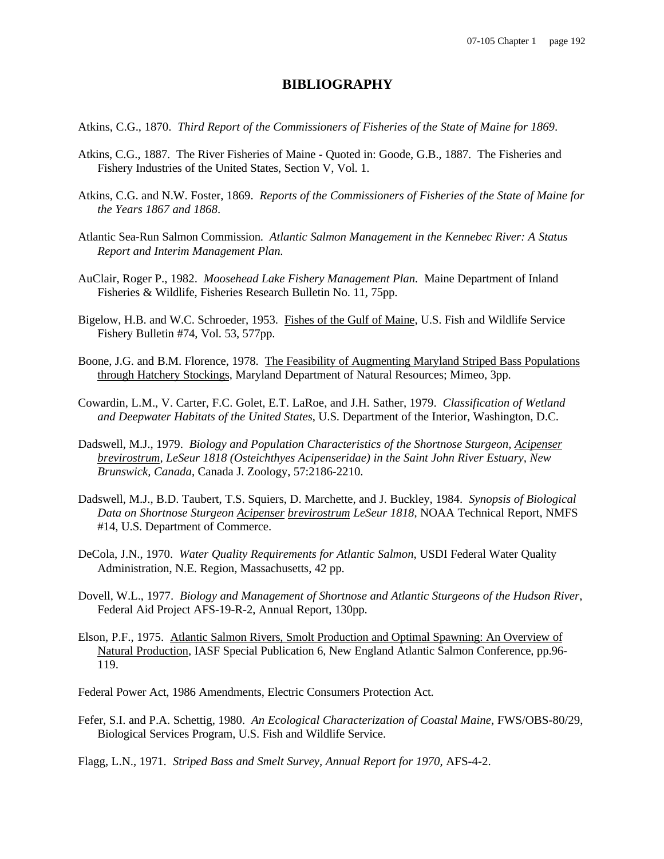### **BIBLIOGRAPHY**

- Atkins, C.G., 1870. *Third Report of the Commissioners of Fisheries of the State of Maine for 1869*.
- Atkins, C.G., 1887. The River Fisheries of Maine Quoted in: Goode, G.B., 1887. The Fisheries and Fishery Industries of the United States, Section V, Vol. 1.
- Atkins, C.G. and N.W. Foster, 1869. *Reports of the Commissioners of Fisheries of the State of Maine for the Years 1867 and 1868*.
- Atlantic Sea-Run Salmon Commission. *Atlantic Salmon Management in the Kennebec River: A Status Report and Interim Management Plan.*
- AuClair, Roger P., 1982. *Moosehead Lake Fishery Management Plan.* Maine Department of Inland Fisheries & Wildlife, Fisheries Research Bulletin No. 11, 75pp.
- Bigelow, H.B. and W.C. Schroeder, 1953. Fishes of the Gulf of Maine, U.S. Fish and Wildlife Service Fishery Bulletin #74, Vol. 53, 577pp.
- Boone, J.G. and B.M. Florence, 1978. The Feasibility of Augmenting Maryland Striped Bass Populations through Hatchery Stockings, Maryland Department of Natural Resources; Mimeo, 3pp.
- Cowardin, L.M., V. Carter, F.C. Golet, E.T. LaRoe, and J.H. Sather, 1979. *Classification of Wetland and Deepwater Habitats of the United States*, U.S. Department of the Interior, Washington, D.C.
- Dadswell, M.J., 1979. *Biology and Population Characteristics of the Shortnose Sturgeon, Acipenser brevirostrum, LeSeur 1818 (Osteichthyes Acipenseridae) in the Saint John River Estuary, New Brunswick, Canada*, Canada J. Zoology, 57:2186-2210.
- Dadswell, M.J., B.D. Taubert, T.S. Squiers, D. Marchette, and J. Buckley, 1984. *Synopsis of Biological Data on Shortnose Sturgeon Acipenser brevirostrum LeSeur 1818*, NOAA Technical Report, NMFS #14, U.S. Department of Commerce.
- DeCola, J.N., 1970. *Water Quality Requirements for Atlantic Salmon*, USDI Federal Water Quality Administration, N.E. Region, Massachusetts, 42 pp.
- Dovell, W.L., 1977. *Biology and Management of Shortnose and Atlantic Sturgeons of the Hudson River*, Federal Aid Project AFS-19-R-2, Annual Report, 130pp.
- Elson, P.F., 1975. Atlantic Salmon Rivers, Smolt Production and Optimal Spawning: An Overview of Natural Production, IASF Special Publication 6, New England Atlantic Salmon Conference, pp.96- 119.
- Federal Power Act, 1986 Amendments, Electric Consumers Protection Act.
- Fefer, S.I. and P.A. Schettig, 1980. *An Ecological Characterization of Coastal Maine*, FWS/OBS-80/29, Biological Services Program, U.S. Fish and Wildlife Service.
- Flagg, L.N., 1971. *Striped Bass and Smelt Survey, Annual Report for 1970*, AFS-4-2.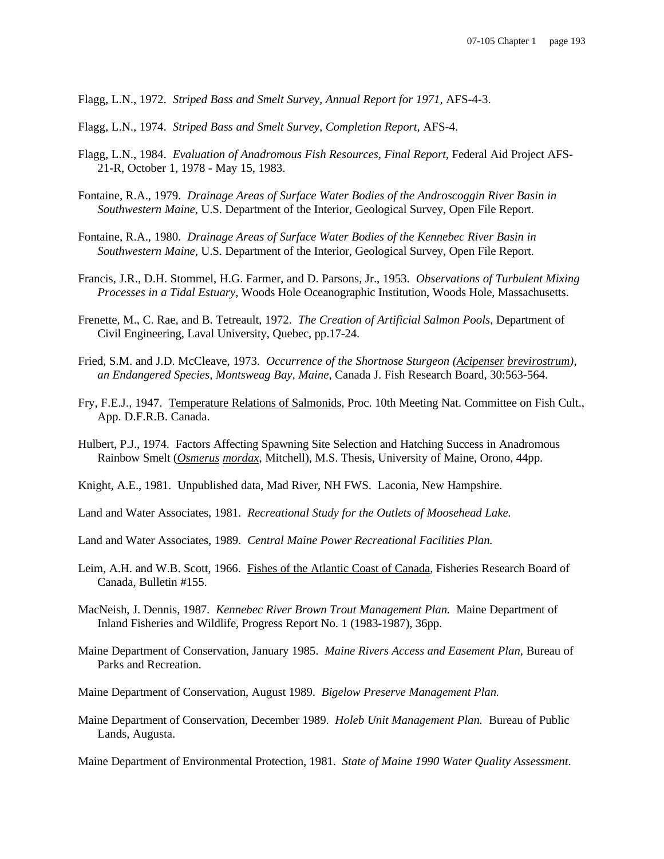Flagg, L.N., 1972. *Striped Bass and Smelt Survey, Annual Report for 1971*, AFS-4-3.

- Flagg, L.N., 1974. *Striped Bass and Smelt Survey, Completion Report*, AFS-4.
- Flagg, L.N., 1984. *Evaluation of Anadromous Fish Resources, Final Report*, Federal Aid Project AFS-21-R, October 1, 1978 - May 15, 1983.
- Fontaine, R.A., 1979. *Drainage Areas of Surface Water Bodies of the Androscoggin River Basin in Southwestern Maine*, U.S. Department of the Interior, Geological Survey, Open File Report.
- Fontaine, R.A., 1980. *Drainage Areas of Surface Water Bodies of the Kennebec River Basin in Southwestern Maine*, U.S. Department of the Interior, Geological Survey, Open File Report.
- Francis, J.R., D.H. Stommel, H.G. Farmer, and D. Parsons, Jr., 1953. *Observations of Turbulent Mixing Processes in a Tidal Estuary*, Woods Hole Oceanographic Institution, Woods Hole, Massachusetts.
- Frenette, M., C. Rae, and B. Tetreault, 1972. *The Creation of Artificial Salmon Pools*, Department of Civil Engineering, Laval University, Quebec, pp.17-24.
- Fried, S.M. and J.D. McCleave, 1973. *Occurrence of the Shortnose Sturgeon (Acipenser brevirostrum), an Endangered Species, Montsweag Bay, Maine*, Canada J. Fish Research Board, 30:563-564.
- Fry, F.E.J., 1947. Temperature Relations of Salmonids, Proc. 10th Meeting Nat. Committee on Fish Cult., App. D.F.R.B. Canada.
- Hulbert, P.J., 1974. Factors Affecting Spawning Site Selection and Hatching Success in Anadromous Rainbow Smelt (*Osmerus mordax*, Mitchell), M.S. Thesis, University of Maine, Orono, 44pp.
- Knight, A.E., 1981. Unpublished data, Mad River, NH FWS. Laconia, New Hampshire.
- Land and Water Associates, 1981. *Recreational Study for the Outlets of Moosehead Lake.*
- Land and Water Associates, 1989. *Central Maine Power Recreational Facilities Plan.*
- Leim, A.H. and W.B. Scott, 1966. Fishes of the Atlantic Coast of Canada, Fisheries Research Board of Canada, Bulletin #155.
- MacNeish, J. Dennis, 1987. *Kennebec River Brown Trout Management Plan.* Maine Department of Inland Fisheries and Wildlife, Progress Report No. 1 (1983-1987), 36pp.
- Maine Department of Conservation, January 1985. *Maine Rivers Access and Easement Plan,* Bureau of Parks and Recreation.
- Maine Department of Conservation, August 1989. *Bigelow Preserve Management Plan.*
- Maine Department of Conservation, December 1989. *Holeb Unit Management Plan.* Bureau of Public Lands, Augusta.

Maine Department of Environmental Protection, 1981. *State of Maine 1990 Water Quality Assessment*.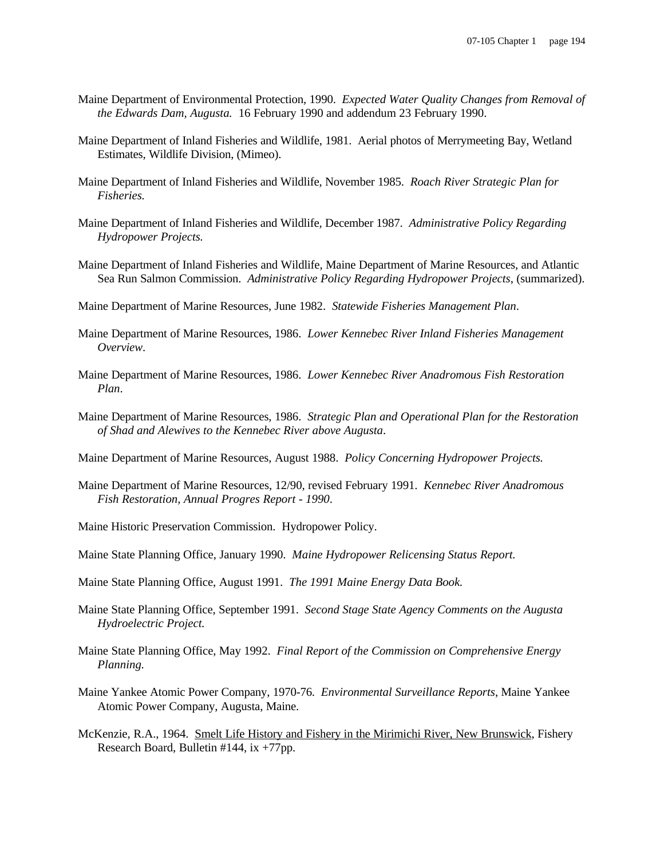- Maine Department of Environmental Protection, 1990. *Expected Water Quality Changes from Removal of the Edwards Dam, Augusta.* 16 February 1990 and addendum 23 February 1990.
- Maine Department of Inland Fisheries and Wildlife, 1981. Aerial photos of Merrymeeting Bay, Wetland Estimates, Wildlife Division, (Mimeo).
- Maine Department of Inland Fisheries and Wildlife, November 1985. *Roach River Strategic Plan for Fisheries.*
- Maine Department of Inland Fisheries and Wildlife, December 1987. *Administrative Policy Regarding Hydropower Projects.*
- Maine Department of Inland Fisheries and Wildlife, Maine Department of Marine Resources, and Atlantic Sea Run Salmon Commission. *Administrative Policy Regarding Hydropower Projects*, (summarized).
- Maine Department of Marine Resources, June 1982. *Statewide Fisheries Management Plan*.
- Maine Department of Marine Resources, 1986. *Lower Kennebec River Inland Fisheries Management Overview*.
- Maine Department of Marine Resources, 1986. *Lower Kennebec River Anadromous Fish Restoration Plan*.
- Maine Department of Marine Resources, 1986. *Strategic Plan and Operational Plan for the Restoration of Shad and Alewives to the Kennebec River above Augusta*.
- Maine Department of Marine Resources, August 1988. *Policy Concerning Hydropower Projects.*
- Maine Department of Marine Resources, 12/90, revised February 1991. *Kennebec River Anadromous Fish Restoration, Annual Progres Report - 1990*.
- Maine Historic Preservation Commission. Hydropower Policy.
- Maine State Planning Office, January 1990. *Maine Hydropower Relicensing Status Report.*
- Maine State Planning Office, August 1991. *The 1991 Maine Energy Data Book.*
- Maine State Planning Office, September 1991. *Second Stage State Agency Comments on the Augusta Hydroelectric Project.*
- Maine State Planning Office, May 1992. *Final Report of the Commission on Comprehensive Energy Planning.*
- Maine Yankee Atomic Power Company, 1970-76. *Environmental Surveillance Reports*, Maine Yankee Atomic Power Company, Augusta, Maine.
- McKenzie, R.A., 1964. Smelt Life History and Fishery in the Mirimichi River, New Brunswick, Fishery Research Board, Bulletin #144, ix +77pp.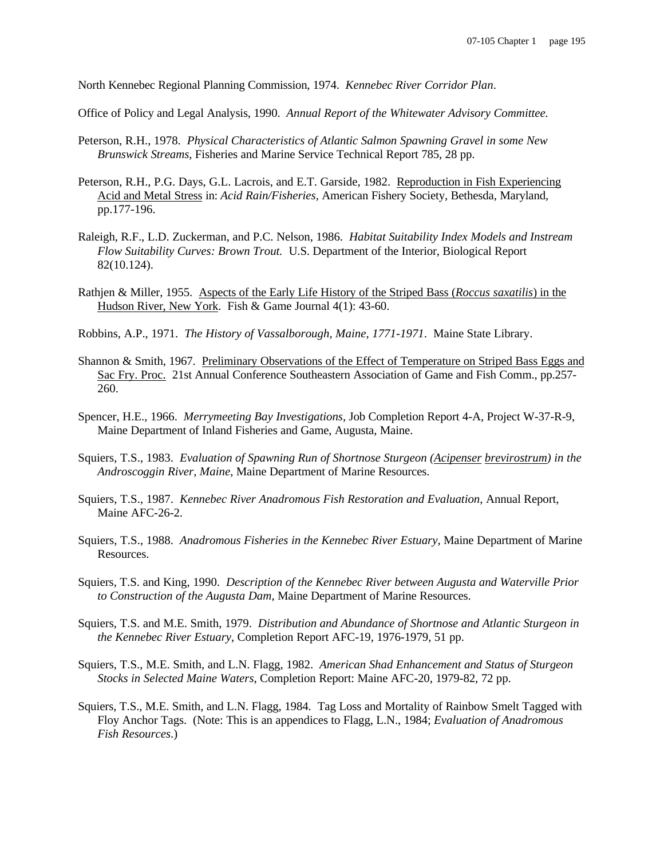North Kennebec Regional Planning Commission, 1974. *Kennebec River Corridor Plan*.

Office of Policy and Legal Analysis, 1990. *Annual Report of the Whitewater Advisory Committee.*

- Peterson, R.H., 1978. *Physical Characteristics of Atlantic Salmon Spawning Gravel in some New Brunswick Streams*, Fisheries and Marine Service Technical Report 785, 28 pp.
- Peterson, R.H., P.G. Days, G.L. Lacrois, and E.T. Garside, 1982. Reproduction in Fish Experiencing Acid and Metal Stress in: *Acid Rain/Fisheries*, American Fishery Society, Bethesda, Maryland, pp.177-196.
- Raleigh, R.F., L.D. Zuckerman, and P.C. Nelson, 1986. *Habitat Suitability Index Models and Instream Flow Suitability Curves: Brown Trout.* U.S. Department of the Interior, Biological Report 82(10.124).
- Rathjen & Miller, 1955. Aspects of the Early Life History of the Striped Bass (*Roccus saxatilis*) in the Hudson River, New York. Fish & Game Journal 4(1): 43-60.
- Robbins, A.P., 1971. *The History of Vassalborough, Maine, 1771-1971*. Maine State Library.
- Shannon & Smith, 1967. Preliminary Observations of the Effect of Temperature on Striped Bass Eggs and Sac Fry. Proc. 21st Annual Conference Southeastern Association of Game and Fish Comm., pp.257- 260.
- Spencer, H.E., 1966. *Merrymeeting Bay Investigations*, Job Completion Report 4-A, Project W-37-R-9, Maine Department of Inland Fisheries and Game, Augusta, Maine.
- Squiers, T.S., 1983. *Evaluation of Spawning Run of Shortnose Sturgeon (Acipenser brevirostrum) in the Androscoggin River, Maine*, Maine Department of Marine Resources.
- Squiers, T.S., 1987. *Kennebec River Anadromous Fish Restoration and Evaluation,* Annual Report, Maine AFC-26-2.
- Squiers, T.S., 1988. *Anadromous Fisheries in the Kennebec River Estuary*, Maine Department of Marine Resources.
- Squiers, T.S. and King, 1990. *Description of the Kennebec River between Augusta and Waterville Prior to Construction of the Augusta Dam*, Maine Department of Marine Resources.
- Squiers, T.S. and M.E. Smith, 1979. *Distribution and Abundance of Shortnose and Atlantic Sturgeon in the Kennebec River Estuary*, Completion Report AFC-19, 1976-1979, 51 pp.
- Squiers, T.S., M.E. Smith, and L.N. Flagg, 1982. *American Shad Enhancement and Status of Sturgeon Stocks in Selected Maine Waters*, Completion Report: Maine AFC-20, 1979-82, 72 pp.
- Squiers, T.S., M.E. Smith, and L.N. Flagg, 1984. Tag Loss and Mortality of Rainbow Smelt Tagged with Floy Anchor Tags. (Note: This is an appendices to Flagg, L.N., 1984; *Evaluation of Anadromous Fish Resources*.)